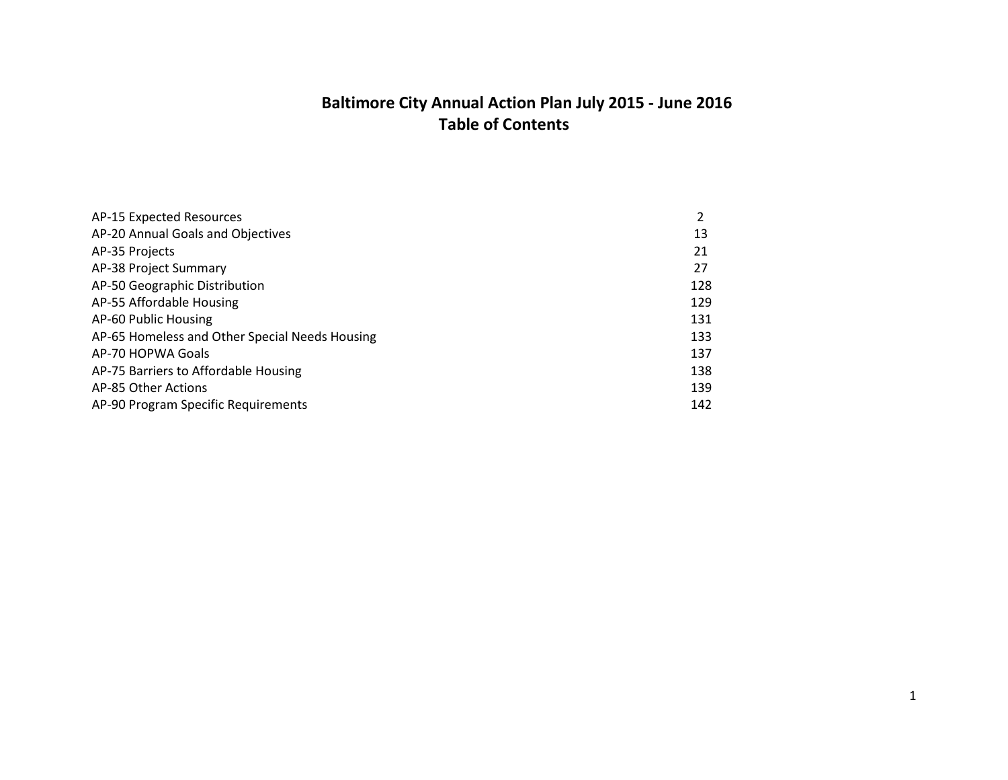# **Baltimore City Annual Action Plan July 2015 - June 2016 Table of Contents**

| AP-15 Expected Resources                       |     |
|------------------------------------------------|-----|
| AP-20 Annual Goals and Objectives              | 13  |
| AP-35 Projects                                 | 21  |
| AP-38 Project Summary                          | 27  |
| AP-50 Geographic Distribution                  | 128 |
| AP-55 Affordable Housing                       | 129 |
| AP-60 Public Housing                           | 131 |
| AP-65 Homeless and Other Special Needs Housing | 133 |
| AP-70 HOPWA Goals                              | 137 |
| AP-75 Barriers to Affordable Housing           | 138 |
| AP-85 Other Actions                            | 139 |
| AP-90 Program Specific Requirements            | 142 |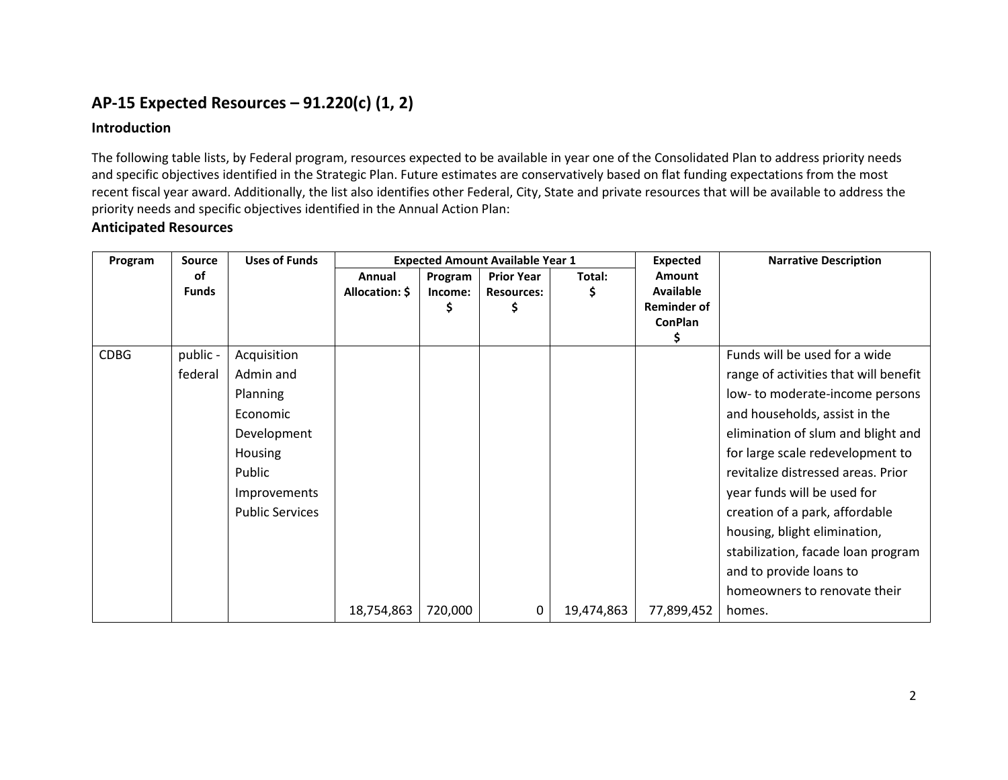# **AP-15 Expected Resources – 91.220(c) (1, 2)**

## **Introduction**

The following table lists, by Federal program, resources expected to be available in year one of the Consolidated Plan to address priority needs and specific objectives identified in the Strategic Plan. Future estimates are conservatively based on flat funding expectations from the most recent fiscal year award. Additionally, the list also identifies other Federal, City, State and private resources that will be available to address the priority needs and specific objectives identified in the Annual Action Plan:

## **Anticipated Resources**

| Program     | <b>Source</b> | <b>Uses of Funds</b>   |                |         | <b>Expected Amount Available Year 1</b> |            | <b>Expected</b>     | <b>Narrative Description</b>          |
|-------------|---------------|------------------------|----------------|---------|-----------------------------------------|------------|---------------------|---------------------------------------|
|             | of            |                        | Annual         | Program | <b>Prior Year</b>                       | Total:     | <b>Amount</b>       |                                       |
|             | <b>Funds</b>  |                        | Allocation: \$ | Income: | <b>Resources:</b>                       | Ş          | <b>Available</b>    |                                       |
|             |               |                        |                |         |                                         |            | <b>Reminder of</b>  |                                       |
|             |               |                        |                |         |                                         |            | <b>ConPlan</b><br>s |                                       |
| <b>CDBG</b> | public -      | Acquisition            |                |         |                                         |            |                     | Funds will be used for a wide         |
|             | federal       | Admin and              |                |         |                                         |            |                     | range of activities that will benefit |
|             |               | Planning               |                |         |                                         |            |                     | low- to moderate-income persons       |
|             |               | Economic               |                |         |                                         |            |                     | and households, assist in the         |
|             |               | Development            |                |         |                                         |            |                     | elimination of slum and blight and    |
|             |               | <b>Housing</b>         |                |         |                                         |            |                     | for large scale redevelopment to      |
|             |               | Public                 |                |         |                                         |            |                     | revitalize distressed areas. Prior    |
|             |               | Improvements           |                |         |                                         |            |                     | year funds will be used for           |
|             |               | <b>Public Services</b> |                |         |                                         |            |                     | creation of a park, affordable        |
|             |               |                        |                |         |                                         |            |                     | housing, blight elimination,          |
|             |               |                        |                |         |                                         |            |                     | stabilization, facade loan program    |
|             |               |                        |                |         |                                         |            |                     | and to provide loans to               |
|             |               |                        |                |         |                                         |            |                     | homeowners to renovate their          |
|             |               |                        | 18,754,863     | 720,000 | 0                                       | 19,474,863 | 77,899,452          | homes.                                |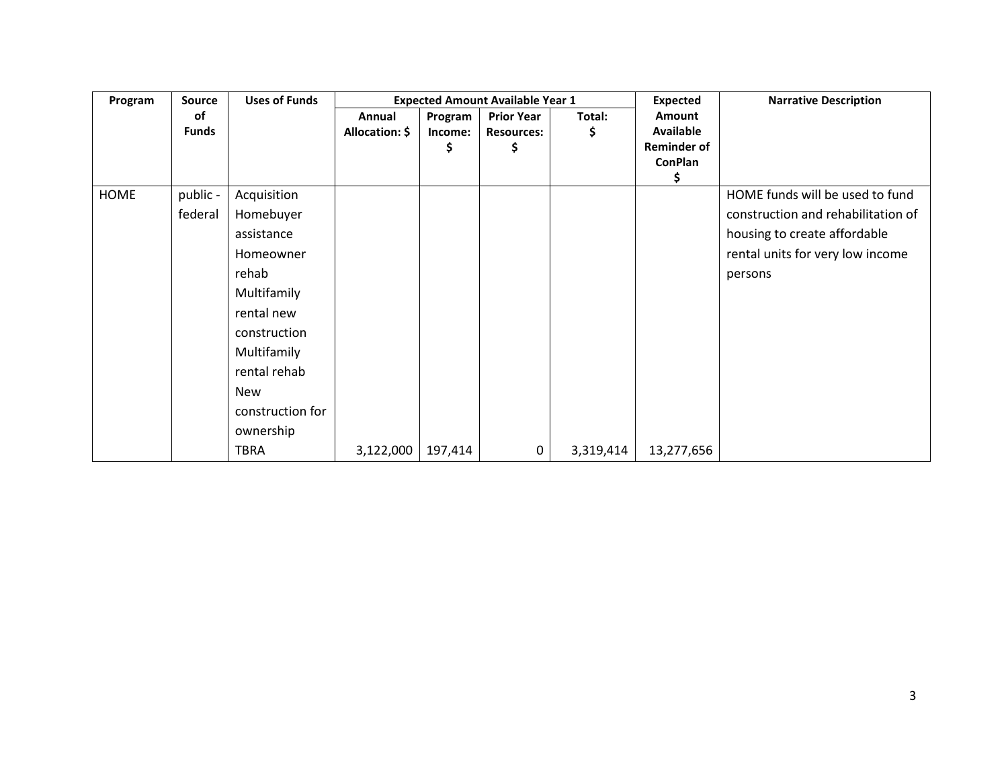| Program     | Source       | <b>Uses of Funds</b> |                |         | <b>Expected Amount Available Year 1</b> |           | <b>Expected</b>    | <b>Narrative Description</b>       |
|-------------|--------------|----------------------|----------------|---------|-----------------------------------------|-----------|--------------------|------------------------------------|
|             | of           |                      | Annual         | Program | <b>Prior Year</b>                       | Total:    | Amount             |                                    |
|             | <b>Funds</b> |                      | Allocation: \$ | Income: | <b>Resources:</b>                       | \$        | Available          |                                    |
|             |              |                      |                | Ş       | Ş                                       |           | <b>Reminder of</b> |                                    |
|             |              |                      |                |         |                                         |           | <b>ConPlan</b>     |                                    |
| <b>HOME</b> |              |                      |                |         |                                         |           | Ş                  |                                    |
|             | public -     | Acquisition          |                |         |                                         |           |                    | HOME funds will be used to fund    |
|             | federal      | Homebuyer            |                |         |                                         |           |                    | construction and rehabilitation of |
|             |              | assistance           |                |         |                                         |           |                    | housing to create affordable       |
|             |              | Homeowner            |                |         |                                         |           |                    | rental units for very low income   |
|             |              | rehab                |                |         |                                         |           |                    | persons                            |
|             |              | Multifamily          |                |         |                                         |           |                    |                                    |
|             |              | rental new           |                |         |                                         |           |                    |                                    |
|             |              | construction         |                |         |                                         |           |                    |                                    |
|             |              | Multifamily          |                |         |                                         |           |                    |                                    |
|             |              | rental rehab         |                |         |                                         |           |                    |                                    |
|             |              | New                  |                |         |                                         |           |                    |                                    |
|             |              | construction for     |                |         |                                         |           |                    |                                    |
|             |              | ownership            |                |         |                                         |           |                    |                                    |
|             |              | <b>TBRA</b>          | 3,122,000      | 197,414 | $\mathbf 0$                             | 3,319,414 | 13,277,656         |                                    |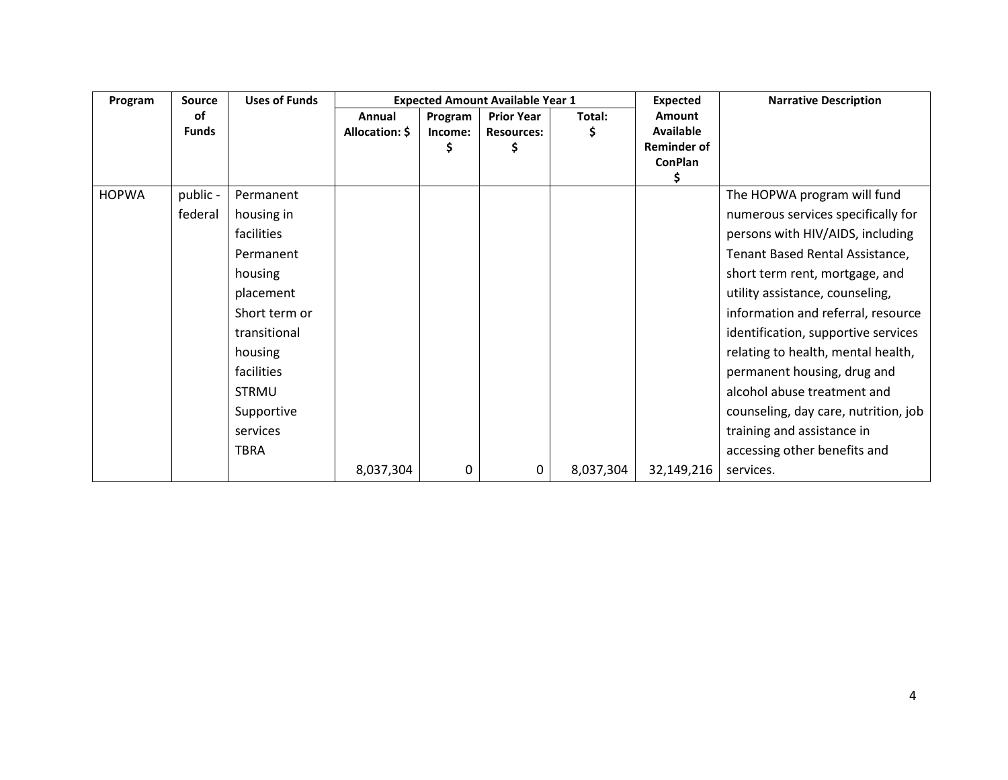| Program      | <b>Source</b> | <b>Uses of Funds</b> |                |         | <b>Expected Amount Available Year 1</b> |           | <b>Expected</b>    | <b>Narrative Description</b>         |
|--------------|---------------|----------------------|----------------|---------|-----------------------------------------|-----------|--------------------|--------------------------------------|
|              | of            |                      | Annual         | Program | <b>Prior Year</b>                       | Total:    | <b>Amount</b>      |                                      |
|              | <b>Funds</b>  |                      | Allocation: \$ | Income: | <b>Resources:</b>                       | \$.       | <b>Available</b>   |                                      |
|              |               |                      |                |         |                                         |           | <b>Reminder of</b> |                                      |
|              |               |                      |                |         |                                         |           | <b>ConPlan</b>     |                                      |
| <b>HOPWA</b> | public -      | Permanent            |                |         |                                         |           |                    | The HOPWA program will fund          |
|              |               |                      |                |         |                                         |           |                    |                                      |
|              | federal       | housing in           |                |         |                                         |           |                    | numerous services specifically for   |
|              |               | facilities           |                |         |                                         |           |                    | persons with HIV/AIDS, including     |
|              |               | Permanent            |                |         |                                         |           |                    | Tenant Based Rental Assistance,      |
|              |               | housing              |                |         |                                         |           |                    | short term rent, mortgage, and       |
|              |               | placement            |                |         |                                         |           |                    | utility assistance, counseling,      |
|              |               | Short term or        |                |         |                                         |           |                    | information and referral, resource   |
|              |               | transitional         |                |         |                                         |           |                    | identification, supportive services  |
|              |               | housing              |                |         |                                         |           |                    | relating to health, mental health,   |
|              |               | facilities           |                |         |                                         |           |                    | permanent housing, drug and          |
|              |               | <b>STRMU</b>         |                |         |                                         |           |                    | alcohol abuse treatment and          |
|              |               | Supportive           |                |         |                                         |           |                    | counseling, day care, nutrition, job |
|              |               | services             |                |         |                                         |           |                    | training and assistance in           |
|              |               | <b>TBRA</b>          |                |         |                                         |           |                    | accessing other benefits and         |
|              |               |                      | 8,037,304      | 0       | 0                                       | 8,037,304 | 32,149,216         | services.                            |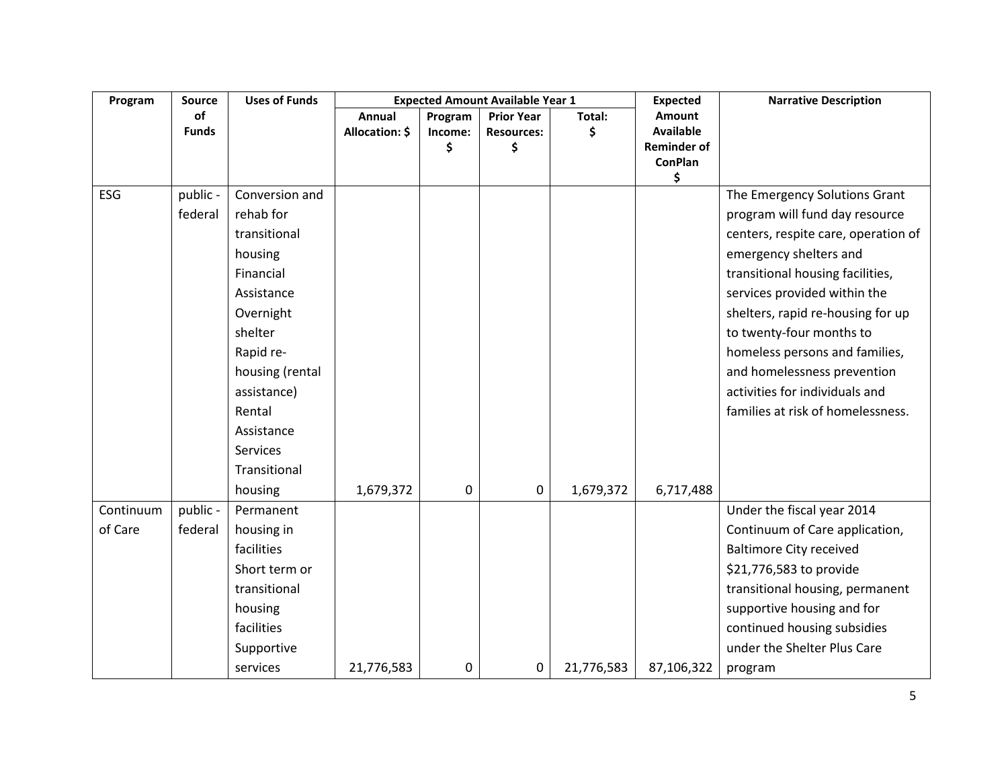| Program   | Source       | <b>Uses of Funds</b> |                |             | <b>Expected Amount Available Year 1</b> |            | <b>Expected</b>                      | <b>Narrative Description</b>        |
|-----------|--------------|----------------------|----------------|-------------|-----------------------------------------|------------|--------------------------------------|-------------------------------------|
|           | of           |                      | Annual         | Program     | <b>Prior Year</b>                       | Total:     | <b>Amount</b>                        |                                     |
|           | <b>Funds</b> |                      | Allocation: \$ | Income:     | <b>Resources:</b>                       | Ś          | <b>Available</b>                     |                                     |
|           |              |                      |                | \$          | \$                                      |            | <b>Reminder of</b><br><b>ConPlan</b> |                                     |
|           |              |                      |                |             |                                         |            | \$                                   |                                     |
| ESG       | public -     | Conversion and       |                |             |                                         |            |                                      | The Emergency Solutions Grant       |
|           | federal      | rehab for            |                |             |                                         |            |                                      | program will fund day resource      |
|           |              | transitional         |                |             |                                         |            |                                      | centers, respite care, operation of |
|           |              | housing              |                |             |                                         |            |                                      | emergency shelters and              |
|           |              | Financial            |                |             |                                         |            |                                      | transitional housing facilities,    |
|           |              | Assistance           |                |             |                                         |            |                                      | services provided within the        |
|           |              | Overnight            |                |             |                                         |            |                                      | shelters, rapid re-housing for up   |
|           |              | shelter              |                |             |                                         |            |                                      | to twenty-four months to            |
|           |              | Rapid re-            |                |             |                                         |            |                                      | homeless persons and families,      |
|           |              | housing (rental      |                |             |                                         |            |                                      | and homelessness prevention         |
|           |              | assistance)          |                |             |                                         |            |                                      | activities for individuals and      |
|           |              | Rental               |                |             |                                         |            |                                      | families at risk of homelessness.   |
|           |              | Assistance           |                |             |                                         |            |                                      |                                     |
|           |              | Services             |                |             |                                         |            |                                      |                                     |
|           |              | Transitional         |                |             |                                         |            |                                      |                                     |
|           |              | housing              | 1,679,372      | $\mathbf 0$ | $\pmb{0}$                               | 1,679,372  | 6,717,488                            |                                     |
| Continuum | public -     | Permanent            |                |             |                                         |            |                                      | Under the fiscal year 2014          |
| of Care   | federal      | housing in           |                |             |                                         |            |                                      | Continuum of Care application,      |
|           |              | facilities           |                |             |                                         |            |                                      | <b>Baltimore City received</b>      |
|           |              | Short term or        |                |             |                                         |            |                                      | \$21,776,583 to provide             |
|           |              | transitional         |                |             |                                         |            |                                      | transitional housing, permanent     |
|           |              | housing              |                |             |                                         |            |                                      | supportive housing and for          |
|           |              | facilities           |                |             |                                         |            |                                      | continued housing subsidies         |
|           |              | Supportive           |                |             |                                         |            |                                      | under the Shelter Plus Care         |
|           |              | services             | 21,776,583     | 0           | 0                                       | 21,776,583 | 87,106,322                           | program                             |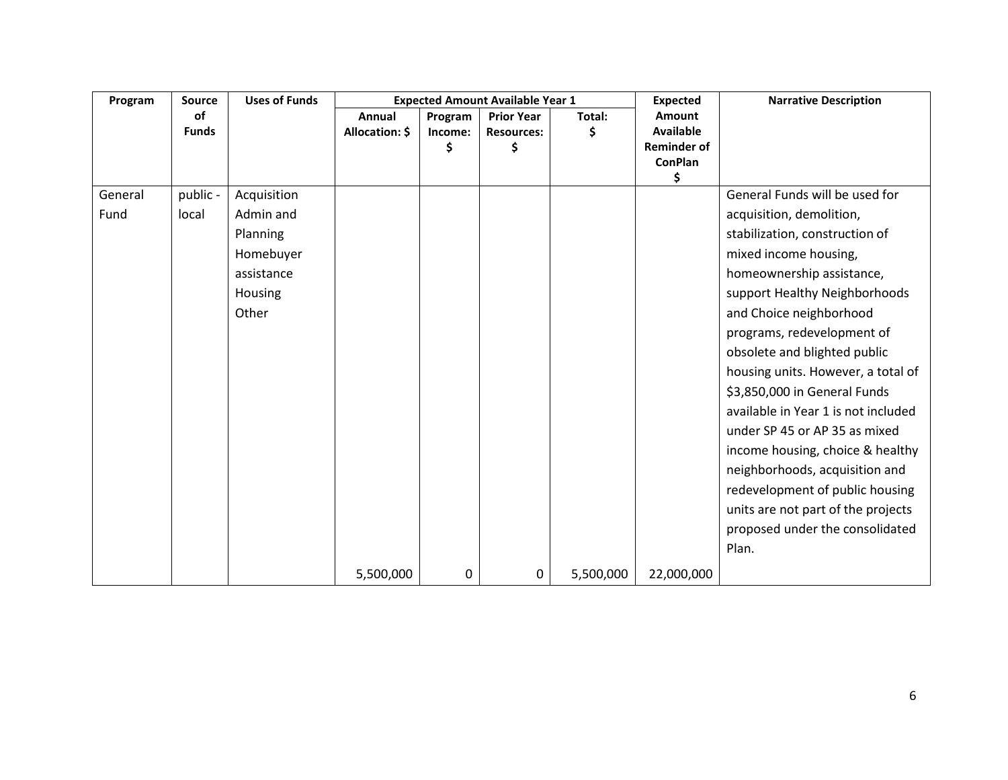| Program | Source       | <b>Uses of Funds</b> |                |         | <b>Expected Amount Available Year 1</b> |           | <b>Expected</b>                        | <b>Narrative Description</b>        |
|---------|--------------|----------------------|----------------|---------|-----------------------------------------|-----------|----------------------------------------|-------------------------------------|
|         | of           |                      | Annual         | Program | <b>Prior Year</b>                       | Total:    | <b>Amount</b>                          |                                     |
|         | <b>Funds</b> |                      | Allocation: \$ | Income: | <b>Resources:</b>                       | Ś         | <b>Available</b><br><b>Reminder of</b> |                                     |
|         |              |                      |                | \$      | \$                                      |           | <b>ConPlan</b>                         |                                     |
|         |              |                      |                |         |                                         |           | \$                                     |                                     |
| General | public -     | Acquisition          |                |         |                                         |           |                                        | General Funds will be used for      |
| Fund    | local        | Admin and            |                |         |                                         |           |                                        | acquisition, demolition,            |
|         |              | Planning             |                |         |                                         |           |                                        | stabilization, construction of      |
|         |              | Homebuyer            |                |         |                                         |           |                                        | mixed income housing,               |
|         |              | assistance           |                |         |                                         |           |                                        | homeownership assistance,           |
|         |              | Housing              |                |         |                                         |           |                                        | support Healthy Neighborhoods       |
|         |              | Other                |                |         |                                         |           |                                        | and Choice neighborhood             |
|         |              |                      |                |         |                                         |           |                                        | programs, redevelopment of          |
|         |              |                      |                |         |                                         |           |                                        | obsolete and blighted public        |
|         |              |                      |                |         |                                         |           |                                        | housing units. However, a total of  |
|         |              |                      |                |         |                                         |           |                                        | \$3,850,000 in General Funds        |
|         |              |                      |                |         |                                         |           |                                        | available in Year 1 is not included |
|         |              |                      |                |         |                                         |           |                                        | under SP 45 or AP 35 as mixed       |
|         |              |                      |                |         |                                         |           |                                        | income housing, choice & healthy    |
|         |              |                      |                |         |                                         |           |                                        | neighborhoods, acquisition and      |
|         |              |                      |                |         |                                         |           |                                        | redevelopment of public housing     |
|         |              |                      |                |         |                                         |           |                                        | units are not part of the projects  |
|         |              |                      |                |         |                                         |           |                                        | proposed under the consolidated     |
|         |              |                      |                |         |                                         |           |                                        | Plan.                               |
|         |              |                      | 5,500,000      | 0       | 0                                       | 5,500,000 | 22,000,000                             |                                     |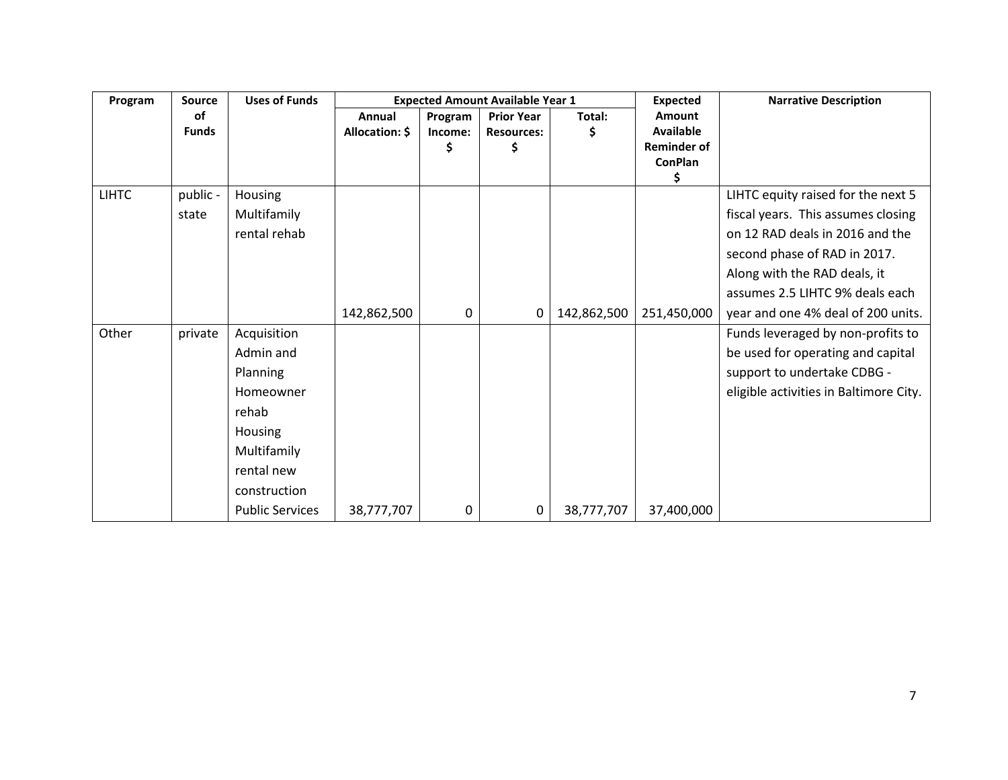| Program      | Source       | <b>Uses of Funds</b>   |                |         | <b>Expected Amount Available Year 1</b> |             | <b>Expected</b>     | <b>Narrative Description</b>           |
|--------------|--------------|------------------------|----------------|---------|-----------------------------------------|-------------|---------------------|----------------------------------------|
|              | <b>of</b>    |                        | Annual         | Program | <b>Prior Year</b>                       | Total:      | <b>Amount</b>       |                                        |
|              | <b>Funds</b> |                        | Allocation: \$ | Income: | <b>Resources:</b>                       |             | <b>Available</b>    |                                        |
|              |              |                        |                | \$      | \$                                      |             | <b>Reminder of</b>  |                                        |
|              |              |                        |                |         |                                         |             | <b>ConPlan</b><br>S |                                        |
| <b>LIHTC</b> | public -     | <b>Housing</b>         |                |         |                                         |             |                     | LIHTC equity raised for the next 5     |
|              | state        | Multifamily            |                |         |                                         |             |                     | fiscal years. This assumes closing     |
|              |              | rental rehab           |                |         |                                         |             |                     | on 12 RAD deals in 2016 and the        |
|              |              |                        |                |         |                                         |             |                     | second phase of RAD in 2017.           |
|              |              |                        |                |         |                                         |             |                     | Along with the RAD deals, it           |
|              |              |                        |                |         |                                         |             |                     | assumes 2.5 LIHTC 9% deals each        |
|              |              |                        | 142,862,500    | 0       | 0                                       | 142,862,500 | 251,450,000         | year and one 4% deal of 200 units.     |
| Other        | private      | Acquisition            |                |         |                                         |             |                     | Funds leveraged by non-profits to      |
|              |              | Admin and              |                |         |                                         |             |                     | be used for operating and capital      |
|              |              | Planning               |                |         |                                         |             |                     | support to undertake CDBG -            |
|              |              | Homeowner              |                |         |                                         |             |                     | eligible activities in Baltimore City. |
|              |              | rehab                  |                |         |                                         |             |                     |                                        |
|              |              | Housing                |                |         |                                         |             |                     |                                        |
|              |              | Multifamily            |                |         |                                         |             |                     |                                        |
|              |              | rental new             |                |         |                                         |             |                     |                                        |
|              |              | construction           |                |         |                                         |             |                     |                                        |
|              |              | <b>Public Services</b> | 38,777,707     | 0       | 0                                       | 38,777,707  | 37,400,000          |                                        |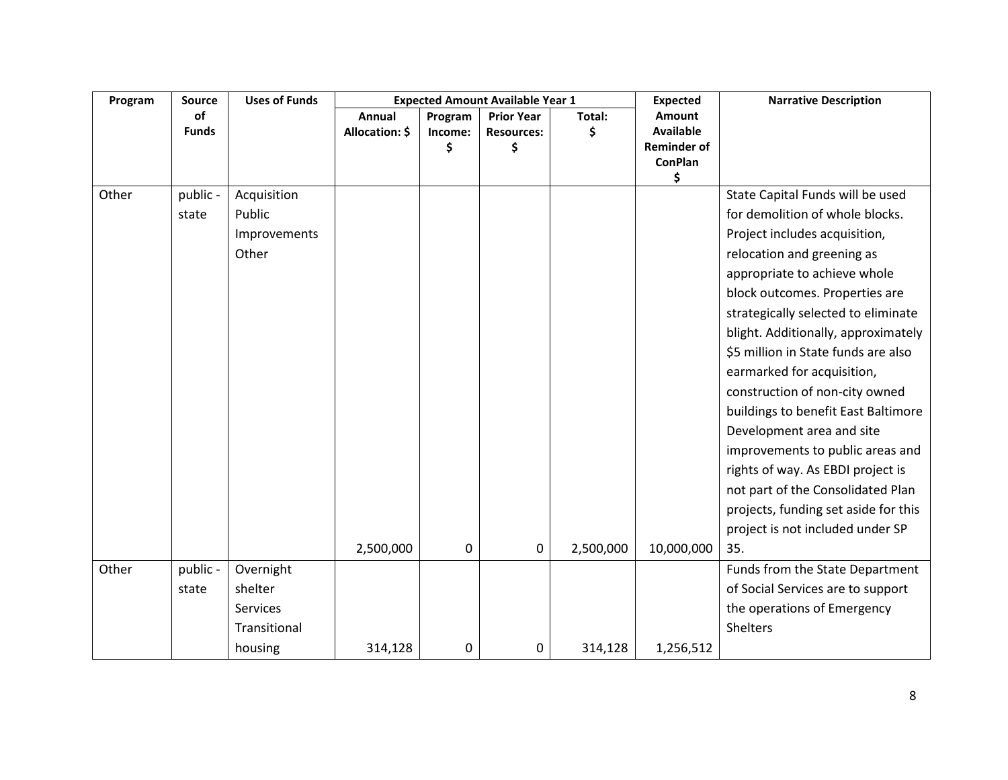| Program | <b>Source</b> | <b>Uses of Funds</b> |                |         | <b>Expected Amount Available Year 1</b> |           | <b>Expected</b>      | <b>Narrative Description</b>         |
|---------|---------------|----------------------|----------------|---------|-----------------------------------------|-----------|----------------------|--------------------------------------|
|         | of            |                      | Annual         | Program | <b>Prior Year</b>                       | Total:    | <b>Amount</b>        |                                      |
|         | <b>Funds</b>  |                      | Allocation: \$ | Income: | <b>Resources:</b>                       | \$        | <b>Available</b>     |                                      |
|         |               |                      |                | \$      | \$                                      |           | <b>Reminder of</b>   |                                      |
|         |               |                      |                |         |                                         |           | <b>ConPlan</b><br>\$ |                                      |
| Other   | public -      | Acquisition          |                |         |                                         |           |                      | State Capital Funds will be used     |
|         | state         | Public               |                |         |                                         |           |                      | for demolition of whole blocks.      |
|         |               | Improvements         |                |         |                                         |           |                      | Project includes acquisition,        |
|         |               | Other                |                |         |                                         |           |                      | relocation and greening as           |
|         |               |                      |                |         |                                         |           |                      | appropriate to achieve whole         |
|         |               |                      |                |         |                                         |           |                      | block outcomes. Properties are       |
|         |               |                      |                |         |                                         |           |                      | strategically selected to eliminate  |
|         |               |                      |                |         |                                         |           |                      | blight. Additionally, approximately  |
|         |               |                      |                |         |                                         |           |                      | \$5 million in State funds are also  |
|         |               |                      |                |         |                                         |           |                      | earmarked for acquisition,           |
|         |               |                      |                |         |                                         |           |                      | construction of non-city owned       |
|         |               |                      |                |         |                                         |           |                      | buildings to benefit East Baltimore  |
|         |               |                      |                |         |                                         |           |                      | Development area and site            |
|         |               |                      |                |         |                                         |           |                      | improvements to public areas and     |
|         |               |                      |                |         |                                         |           |                      | rights of way. As EBDI project is    |
|         |               |                      |                |         |                                         |           |                      | not part of the Consolidated Plan    |
|         |               |                      |                |         |                                         |           |                      | projects, funding set aside for this |
|         |               |                      |                |         |                                         |           |                      | project is not included under SP     |
|         |               |                      | 2,500,000      | 0       | 0                                       | 2,500,000 | 10,000,000           | 35.                                  |
| Other   | public -      | Overnight            |                |         |                                         |           |                      | Funds from the State Department      |
|         | state         | shelter              |                |         |                                         |           |                      | of Social Services are to support    |
|         |               | Services             |                |         |                                         |           |                      | the operations of Emergency          |
|         |               | Transitional         |                |         |                                         |           |                      | <b>Shelters</b>                      |
|         |               | housing              | 314,128        | 0       | 0                                       | 314,128   | 1,256,512            |                                      |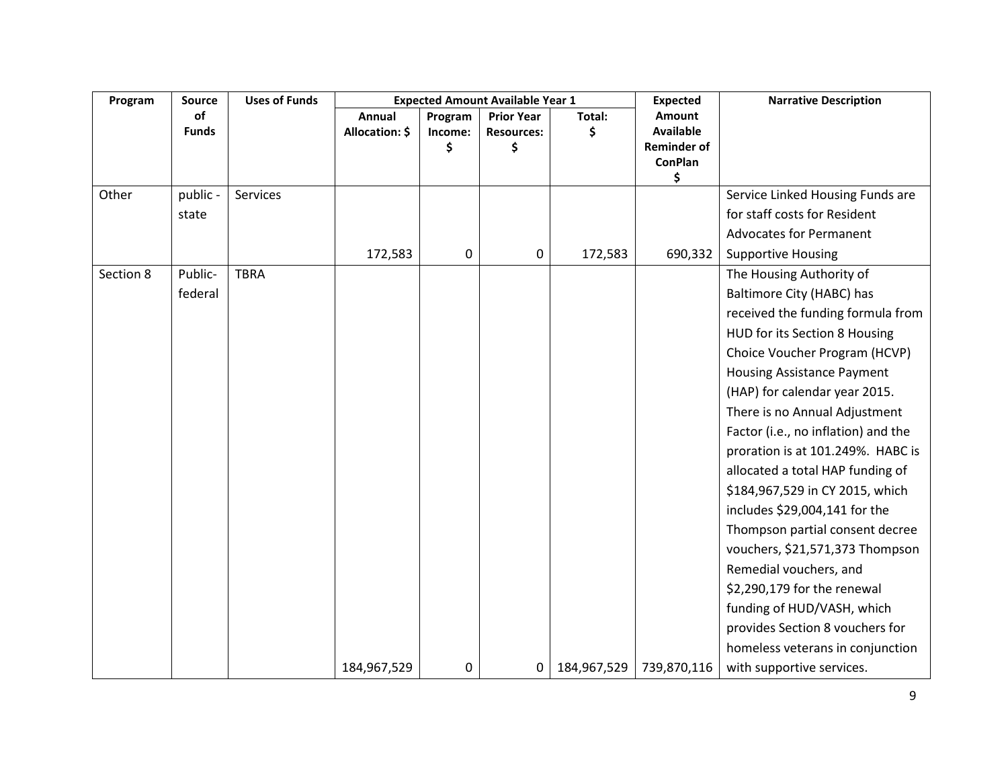| Program   | Source             | <b>Uses of Funds</b> | <b>Expected Amount Available Year 1</b> |                          |                                              |              | <b>Expected</b>                                                                 | <b>Narrative Description</b>        |
|-----------|--------------------|----------------------|-----------------------------------------|--------------------------|----------------------------------------------|--------------|---------------------------------------------------------------------------------|-------------------------------------|
|           | of<br><b>Funds</b> |                      | Annual<br>Allocation: \$                | Program<br>Income:<br>\$ | <b>Prior Year</b><br><b>Resources:</b><br>\$ | Total:<br>Ś. | <b>Amount</b><br><b>Available</b><br><b>Reminder of</b><br><b>ConPlan</b><br>\$ |                                     |
| Other     | public -           | Services             |                                         |                          |                                              |              |                                                                                 | Service Linked Housing Funds are    |
|           | state              |                      |                                         |                          |                                              |              |                                                                                 | for staff costs for Resident        |
|           |                    |                      |                                         |                          |                                              |              |                                                                                 | <b>Advocates for Permanent</b>      |
|           |                    |                      | 172,583                                 | $\boldsymbol{0}$         | 0                                            | 172,583      | 690,332                                                                         | <b>Supportive Housing</b>           |
| Section 8 | Public-            | <b>TBRA</b>          |                                         |                          |                                              |              |                                                                                 | The Housing Authority of            |
|           | federal            |                      |                                         |                          |                                              |              |                                                                                 | Baltimore City (HABC) has           |
|           |                    |                      |                                         |                          |                                              |              |                                                                                 | received the funding formula from   |
|           |                    |                      |                                         |                          |                                              |              |                                                                                 | HUD for its Section 8 Housing       |
|           |                    |                      |                                         |                          |                                              |              |                                                                                 | Choice Voucher Program (HCVP)       |
|           |                    |                      |                                         |                          |                                              |              |                                                                                 | <b>Housing Assistance Payment</b>   |
|           |                    |                      |                                         |                          |                                              |              |                                                                                 | (HAP) for calendar year 2015.       |
|           |                    |                      |                                         |                          |                                              |              |                                                                                 | There is no Annual Adjustment       |
|           |                    |                      |                                         |                          |                                              |              |                                                                                 | Factor (i.e., no inflation) and the |
|           |                    |                      |                                         |                          |                                              |              |                                                                                 | proration is at 101.249%. HABC is   |
|           |                    |                      |                                         |                          |                                              |              |                                                                                 | allocated a total HAP funding of    |
|           |                    |                      |                                         |                          |                                              |              |                                                                                 | \$184,967,529 in CY 2015, which     |
|           |                    |                      |                                         |                          |                                              |              |                                                                                 | includes \$29,004,141 for the       |
|           |                    |                      |                                         |                          |                                              |              |                                                                                 | Thompson partial consent decree     |
|           |                    |                      |                                         |                          |                                              |              |                                                                                 | vouchers, \$21,571,373 Thompson     |
|           |                    |                      |                                         |                          |                                              |              |                                                                                 | Remedial vouchers, and              |
|           |                    |                      |                                         |                          |                                              |              |                                                                                 | \$2,290,179 for the renewal         |
|           |                    |                      |                                         |                          |                                              |              |                                                                                 | funding of HUD/VASH, which          |
|           |                    |                      |                                         |                          |                                              |              |                                                                                 | provides Section 8 vouchers for     |
|           |                    |                      |                                         |                          |                                              |              |                                                                                 | homeless veterans in conjunction    |
|           |                    |                      | 184,967,529                             | 0                        | 0                                            | 184,967,529  | 739,870,116                                                                     | with supportive services.           |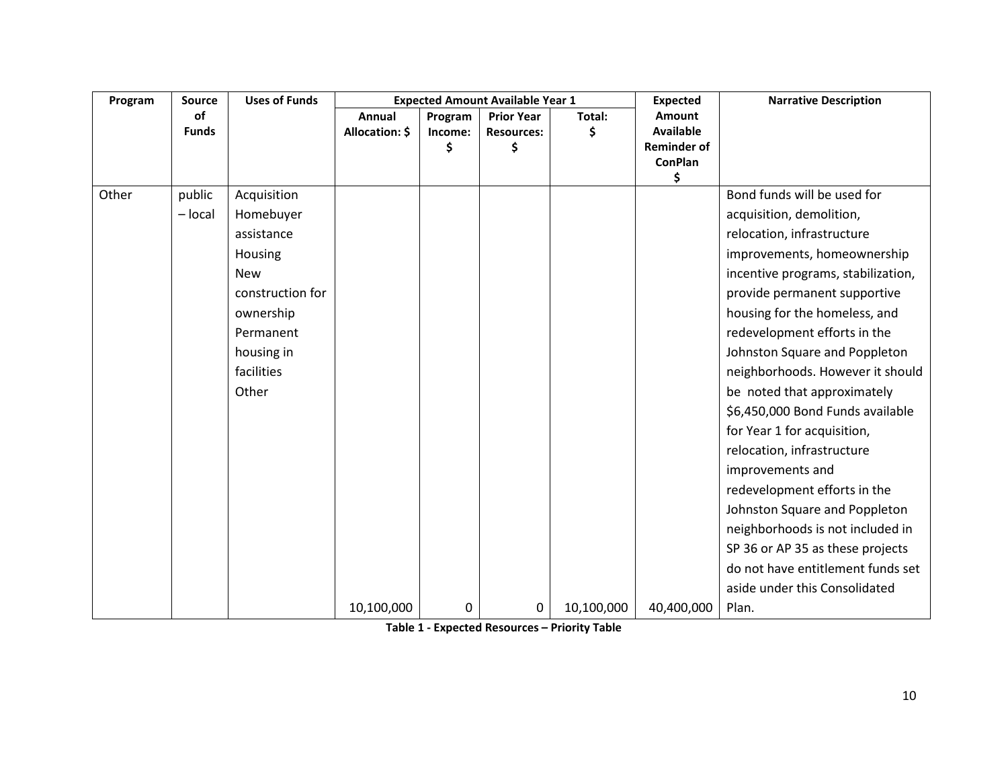| Program | Source       | <b>Uses of Funds</b> |                |         | <b>Expected Amount Available Year 1</b> |            | <b>Expected</b>      | <b>Narrative Description</b>       |
|---------|--------------|----------------------|----------------|---------|-----------------------------------------|------------|----------------------|------------------------------------|
|         | <b>of</b>    |                      | Annual         | Program | <b>Prior Year</b>                       | Total:     | <b>Amount</b>        |                                    |
|         | <b>Funds</b> |                      | Allocation: \$ | Income: | <b>Resources:</b>                       | \$         | <b>Available</b>     |                                    |
|         |              |                      |                | \$      | \$                                      |            | <b>Reminder of</b>   |                                    |
|         |              |                      |                |         |                                         |            | <b>ConPlan</b><br>\$ |                                    |
| Other   | public       | Acquisition          |                |         |                                         |            |                      | Bond funds will be used for        |
|         | $-$ local    | Homebuyer            |                |         |                                         |            |                      | acquisition, demolition,           |
|         |              | assistance           |                |         |                                         |            |                      | relocation, infrastructure         |
|         |              | Housing              |                |         |                                         |            |                      | improvements, homeownership        |
|         |              |                      |                |         |                                         |            |                      |                                    |
|         |              | <b>New</b>           |                |         |                                         |            |                      | incentive programs, stabilization, |
|         |              | construction for     |                |         |                                         |            |                      | provide permanent supportive       |
|         |              | ownership            |                |         |                                         |            |                      | housing for the homeless, and      |
|         |              | Permanent            |                |         |                                         |            |                      | redevelopment efforts in the       |
|         |              | housing in           |                |         |                                         |            |                      | Johnston Square and Poppleton      |
|         |              | facilities           |                |         |                                         |            |                      | neighborhoods. However it should   |
|         |              | Other                |                |         |                                         |            |                      | be noted that approximately        |
|         |              |                      |                |         |                                         |            |                      | \$6,450,000 Bond Funds available   |
|         |              |                      |                |         |                                         |            |                      | for Year 1 for acquisition,        |
|         |              |                      |                |         |                                         |            |                      | relocation, infrastructure         |
|         |              |                      |                |         |                                         |            |                      | improvements and                   |
|         |              |                      |                |         |                                         |            |                      | redevelopment efforts in the       |
|         |              |                      |                |         |                                         |            |                      | Johnston Square and Poppleton      |
|         |              |                      |                |         |                                         |            |                      | neighborhoods is not included in   |
|         |              |                      |                |         |                                         |            |                      | SP 36 or AP 35 as these projects   |
|         |              |                      |                |         |                                         |            |                      | do not have entitlement funds set  |
|         |              |                      |                |         |                                         |            |                      | aside under this Consolidated      |
|         |              |                      | 10,100,000     | 0       | 0                                       | 10,100,000 | 40,400,000           | Plan.                              |

**Table 1 - Expected Resources – Priority Table**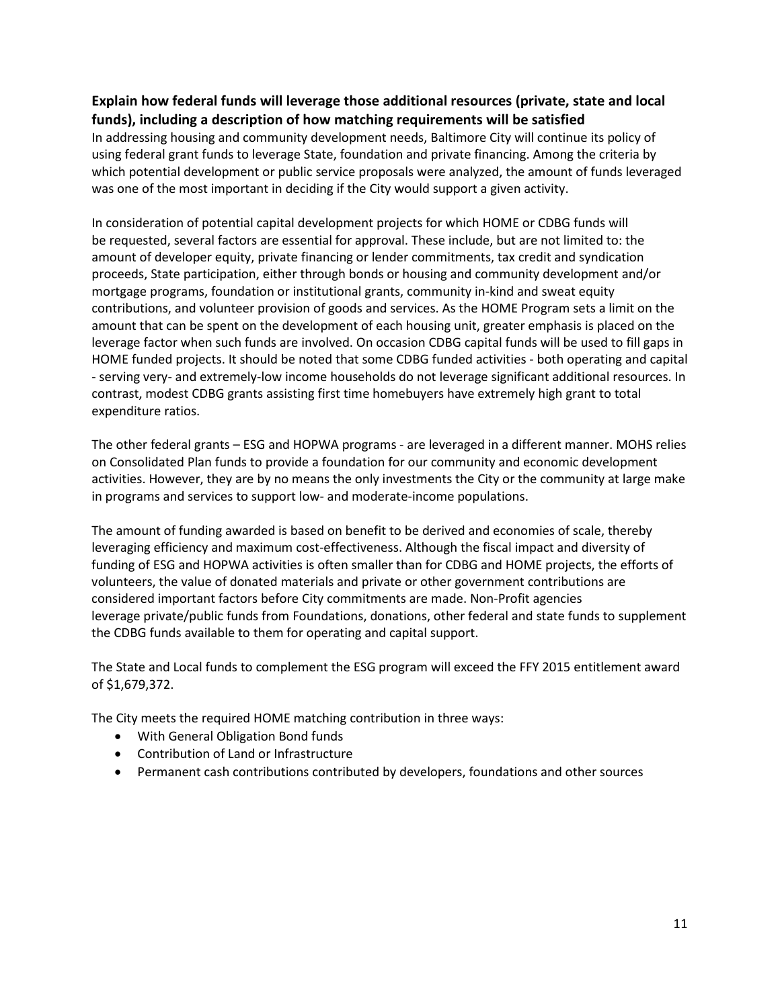## **Explain how federal funds will leverage those additional resources (private, state and local funds), including a description of how matching requirements will be satisfied**

In addressing housing and community development needs, Baltimore City will continue its policy of using federal grant funds to leverage State, foundation and private financing. Among the criteria by which potential development or public service proposals were analyzed, the amount of funds leveraged was one of the most important in deciding if the City would support a given activity.

In consideration of potential capital development projects for which HOME or CDBG funds will be requested, several factors are essential for approval. These include, but are not limited to: the amount of developer equity, private financing or lender commitments, tax credit and syndication proceeds, State participation, either through bonds or housing and community development and/or mortgage programs, foundation or institutional grants, community in-kind and sweat equity contributions, and volunteer provision of goods and services. As the HOME Program sets a limit on the amount that can be spent on the development of each housing unit, greater emphasis is placed on the leverage factor when such funds are involved. On occasion CDBG capital funds will be used to fill gaps in HOME funded projects. It should be noted that some CDBG funded activities - both operating and capital - serving very- and extremely-low income households do not leverage significant additional resources. In contrast, modest CDBG grants assisting first time homebuyers have extremely high grant to total expenditure ratios.

The other federal grants – ESG and HOPWA programs - are leveraged in a different manner. MOHS relies on Consolidated Plan funds to provide a foundation for our community and economic development activities. However, they are by no means the only investments the City or the community at large make in programs and services to support low- and moderate-income populations.

The amount of funding awarded is based on benefit to be derived and economies of scale, thereby leveraging efficiency and maximum cost-effectiveness. Although the fiscal impact and diversity of funding of ESG and HOPWA activities is often smaller than for CDBG and HOME projects, the efforts of volunteers, the value of donated materials and private or other government contributions are considered important factors before City commitments are made. Non-Profit agencies leverage private/public funds from Foundations, donations, other federal and state funds to supplement the CDBG funds available to them for operating and capital support.

The State and Local funds to complement the ESG program will exceed the FFY 2015 entitlement award of \$1,679,372.

The City meets the required HOME matching contribution in three ways:

- With General Obligation Bond funds
- Contribution of Land or Infrastructure
- Permanent cash contributions contributed by developers, foundations and other sources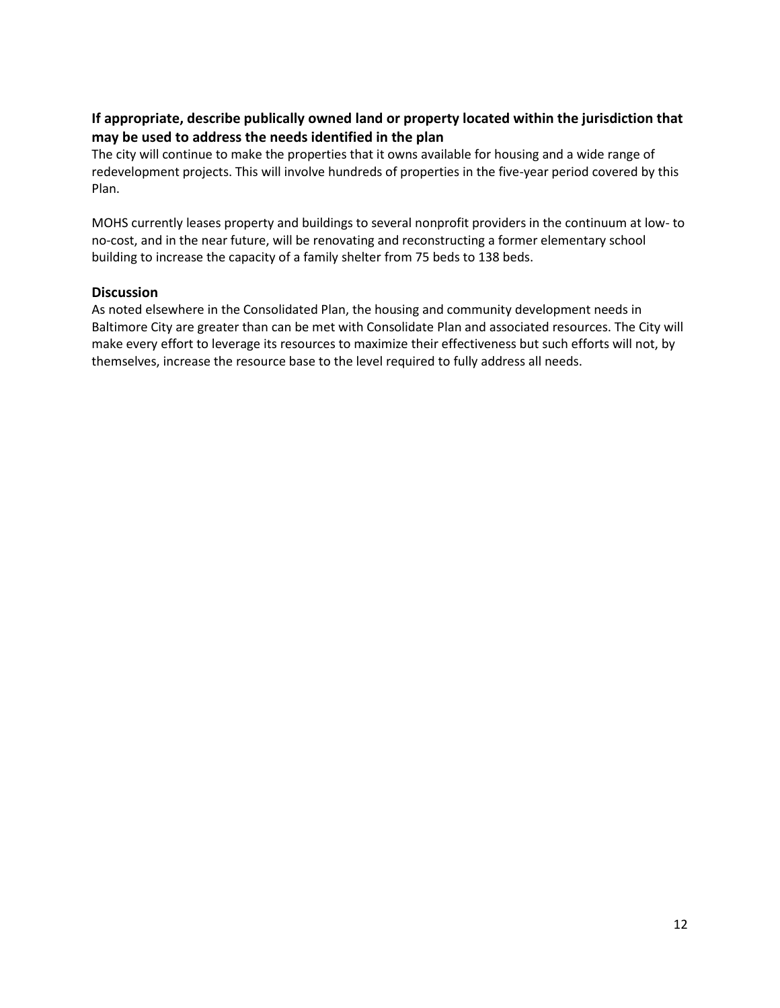## **If appropriate, describe publically owned land or property located within the jurisdiction that may be used to address the needs identified in the plan**

The city will continue to make the properties that it owns available for housing and a wide range of redevelopment projects. This will involve hundreds of properties in the five-year period covered by this Plan.

MOHS currently leases property and buildings to several nonprofit providers in the continuum at low- to no-cost, and in the near future, will be renovating and reconstructing a former elementary school building to increase the capacity of a family shelter from 75 beds to 138 beds.

#### **Discussion**

As noted elsewhere in the Consolidated Plan, the housing and community development needs in Baltimore City are greater than can be met with Consolidate Plan and associated resources. The City will make every effort to leverage its resources to maximize their effectiveness but such efforts will not, by themselves, increase the resource base to the level required to fully address all needs.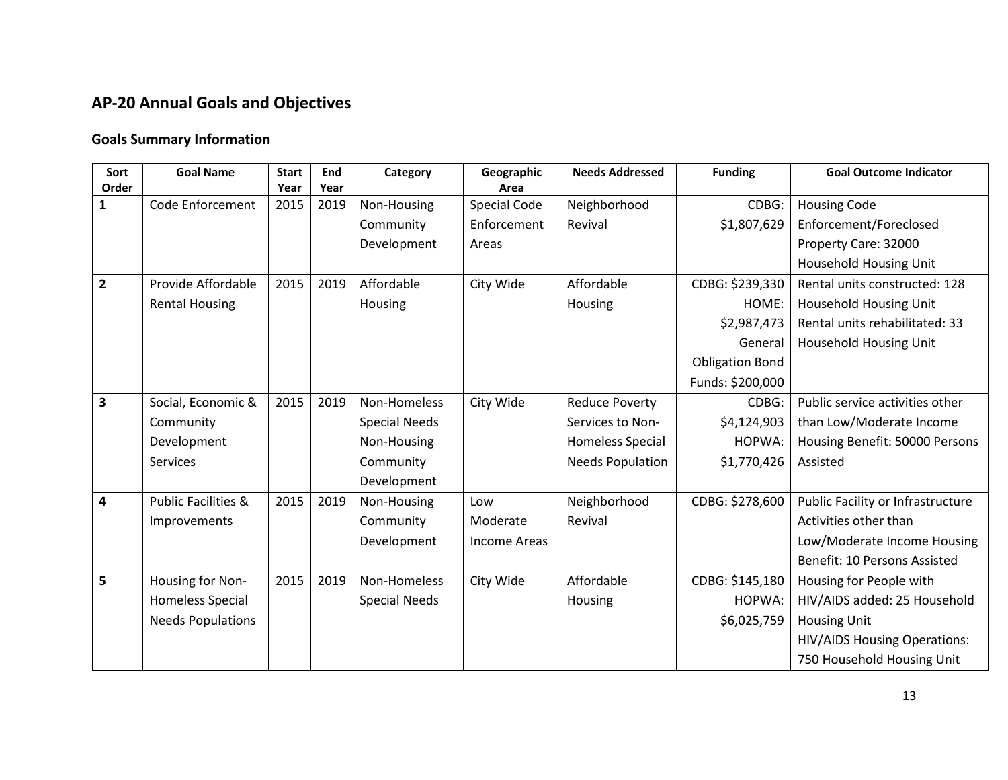# **AP-20 Annual Goals and Objectives**

## **Goals Summary Information**

| Sort           | <b>Goal Name</b>               | <b>Start</b> | End  | Category             | Geographic          | <b>Needs Addressed</b>  | <b>Funding</b>         | <b>Goal Outcome Indicator</b>       |
|----------------|--------------------------------|--------------|------|----------------------|---------------------|-------------------------|------------------------|-------------------------------------|
| Order          |                                | Year         | Year |                      | Area                |                         |                        |                                     |
| $\mathbf{1}$   | Code Enforcement               | 2015         | 2019 | Non-Housing          | <b>Special Code</b> | Neighborhood            | CDBG:                  | <b>Housing Code</b>                 |
|                |                                |              |      | Community            | Enforcement         | Revival                 | \$1,807,629            | Enforcement/Foreclosed              |
|                |                                |              |      | Development          | Areas               |                         |                        | Property Care: 32000                |
|                |                                |              |      |                      |                     |                         |                        | Household Housing Unit              |
| $\overline{2}$ | Provide Affordable             | 2015         | 2019 | Affordable           | City Wide           | Affordable              | CDBG: \$239,330        | Rental units constructed: 128       |
|                | <b>Rental Housing</b>          |              |      | Housing              |                     | Housing                 | HOME:                  | <b>Household Housing Unit</b>       |
|                |                                |              |      |                      |                     |                         | \$2,987,473            | Rental units rehabilitated: 33      |
|                |                                |              |      |                      |                     |                         | General                | Household Housing Unit              |
|                |                                |              |      |                      |                     |                         | <b>Obligation Bond</b> |                                     |
|                |                                |              |      |                      |                     |                         | Funds: \$200,000       |                                     |
| 3              | Social, Economic &             | 2015         | 2019 | Non-Homeless         | City Wide           | <b>Reduce Poverty</b>   | CDBG:                  | Public service activities other     |
|                | Community                      |              |      | <b>Special Needs</b> |                     | Services to Non-        | \$4,124,903            | than Low/Moderate Income            |
|                | Development                    |              |      | Non-Housing          |                     | <b>Homeless Special</b> | HOPWA:                 | Housing Benefit: 50000 Persons      |
|                | <b>Services</b>                |              |      | Community            |                     | <b>Needs Population</b> | \$1,770,426            | Assisted                            |
|                |                                |              |      | Development          |                     |                         |                        |                                     |
| 4              | <b>Public Facilities &amp;</b> | 2015         | 2019 | Non-Housing          | Low                 | Neighborhood            | CDBG: \$278,600        | Public Facility or Infrastructure   |
|                | Improvements                   |              |      | Community            | Moderate            | Revival                 |                        | Activities other than               |
|                |                                |              |      | Development          | Income Areas        |                         |                        | Low/Moderate Income Housing         |
|                |                                |              |      |                      |                     |                         |                        | Benefit: 10 Persons Assisted        |
| 5              | Housing for Non-               | 2015         | 2019 | Non-Homeless         | City Wide           | Affordable              | CDBG: \$145,180        | Housing for People with             |
|                | <b>Homeless Special</b>        |              |      | <b>Special Needs</b> |                     | Housing                 | HOPWA:                 | HIV/AIDS added: 25 Household        |
|                | <b>Needs Populations</b>       |              |      |                      |                     |                         | \$6,025,759            | <b>Housing Unit</b>                 |
|                |                                |              |      |                      |                     |                         |                        | <b>HIV/AIDS Housing Operations:</b> |
|                |                                |              |      |                      |                     |                         |                        | 750 Household Housing Unit          |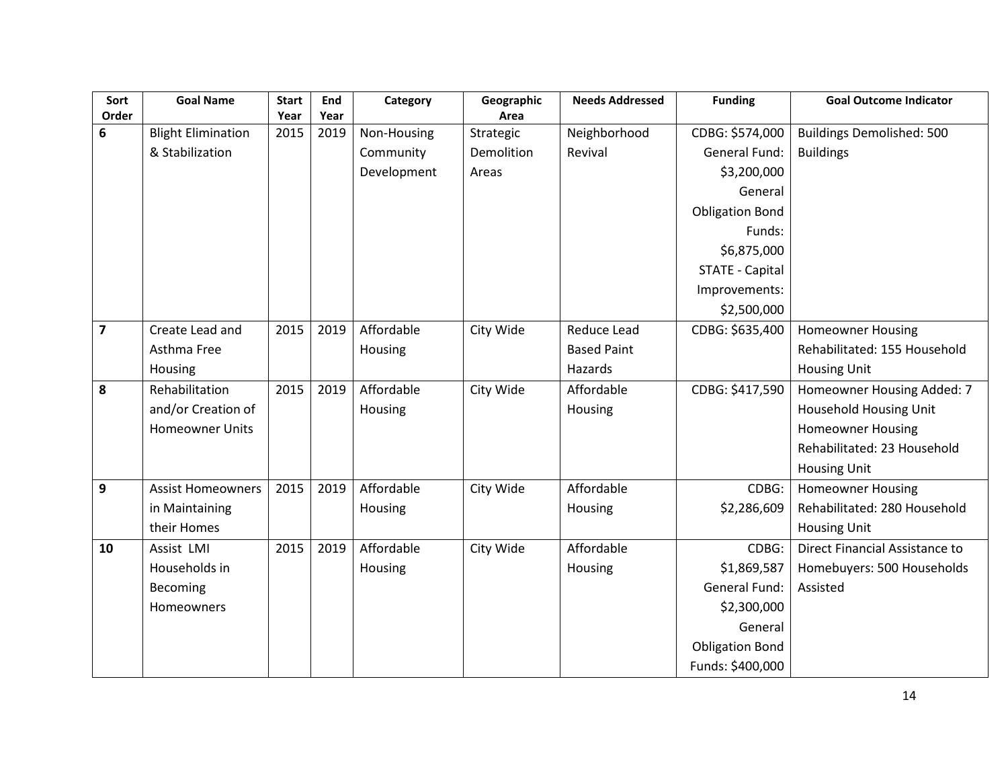| Sort             | <b>Goal Name</b>          | <b>Start</b> | End  | Category    | Geographic | <b>Needs Addressed</b> | <b>Funding</b>         | <b>Goal Outcome Indicator</b>    |
|------------------|---------------------------|--------------|------|-------------|------------|------------------------|------------------------|----------------------------------|
| Order            |                           | Year         | Year |             | Area       |                        |                        |                                  |
| 6                | <b>Blight Elimination</b> | 2015         | 2019 | Non-Housing | Strategic  | Neighborhood           | CDBG: \$574,000        | <b>Buildings Demolished: 500</b> |
|                  | & Stabilization           |              |      | Community   | Demolition | Revival                | General Fund:          | <b>Buildings</b>                 |
|                  |                           |              |      | Development | Areas      |                        | \$3,200,000            |                                  |
|                  |                           |              |      |             |            |                        | General                |                                  |
|                  |                           |              |      |             |            |                        | <b>Obligation Bond</b> |                                  |
|                  |                           |              |      |             |            |                        | Funds:                 |                                  |
|                  |                           |              |      |             |            |                        | \$6,875,000            |                                  |
|                  |                           |              |      |             |            |                        | <b>STATE - Capital</b> |                                  |
|                  |                           |              |      |             |            |                        | Improvements:          |                                  |
|                  |                           |              |      |             |            |                        | \$2,500,000            |                                  |
| $\overline{7}$   | Create Lead and           | 2015         | 2019 | Affordable  | City Wide  | Reduce Lead            | CDBG: \$635,400        | <b>Homeowner Housing</b>         |
|                  | Asthma Free               |              |      | Housing     |            | <b>Based Paint</b>     |                        | Rehabilitated: 155 Household     |
|                  | Housing                   |              |      |             |            | Hazards                |                        | <b>Housing Unit</b>              |
| 8                | Rehabilitation            | 2015         | 2019 | Affordable  | City Wide  | Affordable             | CDBG: \$417,590        | Homeowner Housing Added: 7       |
|                  | and/or Creation of        |              |      | Housing     |            | Housing                |                        | Household Housing Unit           |
|                  | <b>Homeowner Units</b>    |              |      |             |            |                        |                        | <b>Homeowner Housing</b>         |
|                  |                           |              |      |             |            |                        |                        | Rehabilitated: 23 Household      |
|                  |                           |              |      |             |            |                        |                        | <b>Housing Unit</b>              |
| $\boldsymbol{9}$ | <b>Assist Homeowners</b>  | 2015         | 2019 | Affordable  | City Wide  | Affordable             | CDBG:                  | <b>Homeowner Housing</b>         |
|                  | in Maintaining            |              |      | Housing     |            | Housing                | \$2,286,609            | Rehabilitated: 280 Household     |
|                  | their Homes               |              |      |             |            |                        |                        | <b>Housing Unit</b>              |
| 10               | Assist LMI                | 2015         | 2019 | Affordable  | City Wide  | Affordable             | CDBG:                  | Direct Financial Assistance to   |
|                  | Households in             |              |      | Housing     |            | Housing                | \$1,869,587            | Homebuyers: 500 Households       |
|                  | Becoming                  |              |      |             |            |                        | General Fund:          | Assisted                         |
|                  | Homeowners                |              |      |             |            |                        | \$2,300,000            |                                  |
|                  |                           |              |      |             |            |                        | General                |                                  |
|                  |                           |              |      |             |            |                        | <b>Obligation Bond</b> |                                  |
|                  |                           |              |      |             |            |                        | Funds: \$400,000       |                                  |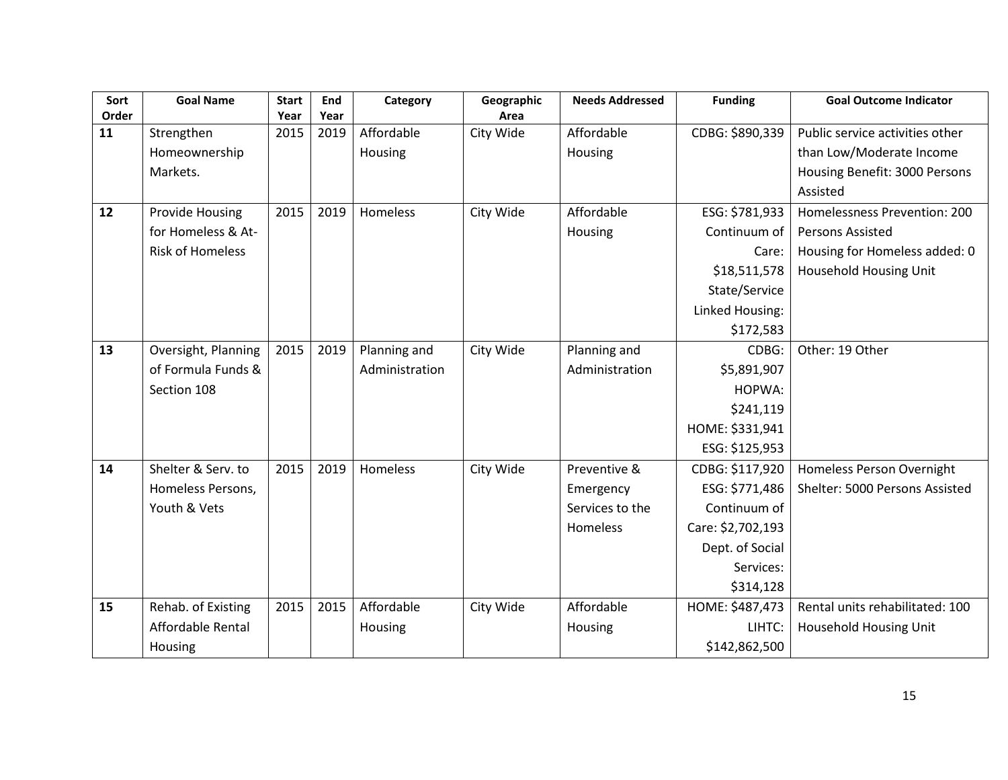| Sort  | <b>Goal Name</b>        | <b>Start</b> | End  | Category       | Geographic | <b>Needs Addressed</b> | <b>Funding</b>    | <b>Goal Outcome Indicator</b>   |
|-------|-------------------------|--------------|------|----------------|------------|------------------------|-------------------|---------------------------------|
| Order |                         | Year         | Year |                | Area       |                        |                   |                                 |
| 11    | Strengthen              | 2015         | 2019 | Affordable     | City Wide  | Affordable             | CDBG: \$890,339   | Public service activities other |
|       | Homeownership           |              |      | Housing        |            | Housing                |                   | than Low/Moderate Income        |
|       | Markets.                |              |      |                |            |                        |                   | Housing Benefit: 3000 Persons   |
|       |                         |              |      |                |            |                        |                   | Assisted                        |
| 12    | <b>Provide Housing</b>  | 2015         | 2019 | Homeless       | City Wide  | Affordable             | ESG: \$781,933    | Homelessness Prevention: 200    |
|       | for Homeless & At-      |              |      |                |            | Housing                | Continuum of      | Persons Assisted                |
|       | <b>Risk of Homeless</b> |              |      |                |            |                        | Care:             | Housing for Homeless added: 0   |
|       |                         |              |      |                |            |                        | \$18,511,578      | Household Housing Unit          |
|       |                         |              |      |                |            |                        | State/Service     |                                 |
|       |                         |              |      |                |            |                        | Linked Housing:   |                                 |
|       |                         |              |      |                |            |                        | \$172,583         |                                 |
| 13    | Oversight, Planning     | 2015         | 2019 | Planning and   | City Wide  | Planning and           | CDBG:             | Other: 19 Other                 |
|       | of Formula Funds &      |              |      | Administration |            | Administration         | \$5,891,907       |                                 |
|       | Section 108             |              |      |                |            |                        | HOPWA:            |                                 |
|       |                         |              |      |                |            |                        | \$241,119         |                                 |
|       |                         |              |      |                |            |                        | HOME: \$331,941   |                                 |
|       |                         |              |      |                |            |                        | ESG: \$125,953    |                                 |
| 14    | Shelter & Serv. to      | 2015         | 2019 | Homeless       | City Wide  | Preventive &           | CDBG: \$117,920   | Homeless Person Overnight       |
|       | Homeless Persons,       |              |      |                |            | Emergency              | ESG: \$771,486    | Shelter: 5000 Persons Assisted  |
|       | Youth & Vets            |              |      |                |            | Services to the        | Continuum of      |                                 |
|       |                         |              |      |                |            | Homeless               | Care: \$2,702,193 |                                 |
|       |                         |              |      |                |            |                        | Dept. of Social   |                                 |
|       |                         |              |      |                |            |                        | Services:         |                                 |
|       |                         |              |      |                |            |                        | \$314,128         |                                 |
| 15    | Rehab. of Existing      | 2015         | 2015 | Affordable     | City Wide  | Affordable             | HOME: \$487,473   | Rental units rehabilitated: 100 |
|       | Affordable Rental       |              |      | Housing        |            | Housing                | LIHTC:            | Household Housing Unit          |
|       | Housing                 |              |      |                |            |                        | \$142,862,500     |                                 |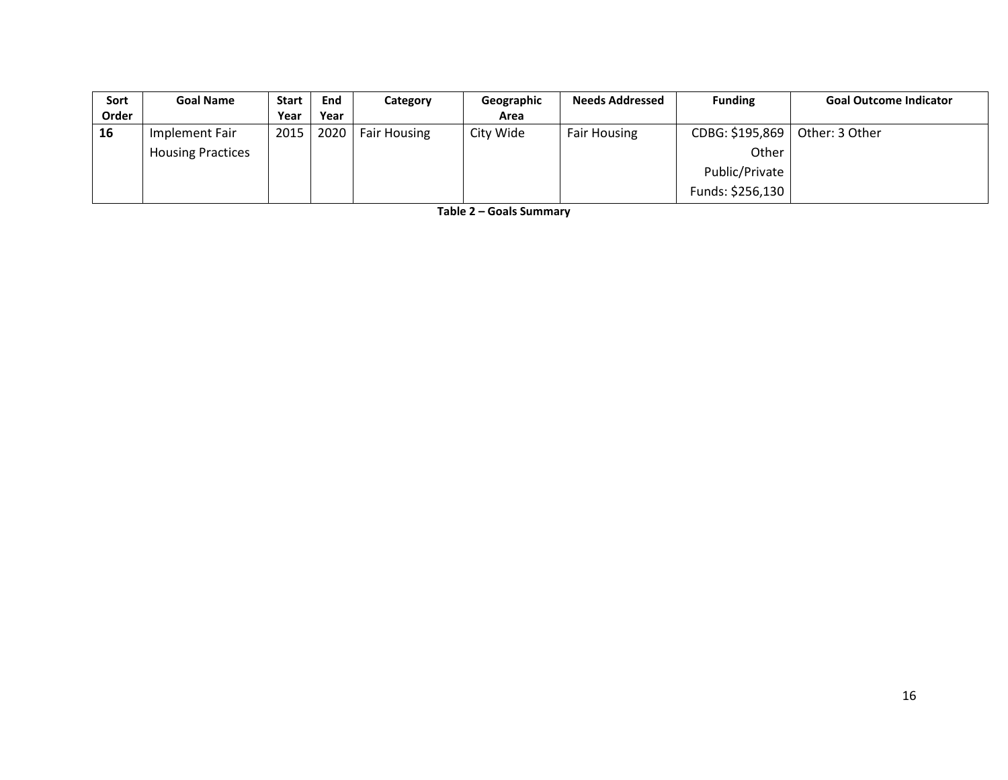| Sort  | <b>Goal Name</b>         | <b>Start</b> | End  | Category            | Geographic | <b>Needs Addressed</b> | <b>Funding</b>   | <b>Goal Outcome Indicator</b> |
|-------|--------------------------|--------------|------|---------------------|------------|------------------------|------------------|-------------------------------|
| Order |                          | Year         | Year |                     | Area       |                        |                  |                               |
| 16    | Implement Fair           | 2015         | 2020 | <b>Fair Housing</b> | City Wide  | <b>Fair Housing</b>    | CDBG: \$195,869  | Other: 3 Other                |
|       | <b>Housing Practices</b> |              |      |                     |            |                        | Other            |                               |
|       |                          |              |      |                     |            |                        | Public/Private   |                               |
|       |                          |              |      |                     |            |                        | Funds: \$256,130 |                               |

**Table 2 – Goals Summary**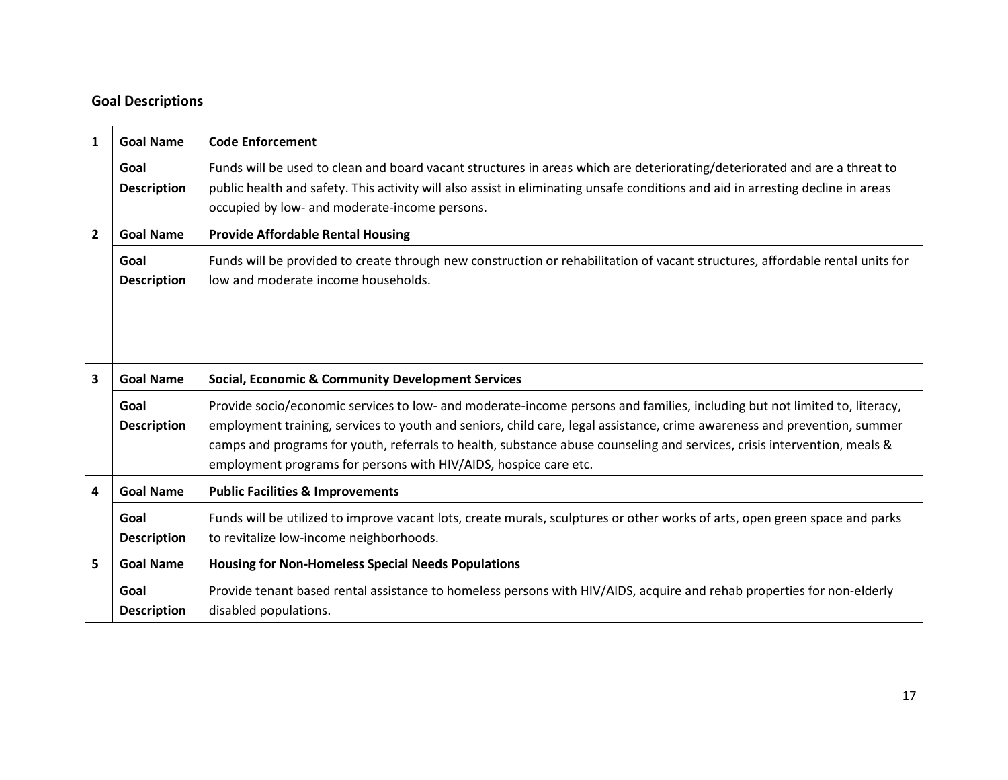# **Goal Descriptions**

| $\mathbf{1}$            | <b>Goal Name</b>           | <b>Code Enforcement</b>                                                                                                                                                                                                                                                                                                                                                                                                                               |  |  |  |
|-------------------------|----------------------------|-------------------------------------------------------------------------------------------------------------------------------------------------------------------------------------------------------------------------------------------------------------------------------------------------------------------------------------------------------------------------------------------------------------------------------------------------------|--|--|--|
|                         | Goal<br><b>Description</b> | Funds will be used to clean and board vacant structures in areas which are deteriorating/deteriorated and are a threat to<br>public health and safety. This activity will also assist in eliminating unsafe conditions and aid in arresting decline in areas<br>occupied by low- and moderate-income persons.                                                                                                                                         |  |  |  |
| $\overline{2}$          | <b>Goal Name</b>           | <b>Provide Affordable Rental Housing</b>                                                                                                                                                                                                                                                                                                                                                                                                              |  |  |  |
|                         | Goal<br><b>Description</b> | Funds will be provided to create through new construction or rehabilitation of vacant structures, affordable rental units for<br>low and moderate income households.                                                                                                                                                                                                                                                                                  |  |  |  |
| $\overline{\mathbf{3}}$ | <b>Goal Name</b>           | <b>Social, Economic &amp; Community Development Services</b>                                                                                                                                                                                                                                                                                                                                                                                          |  |  |  |
|                         | Goal<br><b>Description</b> | Provide socio/economic services to low- and moderate-income persons and families, including but not limited to, literacy,<br>employment training, services to youth and seniors, child care, legal assistance, crime awareness and prevention, summer<br>camps and programs for youth, referrals to health, substance abuse counseling and services, crisis intervention, meals &<br>employment programs for persons with HIV/AIDS, hospice care etc. |  |  |  |
| 4                       | <b>Goal Name</b>           | <b>Public Facilities &amp; Improvements</b>                                                                                                                                                                                                                                                                                                                                                                                                           |  |  |  |
|                         | Goal<br><b>Description</b> | Funds will be utilized to improve vacant lots, create murals, sculptures or other works of arts, open green space and parks<br>to revitalize low-income neighborhoods.                                                                                                                                                                                                                                                                                |  |  |  |
| 5                       | <b>Goal Name</b>           | <b>Housing for Non-Homeless Special Needs Populations</b>                                                                                                                                                                                                                                                                                                                                                                                             |  |  |  |
|                         | Goal<br><b>Description</b> | Provide tenant based rental assistance to homeless persons with HIV/AIDS, acquire and rehab properties for non-elderly<br>disabled populations.                                                                                                                                                                                                                                                                                                       |  |  |  |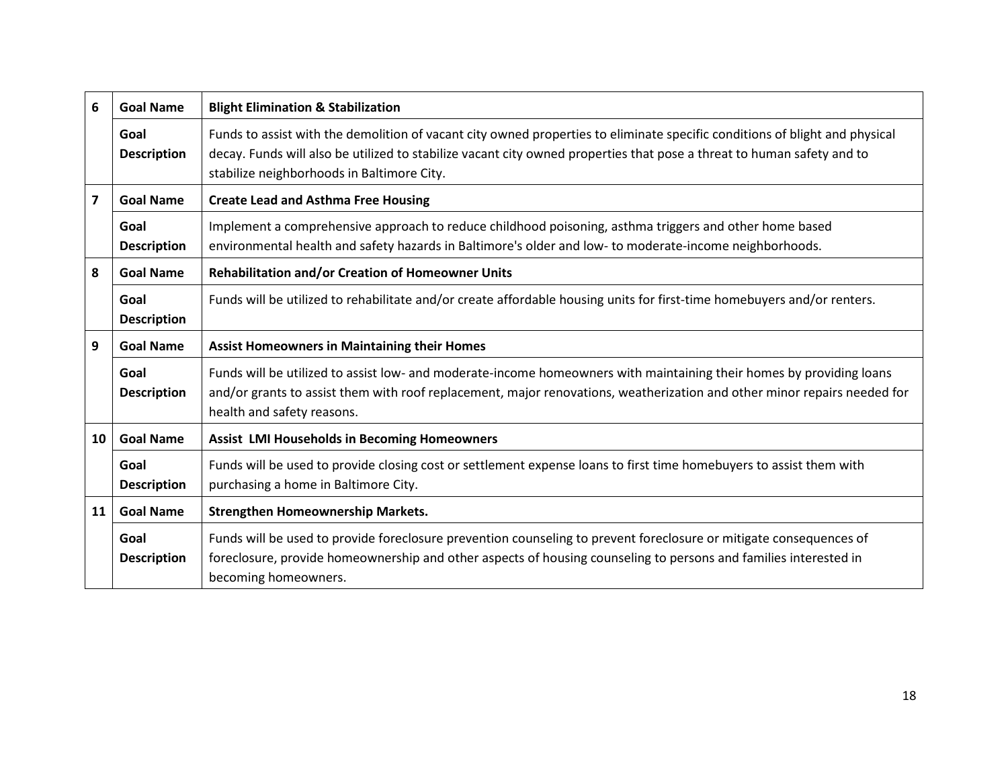| 6                       | <b>Goal Name</b>           | <b>Blight Elimination &amp; Stabilization</b>                                                                                                                                                                                                                                                       |
|-------------------------|----------------------------|-----------------------------------------------------------------------------------------------------------------------------------------------------------------------------------------------------------------------------------------------------------------------------------------------------|
|                         | Goal<br><b>Description</b> | Funds to assist with the demolition of vacant city owned properties to eliminate specific conditions of blight and physical<br>decay. Funds will also be utilized to stabilize vacant city owned properties that pose a threat to human safety and to<br>stabilize neighborhoods in Baltimore City. |
| $\overline{\mathbf{z}}$ | <b>Goal Name</b>           | <b>Create Lead and Asthma Free Housing</b>                                                                                                                                                                                                                                                          |
|                         | Goal<br><b>Description</b> | Implement a comprehensive approach to reduce childhood poisoning, asthma triggers and other home based<br>environmental health and safety hazards in Baltimore's older and low- to moderate-income neighborhoods.                                                                                   |
| 8                       | <b>Goal Name</b>           | <b>Rehabilitation and/or Creation of Homeowner Units</b>                                                                                                                                                                                                                                            |
|                         | Goal<br><b>Description</b> | Funds will be utilized to rehabilitate and/or create affordable housing units for first-time homebuyers and/or renters.                                                                                                                                                                             |
| 9                       | <b>Goal Name</b>           | <b>Assist Homeowners in Maintaining their Homes</b>                                                                                                                                                                                                                                                 |
|                         | Goal<br><b>Description</b> | Funds will be utilized to assist low- and moderate-income homeowners with maintaining their homes by providing loans<br>and/or grants to assist them with roof replacement, major renovations, weatherization and other minor repairs needed for<br>health and safety reasons.                      |
| 10                      | <b>Goal Name</b>           | <b>Assist LMI Households in Becoming Homeowners</b>                                                                                                                                                                                                                                                 |
|                         | Goal<br><b>Description</b> | Funds will be used to provide closing cost or settlement expense loans to first time homebuyers to assist them with<br>purchasing a home in Baltimore City.                                                                                                                                         |
| 11                      | <b>Goal Name</b>           | <b>Strengthen Homeownership Markets.</b>                                                                                                                                                                                                                                                            |
|                         | Goal<br><b>Description</b> | Funds will be used to provide foreclosure prevention counseling to prevent foreclosure or mitigate consequences of<br>foreclosure, provide homeownership and other aspects of housing counseling to persons and families interested in<br>becoming homeowners.                                      |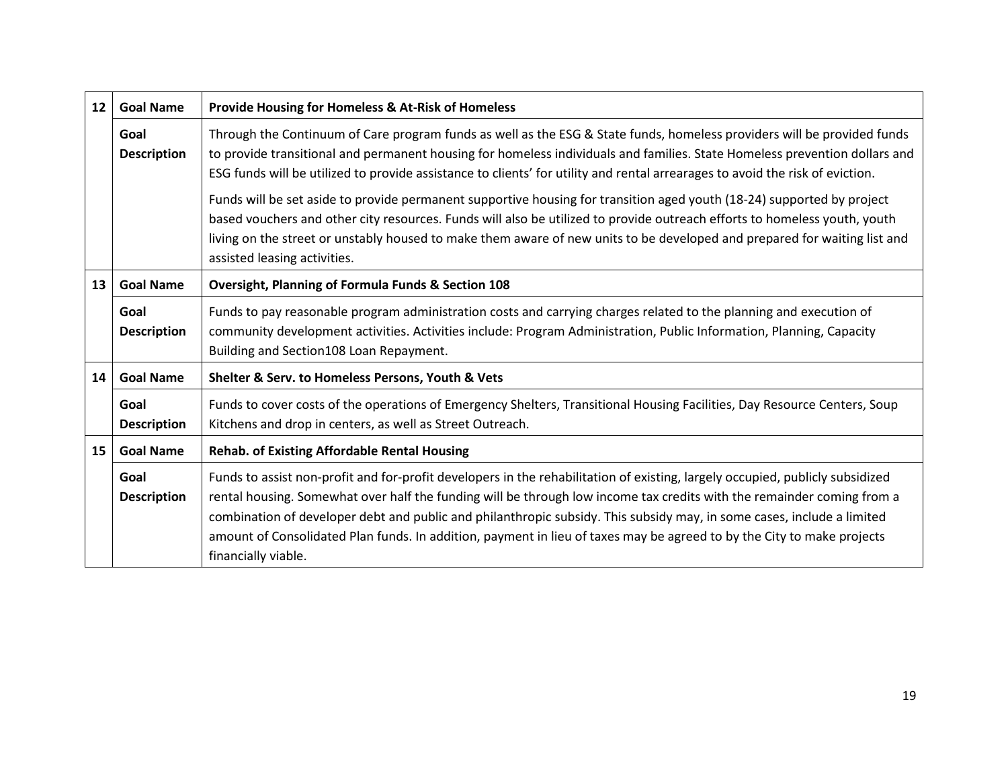| $12 \overline{ }$ | <b>Goal Name</b>           | <b>Provide Housing for Homeless &amp; At-Risk of Homeless</b>                                                                                                                                                                                                                                                                                                                                                                                                                                                                      |
|-------------------|----------------------------|------------------------------------------------------------------------------------------------------------------------------------------------------------------------------------------------------------------------------------------------------------------------------------------------------------------------------------------------------------------------------------------------------------------------------------------------------------------------------------------------------------------------------------|
|                   | Goal<br><b>Description</b> | Through the Continuum of Care program funds as well as the ESG & State funds, homeless providers will be provided funds<br>to provide transitional and permanent housing for homeless individuals and families. State Homeless prevention dollars and<br>ESG funds will be utilized to provide assistance to clients' for utility and rental arrearages to avoid the risk of eviction.                                                                                                                                             |
|                   |                            | Funds will be set aside to provide permanent supportive housing for transition aged youth (18-24) supported by project<br>based vouchers and other city resources. Funds will also be utilized to provide outreach efforts to homeless youth, youth<br>living on the street or unstably housed to make them aware of new units to be developed and prepared for waiting list and<br>assisted leasing activities.                                                                                                                   |
| 13                | <b>Goal Name</b>           | <b>Oversight, Planning of Formula Funds &amp; Section 108</b>                                                                                                                                                                                                                                                                                                                                                                                                                                                                      |
|                   | Goal<br><b>Description</b> | Funds to pay reasonable program administration costs and carrying charges related to the planning and execution of<br>community development activities. Activities include: Program Administration, Public Information, Planning, Capacity<br>Building and Section108 Loan Repayment.                                                                                                                                                                                                                                              |
| 14                | <b>Goal Name</b>           | Shelter & Serv. to Homeless Persons, Youth & Vets                                                                                                                                                                                                                                                                                                                                                                                                                                                                                  |
|                   | Goal<br><b>Description</b> | Funds to cover costs of the operations of Emergency Shelters, Transitional Housing Facilities, Day Resource Centers, Soup<br>Kitchens and drop in centers, as well as Street Outreach.                                                                                                                                                                                                                                                                                                                                             |
| 15                | <b>Goal Name</b>           | <b>Rehab. of Existing Affordable Rental Housing</b>                                                                                                                                                                                                                                                                                                                                                                                                                                                                                |
|                   | Goal<br><b>Description</b> | Funds to assist non-profit and for-profit developers in the rehabilitation of existing, largely occupied, publicly subsidized<br>rental housing. Somewhat over half the funding will be through low income tax credits with the remainder coming from a<br>combination of developer debt and public and philanthropic subsidy. This subsidy may, in some cases, include a limited<br>amount of Consolidated Plan funds. In addition, payment in lieu of taxes may be agreed to by the City to make projects<br>financially viable. |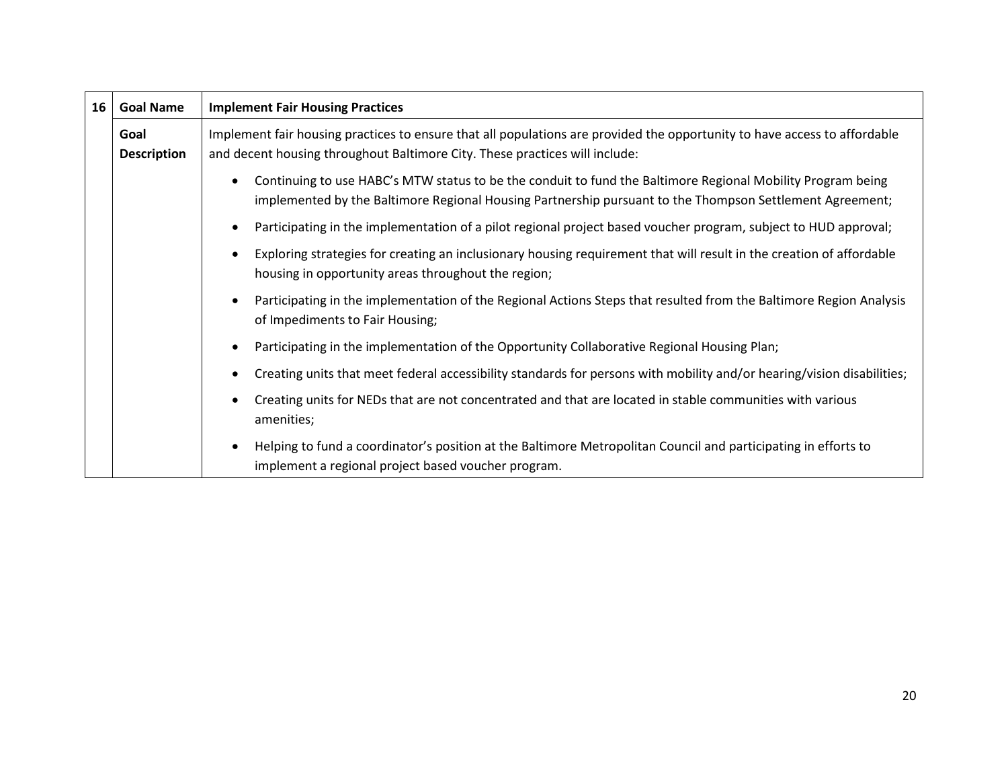| 16 | <b>Goal Name</b>                                                                                                                                                                         | <b>Implement Fair Housing Practices</b>                                                                                                                                                                                              |
|----|------------------------------------------------------------------------------------------------------------------------------------------------------------------------------------------|--------------------------------------------------------------------------------------------------------------------------------------------------------------------------------------------------------------------------------------|
|    | Goal<br><b>Description</b>                                                                                                                                                               | Implement fair housing practices to ensure that all populations are provided the opportunity to have access to affordable<br>and decent housing throughout Baltimore City. These practices will include:                             |
|    |                                                                                                                                                                                          | Continuing to use HABC's MTW status to be the conduit to fund the Baltimore Regional Mobility Program being<br>$\bullet$<br>implemented by the Baltimore Regional Housing Partnership pursuant to the Thompson Settlement Agreement; |
|    |                                                                                                                                                                                          | Participating in the implementation of a pilot regional project based voucher program, subject to HUD approval;                                                                                                                      |
|    | Exploring strategies for creating an inclusionary housing requirement that will result in the creation of affordable<br>$\bullet$<br>housing in opportunity areas throughout the region; |                                                                                                                                                                                                                                      |
|    |                                                                                                                                                                                          | Participating in the implementation of the Regional Actions Steps that resulted from the Baltimore Region Analysis<br>$\bullet$<br>of Impediments to Fair Housing;                                                                   |
|    |                                                                                                                                                                                          | Participating in the implementation of the Opportunity Collaborative Regional Housing Plan;                                                                                                                                          |
|    |                                                                                                                                                                                          | Creating units that meet federal accessibility standards for persons with mobility and/or hearing/vision disabilities;<br>٠                                                                                                          |
|    |                                                                                                                                                                                          | Creating units for NEDs that are not concentrated and that are located in stable communities with various<br>$\bullet$<br>amenities;                                                                                                 |
|    |                                                                                                                                                                                          | Helping to fund a coordinator's position at the Baltimore Metropolitan Council and participating in efforts to<br>٠<br>implement a regional project based voucher program.                                                           |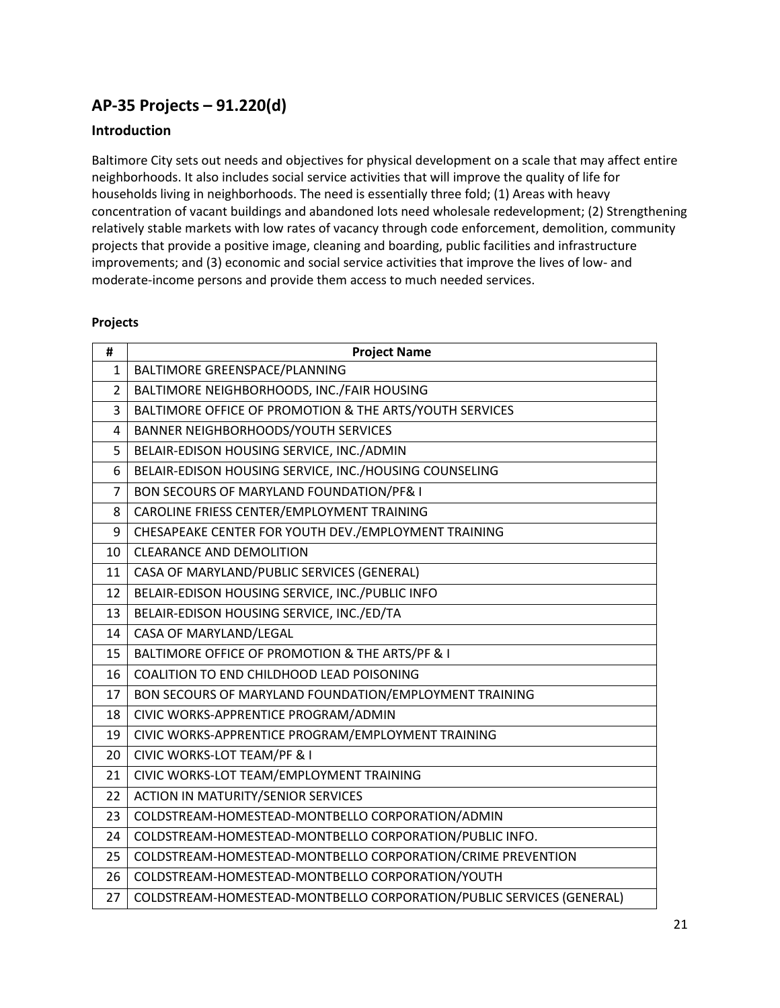## **AP-35 Projects – 91.220(d)**

### **Introduction**

Baltimore City sets out needs and objectives for physical development on a scale that may affect entire neighborhoods. It also includes social service activities that will improve the quality of life for households living in neighborhoods. The need is essentially three fold; (1) Areas with heavy concentration of vacant buildings and abandoned lots need wholesale redevelopment; (2) Strengthening relatively stable markets with low rates of vacancy through code enforcement, demolition, community projects that provide a positive image, cleaning and boarding, public facilities and infrastructure improvements; and (3) economic and social service activities that improve the lives of low- and moderate-income persons and provide them access to much needed services.

#### **Projects**

| #              | <b>Project Name</b>                                                  |
|----------------|----------------------------------------------------------------------|
| $\mathbf{1}$   | BALTIMORE GREENSPACE/PLANNING                                        |
| 2              | BALTIMORE NEIGHBORHOODS, INC./FAIR HOUSING                           |
| 3              | BALTIMORE OFFICE OF PROMOTION & THE ARTS/YOUTH SERVICES              |
| 4              | BANNER NEIGHBORHOODS/YOUTH SERVICES                                  |
| 5              | BELAIR-EDISON HOUSING SERVICE, INC./ADMIN                            |
| 6              | BELAIR-EDISON HOUSING SERVICE, INC./HOUSING COUNSELING               |
| $\overline{7}$ | BON SECOURS OF MARYLAND FOUNDATION/PF& I                             |
| 8              | CAROLINE FRIESS CENTER/EMPLOYMENT TRAINING                           |
| 9              | CHESAPEAKE CENTER FOR YOUTH DEV./EMPLOYMENT TRAINING                 |
| 10             | <b>CLEARANCE AND DEMOLITION</b>                                      |
| 11             | CASA OF MARYLAND/PUBLIC SERVICES (GENERAL)                           |
| 12             | BELAIR-EDISON HOUSING SERVICE, INC./PUBLIC INFO                      |
| 13             | BELAIR-EDISON HOUSING SERVICE, INC./ED/TA                            |
| 14             | CASA OF MARYLAND/LEGAL                                               |
| 15             | BALTIMORE OFFICE OF PROMOTION & THE ARTS/PF & I                      |
| 16             | COALITION TO END CHILDHOOD LEAD POISONING                            |
| 17             | BON SECOURS OF MARYLAND FOUNDATION/EMPLOYMENT TRAINING               |
| 18             | CIVIC WORKS-APPRENTICE PROGRAM/ADMIN                                 |
| 19             | CIVIC WORKS-APPRENTICE PROGRAM/EMPLOYMENT TRAINING                   |
| 20             | CIVIC WORKS-LOT TEAM/PF & I                                          |
| 21             | CIVIC WORKS-LOT TEAM/EMPLOYMENT TRAINING                             |
| 22             | <b>ACTION IN MATURITY/SENIOR SERVICES</b>                            |
| 23             | COLDSTREAM-HOMESTEAD-MONTBELLO CORPORATION/ADMIN                     |
| 24             | COLDSTREAM-HOMESTEAD-MONTBELLO CORPORATION/PUBLIC INFO.              |
| 25             | COLDSTREAM-HOMESTEAD-MONTBELLO CORPORATION/CRIME PREVENTION          |
| 26             | COLDSTREAM-HOMESTEAD-MONTBELLO CORPORATION/YOUTH                     |
| 27             | COLDSTREAM-HOMESTEAD-MONTBELLO CORPORATION/PUBLIC SERVICES (GENERAL) |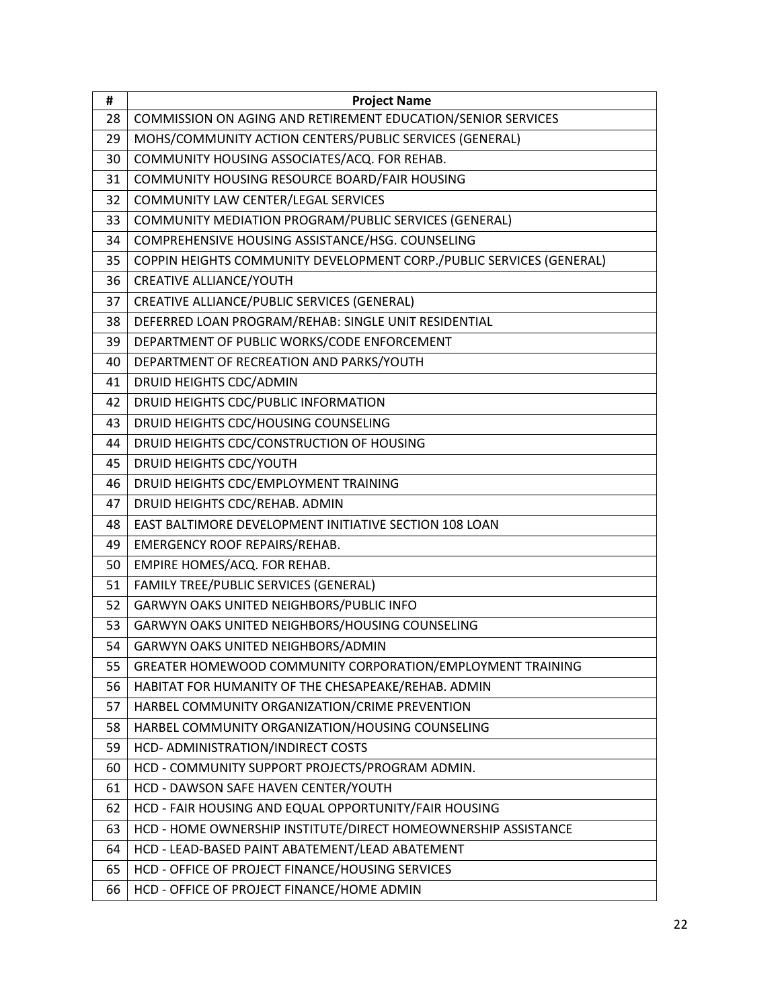| #  | <b>Project Name</b>                                                  |
|----|----------------------------------------------------------------------|
| 28 | COMMISSION ON AGING AND RETIREMENT EDUCATION/SENIOR SERVICES         |
| 29 | MOHS/COMMUNITY ACTION CENTERS/PUBLIC SERVICES (GENERAL)              |
| 30 | COMMUNITY HOUSING ASSOCIATES/ACQ. FOR REHAB.                         |
| 31 | COMMUNITY HOUSING RESOURCE BOARD/FAIR HOUSING                        |
| 32 | COMMUNITY LAW CENTER/LEGAL SERVICES                                  |
| 33 | COMMUNITY MEDIATION PROGRAM/PUBLIC SERVICES (GENERAL)                |
| 34 | COMPREHENSIVE HOUSING ASSISTANCE/HSG. COUNSELING                     |
| 35 | COPPIN HEIGHTS COMMUNITY DEVELOPMENT CORP./PUBLIC SERVICES (GENERAL) |
| 36 | <b>CREATIVE ALLIANCE/YOUTH</b>                                       |
| 37 | CREATIVE ALLIANCE/PUBLIC SERVICES (GENERAL)                          |
| 38 | DEFERRED LOAN PROGRAM/REHAB: SINGLE UNIT RESIDENTIAL                 |
| 39 | DEPARTMENT OF PUBLIC WORKS/CODE ENFORCEMENT                          |
| 40 | DEPARTMENT OF RECREATION AND PARKS/YOUTH                             |
| 41 | DRUID HEIGHTS CDC/ADMIN                                              |
| 42 | DRUID HEIGHTS CDC/PUBLIC INFORMATION                                 |
| 43 | DRUID HEIGHTS CDC/HOUSING COUNSELING                                 |
| 44 | DRUID HEIGHTS CDC/CONSTRUCTION OF HOUSING                            |
| 45 | DRUID HEIGHTS CDC/YOUTH                                              |
| 46 | DRUID HEIGHTS CDC/EMPLOYMENT TRAINING                                |
| 47 | DRUID HEIGHTS CDC/REHAB. ADMIN                                       |
| 48 | EAST BALTIMORE DEVELOPMENT INITIATIVE SECTION 108 LOAN               |
| 49 | <b>EMERGENCY ROOF REPAIRS/REHAB.</b>                                 |
| 50 | EMPIRE HOMES/ACQ. FOR REHAB.                                         |
| 51 | FAMILY TREE/PUBLIC SERVICES (GENERAL)                                |
| 52 | GARWYN OAKS UNITED NEIGHBORS/PUBLIC INFO                             |
| 53 | GARWYN OAKS UNITED NEIGHBORS/HOUSING COUNSELING                      |
| 54 | GARWYN OAKS UNITED NEIGHBORS/ADMIN                                   |
| 55 | GREATER HOMEWOOD COMMUNITY CORPORATION/EMPLOYMENT TRAINING           |
| 56 | HABITAT FOR HUMANITY OF THE CHESAPEAKE/REHAB. ADMIN                  |
| 57 | HARBEL COMMUNITY ORGANIZATION/CRIME PREVENTION                       |
| 58 | HARBEL COMMUNITY ORGANIZATION/HOUSING COUNSELING                     |
| 59 | HCD- ADMINISTRATION/INDIRECT COSTS                                   |
| 60 | HCD - COMMUNITY SUPPORT PROJECTS/PROGRAM ADMIN.                      |
| 61 | HCD - DAWSON SAFE HAVEN CENTER/YOUTH                                 |
| 62 | HCD - FAIR HOUSING AND EQUAL OPPORTUNITY/FAIR HOUSING                |
| 63 | HCD - HOME OWNERSHIP INSTITUTE/DIRECT HOMEOWNERSHIP ASSISTANCE       |
| 64 | HCD - LEAD-BASED PAINT ABATEMENT/LEAD ABATEMENT                      |
| 65 | HCD - OFFICE OF PROJECT FINANCE/HOUSING SERVICES                     |
| 66 | HCD - OFFICE OF PROJECT FINANCE/HOME ADMIN                           |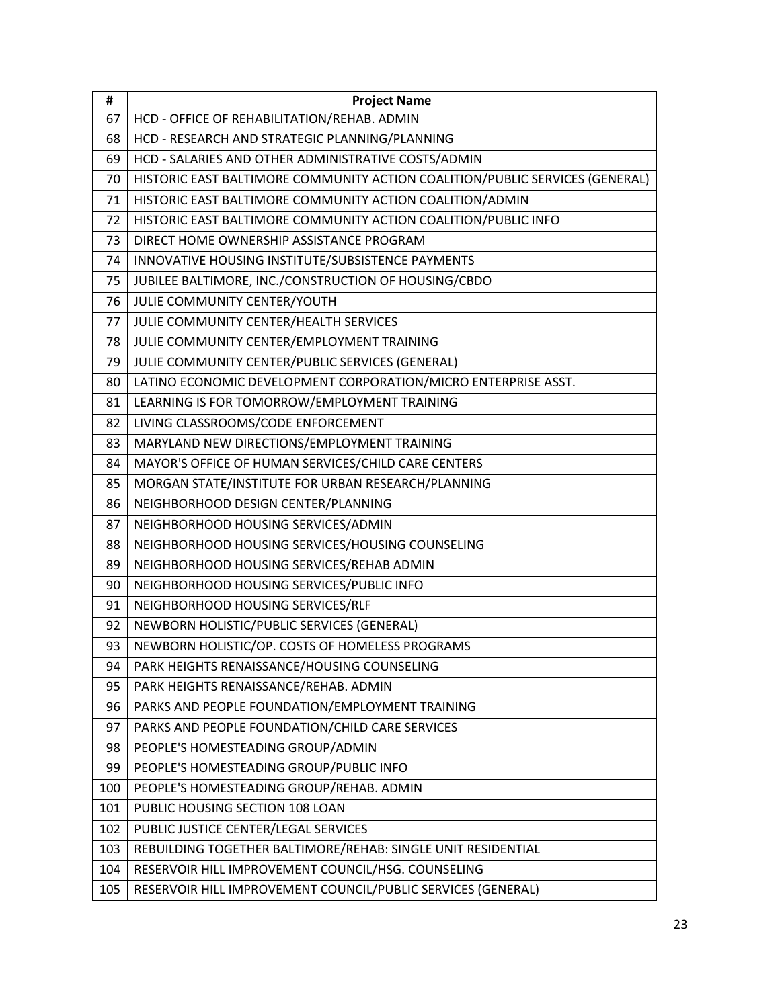| #   | <b>Project Name</b>                                                          |
|-----|------------------------------------------------------------------------------|
| 67  | HCD - OFFICE OF REHABILITATION/REHAB. ADMIN                                  |
| 68  | HCD - RESEARCH AND STRATEGIC PLANNING/PLANNING                               |
| 69  | HCD - SALARIES AND OTHER ADMINISTRATIVE COSTS/ADMIN                          |
| 70  | HISTORIC EAST BALTIMORE COMMUNITY ACTION COALITION/PUBLIC SERVICES (GENERAL) |
| 71  | HISTORIC EAST BALTIMORE COMMUNITY ACTION COALITION/ADMIN                     |
| 72  | HISTORIC EAST BALTIMORE COMMUNITY ACTION COALITION/PUBLIC INFO               |
| 73  | DIRECT HOME OWNERSHIP ASSISTANCE PROGRAM                                     |
| 74  | INNOVATIVE HOUSING INSTITUTE/SUBSISTENCE PAYMENTS                            |
| 75  | JUBILEE BALTIMORE, INC./CONSTRUCTION OF HOUSING/CBDO                         |
| 76  | JULIE COMMUNITY CENTER/YOUTH                                                 |
| 77  | JULIE COMMUNITY CENTER/HEALTH SERVICES                                       |
| 78  | JULIE COMMUNITY CENTER/EMPLOYMENT TRAINING                                   |
| 79  | JULIE COMMUNITY CENTER/PUBLIC SERVICES (GENERAL)                             |
| 80  | LATINO ECONOMIC DEVELOPMENT CORPORATION/MICRO ENTERPRISE ASST.               |
| 81  | LEARNING IS FOR TOMORROW/EMPLOYMENT TRAINING                                 |
| 82  | LIVING CLASSROOMS/CODE ENFORCEMENT                                           |
| 83  | MARYLAND NEW DIRECTIONS/EMPLOYMENT TRAINING                                  |
| 84  | MAYOR'S OFFICE OF HUMAN SERVICES/CHILD CARE CENTERS                          |
| 85  | MORGAN STATE/INSTITUTE FOR URBAN RESEARCH/PLANNING                           |
| 86  | NEIGHBORHOOD DESIGN CENTER/PLANNING                                          |
| 87  | NEIGHBORHOOD HOUSING SERVICES/ADMIN                                          |
| 88  | NEIGHBORHOOD HOUSING SERVICES/HOUSING COUNSELING                             |
| 89  | NEIGHBORHOOD HOUSING SERVICES/REHAB ADMIN                                    |
| 90  | NEIGHBORHOOD HOUSING SERVICES/PUBLIC INFO                                    |
| 91  | NEIGHBORHOOD HOUSING SERVICES/RLF                                            |
| 92  | NEWBORN HOLISTIC/PUBLIC SERVICES (GENERAL)                                   |
| 93  | NEWBORN HOLISTIC/OP. COSTS OF HOMELESS PROGRAMS                              |
| 94  | PARK HEIGHTS RENAISSANCE/HOUSING COUNSELING                                  |
| 95  | PARK HEIGHTS RENAISSANCE/REHAB. ADMIN                                        |
| 96  | PARKS AND PEOPLE FOUNDATION/EMPLOYMENT TRAINING                              |
| 97  | PARKS AND PEOPLE FOUNDATION/CHILD CARE SERVICES                              |
| 98  | PEOPLE'S HOMESTEADING GROUP/ADMIN                                            |
| 99  | PEOPLE'S HOMESTEADING GROUP/PUBLIC INFO                                      |
| 100 | PEOPLE'S HOMESTEADING GROUP/REHAB. ADMIN                                     |
| 101 | PUBLIC HOUSING SECTION 108 LOAN                                              |
| 102 | PUBLIC JUSTICE CENTER/LEGAL SERVICES                                         |
| 103 | REBUILDING TOGETHER BALTIMORE/REHAB: SINGLE UNIT RESIDENTIAL                 |
| 104 | RESERVOIR HILL IMPROVEMENT COUNCIL/HSG. COUNSELING                           |
| 105 | RESERVOIR HILL IMPROVEMENT COUNCIL/PUBLIC SERVICES (GENERAL)                 |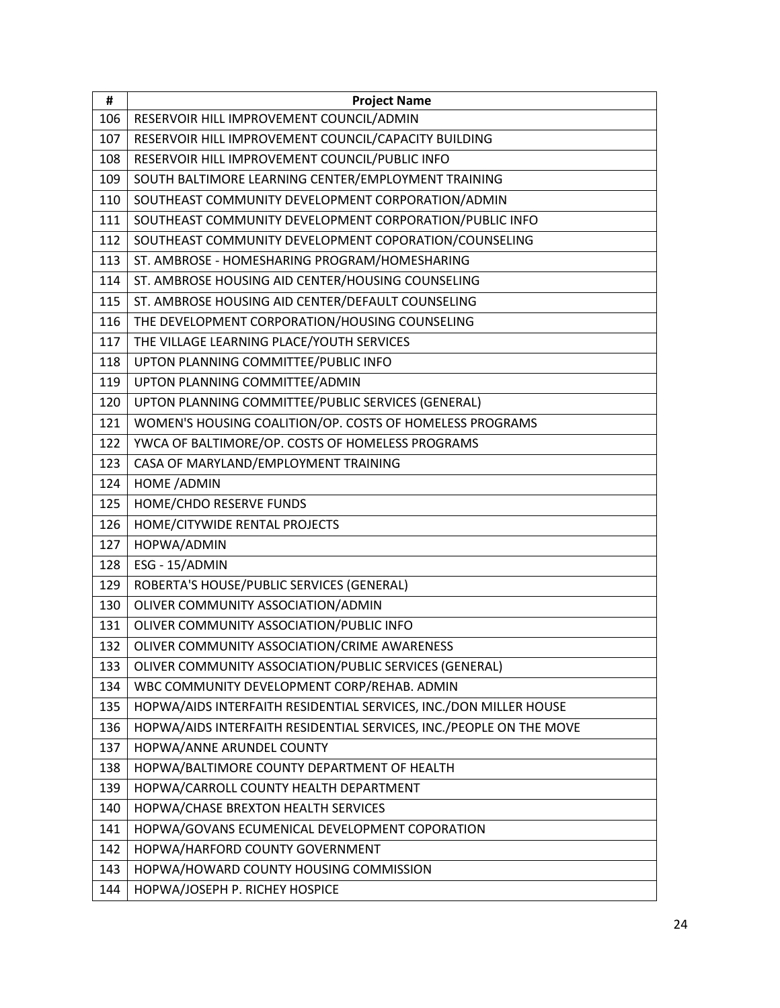| #   | <b>Project Name</b>                                                 |
|-----|---------------------------------------------------------------------|
| 106 | RESERVOIR HILL IMPROVEMENT COUNCIL/ADMIN                            |
| 107 | RESERVOIR HILL IMPROVEMENT COUNCIL/CAPACITY BUILDING                |
| 108 | RESERVOIR HILL IMPROVEMENT COUNCIL/PUBLIC INFO                      |
| 109 | SOUTH BALTIMORE LEARNING CENTER/EMPLOYMENT TRAINING                 |
| 110 | SOUTHEAST COMMUNITY DEVELOPMENT CORPORATION/ADMIN                   |
| 111 | SOUTHEAST COMMUNITY DEVELOPMENT CORPORATION/PUBLIC INFO             |
| 112 | SOUTHEAST COMMUNITY DEVELOPMENT COPORATION/COUNSELING               |
| 113 | ST. AMBROSE - HOMESHARING PROGRAM/HOMESHARING                       |
| 114 | ST. AMBROSE HOUSING AID CENTER/HOUSING COUNSELING                   |
| 115 | ST. AMBROSE HOUSING AID CENTER/DEFAULT COUNSELING                   |
| 116 | THE DEVELOPMENT CORPORATION/HOUSING COUNSELING                      |
| 117 | THE VILLAGE LEARNING PLACE/YOUTH SERVICES                           |
| 118 | UPTON PLANNING COMMITTEE/PUBLIC INFO                                |
| 119 | UPTON PLANNING COMMITTEE/ADMIN                                      |
| 120 | UPTON PLANNING COMMITTEE/PUBLIC SERVICES (GENERAL)                  |
| 121 | WOMEN'S HOUSING COALITION/OP. COSTS OF HOMELESS PROGRAMS            |
| 122 | YWCA OF BALTIMORE/OP. COSTS OF HOMELESS PROGRAMS                    |
| 123 | CASA OF MARYLAND/EMPLOYMENT TRAINING                                |
| 124 | <b>HOME /ADMIN</b>                                                  |
| 125 | HOME/CHDO RESERVE FUNDS                                             |
| 126 | HOME/CITYWIDE RENTAL PROJECTS                                       |
| 127 | HOPWA/ADMIN                                                         |
| 128 | ESG - 15/ADMIN                                                      |
| 129 | ROBERTA'S HOUSE/PUBLIC SERVICES (GENERAL)                           |
| 130 | OLIVER COMMUNITY ASSOCIATION/ADMIN                                  |
| 131 | OLIVER COMMUNITY ASSOCIATION/PUBLIC INFO                            |
| 132 | OLIVER COMMUNITY ASSOCIATION/CRIME AWARENESS                        |
| 133 | OLIVER COMMUNITY ASSOCIATION/PUBLIC SERVICES (GENERAL)              |
| 134 | WBC COMMUNITY DEVELOPMENT CORP/REHAB. ADMIN                         |
| 135 | HOPWA/AIDS INTERFAITH RESIDENTIAL SERVICES, INC./DON MILLER HOUSE   |
| 136 | HOPWA/AIDS INTERFAITH RESIDENTIAL SERVICES, INC./PEOPLE ON THE MOVE |
| 137 | HOPWA/ANNE ARUNDEL COUNTY                                           |
| 138 | HOPWA/BALTIMORE COUNTY DEPARTMENT OF HEALTH                         |
| 139 | HOPWA/CARROLL COUNTY HEALTH DEPARTMENT                              |
| 140 | HOPWA/CHASE BREXTON HEALTH SERVICES                                 |
| 141 | HOPWA/GOVANS ECUMENICAL DEVELOPMENT COPORATION                      |
| 142 | HOPWA/HARFORD COUNTY GOVERNMENT                                     |
| 143 | HOPWA/HOWARD COUNTY HOUSING COMMISSION                              |
| 144 | HOPWA/JOSEPH P. RICHEY HOSPICE                                      |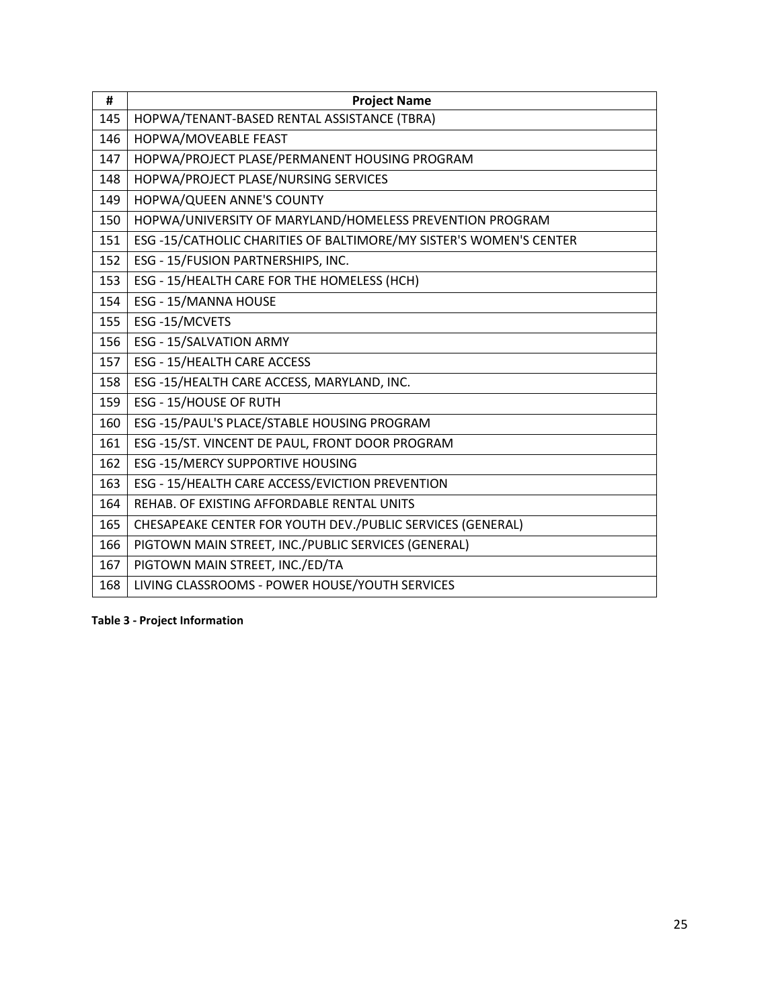| #   | <b>Project Name</b>                                               |
|-----|-------------------------------------------------------------------|
| 145 | HOPWA/TENANT-BASED RENTAL ASSISTANCE (TBRA)                       |
| 146 | HOPWA/MOVEABLE FEAST                                              |
| 147 | HOPWA/PROJECT PLASE/PERMANENT HOUSING PROGRAM                     |
| 148 | HOPWA/PROJECT PLASE/NURSING SERVICES                              |
| 149 | HOPWA/QUEEN ANNE'S COUNTY                                         |
| 150 | HOPWA/UNIVERSITY OF MARYLAND/HOMELESS PREVENTION PROGRAM          |
| 151 | ESG-15/CATHOLIC CHARITIES OF BALTIMORE/MY SISTER'S WOMEN'S CENTER |
| 152 | ESG - 15/FUSION PARTNERSHIPS, INC.                                |
| 153 | ESG - 15/HEALTH CARE FOR THE HOMELESS (HCH)                       |
| 154 | ESG - 15/MANNA HOUSE                                              |
| 155 | ESG-15/MCVETS                                                     |
| 156 | <b>ESG - 15/SALVATION ARMY</b>                                    |
| 157 | ESG - 15/HEALTH CARE ACCESS                                       |
| 158 | ESG -15/HEALTH CARE ACCESS, MARYLAND, INC.                        |
| 159 | ESG - 15/HOUSE OF RUTH                                            |
| 160 | ESG -15/PAUL'S PLACE/STABLE HOUSING PROGRAM                       |
| 161 | ESG -15/ST. VINCENT DE PAUL, FRONT DOOR PROGRAM                   |
| 162 | ESG -15/MERCY SUPPORTIVE HOUSING                                  |
| 163 | ESG - 15/HEALTH CARE ACCESS/EVICTION PREVENTION                   |
| 164 | REHAB. OF EXISTING AFFORDABLE RENTAL UNITS                        |
| 165 | CHESAPEAKE CENTER FOR YOUTH DEV./PUBLIC SERVICES (GENERAL)        |
| 166 | PIGTOWN MAIN STREET, INC./PUBLIC SERVICES (GENERAL)               |
| 167 | PIGTOWN MAIN STREET, INC./ED/TA                                   |
| 168 | LIVING CLASSROOMS - POWER HOUSE/YOUTH SERVICES                    |

**Table 3 - Project Information**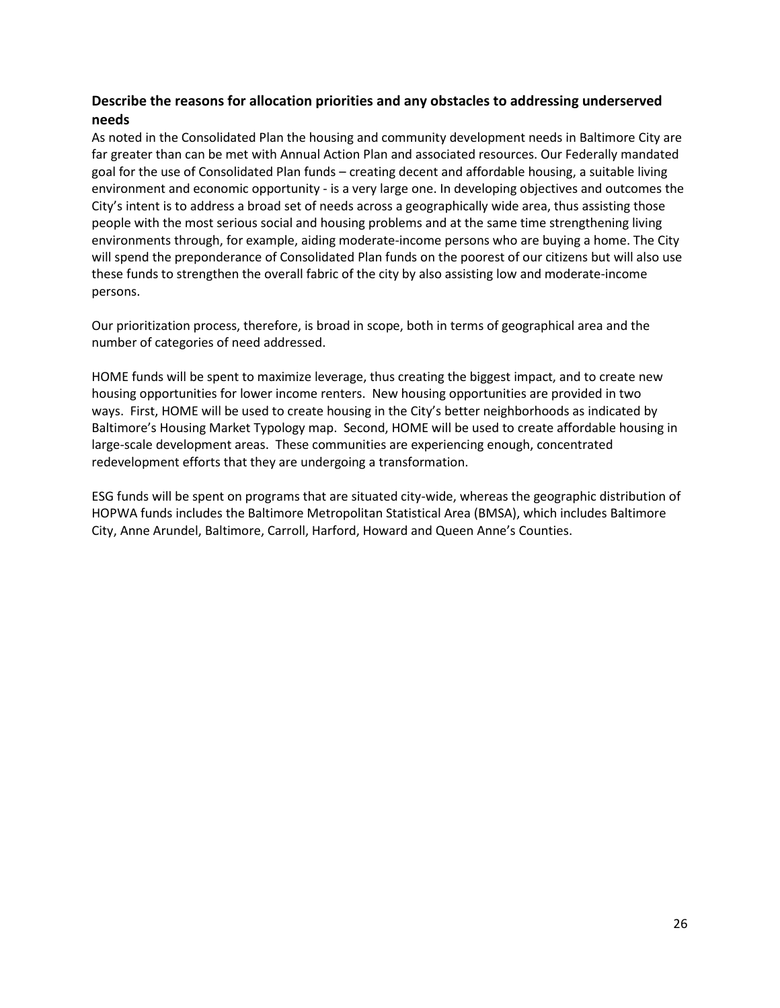## **Describe the reasons for allocation priorities and any obstacles to addressing underserved needs**

As noted in the Consolidated Plan the housing and community development needs in Baltimore City are far greater than can be met with Annual Action Plan and associated resources. Our Federally mandated goal for the use of Consolidated Plan funds – creating decent and affordable housing, a suitable living environment and economic opportunity - is a very large one. In developing objectives and outcomes the City's intent is to address a broad set of needs across a geographically wide area, thus assisting those people with the most serious social and housing problems and at the same time strengthening living environments through, for example, aiding moderate-income persons who are buying a home. The City will spend the preponderance of Consolidated Plan funds on the poorest of our citizens but will also use these funds to strengthen the overall fabric of the city by also assisting low and moderate-income persons.

Our prioritization process, therefore, is broad in scope, both in terms of geographical area and the number of categories of need addressed.

HOME funds will be spent to maximize leverage, thus creating the biggest impact, and to create new housing opportunities for lower income renters. New housing opportunities are provided in two ways. First, HOME will be used to create housing in the City's better neighborhoods as indicated by Baltimore's Housing Market Typology map. Second, HOME will be used to create affordable housing in large-scale development areas. These communities are experiencing enough, concentrated redevelopment efforts that they are undergoing a transformation.

ESG funds will be spent on programs that are situated city-wide, whereas the geographic distribution of HOPWA funds includes the Baltimore Metropolitan Statistical Area (BMSA), which includes Baltimore City, Anne Arundel, Baltimore, Carroll, Harford, Howard and Queen Anne's Counties.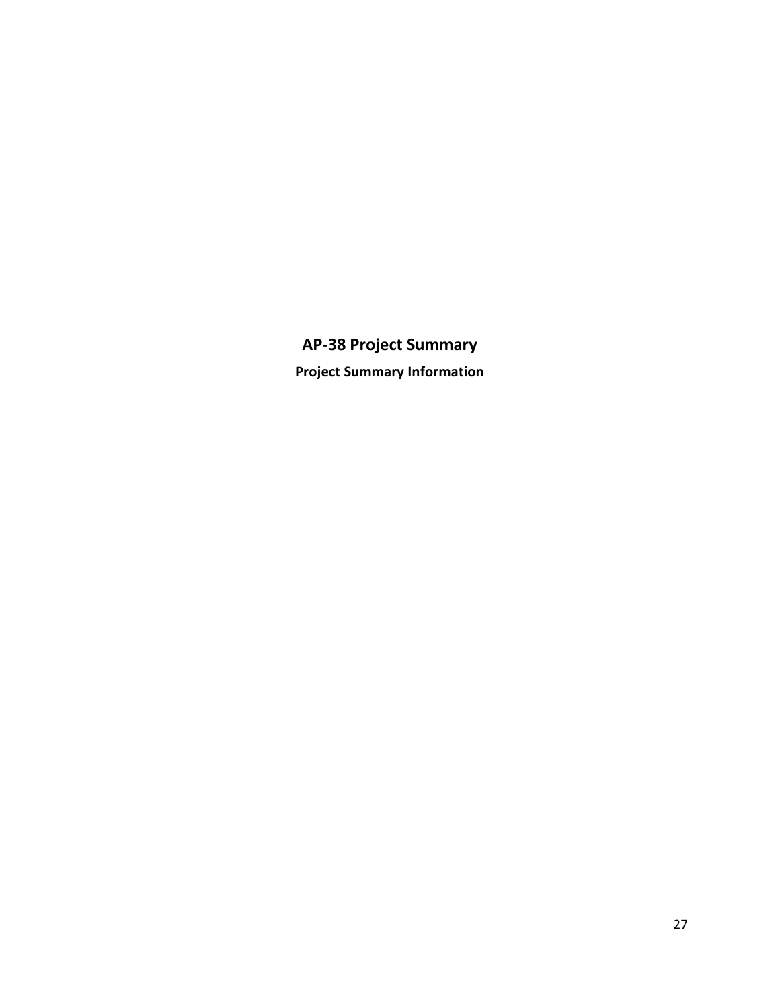# **AP-38 Project Summary Project Summary Information**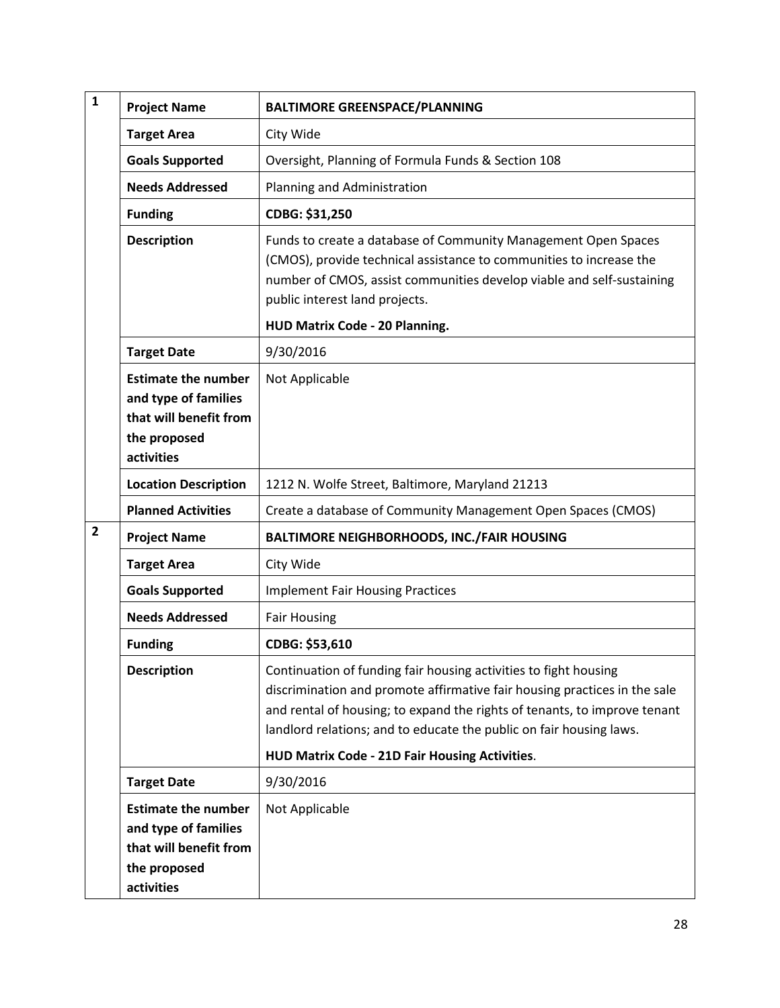| $\mathbf{1}$   | <b>Project Name</b>                                                                                        | <b>BALTIMORE GREENSPACE/PLANNING</b>                                                                                                                                                                                                                                                                                                                |
|----------------|------------------------------------------------------------------------------------------------------------|-----------------------------------------------------------------------------------------------------------------------------------------------------------------------------------------------------------------------------------------------------------------------------------------------------------------------------------------------------|
|                | <b>Target Area</b>                                                                                         | City Wide                                                                                                                                                                                                                                                                                                                                           |
|                | <b>Goals Supported</b>                                                                                     | Oversight, Planning of Formula Funds & Section 108                                                                                                                                                                                                                                                                                                  |
|                | <b>Needs Addressed</b>                                                                                     | Planning and Administration                                                                                                                                                                                                                                                                                                                         |
|                | <b>Funding</b>                                                                                             | CDBG: \$31,250                                                                                                                                                                                                                                                                                                                                      |
|                | <b>Description</b>                                                                                         | Funds to create a database of Community Management Open Spaces<br>(CMOS), provide technical assistance to communities to increase the<br>number of CMOS, assist communities develop viable and self-sustaining<br>public interest land projects.                                                                                                    |
|                |                                                                                                            | HUD Matrix Code - 20 Planning.                                                                                                                                                                                                                                                                                                                      |
|                | <b>Target Date</b>                                                                                         | 9/30/2016                                                                                                                                                                                                                                                                                                                                           |
|                | <b>Estimate the number</b><br>and type of families<br>that will benefit from<br>the proposed<br>activities | Not Applicable                                                                                                                                                                                                                                                                                                                                      |
|                | <b>Location Description</b>                                                                                | 1212 N. Wolfe Street, Baltimore, Maryland 21213                                                                                                                                                                                                                                                                                                     |
|                | <b>Planned Activities</b>                                                                                  | Create a database of Community Management Open Spaces (CMOS)                                                                                                                                                                                                                                                                                        |
| $\overline{2}$ | <b>Project Name</b>                                                                                        | <b>BALTIMORE NEIGHBORHOODS, INC./FAIR HOUSING</b>                                                                                                                                                                                                                                                                                                   |
|                | <b>Target Area</b>                                                                                         | City Wide                                                                                                                                                                                                                                                                                                                                           |
|                | <b>Goals Supported</b>                                                                                     | <b>Implement Fair Housing Practices</b>                                                                                                                                                                                                                                                                                                             |
|                | <b>Needs Addressed</b>                                                                                     | <b>Fair Housing</b>                                                                                                                                                                                                                                                                                                                                 |
|                | <b>Funding</b>                                                                                             | CDBG: \$53,610                                                                                                                                                                                                                                                                                                                                      |
|                | <b>Description</b>                                                                                         | Continuation of funding fair housing activities to fight housing<br>discrimination and promote affirmative fair housing practices in the sale<br>and rental of housing; to expand the rights of tenants, to improve tenant<br>landlord relations; and to educate the public on fair housing laws.<br>HUD Matrix Code - 21D Fair Housing Activities. |
|                | <b>Target Date</b>                                                                                         | 9/30/2016                                                                                                                                                                                                                                                                                                                                           |
|                | <b>Estimate the number</b><br>and type of families<br>that will benefit from<br>the proposed<br>activities | Not Applicable                                                                                                                                                                                                                                                                                                                                      |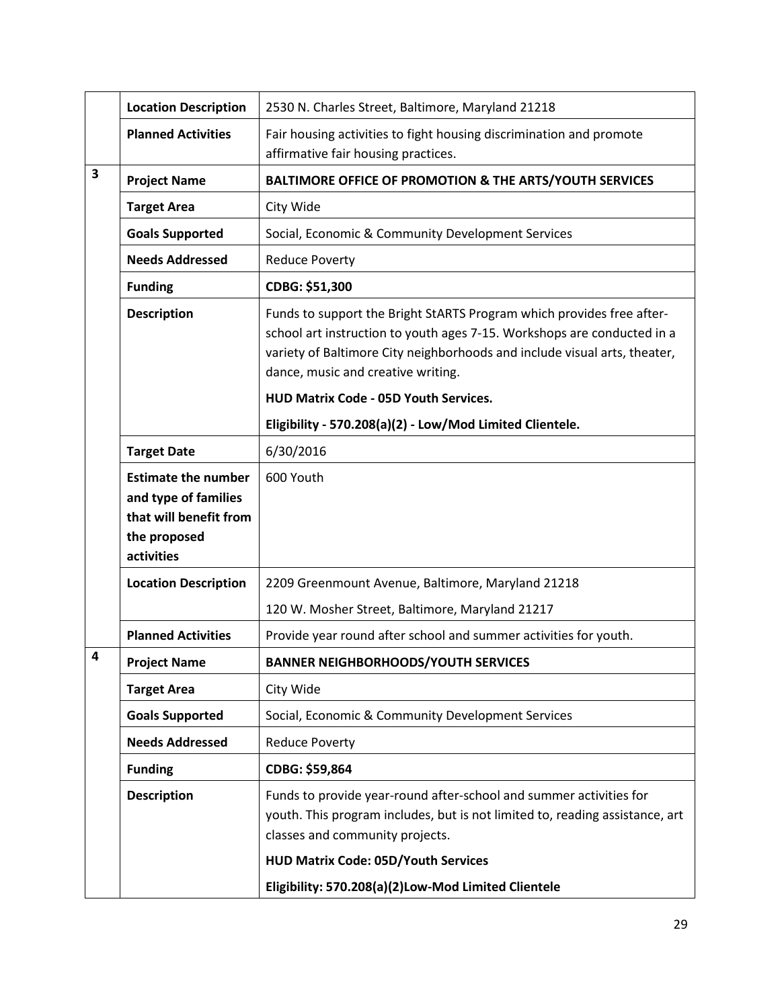|   | <b>Location Description</b>                                                                                | 2530 N. Charles Street, Baltimore, Maryland 21218                                                                                                                                                                                                                   |
|---|------------------------------------------------------------------------------------------------------------|---------------------------------------------------------------------------------------------------------------------------------------------------------------------------------------------------------------------------------------------------------------------|
|   | <b>Planned Activities</b>                                                                                  | Fair housing activities to fight housing discrimination and promote<br>affirmative fair housing practices.                                                                                                                                                          |
| 3 | <b>Project Name</b>                                                                                        | BALTIMORE OFFICE OF PROMOTION & THE ARTS/YOUTH SERVICES                                                                                                                                                                                                             |
|   | <b>Target Area</b>                                                                                         | City Wide                                                                                                                                                                                                                                                           |
|   | <b>Goals Supported</b>                                                                                     | Social, Economic & Community Development Services                                                                                                                                                                                                                   |
|   | <b>Needs Addressed</b>                                                                                     | <b>Reduce Poverty</b>                                                                                                                                                                                                                                               |
|   | <b>Funding</b>                                                                                             | CDBG: \$51,300                                                                                                                                                                                                                                                      |
|   | <b>Description</b>                                                                                         | Funds to support the Bright StARTS Program which provides free after-<br>school art instruction to youth ages 7-15. Workshops are conducted in a<br>variety of Baltimore City neighborhoods and include visual arts, theater,<br>dance, music and creative writing. |
|   |                                                                                                            | HUD Matrix Code - 05D Youth Services.                                                                                                                                                                                                                               |
|   |                                                                                                            | Eligibility - 570.208(a)(2) - Low/Mod Limited Clientele.                                                                                                                                                                                                            |
|   | <b>Target Date</b>                                                                                         | 6/30/2016                                                                                                                                                                                                                                                           |
|   | <b>Estimate the number</b><br>and type of families<br>that will benefit from<br>the proposed<br>activities | 600 Youth                                                                                                                                                                                                                                                           |
|   | <b>Location Description</b>                                                                                | 2209 Greenmount Avenue, Baltimore, Maryland 21218                                                                                                                                                                                                                   |
|   |                                                                                                            | 120 W. Mosher Street, Baltimore, Maryland 21217                                                                                                                                                                                                                     |
|   | <b>Planned Activities</b>                                                                                  | Provide year round after school and summer activities for youth.                                                                                                                                                                                                    |
| 4 | <b>Project Name</b>                                                                                        | <b>BANNER NEIGHBORHOODS/YOUTH SERVICES</b>                                                                                                                                                                                                                          |
|   | <b>Target Area</b>                                                                                         | City Wide                                                                                                                                                                                                                                                           |
|   | <b>Goals Supported</b>                                                                                     | Social, Economic & Community Development Services                                                                                                                                                                                                                   |
|   | <b>Needs Addressed</b>                                                                                     | <b>Reduce Poverty</b>                                                                                                                                                                                                                                               |
|   | <b>Funding</b>                                                                                             | CDBG: \$59,864                                                                                                                                                                                                                                                      |
|   | <b>Description</b>                                                                                         | Funds to provide year-round after-school and summer activities for<br>youth. This program includes, but is not limited to, reading assistance, art<br>classes and community projects.                                                                               |
|   |                                                                                                            | <b>HUD Matrix Code: 05D/Youth Services</b>                                                                                                                                                                                                                          |
|   |                                                                                                            | Eligibility: 570.208(a)(2)Low-Mod Limited Clientele                                                                                                                                                                                                                 |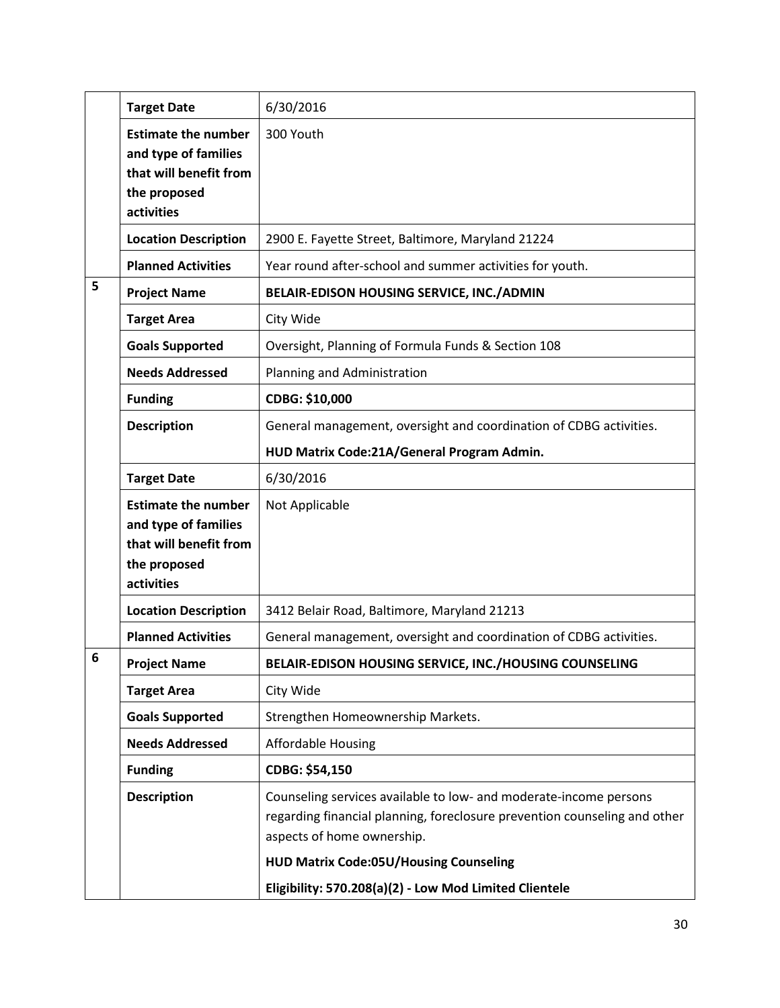|   | <b>Target Date</b>                                                                                         | 6/30/2016                                                                                                                                                                    |
|---|------------------------------------------------------------------------------------------------------------|------------------------------------------------------------------------------------------------------------------------------------------------------------------------------|
|   | <b>Estimate the number</b><br>and type of families<br>that will benefit from<br>the proposed<br>activities | 300 Youth                                                                                                                                                                    |
|   | <b>Location Description</b>                                                                                | 2900 E. Fayette Street, Baltimore, Maryland 21224                                                                                                                            |
|   | <b>Planned Activities</b>                                                                                  | Year round after-school and summer activities for youth.                                                                                                                     |
| 5 | <b>Project Name</b>                                                                                        | BELAIR-EDISON HOUSING SERVICE, INC./ADMIN                                                                                                                                    |
|   | <b>Target Area</b>                                                                                         | City Wide                                                                                                                                                                    |
|   | <b>Goals Supported</b>                                                                                     | Oversight, Planning of Formula Funds & Section 108                                                                                                                           |
|   | <b>Needs Addressed</b>                                                                                     | Planning and Administration                                                                                                                                                  |
|   | <b>Funding</b>                                                                                             | CDBG: \$10,000                                                                                                                                                               |
|   | <b>Description</b>                                                                                         | General management, oversight and coordination of CDBG activities.                                                                                                           |
|   |                                                                                                            | HUD Matrix Code:21A/General Program Admin.                                                                                                                                   |
|   | <b>Target Date</b>                                                                                         | 6/30/2016                                                                                                                                                                    |
|   | <b>Estimate the number</b><br>and type of families<br>that will benefit from<br>the proposed<br>activities | Not Applicable                                                                                                                                                               |
|   | <b>Location Description</b>                                                                                | 3412 Belair Road, Baltimore, Maryland 21213                                                                                                                                  |
|   | <b>Planned Activities</b>                                                                                  | General management, oversight and coordination of CDBG activities.                                                                                                           |
| 6 | <b>Project Name</b>                                                                                        | BELAIR-EDISON HOUSING SERVICE, INC./HOUSING COUNSELING                                                                                                                       |
|   | <b>Target Area</b>                                                                                         | City Wide                                                                                                                                                                    |
|   | <b>Goals Supported</b>                                                                                     | Strengthen Homeownership Markets.                                                                                                                                            |
|   | <b>Needs Addressed</b>                                                                                     | <b>Affordable Housing</b>                                                                                                                                                    |
|   | <b>Funding</b>                                                                                             | CDBG: \$54,150                                                                                                                                                               |
|   | <b>Description</b>                                                                                         | Counseling services available to low- and moderate-income persons<br>regarding financial planning, foreclosure prevention counseling and other<br>aspects of home ownership. |
|   |                                                                                                            | <b>HUD Matrix Code:05U/Housing Counseling</b>                                                                                                                                |
|   |                                                                                                            | Eligibility: 570.208(a)(2) - Low Mod Limited Clientele                                                                                                                       |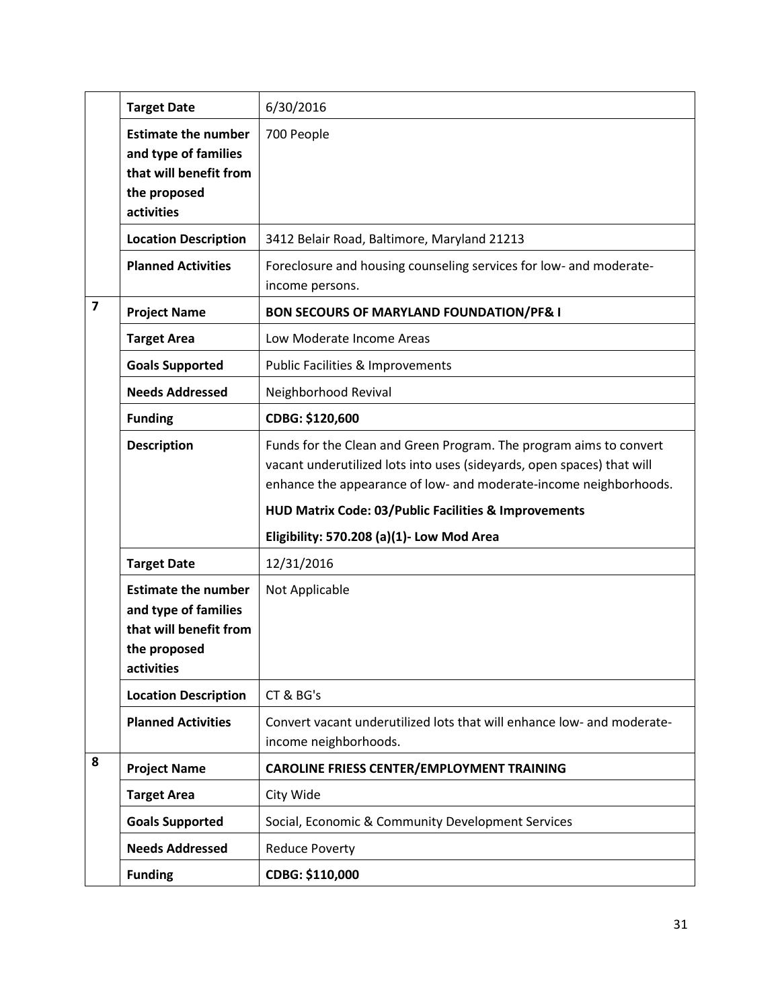|                         | <b>Target Date</b>                                                                                         | 6/30/2016                                                                                                                                                                                                                                                                 |
|-------------------------|------------------------------------------------------------------------------------------------------------|---------------------------------------------------------------------------------------------------------------------------------------------------------------------------------------------------------------------------------------------------------------------------|
|                         | <b>Estimate the number</b><br>and type of families<br>that will benefit from<br>the proposed<br>activities | 700 People                                                                                                                                                                                                                                                                |
|                         | <b>Location Description</b>                                                                                | 3412 Belair Road, Baltimore, Maryland 21213                                                                                                                                                                                                                               |
|                         | <b>Planned Activities</b>                                                                                  | Foreclosure and housing counseling services for low- and moderate-<br>income persons.                                                                                                                                                                                     |
| $\overline{\mathbf{z}}$ | <b>Project Name</b>                                                                                        | <b>BON SECOURS OF MARYLAND FOUNDATION/PF&amp; I</b>                                                                                                                                                                                                                       |
|                         | <b>Target Area</b>                                                                                         | Low Moderate Income Areas                                                                                                                                                                                                                                                 |
|                         | <b>Goals Supported</b>                                                                                     | Public Facilities & Improvements                                                                                                                                                                                                                                          |
|                         | <b>Needs Addressed</b>                                                                                     | Neighborhood Revival                                                                                                                                                                                                                                                      |
|                         | <b>Funding</b>                                                                                             | CDBG: \$120,600                                                                                                                                                                                                                                                           |
|                         | <b>Description</b>                                                                                         | Funds for the Clean and Green Program. The program aims to convert<br>vacant underutilized lots into uses (sideyards, open spaces) that will<br>enhance the appearance of low- and moderate-income neighborhoods.<br>HUD Matrix Code: 03/Public Facilities & Improvements |
|                         |                                                                                                            | Eligibility: 570.208 (a)(1)- Low Mod Area                                                                                                                                                                                                                                 |
|                         | <b>Target Date</b>                                                                                         | 12/31/2016                                                                                                                                                                                                                                                                |
|                         | <b>Estimate the number</b><br>and type of families<br>that will benefit from<br>the proposed<br>activities | Not Applicable                                                                                                                                                                                                                                                            |
|                         |                                                                                                            |                                                                                                                                                                                                                                                                           |
|                         | <b>Location Description</b>                                                                                | CT & BG's                                                                                                                                                                                                                                                                 |
|                         | <b>Planned Activities</b>                                                                                  | Convert vacant underutilized lots that will enhance low- and moderate-<br>income neighborhoods.                                                                                                                                                                           |
| 8                       | <b>Project Name</b>                                                                                        | <b>CAROLINE FRIESS CENTER/EMPLOYMENT TRAINING</b>                                                                                                                                                                                                                         |
|                         | <b>Target Area</b>                                                                                         | City Wide                                                                                                                                                                                                                                                                 |
|                         | <b>Goals Supported</b>                                                                                     | Social, Economic & Community Development Services                                                                                                                                                                                                                         |
|                         | <b>Needs Addressed</b>                                                                                     | <b>Reduce Poverty</b>                                                                                                                                                                                                                                                     |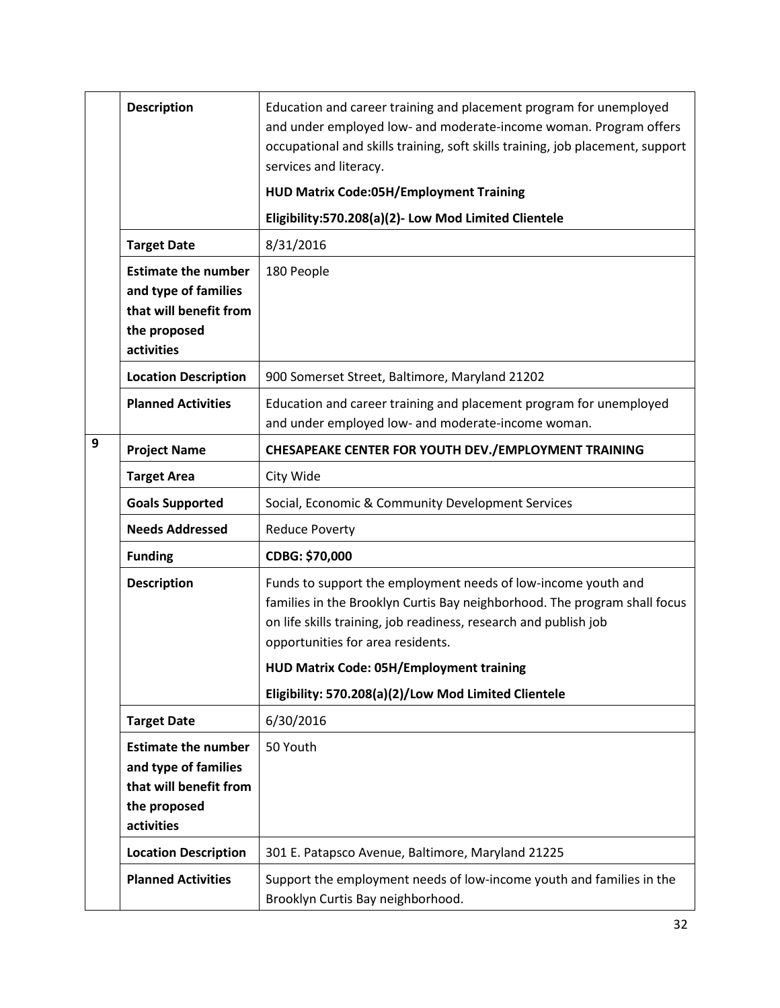|   | <b>Description</b>                                                                                         | Education and career training and placement program for unemployed<br>and under employed low- and moderate-income woman. Program offers<br>occupational and skills training, soft skills training, job placement, support<br>services and literacy.<br><b>HUD Matrix Code:05H/Employment Training</b>  |
|---|------------------------------------------------------------------------------------------------------------|--------------------------------------------------------------------------------------------------------------------------------------------------------------------------------------------------------------------------------------------------------------------------------------------------------|
|   |                                                                                                            | Eligibility:570.208(a)(2)- Low Mod Limited Clientele                                                                                                                                                                                                                                                   |
|   | <b>Target Date</b>                                                                                         | 8/31/2016                                                                                                                                                                                                                                                                                              |
|   | <b>Estimate the number</b><br>and type of families<br>that will benefit from<br>the proposed<br>activities | 180 People                                                                                                                                                                                                                                                                                             |
|   | <b>Location Description</b>                                                                                | 900 Somerset Street, Baltimore, Maryland 21202                                                                                                                                                                                                                                                         |
|   | <b>Planned Activities</b>                                                                                  | Education and career training and placement program for unemployed<br>and under employed low- and moderate-income woman.                                                                                                                                                                               |
| 9 | <b>Project Name</b>                                                                                        | CHESAPEAKE CENTER FOR YOUTH DEV./EMPLOYMENT TRAINING                                                                                                                                                                                                                                                   |
|   | <b>Target Area</b>                                                                                         | City Wide                                                                                                                                                                                                                                                                                              |
|   | <b>Goals Supported</b>                                                                                     | Social, Economic & Community Development Services                                                                                                                                                                                                                                                      |
|   | <b>Needs Addressed</b>                                                                                     | <b>Reduce Poverty</b>                                                                                                                                                                                                                                                                                  |
|   | <b>Funding</b>                                                                                             | CDBG: \$70,000                                                                                                                                                                                                                                                                                         |
|   | <b>Description</b>                                                                                         | Funds to support the employment needs of low-income youth and<br>families in the Brooklyn Curtis Bay neighborhood. The program shall focus<br>on life skills training, job readiness, research and publish job<br>opportunities for area residents.<br><b>HUD Matrix Code: 05H/Employment training</b> |
|   |                                                                                                            | Eligibility: 570.208(a)(2)/Low Mod Limited Clientele                                                                                                                                                                                                                                                   |
|   | <b>Target Date</b>                                                                                         | 6/30/2016                                                                                                                                                                                                                                                                                              |
|   | <b>Estimate the number</b><br>and type of families<br>that will benefit from<br>the proposed<br>activities | 50 Youth                                                                                                                                                                                                                                                                                               |
|   | <b>Location Description</b>                                                                                | 301 E. Patapsco Avenue, Baltimore, Maryland 21225                                                                                                                                                                                                                                                      |
|   | <b>Planned Activities</b>                                                                                  | Support the employment needs of low-income youth and families in the<br>Brooklyn Curtis Bay neighborhood.                                                                                                                                                                                              |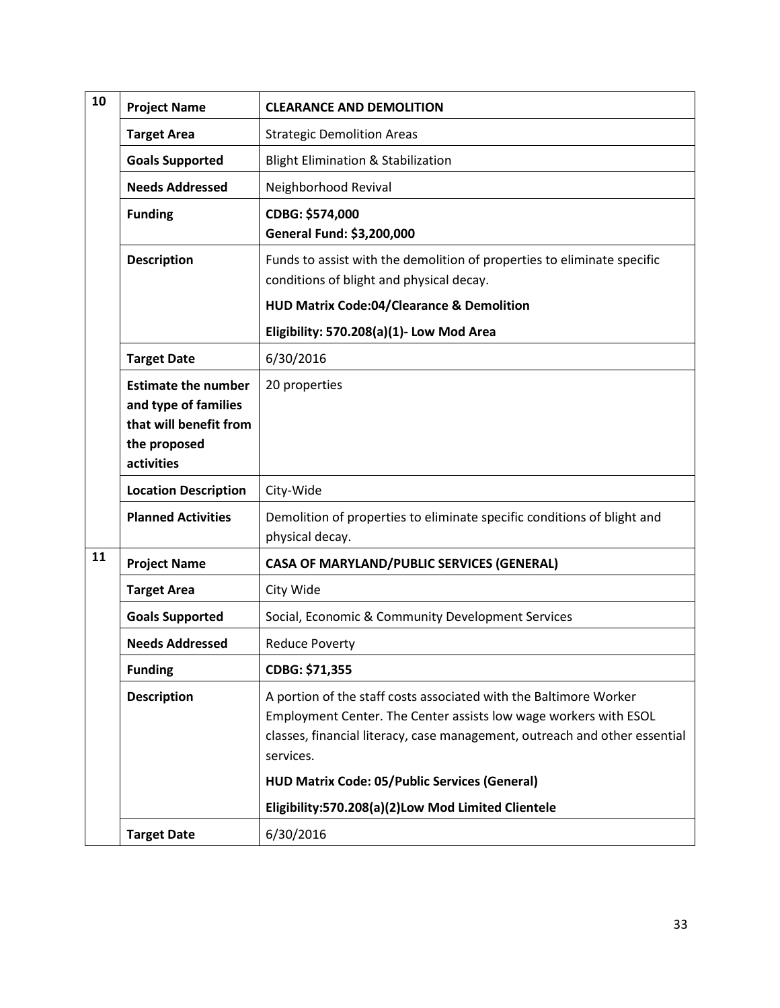| 10 | <b>Project Name</b>                                                                                        | <b>CLEARANCE AND DEMOLITION</b>                                                                                                                                                                                                  |
|----|------------------------------------------------------------------------------------------------------------|----------------------------------------------------------------------------------------------------------------------------------------------------------------------------------------------------------------------------------|
|    | <b>Target Area</b>                                                                                         | <b>Strategic Demolition Areas</b>                                                                                                                                                                                                |
|    | <b>Goals Supported</b>                                                                                     | <b>Blight Elimination &amp; Stabilization</b>                                                                                                                                                                                    |
|    | <b>Needs Addressed</b>                                                                                     | Neighborhood Revival                                                                                                                                                                                                             |
|    | <b>Funding</b>                                                                                             | CDBG: \$574,000<br>General Fund: \$3,200,000                                                                                                                                                                                     |
|    | <b>Description</b>                                                                                         | Funds to assist with the demolition of properties to eliminate specific<br>conditions of blight and physical decay.                                                                                                              |
|    |                                                                                                            | <b>HUD Matrix Code:04/Clearance &amp; Demolition</b>                                                                                                                                                                             |
|    |                                                                                                            | Eligibility: 570.208(a)(1)- Low Mod Area                                                                                                                                                                                         |
|    | <b>Target Date</b>                                                                                         | 6/30/2016                                                                                                                                                                                                                        |
|    | <b>Estimate the number</b><br>and type of families<br>that will benefit from<br>the proposed<br>activities | 20 properties                                                                                                                                                                                                                    |
|    | <b>Location Description</b>                                                                                | City-Wide                                                                                                                                                                                                                        |
|    | <b>Planned Activities</b>                                                                                  | Demolition of properties to eliminate specific conditions of blight and<br>physical decay.                                                                                                                                       |
| 11 | <b>Project Name</b>                                                                                        | <b>CASA OF MARYLAND/PUBLIC SERVICES (GENERAL)</b>                                                                                                                                                                                |
|    | <b>Target Area</b>                                                                                         | City Wide                                                                                                                                                                                                                        |
|    | <b>Goals Supported</b>                                                                                     | Social, Economic & Community Development Services                                                                                                                                                                                |
|    | <b>Needs Addressed</b>                                                                                     | <b>Reduce Poverty</b>                                                                                                                                                                                                            |
|    | <b>Funding</b>                                                                                             | CDBG: \$71,355                                                                                                                                                                                                                   |
|    | <b>Description</b>                                                                                         | A portion of the staff costs associated with the Baltimore Worker<br>Employment Center. The Center assists low wage workers with ESOL<br>classes, financial literacy, case management, outreach and other essential<br>services. |
|    |                                                                                                            | <b>HUD Matrix Code: 05/Public Services (General)</b>                                                                                                                                                                             |
|    |                                                                                                            | Eligibility:570.208(a)(2)Low Mod Limited Clientele                                                                                                                                                                               |
|    | <b>Target Date</b>                                                                                         | 6/30/2016                                                                                                                                                                                                                        |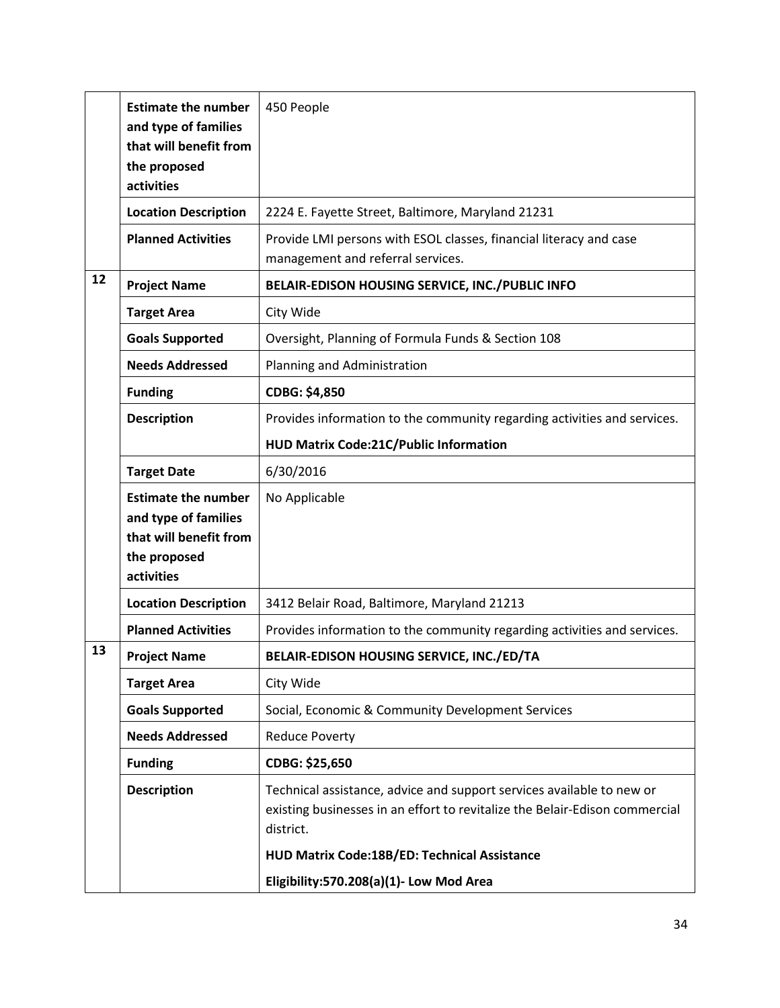|    | <b>Estimate the number</b><br>and type of families<br>that will benefit from<br>the proposed               | 450 People                                                                                                                                                        |
|----|------------------------------------------------------------------------------------------------------------|-------------------------------------------------------------------------------------------------------------------------------------------------------------------|
|    | activities                                                                                                 |                                                                                                                                                                   |
|    | <b>Location Description</b>                                                                                | 2224 E. Fayette Street, Baltimore, Maryland 21231                                                                                                                 |
|    | <b>Planned Activities</b>                                                                                  | Provide LMI persons with ESOL classes, financial literacy and case<br>management and referral services.                                                           |
| 12 | <b>Project Name</b>                                                                                        | BELAIR-EDISON HOUSING SERVICE, INC./PUBLIC INFO                                                                                                                   |
|    | <b>Target Area</b>                                                                                         | City Wide                                                                                                                                                         |
|    | <b>Goals Supported</b>                                                                                     | Oversight, Planning of Formula Funds & Section 108                                                                                                                |
|    | <b>Needs Addressed</b>                                                                                     | Planning and Administration                                                                                                                                       |
|    | <b>Funding</b>                                                                                             | CDBG: \$4,850                                                                                                                                                     |
|    | <b>Description</b>                                                                                         | Provides information to the community regarding activities and services.                                                                                          |
|    |                                                                                                            | HUD Matrix Code:21C/Public Information                                                                                                                            |
|    | <b>Target Date</b>                                                                                         | 6/30/2016                                                                                                                                                         |
|    | <b>Estimate the number</b><br>and type of families<br>that will benefit from<br>the proposed<br>activities | No Applicable                                                                                                                                                     |
|    | <b>Location Description</b>                                                                                | 3412 Belair Road, Baltimore, Maryland 21213                                                                                                                       |
|    | <b>Planned Activities</b>                                                                                  | Provides information to the community regarding activities and services.                                                                                          |
| 13 | <b>Project Name</b>                                                                                        | BELAIR-EDISON HOUSING SERVICE, INC./ED/TA                                                                                                                         |
|    | <b>Target Area</b>                                                                                         | City Wide                                                                                                                                                         |
|    | <b>Goals Supported</b>                                                                                     | Social, Economic & Community Development Services                                                                                                                 |
|    | <b>Needs Addressed</b>                                                                                     | <b>Reduce Poverty</b>                                                                                                                                             |
|    | <b>Funding</b>                                                                                             | CDBG: \$25,650                                                                                                                                                    |
|    | <b>Description</b>                                                                                         | Technical assistance, advice and support services available to new or<br>existing businesses in an effort to revitalize the Belair-Edison commercial<br>district. |
|    |                                                                                                            | HUD Matrix Code:18B/ED: Technical Assistance                                                                                                                      |
|    |                                                                                                            | Eligibility:570.208(a)(1)- Low Mod Area                                                                                                                           |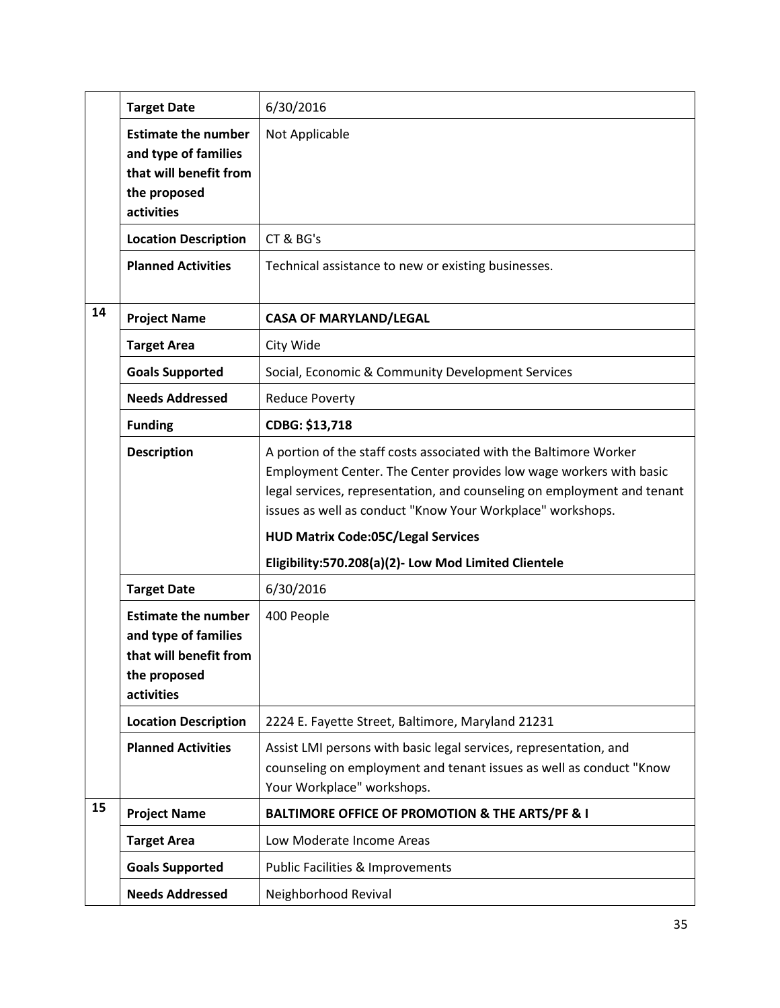|    | <b>Target Date</b>                                                                                         | 6/30/2016                                                                                                                                                                                                                                                                                                                                                                             |
|----|------------------------------------------------------------------------------------------------------------|---------------------------------------------------------------------------------------------------------------------------------------------------------------------------------------------------------------------------------------------------------------------------------------------------------------------------------------------------------------------------------------|
|    | <b>Estimate the number</b><br>and type of families<br>that will benefit from<br>the proposed<br>activities | Not Applicable                                                                                                                                                                                                                                                                                                                                                                        |
|    | <b>Location Description</b>                                                                                | CT & BG's                                                                                                                                                                                                                                                                                                                                                                             |
|    | <b>Planned Activities</b>                                                                                  | Technical assistance to new or existing businesses.                                                                                                                                                                                                                                                                                                                                   |
| 14 | <b>Project Name</b>                                                                                        | <b>CASA OF MARYLAND/LEGAL</b>                                                                                                                                                                                                                                                                                                                                                         |
|    | <b>Target Area</b>                                                                                         | City Wide                                                                                                                                                                                                                                                                                                                                                                             |
|    | <b>Goals Supported</b>                                                                                     | Social, Economic & Community Development Services                                                                                                                                                                                                                                                                                                                                     |
|    | <b>Needs Addressed</b>                                                                                     | <b>Reduce Poverty</b>                                                                                                                                                                                                                                                                                                                                                                 |
|    | <b>Funding</b>                                                                                             | CDBG: \$13,718                                                                                                                                                                                                                                                                                                                                                                        |
|    | <b>Description</b>                                                                                         | A portion of the staff costs associated with the Baltimore Worker<br>Employment Center. The Center provides low wage workers with basic<br>legal services, representation, and counseling on employment and tenant<br>issues as well as conduct "Know Your Workplace" workshops.<br><b>HUD Matrix Code:05C/Legal Services</b><br>Eligibility:570.208(a)(2)- Low Mod Limited Clientele |
|    | <b>Target Date</b>                                                                                         | 6/30/2016                                                                                                                                                                                                                                                                                                                                                                             |
|    | <b>Estimate the number</b><br>and type of families<br>that will benefit from<br>the proposed<br>activities | 400 People                                                                                                                                                                                                                                                                                                                                                                            |
|    | <b>Location Description</b>                                                                                | 2224 E. Fayette Street, Baltimore, Maryland 21231                                                                                                                                                                                                                                                                                                                                     |
|    | <b>Planned Activities</b>                                                                                  | Assist LMI persons with basic legal services, representation, and<br>counseling on employment and tenant issues as well as conduct "Know<br>Your Workplace" workshops.                                                                                                                                                                                                                |
| 15 | <b>Project Name</b>                                                                                        | BALTIMORE OFFICE OF PROMOTION & THE ARTS/PF & I                                                                                                                                                                                                                                                                                                                                       |
|    | <b>Target Area</b>                                                                                         | Low Moderate Income Areas                                                                                                                                                                                                                                                                                                                                                             |
|    | <b>Goals Supported</b>                                                                                     | <b>Public Facilities &amp; Improvements</b>                                                                                                                                                                                                                                                                                                                                           |
|    |                                                                                                            |                                                                                                                                                                                                                                                                                                                                                                                       |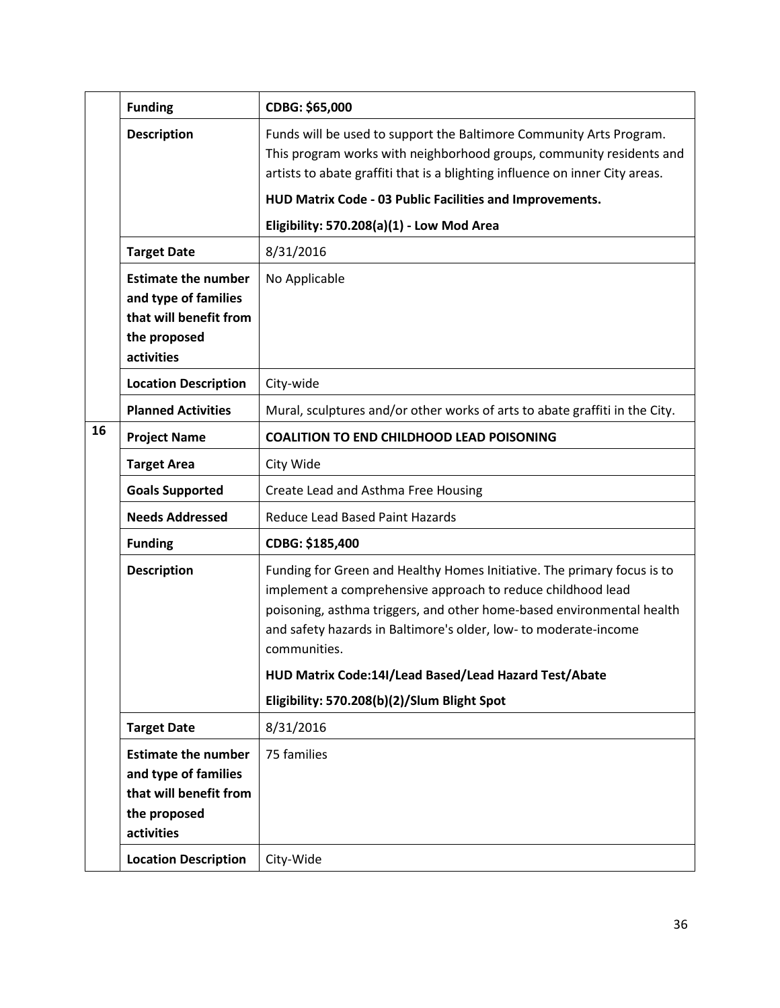|    | <b>Funding</b>                                                                                             | CDBG: \$65,000                                                                                                                                                                                                                                                                                      |
|----|------------------------------------------------------------------------------------------------------------|-----------------------------------------------------------------------------------------------------------------------------------------------------------------------------------------------------------------------------------------------------------------------------------------------------|
|    | <b>Description</b>                                                                                         | Funds will be used to support the Baltimore Community Arts Program.<br>This program works with neighborhood groups, community residents and<br>artists to abate graffiti that is a blighting influence on inner City areas.                                                                         |
|    |                                                                                                            | HUD Matrix Code - 03 Public Facilities and Improvements.                                                                                                                                                                                                                                            |
|    |                                                                                                            | Eligibility: 570.208(a)(1) - Low Mod Area                                                                                                                                                                                                                                                           |
|    | <b>Target Date</b>                                                                                         | 8/31/2016                                                                                                                                                                                                                                                                                           |
|    | <b>Estimate the number</b><br>and type of families<br>that will benefit from<br>the proposed<br>activities | No Applicable                                                                                                                                                                                                                                                                                       |
|    | <b>Location Description</b>                                                                                | City-wide                                                                                                                                                                                                                                                                                           |
|    | <b>Planned Activities</b>                                                                                  | Mural, sculptures and/or other works of arts to abate graffiti in the City.                                                                                                                                                                                                                         |
| 16 | <b>Project Name</b>                                                                                        | <b>COALITION TO END CHILDHOOD LEAD POISONING</b>                                                                                                                                                                                                                                                    |
|    | <b>Target Area</b>                                                                                         | City Wide                                                                                                                                                                                                                                                                                           |
|    | <b>Goals Supported</b>                                                                                     | Create Lead and Asthma Free Housing                                                                                                                                                                                                                                                                 |
|    | <b>Needs Addressed</b>                                                                                     | Reduce Lead Based Paint Hazards                                                                                                                                                                                                                                                                     |
|    | <b>Funding</b>                                                                                             | CDBG: \$185,400                                                                                                                                                                                                                                                                                     |
|    | <b>Description</b>                                                                                         | Funding for Green and Healthy Homes Initiative. The primary focus is to<br>implement a comprehensive approach to reduce childhood lead<br>poisoning, asthma triggers, and other home-based environmental health<br>and safety hazards in Baltimore's older, low- to moderate-income<br>communities. |
|    |                                                                                                            | HUD Matrix Code:14I/Lead Based/Lead Hazard Test/Abate                                                                                                                                                                                                                                               |
|    |                                                                                                            | Eligibility: 570.208(b)(2)/Slum Blight Spot                                                                                                                                                                                                                                                         |
|    | <b>Target Date</b>                                                                                         | 8/31/2016                                                                                                                                                                                                                                                                                           |
|    | <b>Estimate the number</b><br>and type of families<br>that will benefit from<br>the proposed<br>activities | 75 families                                                                                                                                                                                                                                                                                         |
|    | <b>Location Description</b>                                                                                | City-Wide                                                                                                                                                                                                                                                                                           |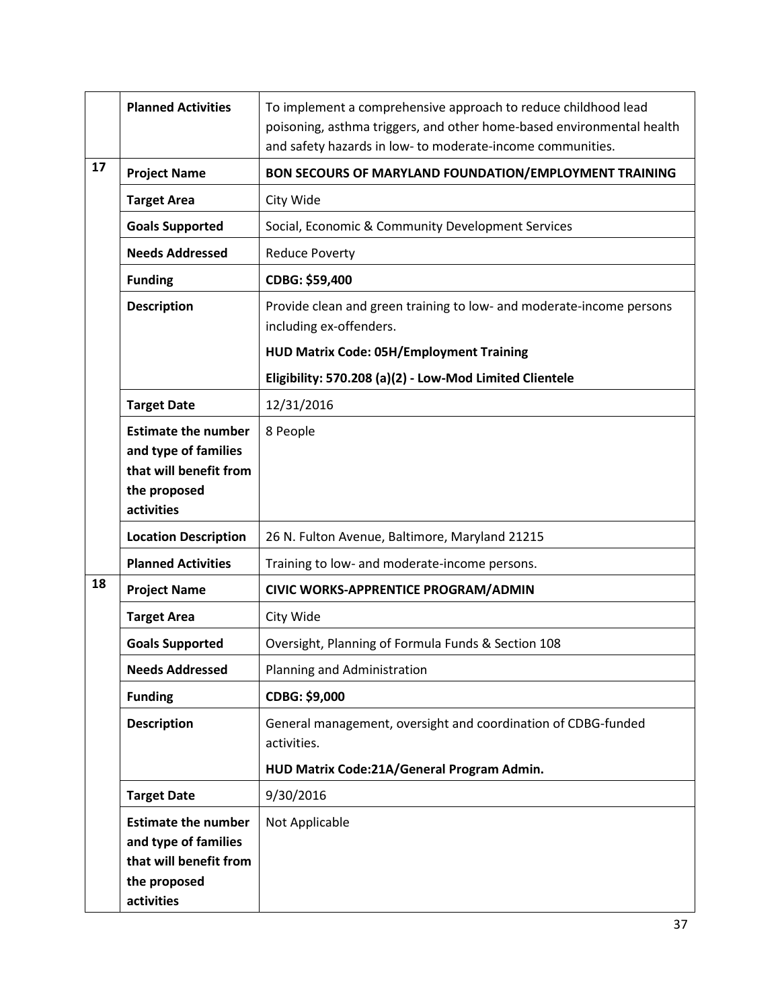|    | <b>Planned Activities</b>                                                                                  | To implement a comprehensive approach to reduce childhood lead<br>poisoning, asthma triggers, and other home-based environmental health<br>and safety hazards in low- to moderate-income communities. |
|----|------------------------------------------------------------------------------------------------------------|-------------------------------------------------------------------------------------------------------------------------------------------------------------------------------------------------------|
| 17 | <b>Project Name</b>                                                                                        | BON SECOURS OF MARYLAND FOUNDATION/EMPLOYMENT TRAINING                                                                                                                                                |
|    | <b>Target Area</b>                                                                                         | City Wide                                                                                                                                                                                             |
|    | <b>Goals Supported</b>                                                                                     | Social, Economic & Community Development Services                                                                                                                                                     |
|    | <b>Needs Addressed</b>                                                                                     | <b>Reduce Poverty</b>                                                                                                                                                                                 |
|    | <b>Funding</b>                                                                                             | CDBG: \$59,400                                                                                                                                                                                        |
|    | <b>Description</b>                                                                                         | Provide clean and green training to low- and moderate-income persons<br>including ex-offenders.                                                                                                       |
|    |                                                                                                            | <b>HUD Matrix Code: 05H/Employment Training</b>                                                                                                                                                       |
|    |                                                                                                            | Eligibility: 570.208 (a)(2) - Low-Mod Limited Clientele                                                                                                                                               |
|    | <b>Target Date</b>                                                                                         | 12/31/2016                                                                                                                                                                                            |
|    | <b>Estimate the number</b><br>and type of families<br>that will benefit from<br>the proposed<br>activities | 8 People                                                                                                                                                                                              |
|    | <b>Location Description</b>                                                                                | 26 N. Fulton Avenue, Baltimore, Maryland 21215                                                                                                                                                        |
|    | <b>Planned Activities</b>                                                                                  | Training to low- and moderate-income persons.                                                                                                                                                         |
| 18 | <b>Project Name</b>                                                                                        | CIVIC WORKS-APPRENTICE PROGRAM/ADMIN                                                                                                                                                                  |
|    | <b>Target Area</b>                                                                                         | City Wide                                                                                                                                                                                             |
|    | <b>Goals Supported</b>                                                                                     | Oversight, Planning of Formula Funds & Section 108                                                                                                                                                    |
|    | <b>Needs Addressed</b>                                                                                     | Planning and Administration                                                                                                                                                                           |
|    | <b>Funding</b>                                                                                             | CDBG: \$9,000                                                                                                                                                                                         |
|    | <b>Description</b>                                                                                         | General management, oversight and coordination of CDBG-funded<br>activities.                                                                                                                          |
|    |                                                                                                            | HUD Matrix Code:21A/General Program Admin.                                                                                                                                                            |
|    | <b>Target Date</b>                                                                                         | 9/30/2016                                                                                                                                                                                             |
|    | <b>Estimate the number</b><br>and type of families<br>that will benefit from<br>the proposed<br>activities | Not Applicable                                                                                                                                                                                        |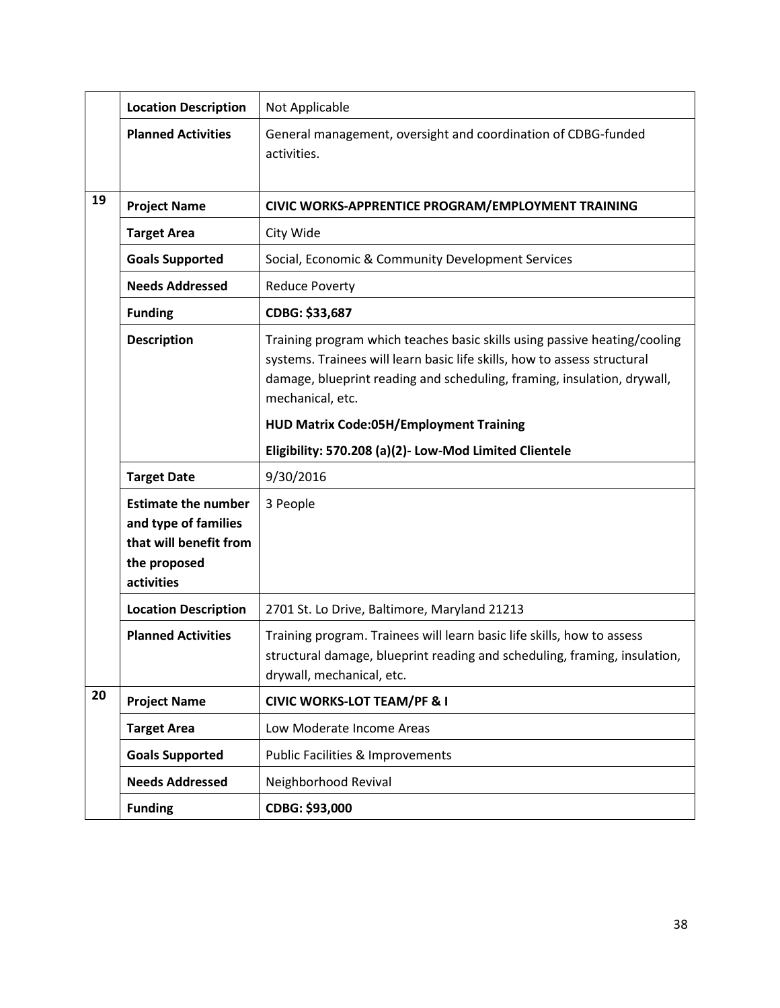|    | <b>Location Description</b>                                                                                | Not Applicable                                                                                                                                                                                                                                       |
|----|------------------------------------------------------------------------------------------------------------|------------------------------------------------------------------------------------------------------------------------------------------------------------------------------------------------------------------------------------------------------|
|    | <b>Planned Activities</b>                                                                                  | General management, oversight and coordination of CDBG-funded<br>activities.                                                                                                                                                                         |
| 19 | <b>Project Name</b>                                                                                        | CIVIC WORKS-APPRENTICE PROGRAM/EMPLOYMENT TRAINING                                                                                                                                                                                                   |
|    | <b>Target Area</b>                                                                                         | City Wide                                                                                                                                                                                                                                            |
|    | <b>Goals Supported</b>                                                                                     | Social, Economic & Community Development Services                                                                                                                                                                                                    |
|    | <b>Needs Addressed</b>                                                                                     | <b>Reduce Poverty</b>                                                                                                                                                                                                                                |
|    | <b>Funding</b>                                                                                             | CDBG: \$33,687                                                                                                                                                                                                                                       |
|    | <b>Description</b>                                                                                         | Training program which teaches basic skills using passive heating/cooling<br>systems. Trainees will learn basic life skills, how to assess structural<br>damage, blueprint reading and scheduling, framing, insulation, drywall,<br>mechanical, etc. |
|    |                                                                                                            | <b>HUD Matrix Code:05H/Employment Training</b>                                                                                                                                                                                                       |
|    |                                                                                                            | Eligibility: 570.208 (a)(2)- Low-Mod Limited Clientele                                                                                                                                                                                               |
|    | <b>Target Date</b>                                                                                         | 9/30/2016                                                                                                                                                                                                                                            |
|    | <b>Estimate the number</b><br>and type of families<br>that will benefit from<br>the proposed<br>activities | 3 People                                                                                                                                                                                                                                             |
|    | <b>Location Description</b>                                                                                | 2701 St. Lo Drive, Baltimore, Maryland 21213                                                                                                                                                                                                         |
|    | <b>Planned Activities</b>                                                                                  | Training program. Trainees will learn basic life skills, how to assess<br>structural damage, blueprint reading and scheduling, framing, insulation,<br>drywall, mechanical, etc.                                                                     |
| 20 | <b>Project Name</b>                                                                                        | <b>CIVIC WORKS-LOT TEAM/PF &amp; I</b>                                                                                                                                                                                                               |
|    | <b>Target Area</b>                                                                                         | Low Moderate Income Areas                                                                                                                                                                                                                            |
|    | <b>Goals Supported</b>                                                                                     | <b>Public Facilities &amp; Improvements</b>                                                                                                                                                                                                          |
|    | <b>Needs Addressed</b>                                                                                     | Neighborhood Revival                                                                                                                                                                                                                                 |
|    | <b>Funding</b>                                                                                             | CDBG: \$93,000                                                                                                                                                                                                                                       |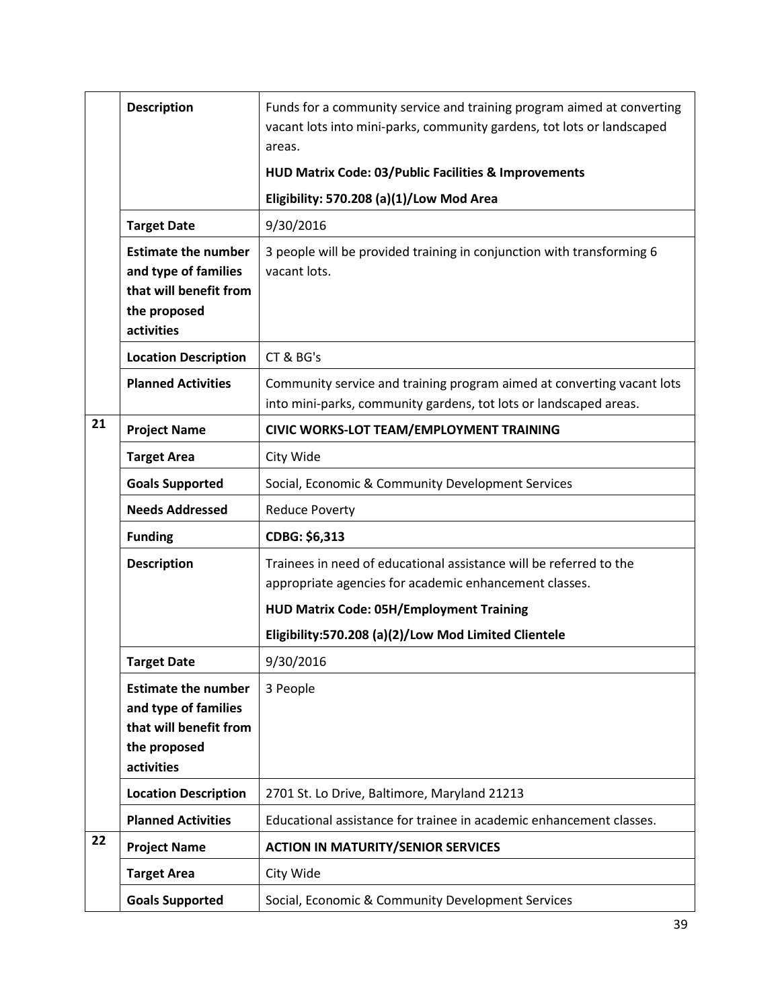|    | <b>Description</b>                                                                                         | Funds for a community service and training program aimed at converting<br>vacant lots into mini-parks, community gardens, tot lots or landscaped<br>areas. |
|----|------------------------------------------------------------------------------------------------------------|------------------------------------------------------------------------------------------------------------------------------------------------------------|
|    |                                                                                                            | HUD Matrix Code: 03/Public Facilities & Improvements                                                                                                       |
|    |                                                                                                            | Eligibility: 570.208 (a)(1)/Low Mod Area                                                                                                                   |
|    | <b>Target Date</b>                                                                                         | 9/30/2016                                                                                                                                                  |
|    | <b>Estimate the number</b><br>and type of families<br>that will benefit from<br>the proposed<br>activities | 3 people will be provided training in conjunction with transforming 6<br>vacant lots.                                                                      |
|    | <b>Location Description</b>                                                                                | CT & BG's                                                                                                                                                  |
|    | <b>Planned Activities</b>                                                                                  | Community service and training program aimed at converting vacant lots<br>into mini-parks, community gardens, tot lots or landscaped areas.                |
| 21 | <b>Project Name</b>                                                                                        | <b>CIVIC WORKS-LOT TEAM/EMPLOYMENT TRAINING</b>                                                                                                            |
|    | <b>Target Area</b>                                                                                         | City Wide                                                                                                                                                  |
|    | <b>Goals Supported</b>                                                                                     | Social, Economic & Community Development Services                                                                                                          |
|    | <b>Needs Addressed</b>                                                                                     | <b>Reduce Poverty</b>                                                                                                                                      |
|    | <b>Funding</b>                                                                                             | CDBG: \$6,313                                                                                                                                              |
|    | <b>Description</b>                                                                                         | Trainees in need of educational assistance will be referred to the                                                                                         |
|    |                                                                                                            | appropriate agencies for academic enhancement classes.                                                                                                     |
|    |                                                                                                            | <b>HUD Matrix Code: 05H/Employment Training</b>                                                                                                            |
|    |                                                                                                            | Eligibility:570.208 (a)(2)/Low Mod Limited Clientele                                                                                                       |
|    | <b>Target Date</b>                                                                                         | 9/30/2016                                                                                                                                                  |
|    | <b>Estimate the number</b><br>and type of families<br>that will benefit from<br>the proposed<br>activities | 3 People                                                                                                                                                   |
|    | <b>Location Description</b>                                                                                | 2701 St. Lo Drive, Baltimore, Maryland 21213                                                                                                               |
|    | <b>Planned Activities</b>                                                                                  | Educational assistance for trainee in academic enhancement classes.                                                                                        |
| 22 | <b>Project Name</b>                                                                                        | <b>ACTION IN MATURITY/SENIOR SERVICES</b>                                                                                                                  |
|    | <b>Target Area</b>                                                                                         | City Wide                                                                                                                                                  |
|    | <b>Goals Supported</b>                                                                                     | Social, Economic & Community Development Services                                                                                                          |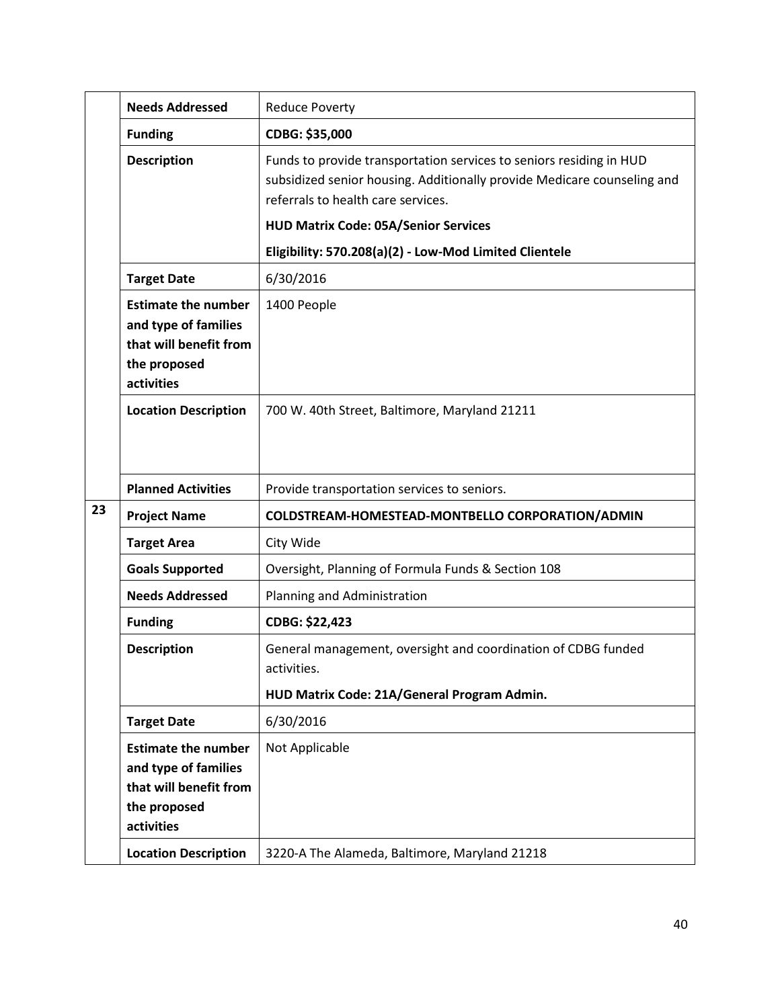|    | <b>Needs Addressed</b>                                                                                     | <b>Reduce Poverty</b>                                                                                                                                                                                                               |
|----|------------------------------------------------------------------------------------------------------------|-------------------------------------------------------------------------------------------------------------------------------------------------------------------------------------------------------------------------------------|
|    | <b>Funding</b>                                                                                             | CDBG: \$35,000                                                                                                                                                                                                                      |
|    | <b>Description</b>                                                                                         | Funds to provide transportation services to seniors residing in HUD<br>subsidized senior housing. Additionally provide Medicare counseling and<br>referrals to health care services.<br><b>HUD Matrix Code: 05A/Senior Services</b> |
|    |                                                                                                            | Eligibility: 570.208(a)(2) - Low-Mod Limited Clientele                                                                                                                                                                              |
|    | <b>Target Date</b>                                                                                         | 6/30/2016                                                                                                                                                                                                                           |
|    | <b>Estimate the number</b><br>and type of families<br>that will benefit from<br>the proposed<br>activities | 1400 People                                                                                                                                                                                                                         |
|    | <b>Location Description</b>                                                                                | 700 W. 40th Street, Baltimore, Maryland 21211                                                                                                                                                                                       |
|    | <b>Planned Activities</b>                                                                                  | Provide transportation services to seniors.                                                                                                                                                                                         |
| 23 | <b>Project Name</b>                                                                                        | COLDSTREAM-HOMESTEAD-MONTBELLO CORPORATION/ADMIN                                                                                                                                                                                    |
|    | <b>Target Area</b>                                                                                         | City Wide                                                                                                                                                                                                                           |
|    | <b>Goals Supported</b>                                                                                     | Oversight, Planning of Formula Funds & Section 108                                                                                                                                                                                  |
|    | <b>Needs Addressed</b>                                                                                     | Planning and Administration                                                                                                                                                                                                         |
|    | <b>Funding</b>                                                                                             | CDBG: \$22,423                                                                                                                                                                                                                      |
|    | <b>Description</b>                                                                                         | General management, oversight and coordination of CDBG funded<br>activities.                                                                                                                                                        |
|    |                                                                                                            | HUD Matrix Code: 21A/General Program Admin.                                                                                                                                                                                         |
|    | <b>Target Date</b>                                                                                         | 6/30/2016                                                                                                                                                                                                                           |
|    | <b>Estimate the number</b><br>and type of families                                                         | Not Applicable                                                                                                                                                                                                                      |
|    | that will benefit from<br>the proposed<br>activities                                                       |                                                                                                                                                                                                                                     |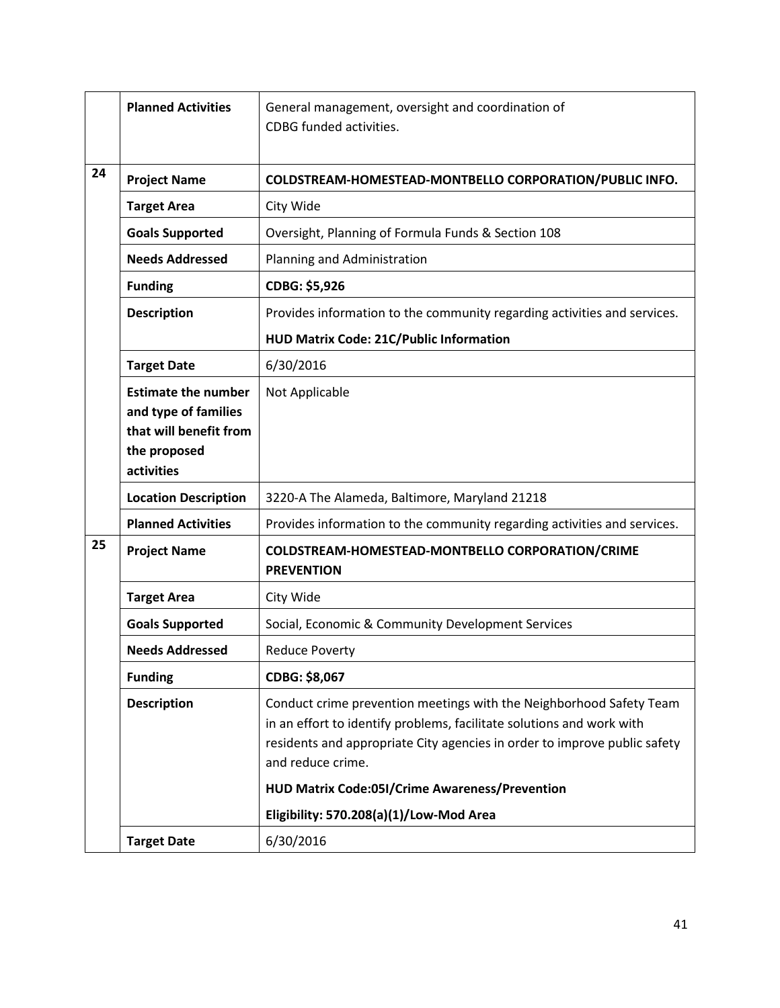|    | <b>Planned Activities</b>                                                                                  | General management, oversight and coordination of<br>CDBG funded activities.                                                                                                                                                                   |
|----|------------------------------------------------------------------------------------------------------------|------------------------------------------------------------------------------------------------------------------------------------------------------------------------------------------------------------------------------------------------|
| 24 | <b>Project Name</b>                                                                                        | COLDSTREAM-HOMESTEAD-MONTBELLO CORPORATION/PUBLIC INFO.                                                                                                                                                                                        |
|    | <b>Target Area</b>                                                                                         | City Wide                                                                                                                                                                                                                                      |
|    | <b>Goals Supported</b>                                                                                     | Oversight, Planning of Formula Funds & Section 108                                                                                                                                                                                             |
|    | <b>Needs Addressed</b>                                                                                     | Planning and Administration                                                                                                                                                                                                                    |
|    | <b>Funding</b>                                                                                             | CDBG: \$5,926                                                                                                                                                                                                                                  |
|    | <b>Description</b>                                                                                         | Provides information to the community regarding activities and services.                                                                                                                                                                       |
|    |                                                                                                            | HUD Matrix Code: 21C/Public Information                                                                                                                                                                                                        |
|    | <b>Target Date</b>                                                                                         | 6/30/2016                                                                                                                                                                                                                                      |
|    | <b>Estimate the number</b><br>and type of families<br>that will benefit from<br>the proposed<br>activities | Not Applicable                                                                                                                                                                                                                                 |
|    | <b>Location Description</b>                                                                                | 3220-A The Alameda, Baltimore, Maryland 21218                                                                                                                                                                                                  |
|    | <b>Planned Activities</b>                                                                                  | Provides information to the community regarding activities and services.                                                                                                                                                                       |
| 25 | <b>Project Name</b>                                                                                        | COLDSTREAM-HOMESTEAD-MONTBELLO CORPORATION/CRIME<br><b>PREVENTION</b>                                                                                                                                                                          |
|    | <b>Target Area</b>                                                                                         | City Wide                                                                                                                                                                                                                                      |
|    | <b>Goals Supported</b>                                                                                     | Social, Economic & Community Development Services                                                                                                                                                                                              |
|    | <b>Needs Addressed</b>                                                                                     | <b>Reduce Poverty</b>                                                                                                                                                                                                                          |
|    | <b>Funding</b>                                                                                             | CDBG: \$8,067                                                                                                                                                                                                                                  |
|    | <b>Description</b>                                                                                         | Conduct crime prevention meetings with the Neighborhood Safety Team<br>in an effort to identify problems, facilitate solutions and work with<br>residents and appropriate City agencies in order to improve public safety<br>and reduce crime. |
|    |                                                                                                            | <b>HUD Matrix Code:05I/Crime Awareness/Prevention</b>                                                                                                                                                                                          |
|    |                                                                                                            | Eligibility: 570.208(a)(1)/Low-Mod Area                                                                                                                                                                                                        |
|    | <b>Target Date</b>                                                                                         | 6/30/2016                                                                                                                                                                                                                                      |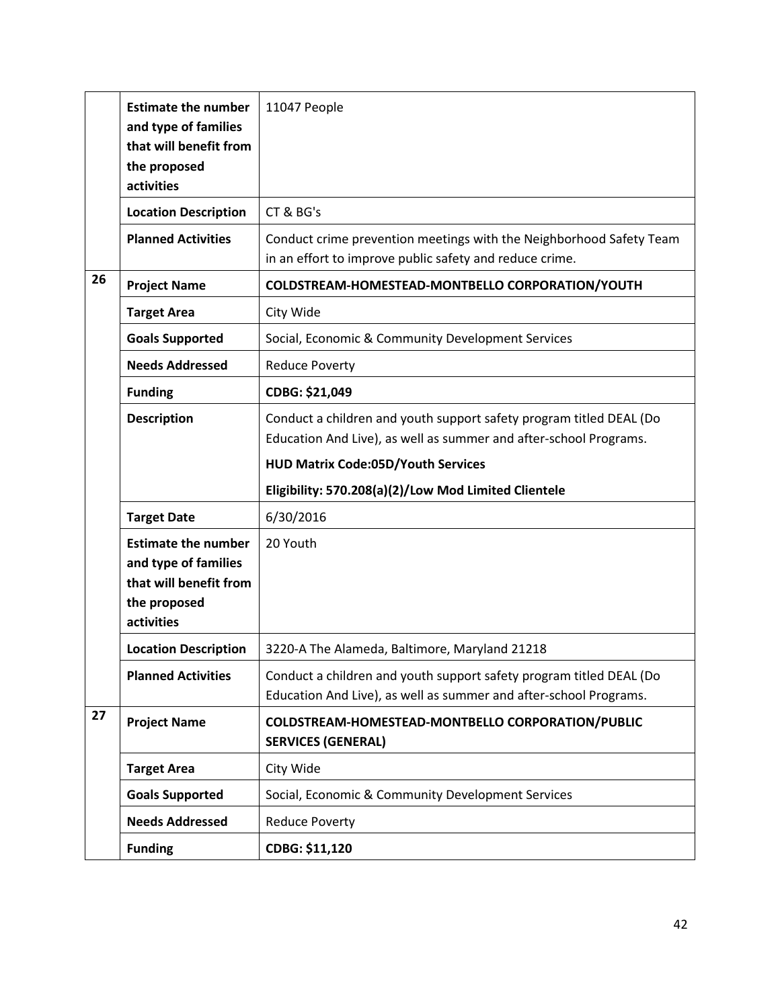|    | <b>Estimate the number</b><br>and type of families<br>that will benefit from | 11047 People                                                                                                                             |
|----|------------------------------------------------------------------------------|------------------------------------------------------------------------------------------------------------------------------------------|
|    | the proposed<br>activities                                                   |                                                                                                                                          |
|    | <b>Location Description</b>                                                  | CT & BG's                                                                                                                                |
|    | <b>Planned Activities</b>                                                    | Conduct crime prevention meetings with the Neighborhood Safety Team<br>in an effort to improve public safety and reduce crime.           |
| 26 | <b>Project Name</b>                                                          | COLDSTREAM-HOMESTEAD-MONTBELLO CORPORATION/YOUTH                                                                                         |
|    | <b>Target Area</b>                                                           | City Wide                                                                                                                                |
|    | <b>Goals Supported</b>                                                       | Social, Economic & Community Development Services                                                                                        |
|    | <b>Needs Addressed</b>                                                       | <b>Reduce Poverty</b>                                                                                                                    |
|    | <b>Funding</b>                                                               | CDBG: \$21,049                                                                                                                           |
|    | <b>Description</b>                                                           | Conduct a children and youth support safety program titled DEAL (Do<br>Education And Live), as well as summer and after-school Programs. |
|    |                                                                              | <b>HUD Matrix Code:05D/Youth Services</b>                                                                                                |
|    |                                                                              |                                                                                                                                          |
|    |                                                                              | Eligibility: 570.208(a)(2)/Low Mod Limited Clientele                                                                                     |
|    | <b>Target Date</b>                                                           | 6/30/2016                                                                                                                                |
|    | <b>Estimate the number</b>                                                   | 20 Youth                                                                                                                                 |
|    | and type of families                                                         |                                                                                                                                          |
|    | that will benefit from<br>the proposed                                       |                                                                                                                                          |
|    | activities<br><b>Location Description</b>                                    | 3220-A The Alameda, Baltimore, Maryland 21218                                                                                            |
|    | <b>Planned Activities</b>                                                    | Conduct a children and youth support safety program titled DEAL (Do<br>Education And Live), as well as summer and after-school Programs. |
| 27 | <b>Project Name</b>                                                          | COLDSTREAM-HOMESTEAD-MONTBELLO CORPORATION/PUBLIC<br><b>SERVICES (GENERAL)</b>                                                           |
|    | <b>Target Area</b>                                                           | City Wide                                                                                                                                |
|    | <b>Goals Supported</b>                                                       | Social, Economic & Community Development Services                                                                                        |
|    | <b>Needs Addressed</b>                                                       | <b>Reduce Poverty</b>                                                                                                                    |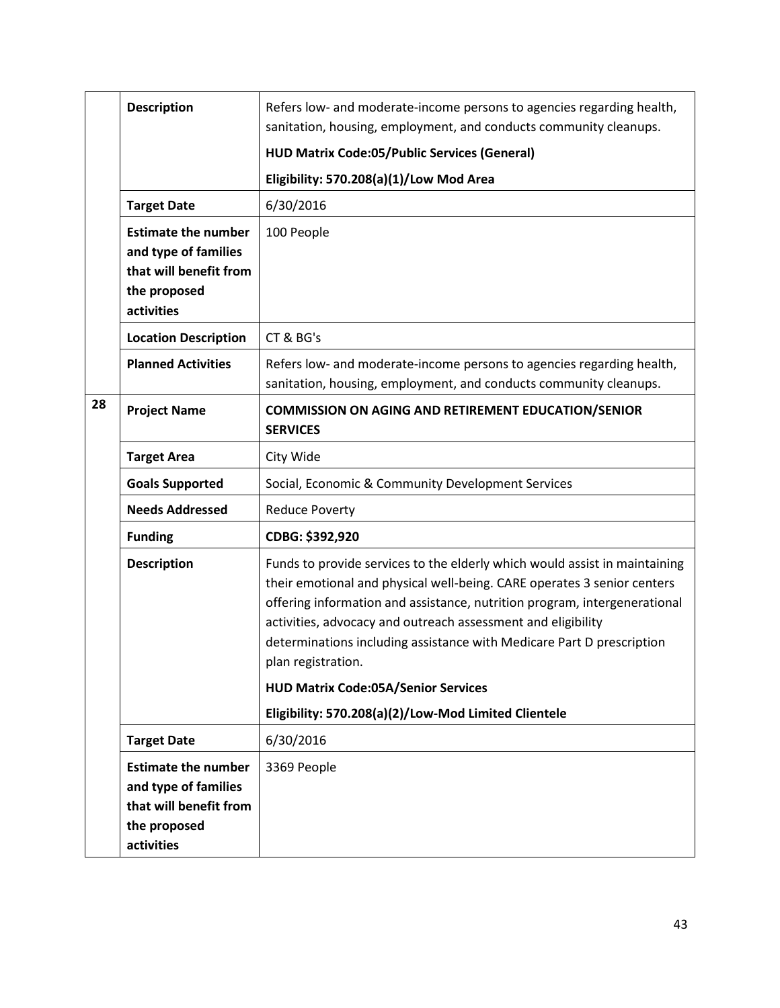|    | <b>Description</b>                                                                                         | Refers low- and moderate-income persons to agencies regarding health,<br>sanitation, housing, employment, and conducts community cleanups.                                                                                                                                                                                                                                                        |
|----|------------------------------------------------------------------------------------------------------------|---------------------------------------------------------------------------------------------------------------------------------------------------------------------------------------------------------------------------------------------------------------------------------------------------------------------------------------------------------------------------------------------------|
|    |                                                                                                            | <b>HUD Matrix Code:05/Public Services (General)</b>                                                                                                                                                                                                                                                                                                                                               |
|    |                                                                                                            | Eligibility: 570.208(a)(1)/Low Mod Area                                                                                                                                                                                                                                                                                                                                                           |
|    | <b>Target Date</b>                                                                                         | 6/30/2016                                                                                                                                                                                                                                                                                                                                                                                         |
|    | <b>Estimate the number</b><br>and type of families<br>that will benefit from<br>the proposed<br>activities | 100 People                                                                                                                                                                                                                                                                                                                                                                                        |
|    | <b>Location Description</b>                                                                                | CT & BG's                                                                                                                                                                                                                                                                                                                                                                                         |
|    | <b>Planned Activities</b>                                                                                  | Refers low- and moderate-income persons to agencies regarding health,<br>sanitation, housing, employment, and conducts community cleanups.                                                                                                                                                                                                                                                        |
| 28 | <b>Project Name</b>                                                                                        | <b>COMMISSION ON AGING AND RETIREMENT EDUCATION/SENIOR</b><br><b>SERVICES</b>                                                                                                                                                                                                                                                                                                                     |
|    | <b>Target Area</b>                                                                                         | City Wide                                                                                                                                                                                                                                                                                                                                                                                         |
|    | <b>Goals Supported</b>                                                                                     | Social, Economic & Community Development Services                                                                                                                                                                                                                                                                                                                                                 |
|    | <b>Needs Addressed</b>                                                                                     | <b>Reduce Poverty</b>                                                                                                                                                                                                                                                                                                                                                                             |
|    | <b>Funding</b>                                                                                             | CDBG: \$392,920                                                                                                                                                                                                                                                                                                                                                                                   |
|    | <b>Description</b>                                                                                         | Funds to provide services to the elderly which would assist in maintaining<br>their emotional and physical well-being. CARE operates 3 senior centers<br>offering information and assistance, nutrition program, intergenerational<br>activities, advocacy and outreach assessment and eligibility<br>determinations including assistance with Medicare Part D prescription<br>plan registration. |
|    |                                                                                                            | <b>HUD Matrix Code:05A/Senior Services</b>                                                                                                                                                                                                                                                                                                                                                        |
|    |                                                                                                            | Eligibility: 570.208(a)(2)/Low-Mod Limited Clientele                                                                                                                                                                                                                                                                                                                                              |
|    | <b>Target Date</b>                                                                                         | 6/30/2016                                                                                                                                                                                                                                                                                                                                                                                         |
|    | <b>Estimate the number</b><br>and type of families<br>that will benefit from<br>the proposed<br>activities | 3369 People                                                                                                                                                                                                                                                                                                                                                                                       |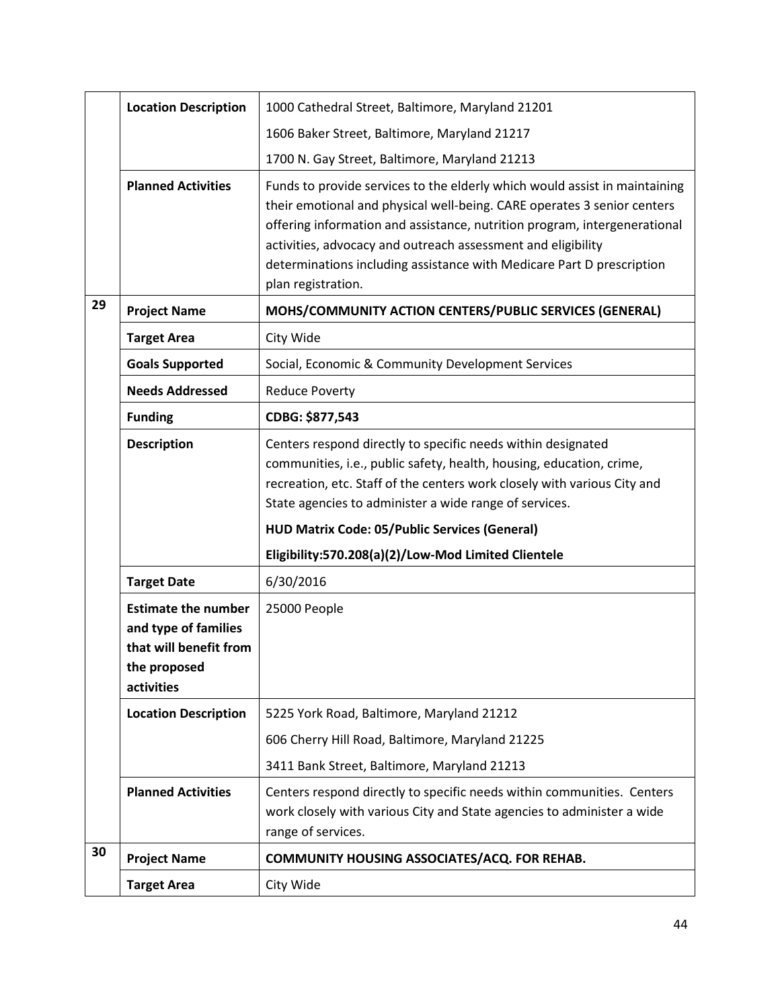|    | <b>Location Description</b>                                                                                | 1000 Cathedral Street, Baltimore, Maryland 21201                                                                                                                                                                                                                                                                                                                                                  |
|----|------------------------------------------------------------------------------------------------------------|---------------------------------------------------------------------------------------------------------------------------------------------------------------------------------------------------------------------------------------------------------------------------------------------------------------------------------------------------------------------------------------------------|
|    |                                                                                                            | 1606 Baker Street, Baltimore, Maryland 21217                                                                                                                                                                                                                                                                                                                                                      |
|    |                                                                                                            | 1700 N. Gay Street, Baltimore, Maryland 21213                                                                                                                                                                                                                                                                                                                                                     |
|    | <b>Planned Activities</b>                                                                                  | Funds to provide services to the elderly which would assist in maintaining<br>their emotional and physical well-being. CARE operates 3 senior centers<br>offering information and assistance, nutrition program, intergenerational<br>activities, advocacy and outreach assessment and eligibility<br>determinations including assistance with Medicare Part D prescription<br>plan registration. |
| 29 | <b>Project Name</b>                                                                                        | MOHS/COMMUNITY ACTION CENTERS/PUBLIC SERVICES (GENERAL)                                                                                                                                                                                                                                                                                                                                           |
|    | <b>Target Area</b>                                                                                         | City Wide                                                                                                                                                                                                                                                                                                                                                                                         |
|    | <b>Goals Supported</b>                                                                                     | Social, Economic & Community Development Services                                                                                                                                                                                                                                                                                                                                                 |
|    | <b>Needs Addressed</b>                                                                                     | <b>Reduce Poverty</b>                                                                                                                                                                                                                                                                                                                                                                             |
|    | <b>Funding</b>                                                                                             | CDBG: \$877,543                                                                                                                                                                                                                                                                                                                                                                                   |
|    | <b>Description</b>                                                                                         | Centers respond directly to specific needs within designated<br>communities, i.e., public safety, health, housing, education, crime,<br>recreation, etc. Staff of the centers work closely with various City and<br>State agencies to administer a wide range of services.<br><b>HUD Matrix Code: 05/Public Services (General)</b>                                                                |
|    |                                                                                                            | Eligibility:570.208(a)(2)/Low-Mod Limited Clientele                                                                                                                                                                                                                                                                                                                                               |
|    | <b>Target Date</b>                                                                                         | 6/30/2016                                                                                                                                                                                                                                                                                                                                                                                         |
|    | <b>Estimate the number</b><br>and type of families<br>that will benefit from<br>the proposed<br>activities | 25000 People                                                                                                                                                                                                                                                                                                                                                                                      |
|    | <b>Location Description</b>                                                                                | 5225 York Road, Baltimore, Maryland 21212                                                                                                                                                                                                                                                                                                                                                         |
|    |                                                                                                            | 606 Cherry Hill Road, Baltimore, Maryland 21225                                                                                                                                                                                                                                                                                                                                                   |
|    |                                                                                                            | 3411 Bank Street, Baltimore, Maryland 21213                                                                                                                                                                                                                                                                                                                                                       |
|    | <b>Planned Activities</b>                                                                                  | Centers respond directly to specific needs within communities. Centers<br>work closely with various City and State agencies to administer a wide<br>range of services.                                                                                                                                                                                                                            |
| 30 | <b>Project Name</b>                                                                                        | COMMUNITY HOUSING ASSOCIATES/ACQ. FOR REHAB.                                                                                                                                                                                                                                                                                                                                                      |
|    | <b>Target Area</b>                                                                                         | City Wide                                                                                                                                                                                                                                                                                                                                                                                         |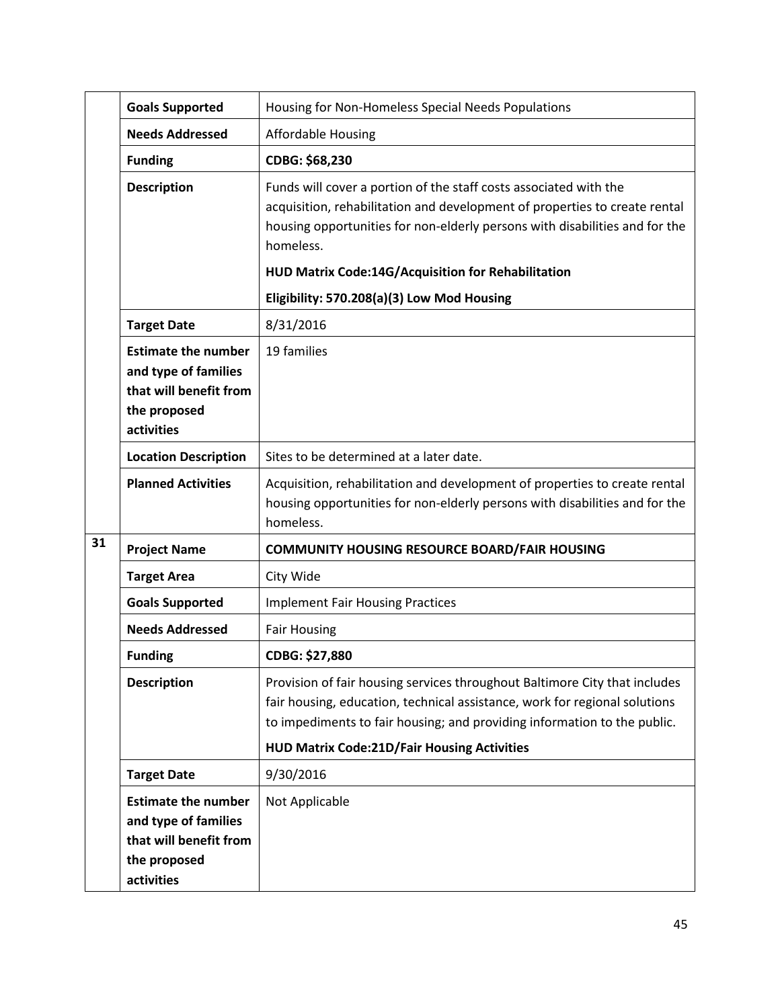|    | <b>Goals Supported</b>                                                                                     | Housing for Non-Homeless Special Needs Populations                                                                                                                                                                                                                                         |
|----|------------------------------------------------------------------------------------------------------------|--------------------------------------------------------------------------------------------------------------------------------------------------------------------------------------------------------------------------------------------------------------------------------------------|
|    | <b>Needs Addressed</b>                                                                                     | <b>Affordable Housing</b>                                                                                                                                                                                                                                                                  |
|    | <b>Funding</b>                                                                                             | CDBG: \$68,230                                                                                                                                                                                                                                                                             |
|    | <b>Description</b>                                                                                         | Funds will cover a portion of the staff costs associated with the<br>acquisition, rehabilitation and development of properties to create rental<br>housing opportunities for non-elderly persons with disabilities and for the<br>homeless.                                                |
|    |                                                                                                            | HUD Matrix Code:14G/Acquisition for Rehabilitation                                                                                                                                                                                                                                         |
|    |                                                                                                            | Eligibility: 570.208(a)(3) Low Mod Housing                                                                                                                                                                                                                                                 |
|    | <b>Target Date</b>                                                                                         | 8/31/2016                                                                                                                                                                                                                                                                                  |
|    | <b>Estimate the number</b><br>and type of families<br>that will benefit from<br>the proposed<br>activities | 19 families                                                                                                                                                                                                                                                                                |
|    | <b>Location Description</b>                                                                                | Sites to be determined at a later date.                                                                                                                                                                                                                                                    |
|    | <b>Planned Activities</b>                                                                                  | Acquisition, rehabilitation and development of properties to create rental<br>housing opportunities for non-elderly persons with disabilities and for the<br>homeless.                                                                                                                     |
| 31 | <b>Project Name</b>                                                                                        | <b>COMMUNITY HOUSING RESOURCE BOARD/FAIR HOUSING</b>                                                                                                                                                                                                                                       |
|    | <b>Target Area</b>                                                                                         | City Wide                                                                                                                                                                                                                                                                                  |
|    | <b>Goals Supported</b>                                                                                     | <b>Implement Fair Housing Practices</b>                                                                                                                                                                                                                                                    |
|    | <b>Needs Addressed</b>                                                                                     | <b>Fair Housing</b>                                                                                                                                                                                                                                                                        |
|    | <b>Funding</b>                                                                                             | CDBG: \$27,880                                                                                                                                                                                                                                                                             |
|    | <b>Description</b>                                                                                         | Provision of fair housing services throughout Baltimore City that includes<br>fair housing, education, technical assistance, work for regional solutions<br>to impediments to fair housing; and providing information to the public.<br><b>HUD Matrix Code:21D/Fair Housing Activities</b> |
|    | <b>Target Date</b>                                                                                         | 9/30/2016                                                                                                                                                                                                                                                                                  |
|    | <b>Estimate the number</b><br>and type of families<br>that will benefit from<br>the proposed<br>activities | Not Applicable                                                                                                                                                                                                                                                                             |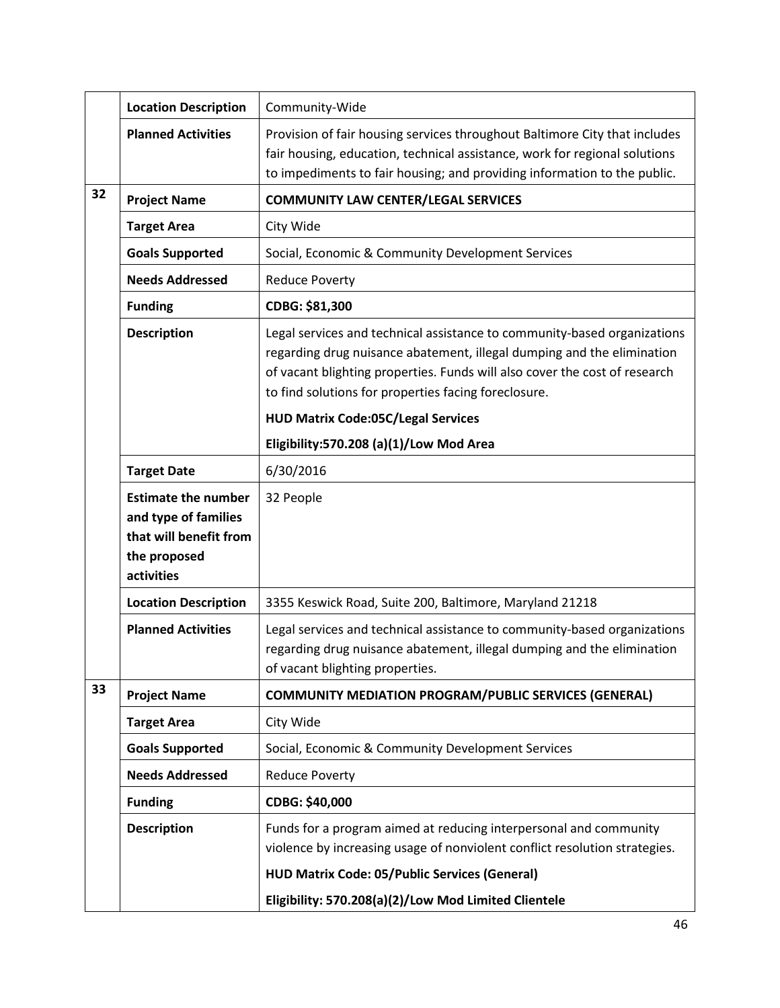|    | <b>Location Description</b>                                                                                | Community-Wide                                                                                                                                                                                                                                                                           |
|----|------------------------------------------------------------------------------------------------------------|------------------------------------------------------------------------------------------------------------------------------------------------------------------------------------------------------------------------------------------------------------------------------------------|
|    | <b>Planned Activities</b>                                                                                  | Provision of fair housing services throughout Baltimore City that includes<br>fair housing, education, technical assistance, work for regional solutions<br>to impediments to fair housing; and providing information to the public.                                                     |
| 32 | <b>Project Name</b>                                                                                        | <b>COMMUNITY LAW CENTER/LEGAL SERVICES</b>                                                                                                                                                                                                                                               |
|    | <b>Target Area</b>                                                                                         | City Wide                                                                                                                                                                                                                                                                                |
|    | <b>Goals Supported</b>                                                                                     | Social, Economic & Community Development Services                                                                                                                                                                                                                                        |
|    | <b>Needs Addressed</b>                                                                                     | <b>Reduce Poverty</b>                                                                                                                                                                                                                                                                    |
|    | <b>Funding</b>                                                                                             | CDBG: \$81,300                                                                                                                                                                                                                                                                           |
|    | <b>Description</b>                                                                                         | Legal services and technical assistance to community-based organizations<br>regarding drug nuisance abatement, illegal dumping and the elimination<br>of vacant blighting properties. Funds will also cover the cost of research<br>to find solutions for properties facing foreclosure. |
|    |                                                                                                            | <b>HUD Matrix Code:05C/Legal Services</b>                                                                                                                                                                                                                                                |
|    |                                                                                                            | Eligibility:570.208 (a)(1)/Low Mod Area                                                                                                                                                                                                                                                  |
|    | <b>Target Date</b>                                                                                         | 6/30/2016                                                                                                                                                                                                                                                                                |
|    | <b>Estimate the number</b><br>and type of families<br>that will benefit from<br>the proposed<br>activities | 32 People                                                                                                                                                                                                                                                                                |
|    | <b>Location Description</b>                                                                                | 3355 Keswick Road, Suite 200, Baltimore, Maryland 21218                                                                                                                                                                                                                                  |
|    | <b>Planned Activities</b>                                                                                  | Legal services and technical assistance to community-based organizations<br>regarding drug nuisance abatement, illegal dumping and the elimination<br>of vacant blighting properties.                                                                                                    |
| 33 | <b>Project Name</b>                                                                                        | <b>COMMUNITY MEDIATION PROGRAM/PUBLIC SERVICES (GENERAL)</b>                                                                                                                                                                                                                             |
|    | <b>Target Area</b>                                                                                         | City Wide                                                                                                                                                                                                                                                                                |
|    | <b>Goals Supported</b>                                                                                     | Social, Economic & Community Development Services                                                                                                                                                                                                                                        |
|    | <b>Needs Addressed</b>                                                                                     | <b>Reduce Poverty</b>                                                                                                                                                                                                                                                                    |
|    | <b>Funding</b>                                                                                             | CDBG: \$40,000                                                                                                                                                                                                                                                                           |
|    | <b>Description</b>                                                                                         | Funds for a program aimed at reducing interpersonal and community<br>violence by increasing usage of nonviolent conflict resolution strategies.                                                                                                                                          |
|    |                                                                                                            | <b>HUD Matrix Code: 05/Public Services (General)</b>                                                                                                                                                                                                                                     |
|    |                                                                                                            | Eligibility: 570.208(a)(2)/Low Mod Limited Clientele                                                                                                                                                                                                                                     |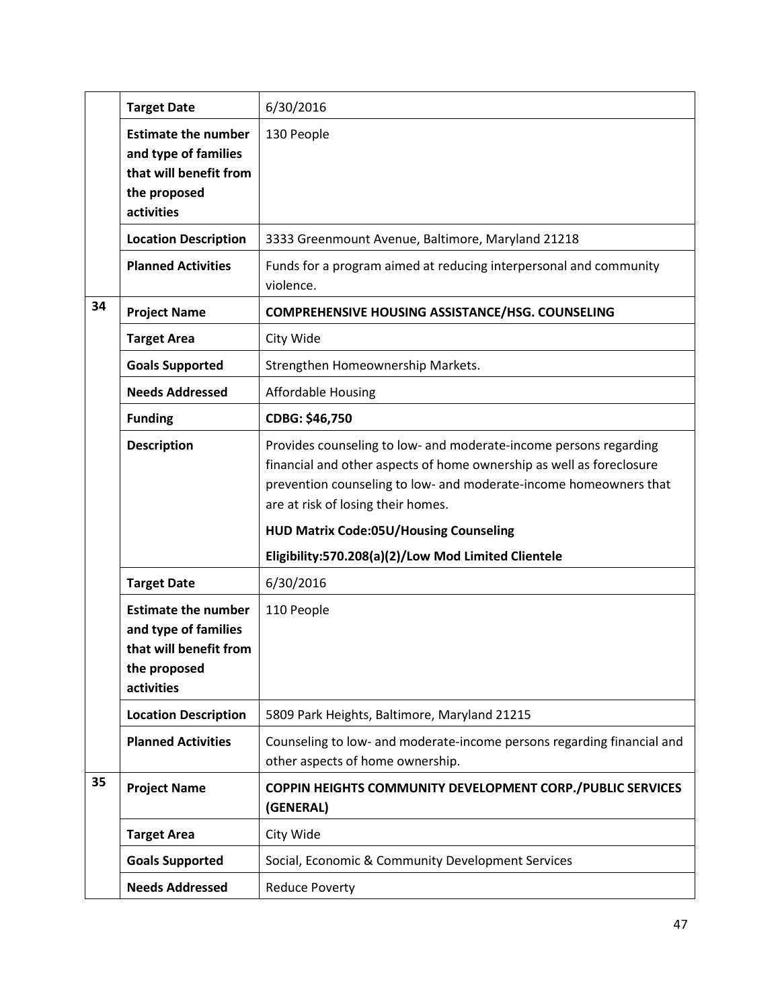|    | <b>Target Date</b>                                                                                         | 6/30/2016                                                                                                                                                                                                                                                                                             |
|----|------------------------------------------------------------------------------------------------------------|-------------------------------------------------------------------------------------------------------------------------------------------------------------------------------------------------------------------------------------------------------------------------------------------------------|
|    | <b>Estimate the number</b><br>and type of families<br>that will benefit from<br>the proposed<br>activities | 130 People                                                                                                                                                                                                                                                                                            |
|    | <b>Location Description</b>                                                                                | 3333 Greenmount Avenue, Baltimore, Maryland 21218                                                                                                                                                                                                                                                     |
|    | <b>Planned Activities</b>                                                                                  | Funds for a program aimed at reducing interpersonal and community<br>violence.                                                                                                                                                                                                                        |
| 34 | <b>Project Name</b>                                                                                        | <b>COMPREHENSIVE HOUSING ASSISTANCE/HSG. COUNSELING</b>                                                                                                                                                                                                                                               |
|    | <b>Target Area</b>                                                                                         | City Wide                                                                                                                                                                                                                                                                                             |
|    | <b>Goals Supported</b>                                                                                     | Strengthen Homeownership Markets.                                                                                                                                                                                                                                                                     |
|    | <b>Needs Addressed</b>                                                                                     | <b>Affordable Housing</b>                                                                                                                                                                                                                                                                             |
|    | <b>Funding</b>                                                                                             | CDBG: \$46,750                                                                                                                                                                                                                                                                                        |
|    | <b>Description</b>                                                                                         | Provides counseling to low- and moderate-income persons regarding<br>financial and other aspects of home ownership as well as foreclosure<br>prevention counseling to low- and moderate-income homeowners that<br>are at risk of losing their homes.<br><b>HUD Matrix Code:05U/Housing Counseling</b> |
|    |                                                                                                            | Eligibility:570.208(a)(2)/Low Mod Limited Clientele                                                                                                                                                                                                                                                   |
|    | <b>Target Date</b>                                                                                         | 6/30/2016                                                                                                                                                                                                                                                                                             |
|    | <b>Estimate the number</b><br>and type of families<br>that will benefit from<br>the proposed<br>activities | 110 People                                                                                                                                                                                                                                                                                            |
|    | <b>Location Description</b>                                                                                | 5809 Park Heights, Baltimore, Maryland 21215                                                                                                                                                                                                                                                          |
|    | <b>Planned Activities</b>                                                                                  | Counseling to low- and moderate-income persons regarding financial and<br>other aspects of home ownership.                                                                                                                                                                                            |
| 35 | <b>Project Name</b>                                                                                        | COPPIN HEIGHTS COMMUNITY DEVELOPMENT CORP./PUBLIC SERVICES<br>(GENERAL)                                                                                                                                                                                                                               |
|    | <b>Target Area</b>                                                                                         | City Wide                                                                                                                                                                                                                                                                                             |
|    | <b>Goals Supported</b>                                                                                     | Social, Economic & Community Development Services                                                                                                                                                                                                                                                     |
|    | <b>Needs Addressed</b>                                                                                     | <b>Reduce Poverty</b>                                                                                                                                                                                                                                                                                 |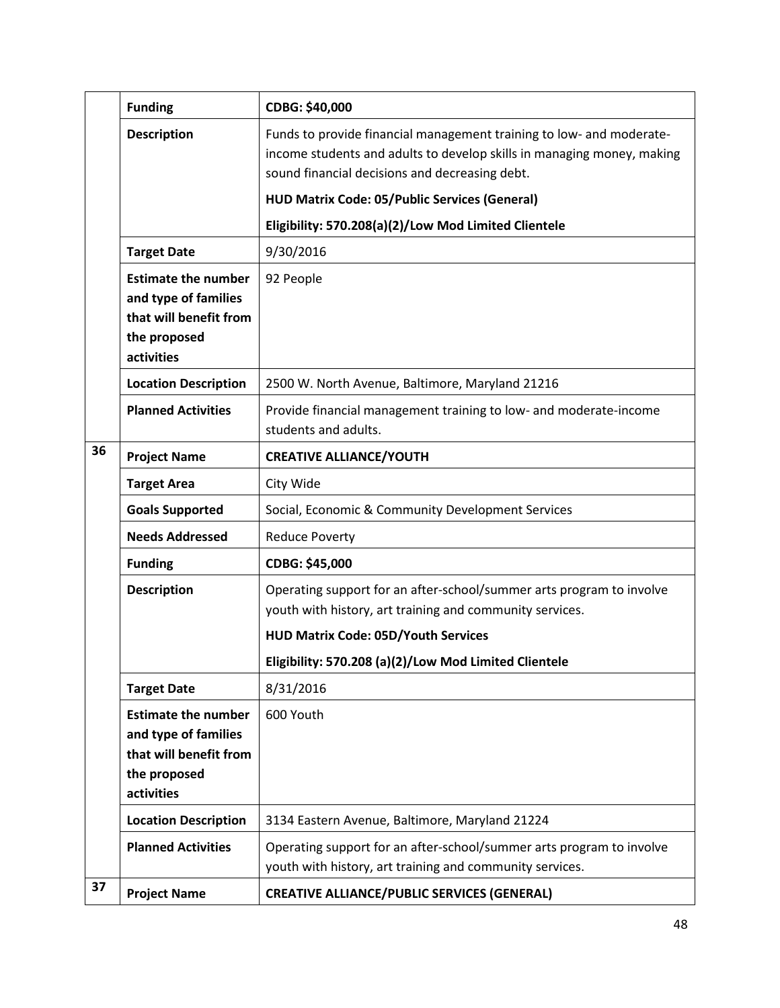|    | <b>Funding</b>                                                                                             | CDBG: \$40,000                                                                                                                                                                                   |
|----|------------------------------------------------------------------------------------------------------------|--------------------------------------------------------------------------------------------------------------------------------------------------------------------------------------------------|
|    | <b>Description</b>                                                                                         | Funds to provide financial management training to low- and moderate-<br>income students and adults to develop skills in managing money, making<br>sound financial decisions and decreasing debt. |
|    |                                                                                                            | <b>HUD Matrix Code: 05/Public Services (General)</b>                                                                                                                                             |
|    |                                                                                                            | Eligibility: 570.208(a)(2)/Low Mod Limited Clientele                                                                                                                                             |
|    | <b>Target Date</b>                                                                                         | 9/30/2016                                                                                                                                                                                        |
|    | <b>Estimate the number</b><br>and type of families<br>that will benefit from<br>the proposed<br>activities | 92 People                                                                                                                                                                                        |
|    | <b>Location Description</b>                                                                                | 2500 W. North Avenue, Baltimore, Maryland 21216                                                                                                                                                  |
|    | <b>Planned Activities</b>                                                                                  | Provide financial management training to low- and moderate-income<br>students and adults.                                                                                                        |
| 36 | <b>Project Name</b>                                                                                        | <b>CREATIVE ALLIANCE/YOUTH</b>                                                                                                                                                                   |
|    | <b>Target Area</b>                                                                                         | City Wide                                                                                                                                                                                        |
|    | <b>Goals Supported</b>                                                                                     | Social, Economic & Community Development Services                                                                                                                                                |
|    | <b>Needs Addressed</b>                                                                                     | <b>Reduce Poverty</b>                                                                                                                                                                            |
|    | <b>Funding</b>                                                                                             | CDBG: \$45,000                                                                                                                                                                                   |
|    | <b>Description</b>                                                                                         | Operating support for an after-school/summer arts program to involve<br>youth with history, art training and community services.                                                                 |
|    |                                                                                                            | <b>HUD Matrix Code: 05D/Youth Services</b>                                                                                                                                                       |
|    |                                                                                                            | Eligibility: 570.208 (a)(2)/Low Mod Limited Clientele                                                                                                                                            |
|    | <b>Target Date</b>                                                                                         | 8/31/2016                                                                                                                                                                                        |
|    | <b>Estimate the number</b><br>and type of families<br>that will benefit from<br>the proposed<br>activities | 600 Youth                                                                                                                                                                                        |
|    | <b>Location Description</b>                                                                                | 3134 Eastern Avenue, Baltimore, Maryland 21224                                                                                                                                                   |
|    | <b>Planned Activities</b>                                                                                  | Operating support for an after-school/summer arts program to involve<br>youth with history, art training and community services.                                                                 |
| 37 | <b>Project Name</b>                                                                                        | <b>CREATIVE ALLIANCE/PUBLIC SERVICES (GENERAL)</b>                                                                                                                                               |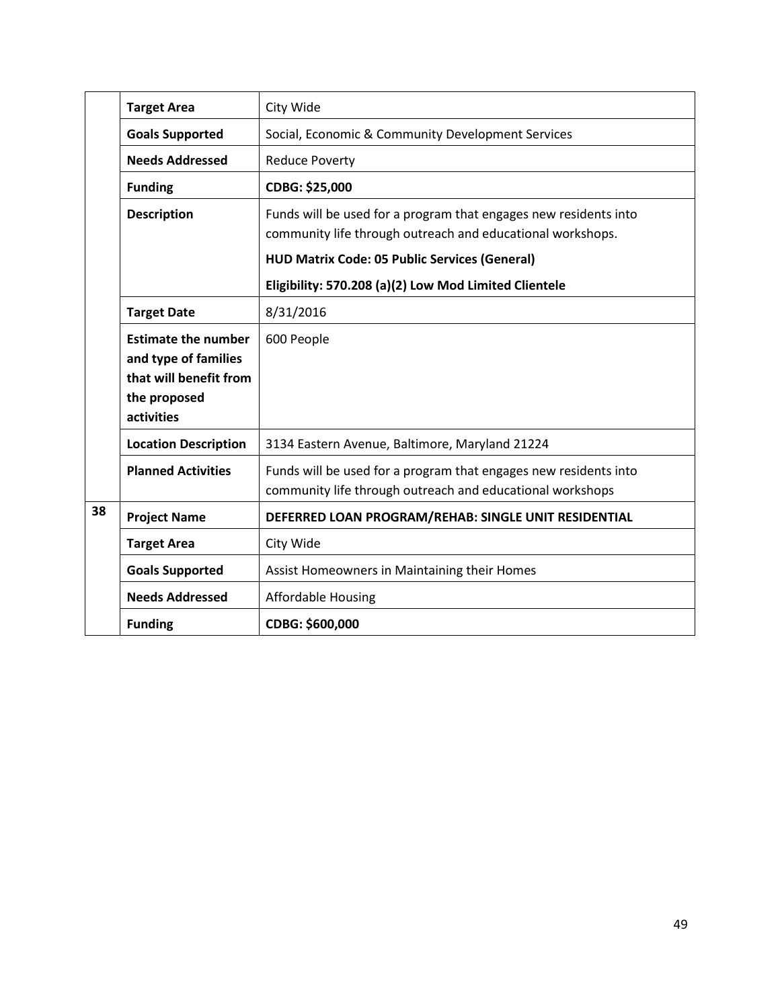|    | <b>Target Area</b>                                                                                         | City Wide                                                                                                                      |
|----|------------------------------------------------------------------------------------------------------------|--------------------------------------------------------------------------------------------------------------------------------|
|    | <b>Goals Supported</b>                                                                                     | Social, Economic & Community Development Services                                                                              |
|    | <b>Needs Addressed</b>                                                                                     | <b>Reduce Poverty</b>                                                                                                          |
|    | <b>Funding</b>                                                                                             | CDBG: \$25,000                                                                                                                 |
|    | <b>Description</b>                                                                                         | Funds will be used for a program that engages new residents into<br>community life through outreach and educational workshops. |
|    |                                                                                                            | <b>HUD Matrix Code: 05 Public Services (General)</b>                                                                           |
|    |                                                                                                            | Eligibility: 570.208 (a)(2) Low Mod Limited Clientele                                                                          |
|    | <b>Target Date</b>                                                                                         | 8/31/2016                                                                                                                      |
|    | <b>Estimate the number</b><br>and type of families<br>that will benefit from<br>the proposed<br>activities | 600 People                                                                                                                     |
|    | <b>Location Description</b>                                                                                | 3134 Eastern Avenue, Baltimore, Maryland 21224                                                                                 |
|    | <b>Planned Activities</b>                                                                                  | Funds will be used for a program that engages new residents into<br>community life through outreach and educational workshops  |
| 38 | <b>Project Name</b>                                                                                        | DEFERRED LOAN PROGRAM/REHAB: SINGLE UNIT RESIDENTIAL                                                                           |
|    | <b>Target Area</b>                                                                                         | City Wide                                                                                                                      |
|    | <b>Goals Supported</b>                                                                                     | Assist Homeowners in Maintaining their Homes                                                                                   |
|    | <b>Needs Addressed</b>                                                                                     | <b>Affordable Housing</b>                                                                                                      |
|    | <b>Funding</b>                                                                                             | CDBG: \$600,000                                                                                                                |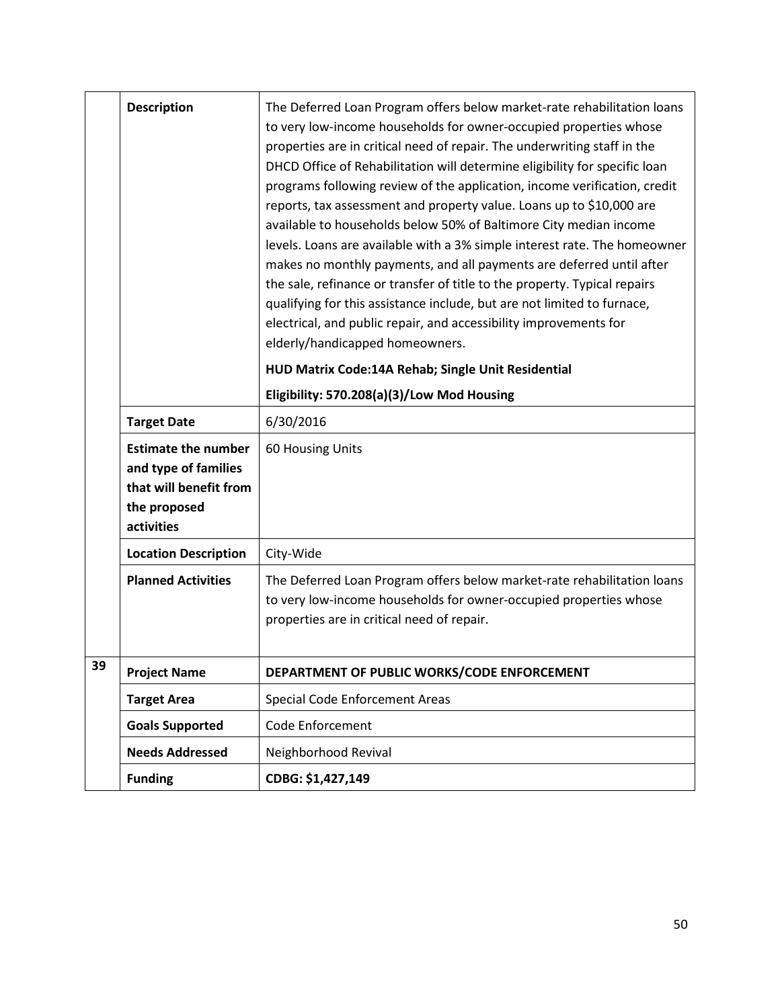|    | <b>Description</b>                                                                                         | The Deferred Loan Program offers below market-rate rehabilitation loans<br>to very low-income households for owner-occupied properties whose<br>properties are in critical need of repair. The underwriting staff in the<br>DHCD Office of Rehabilitation will determine eligibility for specific loan<br>programs following review of the application, income verification, credit<br>reports, tax assessment and property value. Loans up to \$10,000 are<br>available to households below 50% of Baltimore City median income<br>levels. Loans are available with a 3% simple interest rate. The homeowner<br>makes no monthly payments, and all payments are deferred until after<br>the sale, refinance or transfer of title to the property. Typical repairs<br>qualifying for this assistance include, but are not limited to furnace,<br>electrical, and public repair, and accessibility improvements for<br>elderly/handicapped homeowners. |
|----|------------------------------------------------------------------------------------------------------------|-------------------------------------------------------------------------------------------------------------------------------------------------------------------------------------------------------------------------------------------------------------------------------------------------------------------------------------------------------------------------------------------------------------------------------------------------------------------------------------------------------------------------------------------------------------------------------------------------------------------------------------------------------------------------------------------------------------------------------------------------------------------------------------------------------------------------------------------------------------------------------------------------------------------------------------------------------|
|    |                                                                                                            | HUD Matrix Code:14A Rehab; Single Unit Residential                                                                                                                                                                                                                                                                                                                                                                                                                                                                                                                                                                                                                                                                                                                                                                                                                                                                                                    |
|    |                                                                                                            | Eligibility: 570.208(a)(3)/Low Mod Housing                                                                                                                                                                                                                                                                                                                                                                                                                                                                                                                                                                                                                                                                                                                                                                                                                                                                                                            |
|    | <b>Target Date</b>                                                                                         | 6/30/2016                                                                                                                                                                                                                                                                                                                                                                                                                                                                                                                                                                                                                                                                                                                                                                                                                                                                                                                                             |
|    | <b>Estimate the number</b><br>and type of families<br>that will benefit from<br>the proposed<br>activities | 60 Housing Units                                                                                                                                                                                                                                                                                                                                                                                                                                                                                                                                                                                                                                                                                                                                                                                                                                                                                                                                      |
|    | <b>Location Description</b>                                                                                | City-Wide                                                                                                                                                                                                                                                                                                                                                                                                                                                                                                                                                                                                                                                                                                                                                                                                                                                                                                                                             |
|    | <b>Planned Activities</b>                                                                                  | The Deferred Loan Program offers below market-rate rehabilitation loans<br>to very low-income households for owner-occupied properties whose<br>properties are in critical need of repair.                                                                                                                                                                                                                                                                                                                                                                                                                                                                                                                                                                                                                                                                                                                                                            |
| 39 | <b>Project Name</b>                                                                                        | DEPARTMENT OF PUBLIC WORKS/CODE ENFORCEMENT                                                                                                                                                                                                                                                                                                                                                                                                                                                                                                                                                                                                                                                                                                                                                                                                                                                                                                           |
|    | <b>Target Area</b>                                                                                         | <b>Special Code Enforcement Areas</b>                                                                                                                                                                                                                                                                                                                                                                                                                                                                                                                                                                                                                                                                                                                                                                                                                                                                                                                 |
|    | <b>Goals Supported</b>                                                                                     | Code Enforcement                                                                                                                                                                                                                                                                                                                                                                                                                                                                                                                                                                                                                                                                                                                                                                                                                                                                                                                                      |
|    | <b>Needs Addressed</b>                                                                                     | Neighborhood Revival                                                                                                                                                                                                                                                                                                                                                                                                                                                                                                                                                                                                                                                                                                                                                                                                                                                                                                                                  |
|    | <b>Funding</b>                                                                                             | CDBG: \$1,427,149                                                                                                                                                                                                                                                                                                                                                                                                                                                                                                                                                                                                                                                                                                                                                                                                                                                                                                                                     |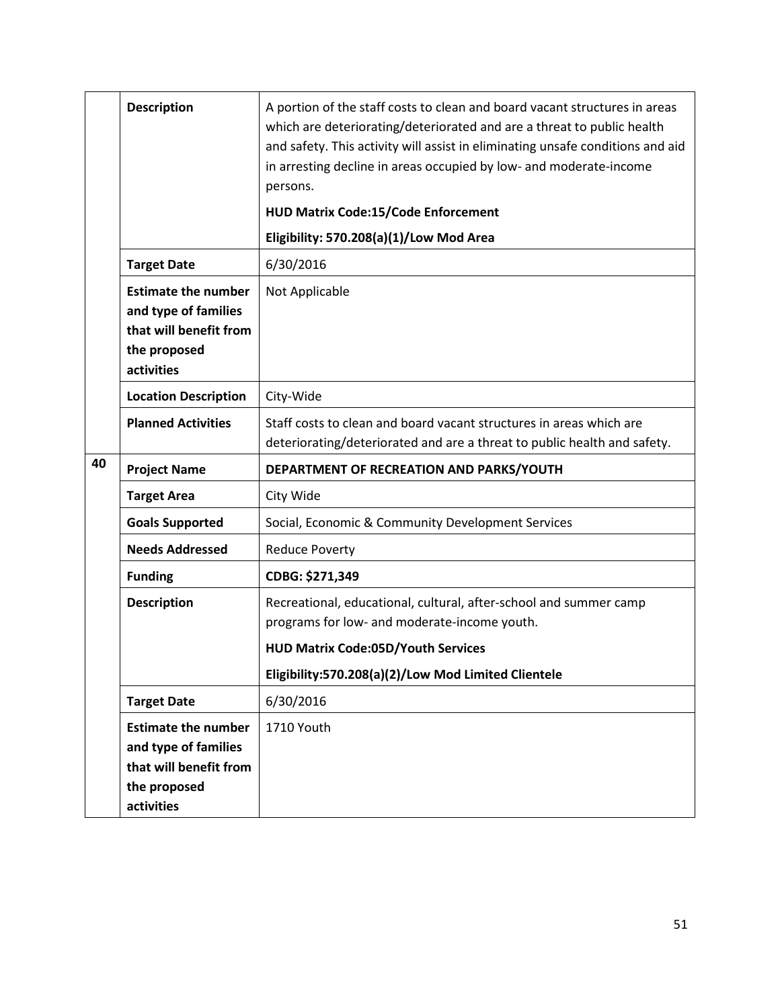|    | <b>Description</b>                                                                                         | A portion of the staff costs to clean and board vacant structures in areas<br>which are deteriorating/deteriorated and are a threat to public health<br>and safety. This activity will assist in eliminating unsafe conditions and aid<br>in arresting decline in areas occupied by low- and moderate-income |
|----|------------------------------------------------------------------------------------------------------------|--------------------------------------------------------------------------------------------------------------------------------------------------------------------------------------------------------------------------------------------------------------------------------------------------------------|
|    |                                                                                                            | persons.<br><b>HUD Matrix Code:15/Code Enforcement</b>                                                                                                                                                                                                                                                       |
|    |                                                                                                            | Eligibility: 570.208(a)(1)/Low Mod Area                                                                                                                                                                                                                                                                      |
|    | <b>Target Date</b>                                                                                         | 6/30/2016                                                                                                                                                                                                                                                                                                    |
|    | <b>Estimate the number</b><br>and type of families<br>that will benefit from<br>the proposed<br>activities | Not Applicable                                                                                                                                                                                                                                                                                               |
|    | <b>Location Description</b>                                                                                | City-Wide                                                                                                                                                                                                                                                                                                    |
|    | <b>Planned Activities</b>                                                                                  | Staff costs to clean and board vacant structures in areas which are<br>deteriorating/deteriorated and are a threat to public health and safety.                                                                                                                                                              |
| 40 |                                                                                                            |                                                                                                                                                                                                                                                                                                              |
|    | <b>Project Name</b>                                                                                        | DEPARTMENT OF RECREATION AND PARKS/YOUTH                                                                                                                                                                                                                                                                     |
|    | <b>Target Area</b>                                                                                         | City Wide                                                                                                                                                                                                                                                                                                    |
|    | <b>Goals Supported</b>                                                                                     | Social, Economic & Community Development Services                                                                                                                                                                                                                                                            |
|    | <b>Needs Addressed</b>                                                                                     | <b>Reduce Poverty</b>                                                                                                                                                                                                                                                                                        |
|    | <b>Funding</b>                                                                                             | CDBG: \$271,349                                                                                                                                                                                                                                                                                              |
|    | <b>Description</b>                                                                                         | Recreational, educational, cultural, after-school and summer camp<br>programs for low- and moderate-income youth.<br><b>HUD Matrix Code:05D/Youth Services</b>                                                                                                                                               |
|    |                                                                                                            | Eligibility:570.208(a)(2)/Low Mod Limited Clientele                                                                                                                                                                                                                                                          |
|    | <b>Target Date</b>                                                                                         | 6/30/2016                                                                                                                                                                                                                                                                                                    |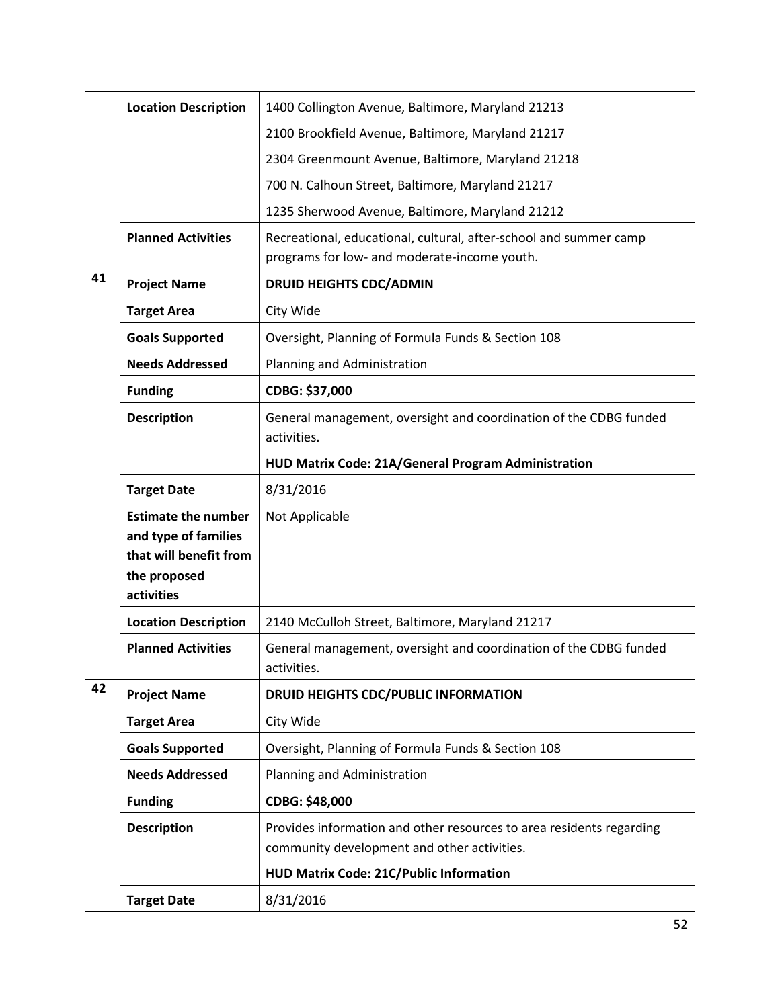|    | <b>Location Description</b>                                                                                | 1400 Collington Avenue, Baltimore, Maryland 21213                                                                   |
|----|------------------------------------------------------------------------------------------------------------|---------------------------------------------------------------------------------------------------------------------|
|    |                                                                                                            | 2100 Brookfield Avenue, Baltimore, Maryland 21217                                                                   |
|    |                                                                                                            | 2304 Greenmount Avenue, Baltimore, Maryland 21218                                                                   |
|    |                                                                                                            | 700 N. Calhoun Street, Baltimore, Maryland 21217                                                                    |
|    |                                                                                                            | 1235 Sherwood Avenue, Baltimore, Maryland 21212                                                                     |
|    | <b>Planned Activities</b>                                                                                  | Recreational, educational, cultural, after-school and summer camp<br>programs for low- and moderate-income youth.   |
| 41 | <b>Project Name</b>                                                                                        | <b>DRUID HEIGHTS CDC/ADMIN</b>                                                                                      |
|    | <b>Target Area</b>                                                                                         | City Wide                                                                                                           |
|    | <b>Goals Supported</b>                                                                                     | Oversight, Planning of Formula Funds & Section 108                                                                  |
|    | <b>Needs Addressed</b>                                                                                     | Planning and Administration                                                                                         |
|    | <b>Funding</b>                                                                                             | CDBG: \$37,000                                                                                                      |
|    | <b>Description</b>                                                                                         | General management, oversight and coordination of the CDBG funded<br>activities.                                    |
|    |                                                                                                            | HUD Matrix Code: 21A/General Program Administration                                                                 |
|    | <b>Target Date</b>                                                                                         | 8/31/2016                                                                                                           |
|    | <b>Estimate the number</b><br>and type of families<br>that will benefit from<br>the proposed<br>activities | Not Applicable                                                                                                      |
|    | <b>Location Description</b>                                                                                | 2140 McCulloh Street, Baltimore, Maryland 21217                                                                     |
|    | <b>Planned Activities</b>                                                                                  | General management, oversight and coordination of the CDBG funded<br>activities.                                    |
| 42 | <b>Project Name</b>                                                                                        | DRUID HEIGHTS CDC/PUBLIC INFORMATION                                                                                |
|    | <b>Target Area</b>                                                                                         | City Wide                                                                                                           |
|    | <b>Goals Supported</b>                                                                                     | Oversight, Planning of Formula Funds & Section 108                                                                  |
|    | <b>Needs Addressed</b>                                                                                     | Planning and Administration                                                                                         |
|    | <b>Funding</b>                                                                                             | CDBG: \$48,000                                                                                                      |
|    | <b>Description</b>                                                                                         | Provides information and other resources to area residents regarding<br>community development and other activities. |
|    |                                                                                                            | HUD Matrix Code: 21C/Public Information                                                                             |
|    | <b>Target Date</b>                                                                                         | 8/31/2016                                                                                                           |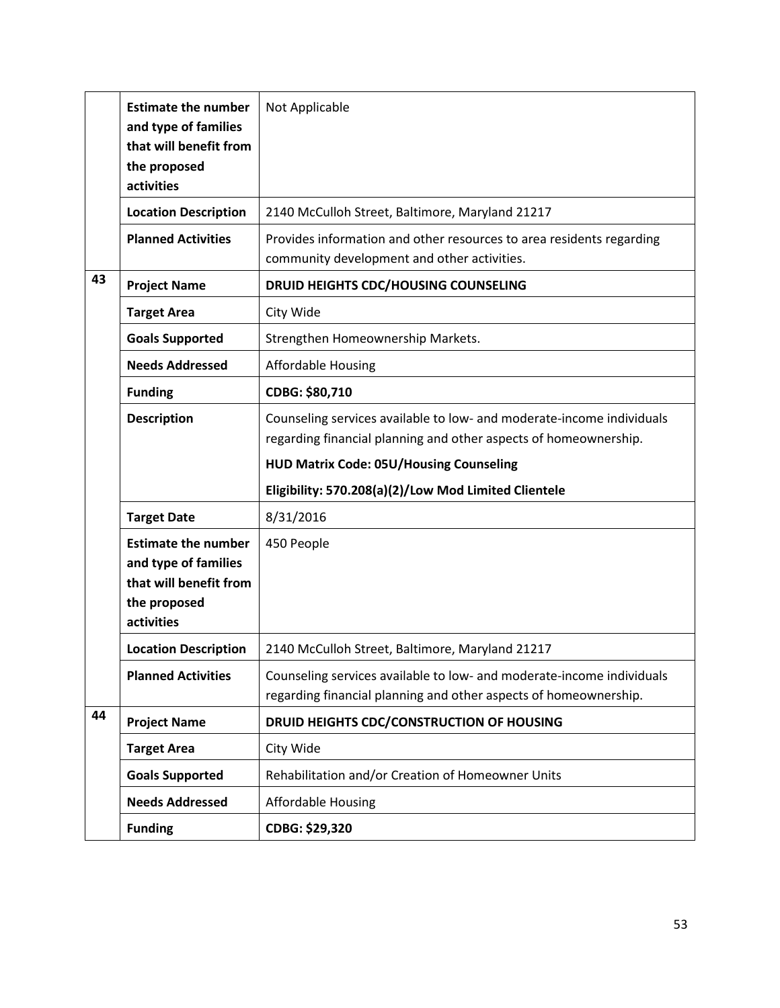|    | <b>Estimate the number</b><br>and type of families | Not Applicable                                                                                                                            |
|----|----------------------------------------------------|-------------------------------------------------------------------------------------------------------------------------------------------|
|    | that will benefit from                             |                                                                                                                                           |
|    | the proposed                                       |                                                                                                                                           |
|    | activities                                         |                                                                                                                                           |
|    | <b>Location Description</b>                        | 2140 McCulloh Street, Baltimore, Maryland 21217                                                                                           |
|    | <b>Planned Activities</b>                          | Provides information and other resources to area residents regarding                                                                      |
|    |                                                    | community development and other activities.                                                                                               |
| 43 | <b>Project Name</b>                                | DRUID HEIGHTS CDC/HOUSING COUNSELING                                                                                                      |
|    | <b>Target Area</b>                                 | City Wide                                                                                                                                 |
|    | <b>Goals Supported</b>                             | Strengthen Homeownership Markets.                                                                                                         |
|    | <b>Needs Addressed</b>                             | <b>Affordable Housing</b>                                                                                                                 |
|    | <b>Funding</b>                                     | CDBG: \$80,710                                                                                                                            |
|    | <b>Description</b>                                 | Counseling services available to low- and moderate-income individuals<br>regarding financial planning and other aspects of homeownership. |
|    |                                                    | <b>HUD Matrix Code: 05U/Housing Counseling</b>                                                                                            |
|    |                                                    | Eligibility: 570.208(a)(2)/Low Mod Limited Clientele                                                                                      |
|    | <b>Target Date</b>                                 | 8/31/2016                                                                                                                                 |
|    | <b>Estimate the number</b>                         | 450 People                                                                                                                                |
|    | and type of families                               |                                                                                                                                           |
|    | that will benefit from                             |                                                                                                                                           |
|    | the proposed                                       |                                                                                                                                           |
|    | activities                                         |                                                                                                                                           |
|    | <b>Location Description</b>                        | 2140 McCulloh Street, Baltimore, Maryland 21217                                                                                           |
|    | <b>Planned Activities</b>                          | Counseling services available to low- and moderate-income individuals<br>regarding financial planning and other aspects of homeownership. |
| 44 | <b>Project Name</b>                                | DRUID HEIGHTS CDC/CONSTRUCTION OF HOUSING                                                                                                 |
|    | <b>Target Area</b>                                 | City Wide                                                                                                                                 |
|    | <b>Goals Supported</b>                             | Rehabilitation and/or Creation of Homeowner Units                                                                                         |
|    |                                                    |                                                                                                                                           |
|    | <b>Needs Addressed</b>                             | <b>Affordable Housing</b>                                                                                                                 |
|    | <b>Funding</b>                                     | CDBG: \$29,320                                                                                                                            |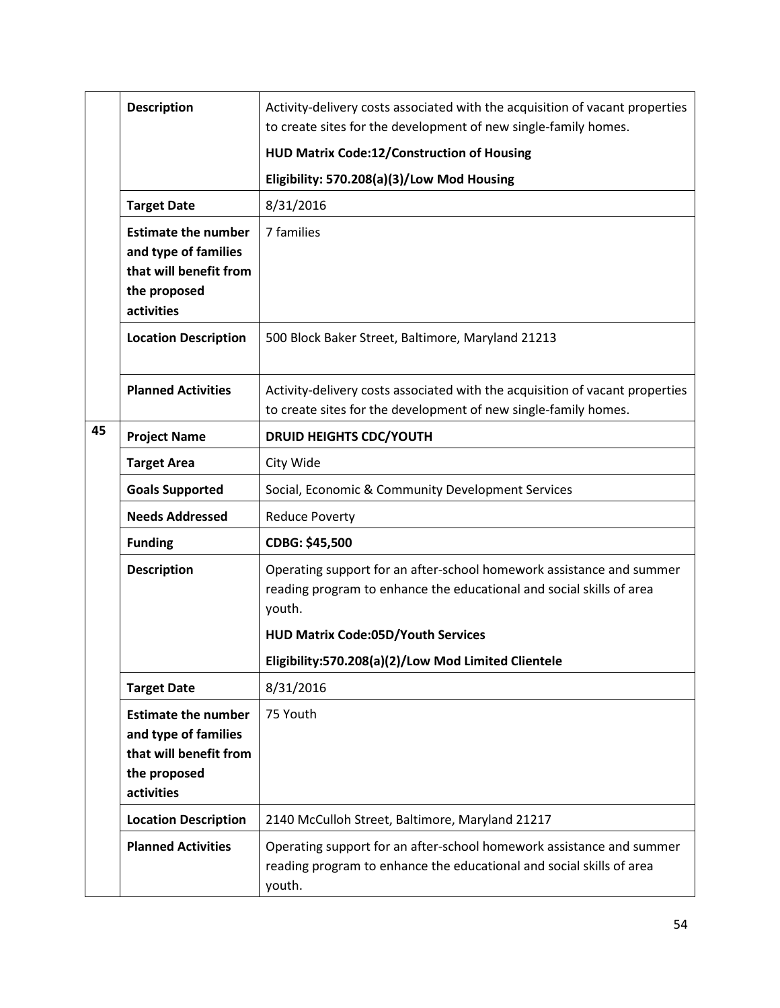|    | <b>Description</b>                                                                                         | Activity-delivery costs associated with the acquisition of vacant properties<br>to create sites for the development of new single-family homes.                                                                                                            |
|----|------------------------------------------------------------------------------------------------------------|------------------------------------------------------------------------------------------------------------------------------------------------------------------------------------------------------------------------------------------------------------|
|    |                                                                                                            | HUD Matrix Code:12/Construction of Housing                                                                                                                                                                                                                 |
|    |                                                                                                            | Eligibility: 570.208(a)(3)/Low Mod Housing                                                                                                                                                                                                                 |
|    | <b>Target Date</b>                                                                                         | 8/31/2016                                                                                                                                                                                                                                                  |
|    | <b>Estimate the number</b><br>and type of families<br>that will benefit from<br>the proposed<br>activities | 7 families                                                                                                                                                                                                                                                 |
|    | <b>Location Description</b>                                                                                | 500 Block Baker Street, Baltimore, Maryland 21213                                                                                                                                                                                                          |
|    | <b>Planned Activities</b>                                                                                  | Activity-delivery costs associated with the acquisition of vacant properties<br>to create sites for the development of new single-family homes.                                                                                                            |
| 45 | <b>Project Name</b>                                                                                        | <b>DRUID HEIGHTS CDC/YOUTH</b>                                                                                                                                                                                                                             |
|    | <b>Target Area</b>                                                                                         | City Wide                                                                                                                                                                                                                                                  |
|    | <b>Goals Supported</b>                                                                                     | Social, Economic & Community Development Services                                                                                                                                                                                                          |
|    | <b>Needs Addressed</b>                                                                                     | <b>Reduce Poverty</b>                                                                                                                                                                                                                                      |
|    | <b>Funding</b>                                                                                             | CDBG: \$45,500                                                                                                                                                                                                                                             |
|    | <b>Description</b>                                                                                         | Operating support for an after-school homework assistance and summer<br>reading program to enhance the educational and social skills of area<br>youth.<br><b>HUD Matrix Code:05D/Youth Services</b><br>Eligibility:570.208(a)(2)/Low Mod Limited Clientele |
|    | <b>Target Date</b>                                                                                         | 8/31/2016                                                                                                                                                                                                                                                  |
|    | <b>Estimate the number</b><br>and type of families<br>that will benefit from<br>the proposed<br>activities | 75 Youth                                                                                                                                                                                                                                                   |
|    | <b>Location Description</b>                                                                                | 2140 McCulloh Street, Baltimore, Maryland 21217                                                                                                                                                                                                            |
|    | <b>Planned Activities</b>                                                                                  | Operating support for an after-school homework assistance and summer<br>reading program to enhance the educational and social skills of area<br>youth.                                                                                                     |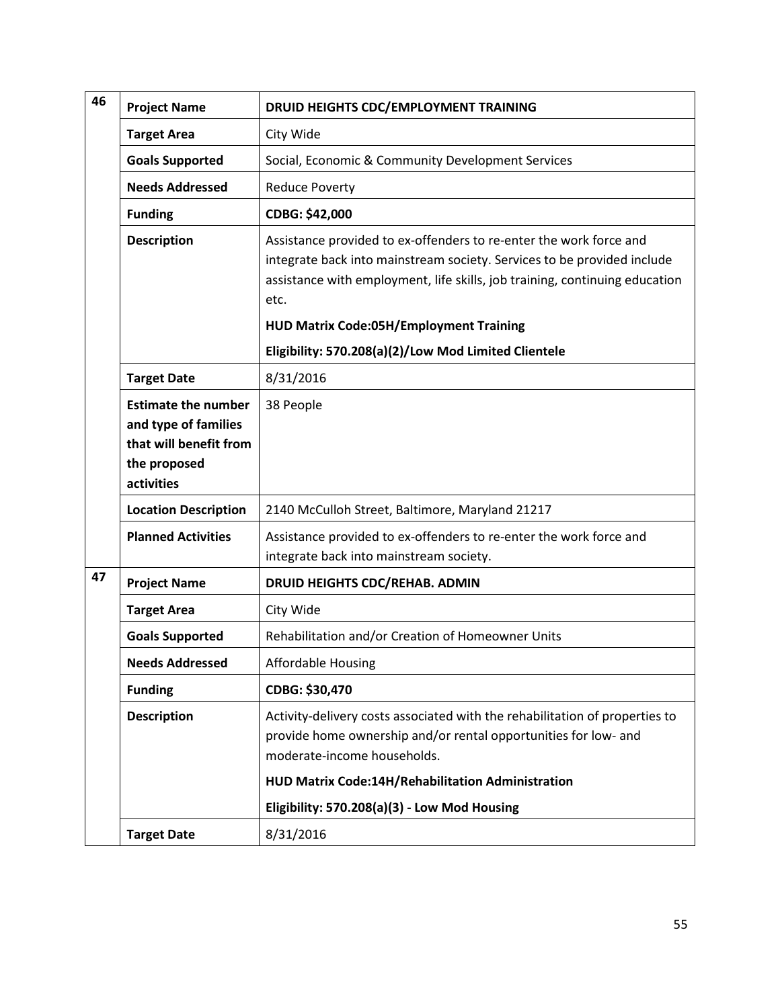| 46 | <b>Project Name</b>                                                                                        | DRUID HEIGHTS CDC/EMPLOYMENT TRAINING                                                                                                                                                                                                |
|----|------------------------------------------------------------------------------------------------------------|--------------------------------------------------------------------------------------------------------------------------------------------------------------------------------------------------------------------------------------|
|    | <b>Target Area</b>                                                                                         | City Wide                                                                                                                                                                                                                            |
|    | <b>Goals Supported</b>                                                                                     | Social, Economic & Community Development Services                                                                                                                                                                                    |
|    | <b>Needs Addressed</b>                                                                                     | <b>Reduce Poverty</b>                                                                                                                                                                                                                |
|    | <b>Funding</b>                                                                                             | CDBG: \$42,000                                                                                                                                                                                                                       |
|    | <b>Description</b>                                                                                         | Assistance provided to ex-offenders to re-enter the work force and<br>integrate back into mainstream society. Services to be provided include<br>assistance with employment, life skills, job training, continuing education<br>etc. |
|    |                                                                                                            | <b>HUD Matrix Code:05H/Employment Training</b>                                                                                                                                                                                       |
|    |                                                                                                            | Eligibility: 570.208(a)(2)/Low Mod Limited Clientele                                                                                                                                                                                 |
|    | <b>Target Date</b>                                                                                         | 8/31/2016                                                                                                                                                                                                                            |
|    | <b>Estimate the number</b><br>and type of families<br>that will benefit from<br>the proposed<br>activities | 38 People                                                                                                                                                                                                                            |
|    | <b>Location Description</b>                                                                                | 2140 McCulloh Street, Baltimore, Maryland 21217                                                                                                                                                                                      |
|    | <b>Planned Activities</b>                                                                                  | Assistance provided to ex-offenders to re-enter the work force and<br>integrate back into mainstream society.                                                                                                                        |
| 47 | <b>Project Name</b>                                                                                        | DRUID HEIGHTS CDC/REHAB. ADMIN                                                                                                                                                                                                       |
|    | <b>Target Area</b>                                                                                         | City Wide                                                                                                                                                                                                                            |
|    | <b>Goals Supported</b>                                                                                     | Rehabilitation and/or Creation of Homeowner Units                                                                                                                                                                                    |
|    | <b>Needs Addressed</b>                                                                                     | <b>Affordable Housing</b>                                                                                                                                                                                                            |
|    | <b>Funding</b>                                                                                             | CDBG: \$30,470                                                                                                                                                                                                                       |
|    | <b>Description</b>                                                                                         | Activity-delivery costs associated with the rehabilitation of properties to<br>provide home ownership and/or rental opportunities for low- and<br>moderate-income households.                                                        |
|    |                                                                                                            | HUD Matrix Code:14H/Rehabilitation Administration                                                                                                                                                                                    |
|    |                                                                                                            | Eligibility: 570.208(a)(3) - Low Mod Housing                                                                                                                                                                                         |
|    | <b>Target Date</b>                                                                                         | 8/31/2016                                                                                                                                                                                                                            |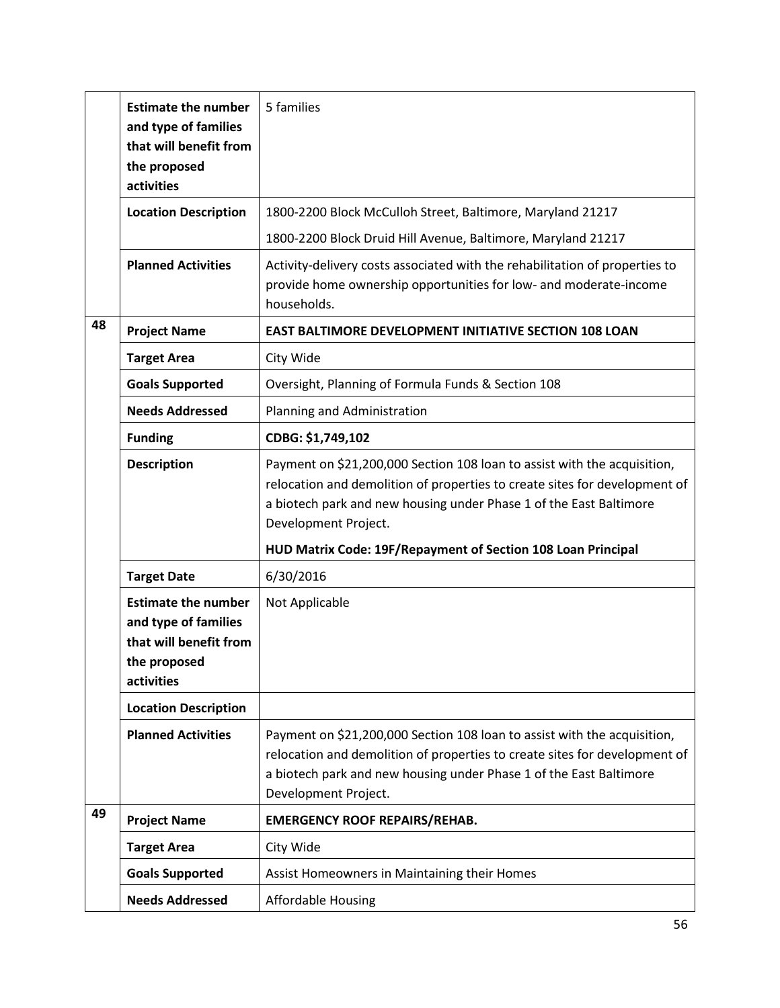|    | <b>Estimate the number</b><br>and type of families<br>that will benefit from<br>the proposed<br>activities | 5 families                                                                                                                                                                                                                                           |
|----|------------------------------------------------------------------------------------------------------------|------------------------------------------------------------------------------------------------------------------------------------------------------------------------------------------------------------------------------------------------------|
|    | <b>Location Description</b>                                                                                | 1800-2200 Block McCulloh Street, Baltimore, Maryland 21217                                                                                                                                                                                           |
|    |                                                                                                            | 1800-2200 Block Druid Hill Avenue, Baltimore, Maryland 21217                                                                                                                                                                                         |
|    | <b>Planned Activities</b>                                                                                  | Activity-delivery costs associated with the rehabilitation of properties to<br>provide home ownership opportunities for low- and moderate-income<br>households.                                                                                      |
| 48 | <b>Project Name</b>                                                                                        | <b>EAST BALTIMORE DEVELOPMENT INITIATIVE SECTION 108 LOAN</b>                                                                                                                                                                                        |
|    | <b>Target Area</b>                                                                                         | City Wide                                                                                                                                                                                                                                            |
|    | <b>Goals Supported</b>                                                                                     | Oversight, Planning of Formula Funds & Section 108                                                                                                                                                                                                   |
|    | <b>Needs Addressed</b>                                                                                     | Planning and Administration                                                                                                                                                                                                                          |
|    | <b>Funding</b>                                                                                             | CDBG: \$1,749,102                                                                                                                                                                                                                                    |
|    | <b>Description</b>                                                                                         | Payment on \$21,200,000 Section 108 loan to assist with the acquisition,<br>relocation and demolition of properties to create sites for development of<br>a biotech park and new housing under Phase 1 of the East Baltimore<br>Development Project. |
|    |                                                                                                            | HUD Matrix Code: 19F/Repayment of Section 108 Loan Principal                                                                                                                                                                                         |
|    | <b>Target Date</b>                                                                                         | 6/30/2016                                                                                                                                                                                                                                            |
|    | <b>Estimate the number</b><br>and type of families<br>that will benefit from<br>the proposed<br>activities | Not Applicable                                                                                                                                                                                                                                       |
|    | <b>Location Description</b>                                                                                |                                                                                                                                                                                                                                                      |
|    | <b>Planned Activities</b>                                                                                  | Payment on \$21,200,000 Section 108 loan to assist with the acquisition,<br>relocation and demolition of properties to create sites for development of<br>a biotech park and new housing under Phase 1 of the East Baltimore<br>Development Project. |
| 49 | <b>Project Name</b>                                                                                        | <b>EMERGENCY ROOF REPAIRS/REHAB.</b>                                                                                                                                                                                                                 |
|    | <b>Target Area</b>                                                                                         | City Wide                                                                                                                                                                                                                                            |
|    |                                                                                                            |                                                                                                                                                                                                                                                      |
|    | <b>Goals Supported</b>                                                                                     | Assist Homeowners in Maintaining their Homes                                                                                                                                                                                                         |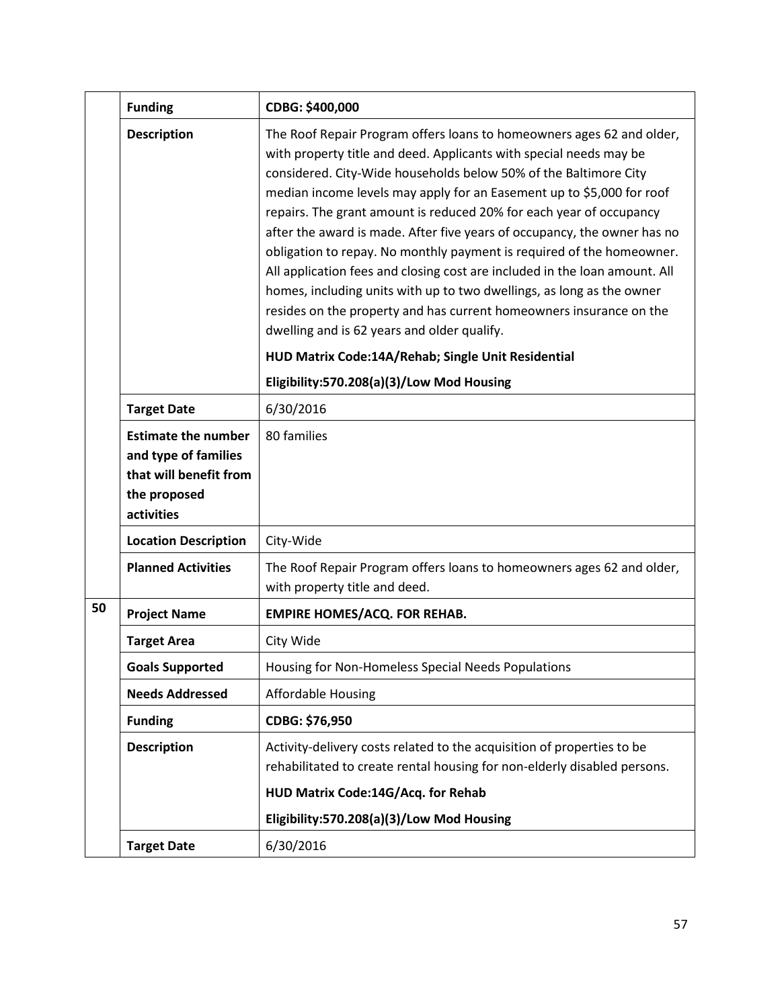|    | <b>Funding</b>                                                                                             | CDBG: \$400,000                                                                                                                                                                                                                                                                                                                                                                                                                                                                                                                                                                                                                                                                                                                                                                                                                                                                                      |
|----|------------------------------------------------------------------------------------------------------------|------------------------------------------------------------------------------------------------------------------------------------------------------------------------------------------------------------------------------------------------------------------------------------------------------------------------------------------------------------------------------------------------------------------------------------------------------------------------------------------------------------------------------------------------------------------------------------------------------------------------------------------------------------------------------------------------------------------------------------------------------------------------------------------------------------------------------------------------------------------------------------------------------|
|    | <b>Description</b>                                                                                         | The Roof Repair Program offers loans to homeowners ages 62 and older,<br>with property title and deed. Applicants with special needs may be<br>considered. City-Wide households below 50% of the Baltimore City<br>median income levels may apply for an Easement up to \$5,000 for roof<br>repairs. The grant amount is reduced 20% for each year of occupancy<br>after the award is made. After five years of occupancy, the owner has no<br>obligation to repay. No monthly payment is required of the homeowner.<br>All application fees and closing cost are included in the loan amount. All<br>homes, including units with up to two dwellings, as long as the owner<br>resides on the property and has current homeowners insurance on the<br>dwelling and is 62 years and older qualify.<br>HUD Matrix Code:14A/Rehab; Single Unit Residential<br>Eligibility:570.208(a)(3)/Low Mod Housing |
|    | <b>Target Date</b>                                                                                         | 6/30/2016                                                                                                                                                                                                                                                                                                                                                                                                                                                                                                                                                                                                                                                                                                                                                                                                                                                                                            |
|    | <b>Estimate the number</b><br>and type of families<br>that will benefit from<br>the proposed<br>activities | 80 families                                                                                                                                                                                                                                                                                                                                                                                                                                                                                                                                                                                                                                                                                                                                                                                                                                                                                          |
|    | <b>Location Description</b>                                                                                | City-Wide                                                                                                                                                                                                                                                                                                                                                                                                                                                                                                                                                                                                                                                                                                                                                                                                                                                                                            |
|    | <b>Planned Activities</b>                                                                                  | The Roof Repair Program offers loans to homeowners ages 62 and older,<br>with property title and deed.                                                                                                                                                                                                                                                                                                                                                                                                                                                                                                                                                                                                                                                                                                                                                                                               |
| 50 | <b>Project Name</b>                                                                                        | <b>EMPIRE HOMES/ACQ. FOR REHAB.</b>                                                                                                                                                                                                                                                                                                                                                                                                                                                                                                                                                                                                                                                                                                                                                                                                                                                                  |
|    | <b>Target Area</b>                                                                                         | City Wide                                                                                                                                                                                                                                                                                                                                                                                                                                                                                                                                                                                                                                                                                                                                                                                                                                                                                            |
|    | <b>Goals Supported</b>                                                                                     | Housing for Non-Homeless Special Needs Populations                                                                                                                                                                                                                                                                                                                                                                                                                                                                                                                                                                                                                                                                                                                                                                                                                                                   |
|    | <b>Needs Addressed</b>                                                                                     | <b>Affordable Housing</b>                                                                                                                                                                                                                                                                                                                                                                                                                                                                                                                                                                                                                                                                                                                                                                                                                                                                            |
|    | <b>Funding</b>                                                                                             | CDBG: \$76,950                                                                                                                                                                                                                                                                                                                                                                                                                                                                                                                                                                                                                                                                                                                                                                                                                                                                                       |
|    | <b>Description</b>                                                                                         | Activity-delivery costs related to the acquisition of properties to be<br>rehabilitated to create rental housing for non-elderly disabled persons.<br>HUD Matrix Code:14G/Acq. for Rehab                                                                                                                                                                                                                                                                                                                                                                                                                                                                                                                                                                                                                                                                                                             |
|    |                                                                                                            | Eligibility:570.208(a)(3)/Low Mod Housing                                                                                                                                                                                                                                                                                                                                                                                                                                                                                                                                                                                                                                                                                                                                                                                                                                                            |
|    | <b>Target Date</b>                                                                                         | 6/30/2016                                                                                                                                                                                                                                                                                                                                                                                                                                                                                                                                                                                                                                                                                                                                                                                                                                                                                            |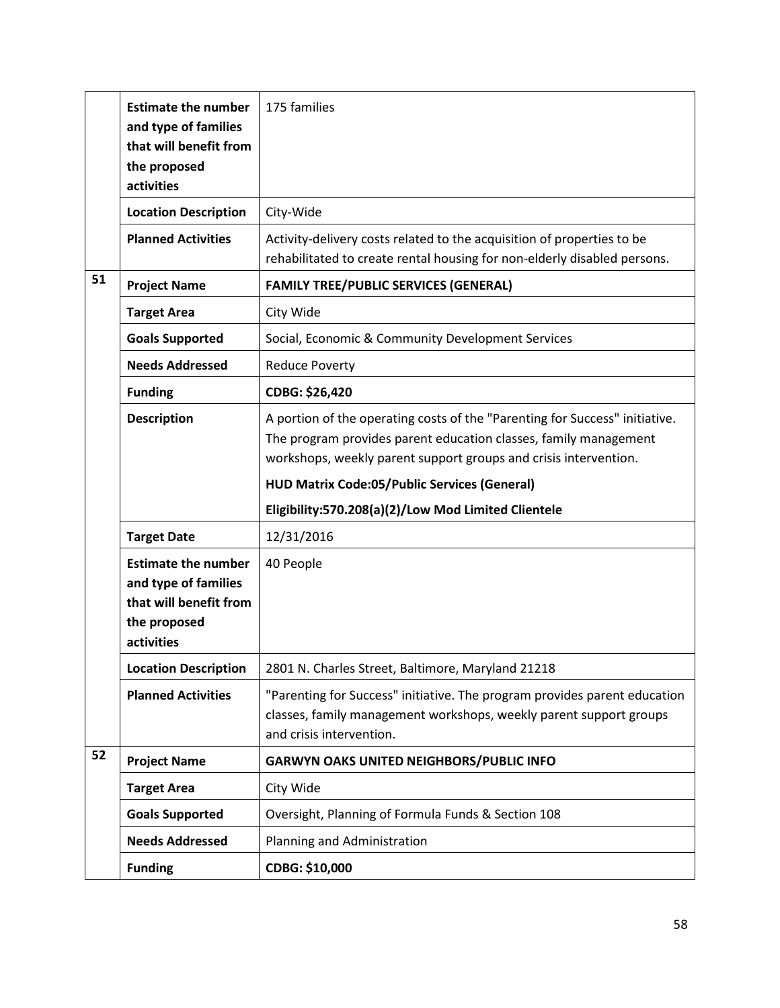|    | <b>Estimate the number</b><br>and type of families<br>that will benefit from<br>the proposed<br>activities | 175 families                                                                                                                                                                                                        |
|----|------------------------------------------------------------------------------------------------------------|---------------------------------------------------------------------------------------------------------------------------------------------------------------------------------------------------------------------|
|    | <b>Location Description</b>                                                                                | City-Wide                                                                                                                                                                                                           |
|    | <b>Planned Activities</b>                                                                                  | Activity-delivery costs related to the acquisition of properties to be<br>rehabilitated to create rental housing for non-elderly disabled persons.                                                                  |
| 51 | <b>Project Name</b>                                                                                        | <b>FAMILY TREE/PUBLIC SERVICES (GENERAL)</b>                                                                                                                                                                        |
|    | <b>Target Area</b>                                                                                         | City Wide                                                                                                                                                                                                           |
|    | <b>Goals Supported</b>                                                                                     | Social, Economic & Community Development Services                                                                                                                                                                   |
|    | <b>Needs Addressed</b>                                                                                     | <b>Reduce Poverty</b>                                                                                                                                                                                               |
|    | <b>Funding</b>                                                                                             | CDBG: \$26,420                                                                                                                                                                                                      |
|    | <b>Description</b>                                                                                         | A portion of the operating costs of the "Parenting for Success" initiative.<br>The program provides parent education classes, family management<br>workshops, weekly parent support groups and crisis intervention. |
|    |                                                                                                            | <b>HUD Matrix Code:05/Public Services (General)</b>                                                                                                                                                                 |
|    |                                                                                                            | Eligibility:570.208(a)(2)/Low Mod Limited Clientele                                                                                                                                                                 |
|    | <b>Target Date</b>                                                                                         | 12/31/2016                                                                                                                                                                                                          |
|    | <b>Estimate the number</b><br>and type of families<br>that will benefit from<br>the proposed<br>activities | 40 People                                                                                                                                                                                                           |
|    | <b>Location Description</b>                                                                                | 2801 N. Charles Street, Baltimore, Maryland 21218                                                                                                                                                                   |
|    | <b>Planned Activities</b>                                                                                  | "Parenting for Success" initiative. The program provides parent education<br>classes, family management workshops, weekly parent support groups<br>and crisis intervention.                                         |
| 52 | <b>Project Name</b>                                                                                        | <b>GARWYN OAKS UNITED NEIGHBORS/PUBLIC INFO</b>                                                                                                                                                                     |
|    | <b>Target Area</b>                                                                                         | City Wide                                                                                                                                                                                                           |
|    | <b>Goals Supported</b>                                                                                     | Oversight, Planning of Formula Funds & Section 108                                                                                                                                                                  |
|    | <b>Needs Addressed</b>                                                                                     | Planning and Administration                                                                                                                                                                                         |
|    | <b>Funding</b>                                                                                             | CDBG: \$10,000                                                                                                                                                                                                      |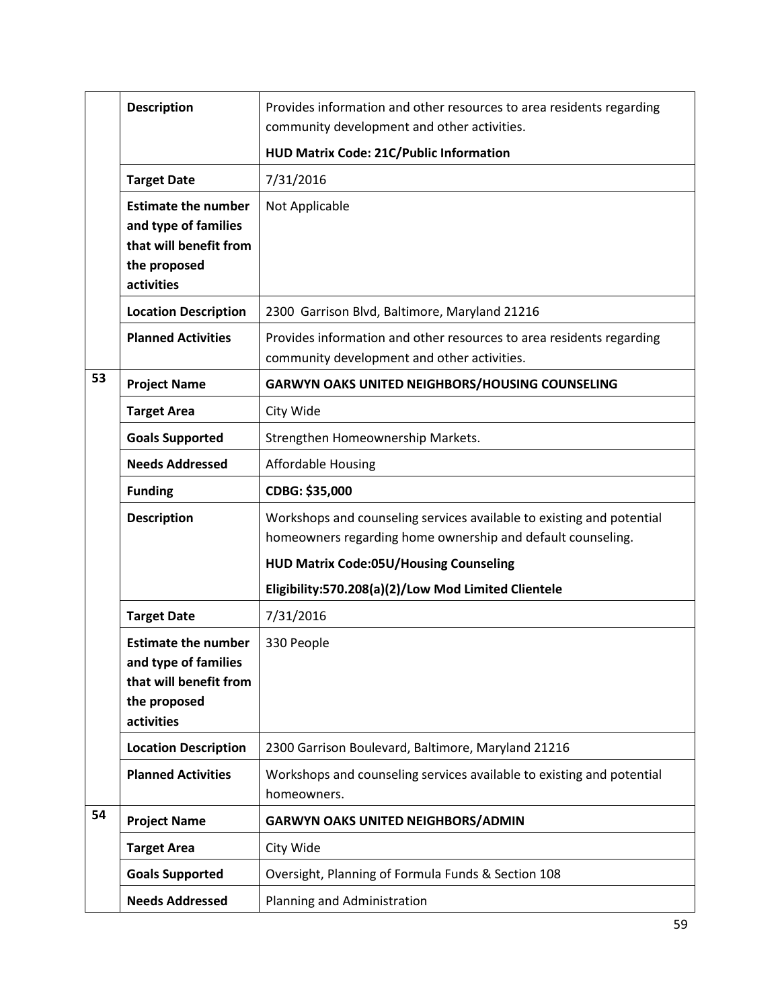|    | <b>Description</b>                                                                                         | Provides information and other resources to area residents regarding<br>community development and other activities.                  |
|----|------------------------------------------------------------------------------------------------------------|--------------------------------------------------------------------------------------------------------------------------------------|
|    |                                                                                                            | HUD Matrix Code: 21C/Public Information                                                                                              |
|    | <b>Target Date</b>                                                                                         | 7/31/2016                                                                                                                            |
|    | <b>Estimate the number</b><br>and type of families<br>that will benefit from<br>the proposed<br>activities | Not Applicable                                                                                                                       |
|    | <b>Location Description</b>                                                                                | 2300 Garrison Blvd, Baltimore, Maryland 21216                                                                                        |
|    | <b>Planned Activities</b>                                                                                  | Provides information and other resources to area residents regarding<br>community development and other activities.                  |
| 53 | <b>Project Name</b>                                                                                        | <b>GARWYN OAKS UNITED NEIGHBORS/HOUSING COUNSELING</b>                                                                               |
|    | <b>Target Area</b>                                                                                         | City Wide                                                                                                                            |
|    | <b>Goals Supported</b>                                                                                     | Strengthen Homeownership Markets.                                                                                                    |
|    | <b>Needs Addressed</b>                                                                                     | <b>Affordable Housing</b>                                                                                                            |
|    | <b>Funding</b>                                                                                             | CDBG: \$35,000                                                                                                                       |
|    | <b>Description</b>                                                                                         | Workshops and counseling services available to existing and potential<br>homeowners regarding home ownership and default counseling. |
|    |                                                                                                            | <b>HUD Matrix Code:05U/Housing Counseling</b>                                                                                        |
|    |                                                                                                            | Eligibility:570.208(a)(2)/Low Mod Limited Clientele                                                                                  |
|    | <b>Target Date</b>                                                                                         | 7/31/2016                                                                                                                            |
|    | <b>Estimate the number</b><br>and type of families<br>that will benefit from<br>the proposed<br>activities | 330 People                                                                                                                           |
|    | <b>Location Description</b>                                                                                | 2300 Garrison Boulevard, Baltimore, Maryland 21216                                                                                   |
|    | <b>Planned Activities</b>                                                                                  | Workshops and counseling services available to existing and potential<br>homeowners.                                                 |
| 54 | <b>Project Name</b>                                                                                        | <b>GARWYN OAKS UNITED NEIGHBORS/ADMIN</b>                                                                                            |
|    | <b>Target Area</b>                                                                                         | City Wide                                                                                                                            |
|    | <b>Goals Supported</b>                                                                                     | Oversight, Planning of Formula Funds & Section 108                                                                                   |
|    | <b>Needs Addressed</b>                                                                                     | Planning and Administration                                                                                                          |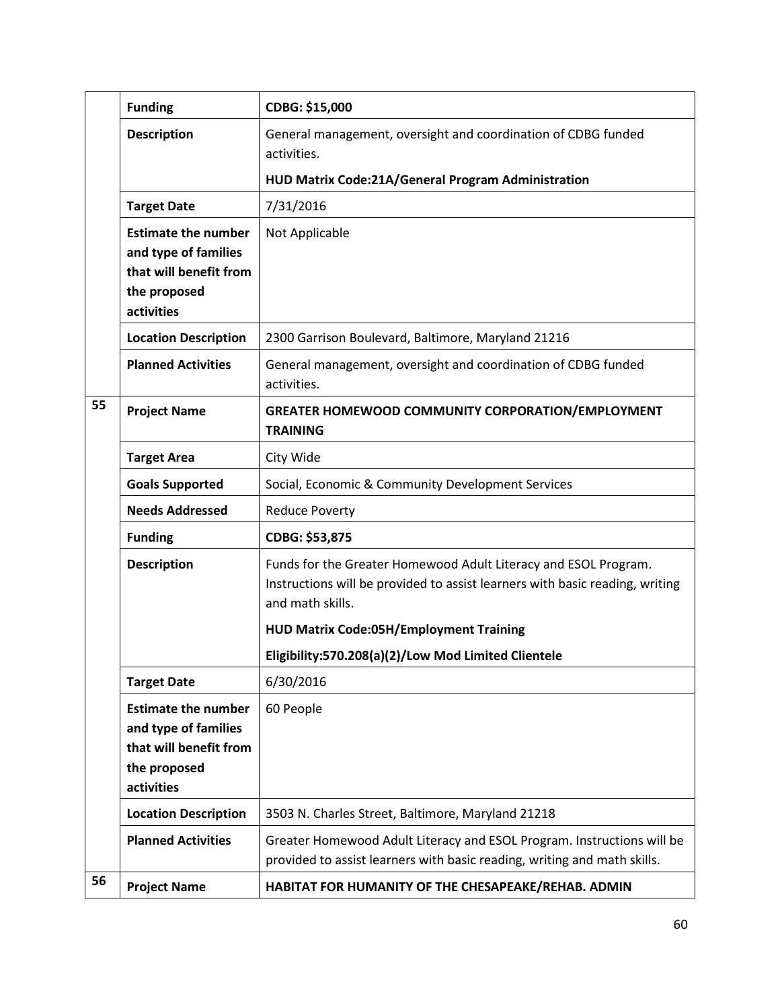|    | <b>Funding</b>                                                                                             | CDBG: \$15,000                                                                                                                                                      |
|----|------------------------------------------------------------------------------------------------------------|---------------------------------------------------------------------------------------------------------------------------------------------------------------------|
|    | <b>Description</b>                                                                                         | General management, oversight and coordination of CDBG funded<br>activities.                                                                                        |
|    |                                                                                                            | HUD Matrix Code:21A/General Program Administration                                                                                                                  |
|    | <b>Target Date</b>                                                                                         | 7/31/2016                                                                                                                                                           |
|    | <b>Estimate the number</b><br>and type of families<br>that will benefit from<br>the proposed<br>activities | Not Applicable                                                                                                                                                      |
|    | <b>Location Description</b>                                                                                | 2300 Garrison Boulevard, Baltimore, Maryland 21216                                                                                                                  |
|    | <b>Planned Activities</b>                                                                                  | General management, oversight and coordination of CDBG funded<br>activities.                                                                                        |
| 55 | <b>Project Name</b>                                                                                        | <b>GREATER HOMEWOOD COMMUNITY CORPORATION/EMPLOYMENT</b><br><b>TRAINING</b>                                                                                         |
|    | <b>Target Area</b>                                                                                         | City Wide                                                                                                                                                           |
|    | <b>Goals Supported</b>                                                                                     | Social, Economic & Community Development Services                                                                                                                   |
|    | <b>Needs Addressed</b>                                                                                     | <b>Reduce Poverty</b>                                                                                                                                               |
|    | <b>Funding</b>                                                                                             | CDBG: \$53,875                                                                                                                                                      |
|    | <b>Description</b>                                                                                         | Funds for the Greater Homewood Adult Literacy and ESOL Program.<br>Instructions will be provided to assist learners with basic reading, writing<br>and math skills. |
|    |                                                                                                            | <b>HUD Matrix Code:05H/Employment Training</b>                                                                                                                      |
|    |                                                                                                            | Eligibility:570.208(a)(2)/Low Mod Limited Clientele                                                                                                                 |
|    | <b>Target Date</b>                                                                                         | 6/30/2016                                                                                                                                                           |
|    | <b>Estimate the number</b><br>and type of families<br>that will benefit from<br>the proposed<br>activities | 60 People                                                                                                                                                           |
|    | <b>Location Description</b>                                                                                | 3503 N. Charles Street, Baltimore, Maryland 21218                                                                                                                   |
|    | <b>Planned Activities</b>                                                                                  | Greater Homewood Adult Literacy and ESOL Program. Instructions will be<br>provided to assist learners with basic reading, writing and math skills.                  |
| 56 | <b>Project Name</b>                                                                                        | HABITAT FOR HUMANITY OF THE CHESAPEAKE/REHAB. ADMIN                                                                                                                 |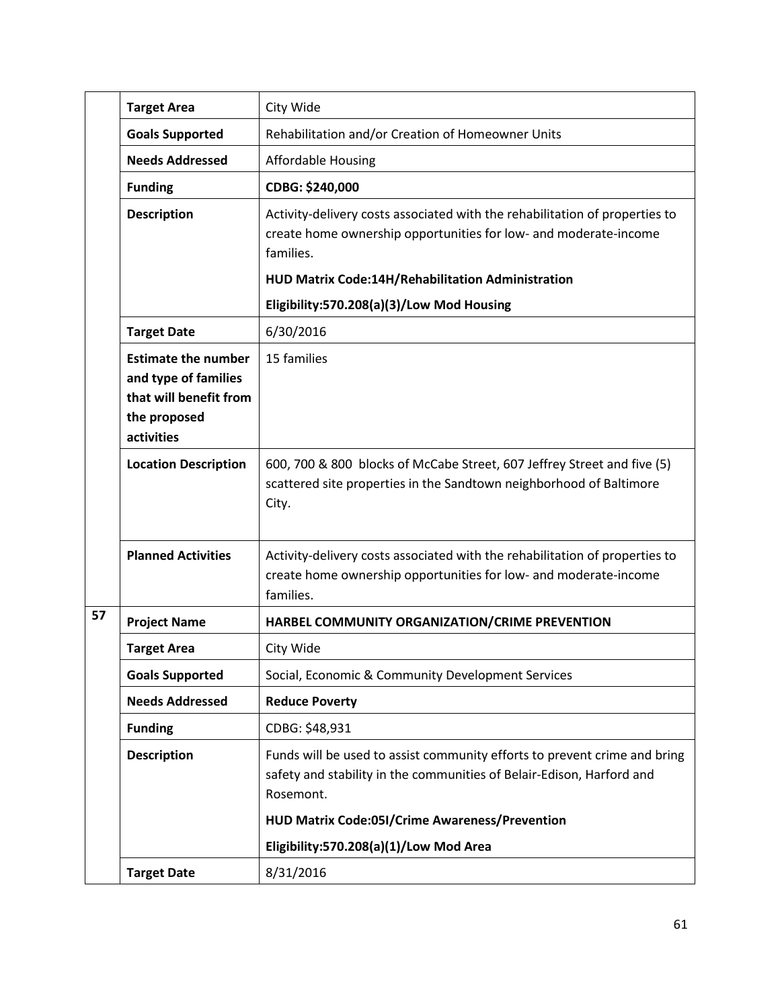|    | <b>Target Area</b>                                                                                         | City Wide                                                                                                                                                       |
|----|------------------------------------------------------------------------------------------------------------|-----------------------------------------------------------------------------------------------------------------------------------------------------------------|
|    | <b>Goals Supported</b>                                                                                     | Rehabilitation and/or Creation of Homeowner Units                                                                                                               |
|    | <b>Needs Addressed</b>                                                                                     | <b>Affordable Housing</b>                                                                                                                                       |
|    | <b>Funding</b>                                                                                             | CDBG: \$240,000                                                                                                                                                 |
|    | <b>Description</b>                                                                                         | Activity-delivery costs associated with the rehabilitation of properties to<br>create home ownership opportunities for low- and moderate-income<br>families.    |
|    |                                                                                                            | HUD Matrix Code:14H/Rehabilitation Administration                                                                                                               |
|    |                                                                                                            | Eligibility:570.208(a)(3)/Low Mod Housing                                                                                                                       |
|    | <b>Target Date</b>                                                                                         | 6/30/2016                                                                                                                                                       |
|    | <b>Estimate the number</b><br>and type of families<br>that will benefit from<br>the proposed<br>activities | 15 families                                                                                                                                                     |
|    | <b>Location Description</b>                                                                                | 600, 700 & 800 blocks of McCabe Street, 607 Jeffrey Street and five (5)<br>scattered site properties in the Sandtown neighborhood of Baltimore<br>City.         |
|    | <b>Planned Activities</b>                                                                                  | Activity-delivery costs associated with the rehabilitation of properties to<br>create home ownership opportunities for low- and moderate-income<br>families.    |
| 57 | <b>Project Name</b>                                                                                        | HARBEL COMMUNITY ORGANIZATION/CRIME PREVENTION                                                                                                                  |
|    | <b>Target Area</b>                                                                                         | City Wide                                                                                                                                                       |
|    | <b>Goals Supported</b>                                                                                     | Social, Economic & Community Development Services                                                                                                               |
|    | <b>Needs Addressed</b>                                                                                     | <b>Reduce Poverty</b>                                                                                                                                           |
|    | <b>Funding</b>                                                                                             | CDBG: \$48,931                                                                                                                                                  |
|    | <b>Description</b>                                                                                         | Funds will be used to assist community efforts to prevent crime and bring<br>safety and stability in the communities of Belair-Edison, Harford and<br>Rosemont. |
|    |                                                                                                            | HUD Matrix Code:05I/Crime Awareness/Prevention                                                                                                                  |
|    |                                                                                                            | Eligibility:570.208(a)(1)/Low Mod Area                                                                                                                          |
|    | <b>Target Date</b>                                                                                         | 8/31/2016                                                                                                                                                       |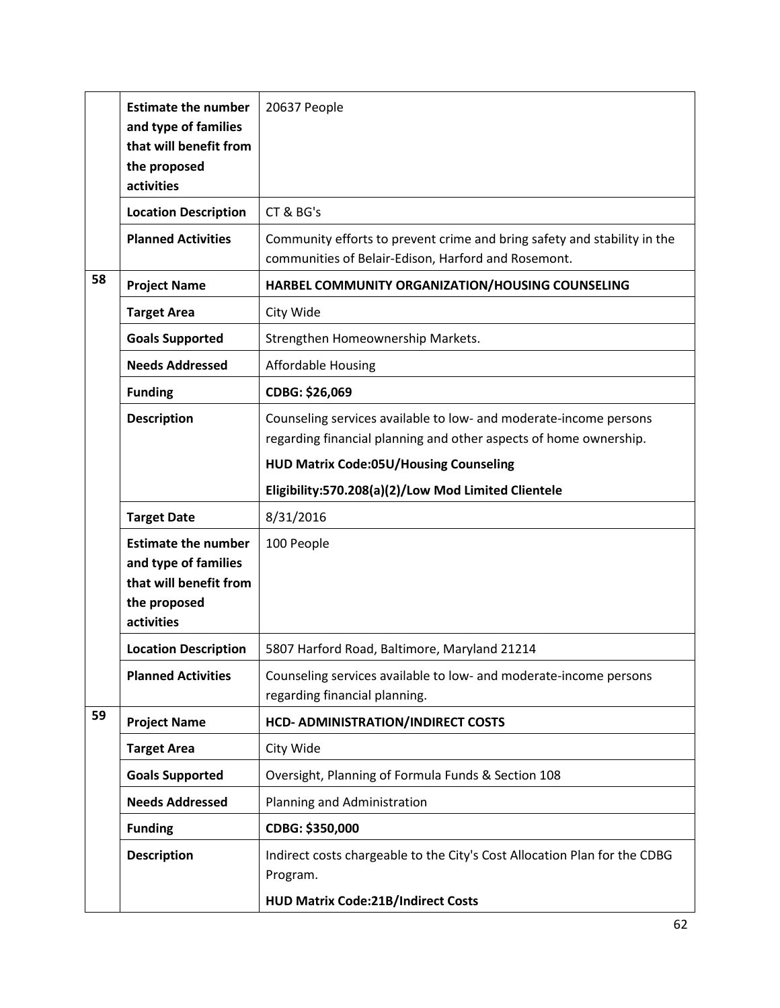|    | <b>Estimate the number</b><br>and type of families<br>that will benefit from<br>the proposed<br>activities | 20637 People                                                                                                                           |
|----|------------------------------------------------------------------------------------------------------------|----------------------------------------------------------------------------------------------------------------------------------------|
|    | <b>Location Description</b>                                                                                | CT & BG's                                                                                                                              |
|    | <b>Planned Activities</b>                                                                                  | Community efforts to prevent crime and bring safety and stability in the<br>communities of Belair-Edison, Harford and Rosemont.        |
| 58 | <b>Project Name</b>                                                                                        | HARBEL COMMUNITY ORGANIZATION/HOUSING COUNSELING                                                                                       |
|    | <b>Target Area</b>                                                                                         | City Wide                                                                                                                              |
|    | <b>Goals Supported</b>                                                                                     | Strengthen Homeownership Markets.                                                                                                      |
|    | <b>Needs Addressed</b>                                                                                     | <b>Affordable Housing</b>                                                                                                              |
|    | <b>Funding</b>                                                                                             | CDBG: \$26,069                                                                                                                         |
|    | <b>Description</b>                                                                                         | Counseling services available to low- and moderate-income persons<br>regarding financial planning and other aspects of home ownership. |
|    |                                                                                                            | <b>HUD Matrix Code:05U/Housing Counseling</b>                                                                                          |
|    |                                                                                                            | Eligibility:570.208(a)(2)/Low Mod Limited Clientele                                                                                    |
|    | <b>Target Date</b>                                                                                         | 8/31/2016                                                                                                                              |
|    | <b>Estimate the number</b><br>and type of families<br>that will benefit from<br>the proposed<br>activities | 100 People                                                                                                                             |
|    | <b>Location Description</b>                                                                                | 5807 Harford Road, Baltimore, Maryland 21214                                                                                           |
|    | <b>Planned Activities</b>                                                                                  | Counseling services available to low- and moderate-income persons<br>regarding financial planning.                                     |
| 59 | <b>Project Name</b>                                                                                        | <b>HCD- ADMINISTRATION/INDIRECT COSTS</b>                                                                                              |
|    | <b>Target Area</b>                                                                                         | City Wide                                                                                                                              |
|    | <b>Goals Supported</b>                                                                                     | Oversight, Planning of Formula Funds & Section 108                                                                                     |
|    | <b>Needs Addressed</b>                                                                                     | Planning and Administration                                                                                                            |
|    | <b>Funding</b>                                                                                             | CDBG: \$350,000                                                                                                                        |
|    | <b>Description</b>                                                                                         | Indirect costs chargeable to the City's Cost Allocation Plan for the CDBG<br>Program.                                                  |
|    |                                                                                                            | <b>HUD Matrix Code:21B/Indirect Costs</b>                                                                                              |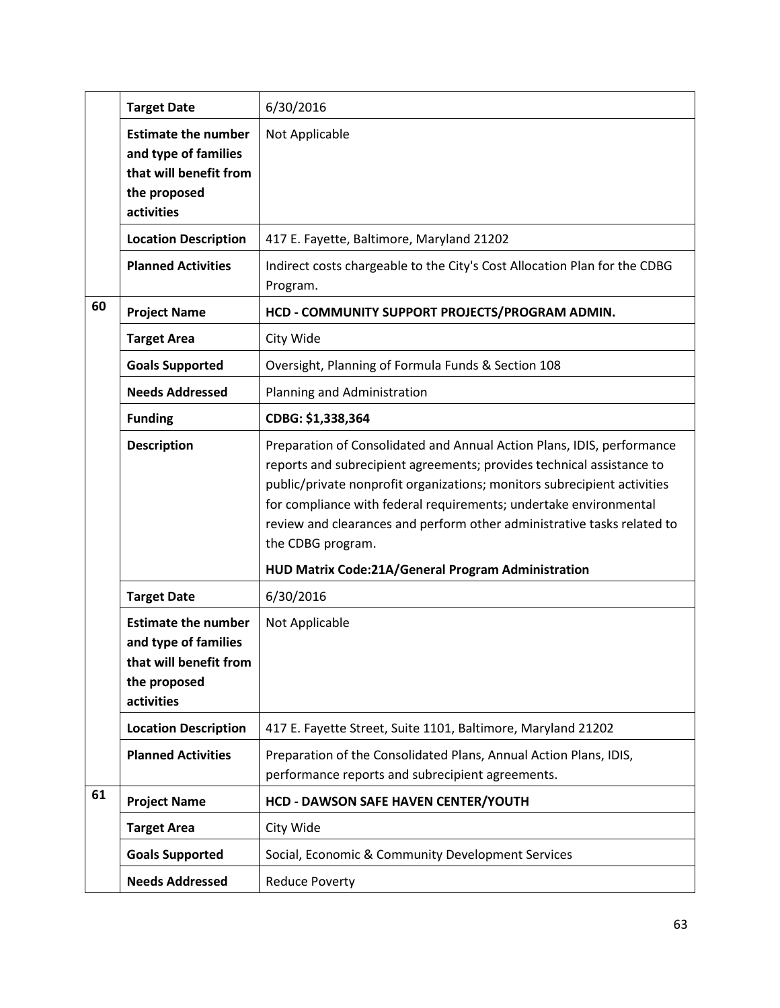|    | <b>Target Date</b>                                                                                         | 6/30/2016                                                                                                                                                                                                                                                                                                                                                                                                                                              |
|----|------------------------------------------------------------------------------------------------------------|--------------------------------------------------------------------------------------------------------------------------------------------------------------------------------------------------------------------------------------------------------------------------------------------------------------------------------------------------------------------------------------------------------------------------------------------------------|
|    | <b>Estimate the number</b><br>and type of families<br>that will benefit from<br>the proposed<br>activities | Not Applicable                                                                                                                                                                                                                                                                                                                                                                                                                                         |
|    | <b>Location Description</b>                                                                                | 417 E. Fayette, Baltimore, Maryland 21202                                                                                                                                                                                                                                                                                                                                                                                                              |
|    | <b>Planned Activities</b>                                                                                  | Indirect costs chargeable to the City's Cost Allocation Plan for the CDBG<br>Program.                                                                                                                                                                                                                                                                                                                                                                  |
| 60 | <b>Project Name</b>                                                                                        | HCD - COMMUNITY SUPPORT PROJECTS/PROGRAM ADMIN.                                                                                                                                                                                                                                                                                                                                                                                                        |
|    | <b>Target Area</b>                                                                                         | City Wide                                                                                                                                                                                                                                                                                                                                                                                                                                              |
|    | <b>Goals Supported</b>                                                                                     | Oversight, Planning of Formula Funds & Section 108                                                                                                                                                                                                                                                                                                                                                                                                     |
|    | <b>Needs Addressed</b>                                                                                     | Planning and Administration                                                                                                                                                                                                                                                                                                                                                                                                                            |
|    | <b>Funding</b>                                                                                             | CDBG: \$1,338,364                                                                                                                                                                                                                                                                                                                                                                                                                                      |
|    | <b>Description</b>                                                                                         | Preparation of Consolidated and Annual Action Plans, IDIS, performance<br>reports and subrecipient agreements; provides technical assistance to<br>public/private nonprofit organizations; monitors subrecipient activities<br>for compliance with federal requirements; undertake environmental<br>review and clearances and perform other administrative tasks related to<br>the CDBG program.<br>HUD Matrix Code:21A/General Program Administration |
|    | <b>Target Date</b>                                                                                         | 6/30/2016                                                                                                                                                                                                                                                                                                                                                                                                                                              |
|    | <b>Estimate the number</b><br>and type of families<br>that will benefit from<br>the proposed<br>activities | Not Applicable                                                                                                                                                                                                                                                                                                                                                                                                                                         |
|    | <b>Location Description</b>                                                                                | 417 E. Fayette Street, Suite 1101, Baltimore, Maryland 21202                                                                                                                                                                                                                                                                                                                                                                                           |
|    | <b>Planned Activities</b>                                                                                  | Preparation of the Consolidated Plans, Annual Action Plans, IDIS,<br>performance reports and subrecipient agreements.                                                                                                                                                                                                                                                                                                                                  |
| 61 | <b>Project Name</b>                                                                                        | <b>HCD - DAWSON SAFE HAVEN CENTER/YOUTH</b>                                                                                                                                                                                                                                                                                                                                                                                                            |
|    | <b>Target Area</b>                                                                                         | City Wide                                                                                                                                                                                                                                                                                                                                                                                                                                              |
|    |                                                                                                            |                                                                                                                                                                                                                                                                                                                                                                                                                                                        |
|    | <b>Goals Supported</b>                                                                                     | Social, Economic & Community Development Services                                                                                                                                                                                                                                                                                                                                                                                                      |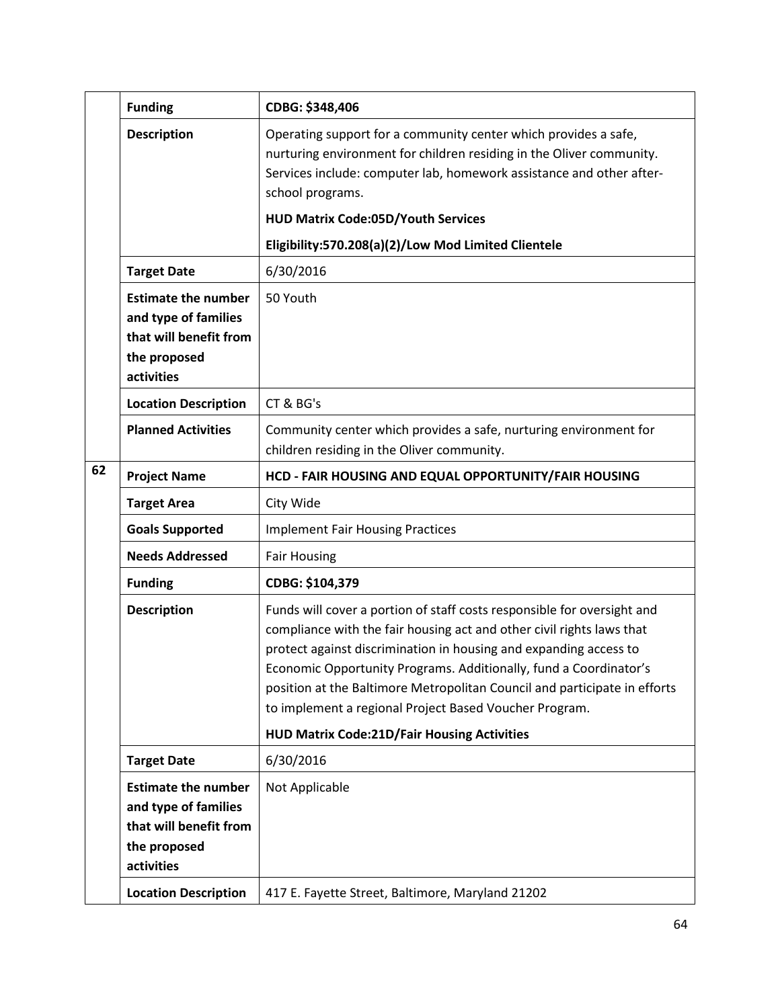|    | <b>Funding</b>                                                                                             | CDBG: \$348,406                                                                                                                                                                                                                                                                                                                                                                                                                                                                         |
|----|------------------------------------------------------------------------------------------------------------|-----------------------------------------------------------------------------------------------------------------------------------------------------------------------------------------------------------------------------------------------------------------------------------------------------------------------------------------------------------------------------------------------------------------------------------------------------------------------------------------|
|    | <b>Description</b>                                                                                         | Operating support for a community center which provides a safe,<br>nurturing environment for children residing in the Oliver community.<br>Services include: computer lab, homework assistance and other after-<br>school programs.<br><b>HUD Matrix Code:05D/Youth Services</b>                                                                                                                                                                                                        |
|    |                                                                                                            | Eligibility:570.208(a)(2)/Low Mod Limited Clientele                                                                                                                                                                                                                                                                                                                                                                                                                                     |
|    | <b>Target Date</b>                                                                                         | 6/30/2016                                                                                                                                                                                                                                                                                                                                                                                                                                                                               |
|    | <b>Estimate the number</b><br>and type of families<br>that will benefit from<br>the proposed<br>activities | 50 Youth                                                                                                                                                                                                                                                                                                                                                                                                                                                                                |
|    | <b>Location Description</b>                                                                                | CT & BG's                                                                                                                                                                                                                                                                                                                                                                                                                                                                               |
|    | <b>Planned Activities</b>                                                                                  | Community center which provides a safe, nurturing environment for<br>children residing in the Oliver community.                                                                                                                                                                                                                                                                                                                                                                         |
| 62 | <b>Project Name</b>                                                                                        | HCD - FAIR HOUSING AND EQUAL OPPORTUNITY/FAIR HOUSING                                                                                                                                                                                                                                                                                                                                                                                                                                   |
|    | <b>Target Area</b>                                                                                         | City Wide                                                                                                                                                                                                                                                                                                                                                                                                                                                                               |
|    | <b>Goals Supported</b>                                                                                     | <b>Implement Fair Housing Practices</b>                                                                                                                                                                                                                                                                                                                                                                                                                                                 |
|    | <b>Needs Addressed</b>                                                                                     | <b>Fair Housing</b>                                                                                                                                                                                                                                                                                                                                                                                                                                                                     |
|    | <b>Funding</b>                                                                                             | CDBG: \$104,379                                                                                                                                                                                                                                                                                                                                                                                                                                                                         |
|    | <b>Description</b>                                                                                         | Funds will cover a portion of staff costs responsible for oversight and<br>compliance with the fair housing act and other civil rights laws that<br>protect against discrimination in housing and expanding access to<br>Economic Opportunity Programs. Additionally, fund a Coordinator's<br>position at the Baltimore Metropolitan Council and participate in efforts<br>to implement a regional Project Based Voucher Program.<br><b>HUD Matrix Code:21D/Fair Housing Activities</b> |
|    | <b>Target Date</b>                                                                                         | 6/30/2016                                                                                                                                                                                                                                                                                                                                                                                                                                                                               |
|    | <b>Estimate the number</b><br>and type of families<br>that will benefit from<br>the proposed<br>activities | Not Applicable                                                                                                                                                                                                                                                                                                                                                                                                                                                                          |
|    | <b>Location Description</b>                                                                                | 417 E. Fayette Street, Baltimore, Maryland 21202                                                                                                                                                                                                                                                                                                                                                                                                                                        |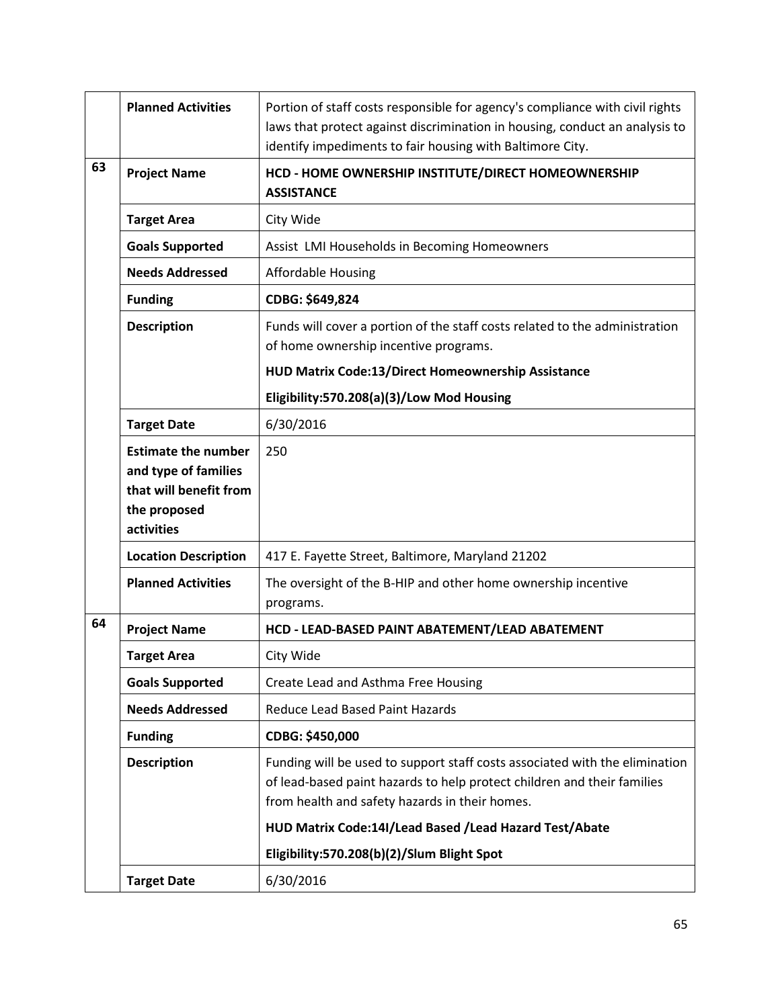|    | <b>Planned Activities</b>                                                    | Portion of staff costs responsible for agency's compliance with civil rights<br>laws that protect against discrimination in housing, conduct an analysis to<br>identify impediments to fair housing with Baltimore City. |
|----|------------------------------------------------------------------------------|--------------------------------------------------------------------------------------------------------------------------------------------------------------------------------------------------------------------------|
| 63 | <b>Project Name</b>                                                          | HCD - HOME OWNERSHIP INSTITUTE/DIRECT HOMEOWNERSHIP<br><b>ASSISTANCE</b>                                                                                                                                                 |
|    | <b>Target Area</b>                                                           | City Wide                                                                                                                                                                                                                |
|    | <b>Goals Supported</b>                                                       | Assist LMI Households in Becoming Homeowners                                                                                                                                                                             |
|    | <b>Needs Addressed</b>                                                       | <b>Affordable Housing</b>                                                                                                                                                                                                |
|    | <b>Funding</b>                                                               | CDBG: \$649,824                                                                                                                                                                                                          |
|    | <b>Description</b>                                                           | Funds will cover a portion of the staff costs related to the administration<br>of home ownership incentive programs.                                                                                                     |
|    |                                                                              | HUD Matrix Code:13/Direct Homeownership Assistance                                                                                                                                                                       |
|    |                                                                              | Eligibility:570.208(a)(3)/Low Mod Housing                                                                                                                                                                                |
|    | <b>Target Date</b>                                                           | 6/30/2016                                                                                                                                                                                                                |
|    | <b>Estimate the number</b><br>and type of families<br>that will benefit from | 250                                                                                                                                                                                                                      |
|    | the proposed<br>activities                                                   |                                                                                                                                                                                                                          |
|    | <b>Location Description</b>                                                  | 417 E. Fayette Street, Baltimore, Maryland 21202                                                                                                                                                                         |
|    | <b>Planned Activities</b>                                                    | The oversight of the B-HIP and other home ownership incentive<br>programs.                                                                                                                                               |
| 64 | <b>Project Name</b>                                                          | HCD - LEAD-BASED PAINT ABATEMENT/LEAD ABATEMENT                                                                                                                                                                          |
|    | <b>Target Area</b>                                                           | City Wide                                                                                                                                                                                                                |
|    | <b>Goals Supported</b>                                                       | Create Lead and Asthma Free Housing                                                                                                                                                                                      |
|    | <b>Needs Addressed</b>                                                       | <b>Reduce Lead Based Paint Hazards</b>                                                                                                                                                                                   |
|    | <b>Funding</b>                                                               | CDBG: \$450,000                                                                                                                                                                                                          |
|    | <b>Description</b>                                                           | Funding will be used to support staff costs associated with the elimination<br>of lead-based paint hazards to help protect children and their families<br>from health and safety hazards in their homes.                 |
|    |                                                                              | HUD Matrix Code:14I/Lead Based /Lead Hazard Test/Abate                                                                                                                                                                   |
|    |                                                                              | Eligibility:570.208(b)(2)/Slum Blight Spot                                                                                                                                                                               |
|    | <b>Target Date</b>                                                           | 6/30/2016                                                                                                                                                                                                                |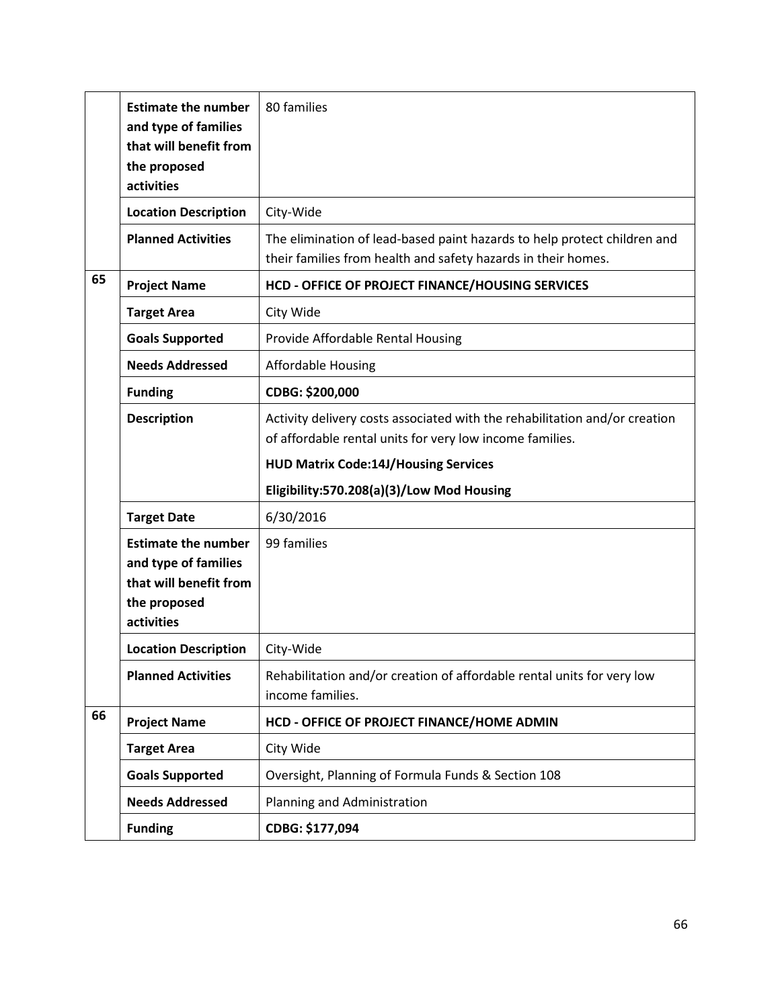|    | <b>Estimate the number</b><br>and type of families<br>that will benefit from<br>the proposed<br>activities | 80 families                                                                                                                               |
|----|------------------------------------------------------------------------------------------------------------|-------------------------------------------------------------------------------------------------------------------------------------------|
|    | <b>Location Description</b>                                                                                | City-Wide                                                                                                                                 |
|    | <b>Planned Activities</b>                                                                                  | The elimination of lead-based paint hazards to help protect children and<br>their families from health and safety hazards in their homes. |
| 65 | <b>Project Name</b>                                                                                        | HCD - OFFICE OF PROJECT FINANCE/HOUSING SERVICES                                                                                          |
|    | <b>Target Area</b>                                                                                         | City Wide                                                                                                                                 |
|    | <b>Goals Supported</b>                                                                                     | Provide Affordable Rental Housing                                                                                                         |
|    | <b>Needs Addressed</b>                                                                                     | <b>Affordable Housing</b>                                                                                                                 |
|    | <b>Funding</b>                                                                                             | CDBG: \$200,000                                                                                                                           |
|    | <b>Description</b>                                                                                         | Activity delivery costs associated with the rehabilitation and/or creation<br>of affordable rental units for very low income families.    |
|    |                                                                                                            | <b>HUD Matrix Code:14J/Housing Services</b>                                                                                               |
|    |                                                                                                            | Eligibility:570.208(a)(3)/Low Mod Housing                                                                                                 |
|    | <b>Target Date</b>                                                                                         | 6/30/2016                                                                                                                                 |
|    | <b>Estimate the number</b><br>and type of families<br>that will benefit from<br>the proposed<br>activities | 99 families                                                                                                                               |
|    | <b>Location Description</b>                                                                                | City-Wide                                                                                                                                 |
|    | <b>Planned Activities</b>                                                                                  | Rehabilitation and/or creation of affordable rental units for very low<br>income families.                                                |
| 66 | <b>Project Name</b>                                                                                        | HCD - OFFICE OF PROJECT FINANCE/HOME ADMIN                                                                                                |
|    | <b>Target Area</b>                                                                                         | City Wide                                                                                                                                 |
|    | <b>Goals Supported</b>                                                                                     | Oversight, Planning of Formula Funds & Section 108                                                                                        |
|    | <b>Needs Addressed</b>                                                                                     | Planning and Administration                                                                                                               |
|    | <b>Funding</b>                                                                                             | CDBG: \$177,094                                                                                                                           |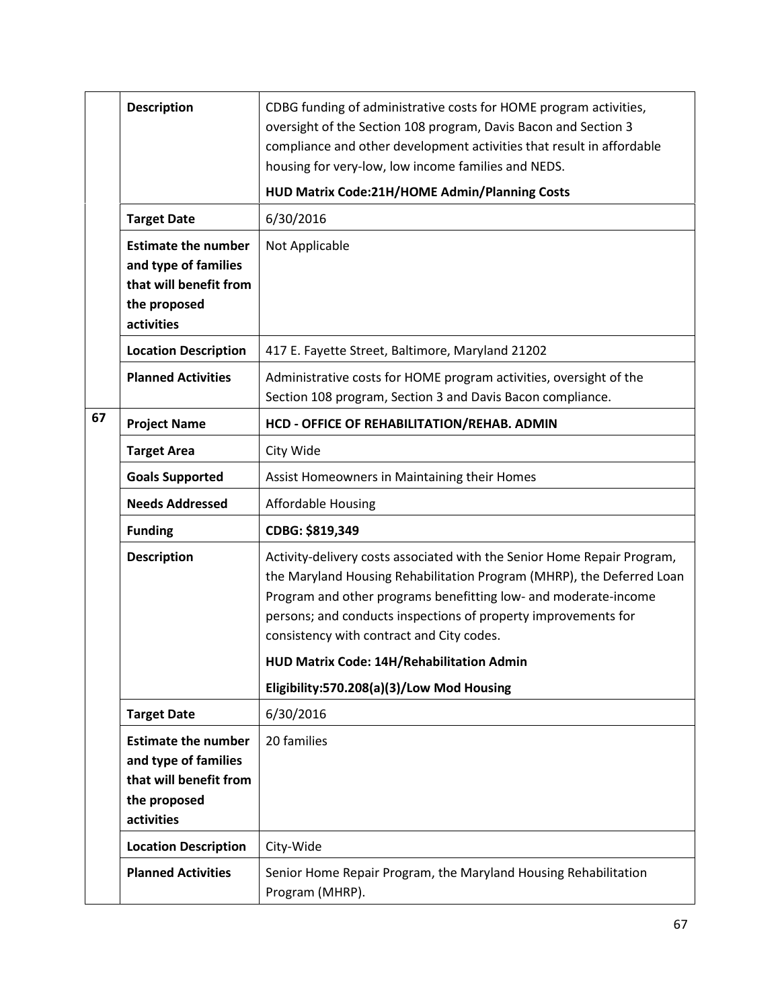|    | <b>Description</b>                                                                                         | CDBG funding of administrative costs for HOME program activities,<br>oversight of the Section 108 program, Davis Bacon and Section 3<br>compliance and other development activities that result in affordable<br>housing for very-low, low income families and NEDS.<br>HUD Matrix Code:21H/HOME Admin/Planning Costs                                                                                                        |
|----|------------------------------------------------------------------------------------------------------------|------------------------------------------------------------------------------------------------------------------------------------------------------------------------------------------------------------------------------------------------------------------------------------------------------------------------------------------------------------------------------------------------------------------------------|
|    | <b>Target Date</b>                                                                                         | 6/30/2016                                                                                                                                                                                                                                                                                                                                                                                                                    |
|    | <b>Estimate the number</b><br>and type of families<br>that will benefit from<br>the proposed<br>activities | Not Applicable                                                                                                                                                                                                                                                                                                                                                                                                               |
|    | <b>Location Description</b>                                                                                | 417 E. Fayette Street, Baltimore, Maryland 21202                                                                                                                                                                                                                                                                                                                                                                             |
|    | <b>Planned Activities</b>                                                                                  | Administrative costs for HOME program activities, oversight of the<br>Section 108 program, Section 3 and Davis Bacon compliance.                                                                                                                                                                                                                                                                                             |
| 67 | <b>Project Name</b>                                                                                        | HCD - OFFICE OF REHABILITATION/REHAB. ADMIN                                                                                                                                                                                                                                                                                                                                                                                  |
|    | <b>Target Area</b>                                                                                         | City Wide                                                                                                                                                                                                                                                                                                                                                                                                                    |
|    | <b>Goals Supported</b>                                                                                     | Assist Homeowners in Maintaining their Homes                                                                                                                                                                                                                                                                                                                                                                                 |
|    | <b>Needs Addressed</b>                                                                                     | <b>Affordable Housing</b>                                                                                                                                                                                                                                                                                                                                                                                                    |
|    | <b>Funding</b>                                                                                             | CDBG: \$819,349                                                                                                                                                                                                                                                                                                                                                                                                              |
|    | <b>Description</b>                                                                                         | Activity-delivery costs associated with the Senior Home Repair Program,<br>the Maryland Housing Rehabilitation Program (MHRP), the Deferred Loan<br>Program and other programs benefitting low- and moderate-income<br>persons; and conducts inspections of property improvements for<br>consistency with contract and City codes.<br>HUD Matrix Code: 14H/Rehabilitation Admin<br>Eligibility:570.208(a)(3)/Low Mod Housing |
|    | <b>Target Date</b>                                                                                         | 6/30/2016                                                                                                                                                                                                                                                                                                                                                                                                                    |
|    | <b>Estimate the number</b><br>and type of families<br>that will benefit from<br>the proposed<br>activities | 20 families                                                                                                                                                                                                                                                                                                                                                                                                                  |
|    | <b>Location Description</b>                                                                                | City-Wide                                                                                                                                                                                                                                                                                                                                                                                                                    |
|    | <b>Planned Activities</b>                                                                                  | Senior Home Repair Program, the Maryland Housing Rehabilitation<br>Program (MHRP).                                                                                                                                                                                                                                                                                                                                           |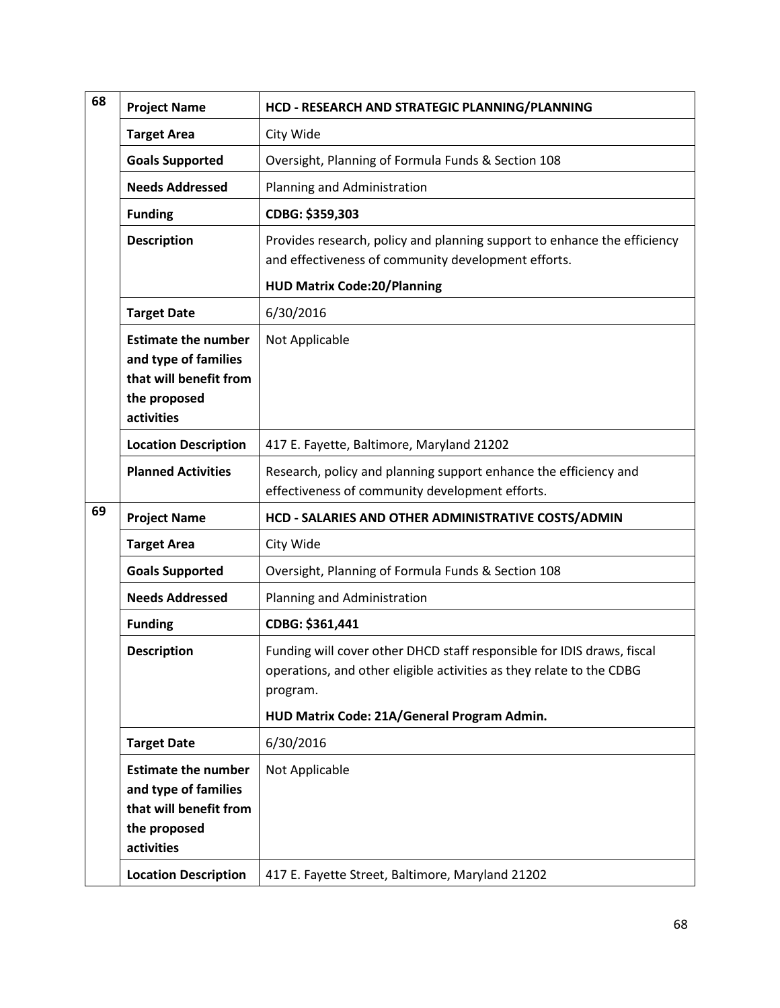| 68 | <b>Project Name</b>                                                                                        | HCD - RESEARCH AND STRATEGIC PLANNING/PLANNING                                                                                                                                                            |
|----|------------------------------------------------------------------------------------------------------------|-----------------------------------------------------------------------------------------------------------------------------------------------------------------------------------------------------------|
|    | <b>Target Area</b>                                                                                         | City Wide                                                                                                                                                                                                 |
|    | <b>Goals Supported</b>                                                                                     | Oversight, Planning of Formula Funds & Section 108                                                                                                                                                        |
|    | <b>Needs Addressed</b>                                                                                     | Planning and Administration                                                                                                                                                                               |
|    | <b>Funding</b>                                                                                             | CDBG: \$359,303                                                                                                                                                                                           |
|    | <b>Description</b>                                                                                         | Provides research, policy and planning support to enhance the efficiency<br>and effectiveness of community development efforts.                                                                           |
|    |                                                                                                            | <b>HUD Matrix Code:20/Planning</b>                                                                                                                                                                        |
|    | <b>Target Date</b>                                                                                         | 6/30/2016                                                                                                                                                                                                 |
|    | <b>Estimate the number</b><br>and type of families<br>that will benefit from<br>the proposed<br>activities | Not Applicable                                                                                                                                                                                            |
|    | <b>Location Description</b>                                                                                | 417 E. Fayette, Baltimore, Maryland 21202                                                                                                                                                                 |
|    | <b>Planned Activities</b>                                                                                  | Research, policy and planning support enhance the efficiency and<br>effectiveness of community development efforts.                                                                                       |
| 69 | <b>Project Name</b>                                                                                        | HCD - SALARIES AND OTHER ADMINISTRATIVE COSTS/ADMIN                                                                                                                                                       |
|    | <b>Target Area</b>                                                                                         | City Wide                                                                                                                                                                                                 |
|    | <b>Goals Supported</b>                                                                                     | Oversight, Planning of Formula Funds & Section 108                                                                                                                                                        |
|    | <b>Needs Addressed</b>                                                                                     | Planning and Administration                                                                                                                                                                               |
|    | <b>Funding</b>                                                                                             | CDBG: \$361,441                                                                                                                                                                                           |
|    | <b>Description</b>                                                                                         | Funding will cover other DHCD staff responsible for IDIS draws, fiscal<br>operations, and other eligible activities as they relate to the CDBG<br>program.<br>HUD Matrix Code: 21A/General Program Admin. |
|    | <b>Target Date</b>                                                                                         | 6/30/2016                                                                                                                                                                                                 |
|    | <b>Estimate the number</b><br>and type of families<br>that will benefit from<br>the proposed<br>activities | Not Applicable                                                                                                                                                                                            |
|    | <b>Location Description</b>                                                                                | 417 E. Fayette Street, Baltimore, Maryland 21202                                                                                                                                                          |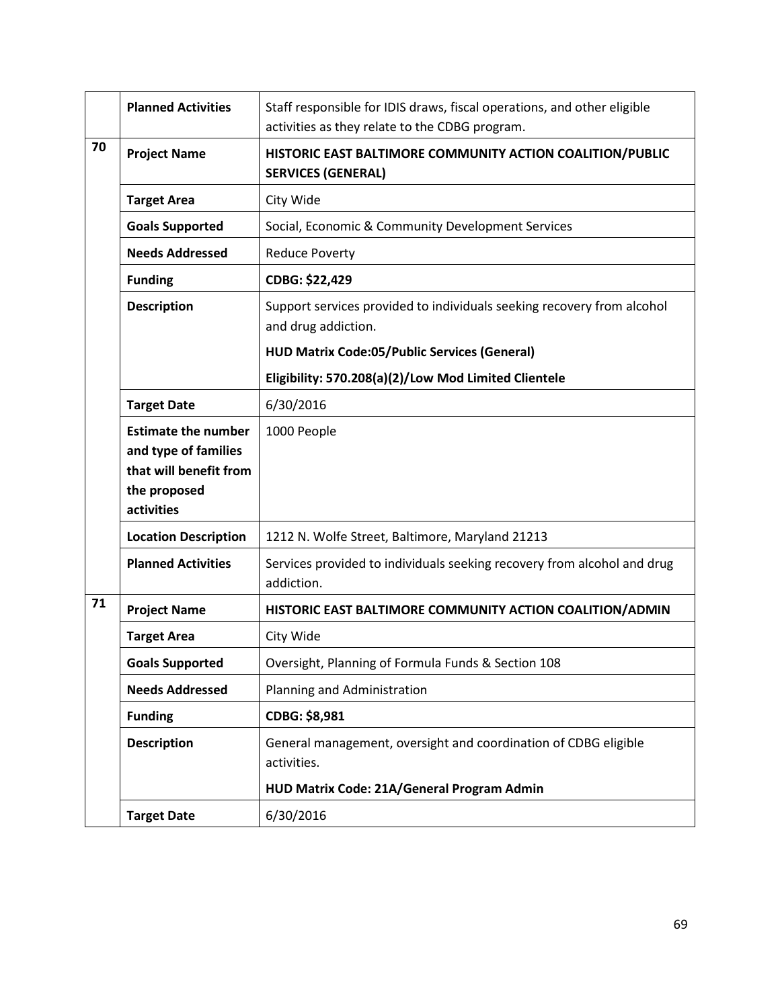|    | <b>Planned Activities</b>                                                                                  | Staff responsible for IDIS draws, fiscal operations, and other eligible<br>activities as they relate to the CDBG program. |
|----|------------------------------------------------------------------------------------------------------------|---------------------------------------------------------------------------------------------------------------------------|
| 70 | <b>Project Name</b>                                                                                        | HISTORIC EAST BALTIMORE COMMUNITY ACTION COALITION/PUBLIC<br><b>SERVICES (GENERAL)</b>                                    |
|    | <b>Target Area</b>                                                                                         | City Wide                                                                                                                 |
|    | <b>Goals Supported</b>                                                                                     | Social, Economic & Community Development Services                                                                         |
|    | <b>Needs Addressed</b>                                                                                     | <b>Reduce Poverty</b>                                                                                                     |
|    | <b>Funding</b>                                                                                             | CDBG: \$22,429                                                                                                            |
|    | <b>Description</b>                                                                                         | Support services provided to individuals seeking recovery from alcohol<br>and drug addiction.                             |
|    |                                                                                                            | <b>HUD Matrix Code:05/Public Services (General)</b>                                                                       |
|    |                                                                                                            | Eligibility: 570.208(a)(2)/Low Mod Limited Clientele                                                                      |
|    | <b>Target Date</b>                                                                                         | 6/30/2016                                                                                                                 |
|    | <b>Estimate the number</b><br>and type of families<br>that will benefit from<br>the proposed<br>activities | 1000 People                                                                                                               |
|    | <b>Location Description</b>                                                                                | 1212 N. Wolfe Street, Baltimore, Maryland 21213                                                                           |
|    | <b>Planned Activities</b>                                                                                  | Services provided to individuals seeking recovery from alcohol and drug<br>addiction.                                     |
| 71 | <b>Project Name</b>                                                                                        | HISTORIC EAST BALTIMORE COMMUNITY ACTION COALITION/ADMIN                                                                  |
|    | <b>Target Area</b>                                                                                         | City Wide                                                                                                                 |
|    | <b>Goals Supported</b>                                                                                     | Oversight, Planning of Formula Funds & Section 108                                                                        |
|    | <b>Needs Addressed</b>                                                                                     | Planning and Administration                                                                                               |
|    | <b>Funding</b>                                                                                             | CDBG: \$8,981                                                                                                             |
|    | <b>Description</b>                                                                                         | General management, oversight and coordination of CDBG eligible<br>activities.                                            |
|    |                                                                                                            | HUD Matrix Code: 21A/General Program Admin                                                                                |
|    | <b>Target Date</b>                                                                                         | 6/30/2016                                                                                                                 |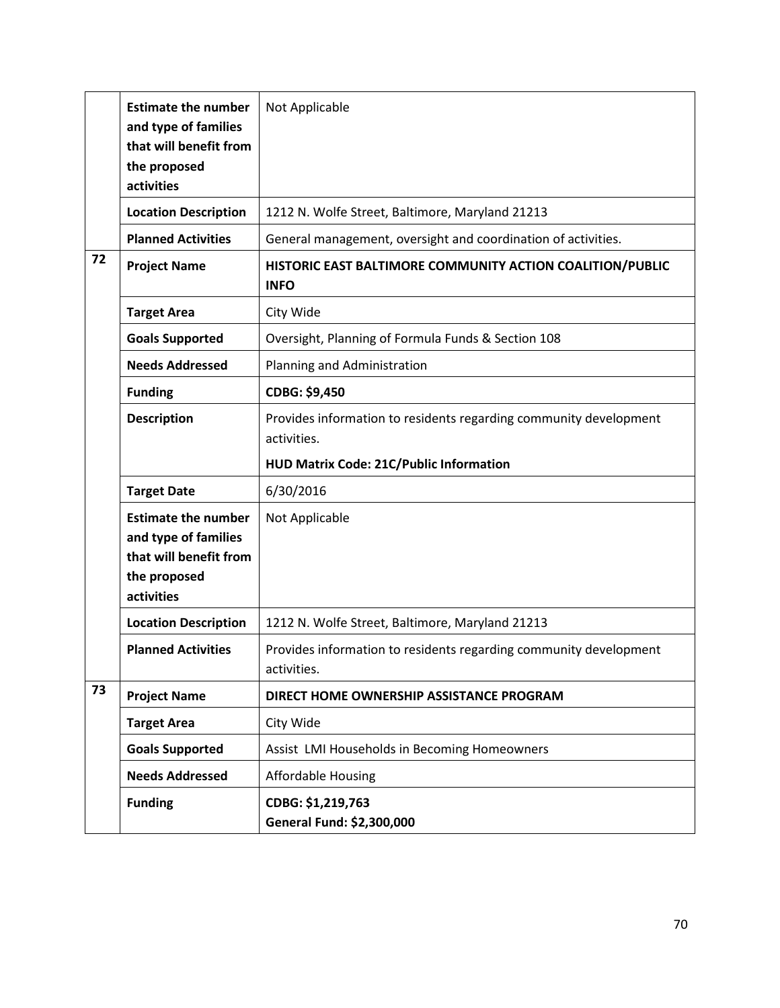|    | <b>Estimate the number</b>  | Not Applicable                                                                   |
|----|-----------------------------|----------------------------------------------------------------------------------|
|    | and type of families        |                                                                                  |
|    | that will benefit from      |                                                                                  |
|    | the proposed                |                                                                                  |
|    | activities                  |                                                                                  |
|    | <b>Location Description</b> | 1212 N. Wolfe Street, Baltimore, Maryland 21213                                  |
|    | <b>Planned Activities</b>   | General management, oversight and coordination of activities.                    |
| 72 | <b>Project Name</b>         | HISTORIC EAST BALTIMORE COMMUNITY ACTION COALITION/PUBLIC                        |
|    |                             | <b>INFO</b>                                                                      |
|    | <b>Target Area</b>          | City Wide                                                                        |
|    | <b>Goals Supported</b>      | Oversight, Planning of Formula Funds & Section 108                               |
|    | <b>Needs Addressed</b>      | Planning and Administration                                                      |
|    | <b>Funding</b>              | CDBG: \$9,450                                                                    |
|    | <b>Description</b>          | Provides information to residents regarding community development                |
|    |                             | activities.                                                                      |
|    |                             | <b>HUD Matrix Code: 21C/Public Information</b>                                   |
|    | <b>Target Date</b>          | 6/30/2016                                                                        |
|    | <b>Estimate the number</b>  | Not Applicable                                                                   |
|    | and type of families        |                                                                                  |
|    | that will benefit from      |                                                                                  |
|    | the proposed                |                                                                                  |
|    | activities                  |                                                                                  |
|    | <b>Location Description</b> | 1212 N. Wolfe Street, Baltimore, Maryland 21213                                  |
|    | <b>Planned Activities</b>   | Provides information to residents regarding community development<br>activities. |
| 73 |                             |                                                                                  |
|    | <b>Project Name</b>         | DIRECT HOME OWNERSHIP ASSISTANCE PROGRAM                                         |
|    | <b>Target Area</b>          | City Wide                                                                        |
|    | <b>Goals Supported</b>      | Assist LMI Households in Becoming Homeowners                                     |
|    | <b>Needs Addressed</b>      | <b>Affordable Housing</b>                                                        |
|    | <b>Funding</b>              | CDBG: \$1,219,763                                                                |
|    |                             | General Fund: \$2,300,000                                                        |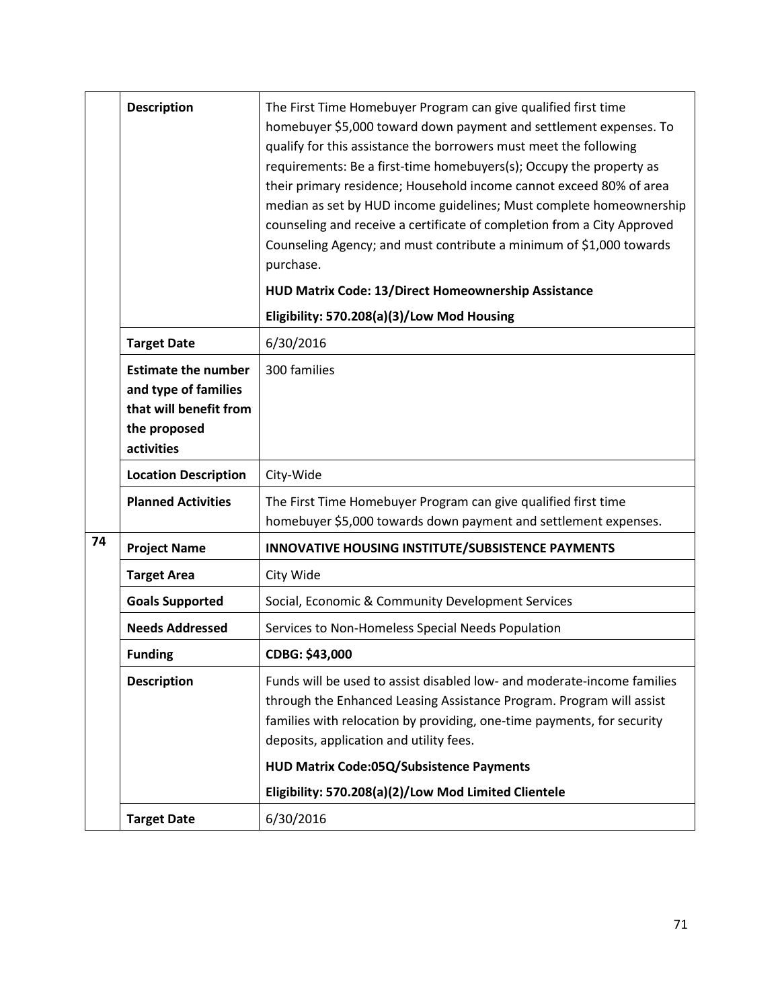|    | <b>Description</b>                                                                                         | The First Time Homebuyer Program can give qualified first time<br>homebuyer \$5,000 toward down payment and settlement expenses. To<br>qualify for this assistance the borrowers must meet the following<br>requirements: Be a first-time homebuyers(s); Occupy the property as<br>their primary residence; Household income cannot exceed 80% of area<br>median as set by HUD income guidelines; Must complete homeownership<br>counseling and receive a certificate of completion from a City Approved<br>Counseling Agency; and must contribute a minimum of \$1,000 towards<br>purchase. |
|----|------------------------------------------------------------------------------------------------------------|----------------------------------------------------------------------------------------------------------------------------------------------------------------------------------------------------------------------------------------------------------------------------------------------------------------------------------------------------------------------------------------------------------------------------------------------------------------------------------------------------------------------------------------------------------------------------------------------|
|    |                                                                                                            | HUD Matrix Code: 13/Direct Homeownership Assistance                                                                                                                                                                                                                                                                                                                                                                                                                                                                                                                                          |
|    |                                                                                                            | Eligibility: 570.208(a)(3)/Low Mod Housing                                                                                                                                                                                                                                                                                                                                                                                                                                                                                                                                                   |
|    | <b>Target Date</b>                                                                                         | 6/30/2016                                                                                                                                                                                                                                                                                                                                                                                                                                                                                                                                                                                    |
|    | <b>Estimate the number</b><br>and type of families<br>that will benefit from<br>the proposed<br>activities | 300 families                                                                                                                                                                                                                                                                                                                                                                                                                                                                                                                                                                                 |
|    | <b>Location Description</b>                                                                                | City-Wide                                                                                                                                                                                                                                                                                                                                                                                                                                                                                                                                                                                    |
|    | <b>Planned Activities</b>                                                                                  | The First Time Homebuyer Program can give qualified first time<br>homebuyer \$5,000 towards down payment and settlement expenses.                                                                                                                                                                                                                                                                                                                                                                                                                                                            |
| 74 | <b>Project Name</b>                                                                                        | INNOVATIVE HOUSING INSTITUTE/SUBSISTENCE PAYMENTS                                                                                                                                                                                                                                                                                                                                                                                                                                                                                                                                            |
|    | <b>Target Area</b>                                                                                         | City Wide                                                                                                                                                                                                                                                                                                                                                                                                                                                                                                                                                                                    |
|    | <b>Goals Supported</b>                                                                                     | Social, Economic & Community Development Services                                                                                                                                                                                                                                                                                                                                                                                                                                                                                                                                            |
|    | <b>Needs Addressed</b>                                                                                     | Services to Non-Homeless Special Needs Population                                                                                                                                                                                                                                                                                                                                                                                                                                                                                                                                            |
|    | <b>Funding</b>                                                                                             | CDBG: \$43,000                                                                                                                                                                                                                                                                                                                                                                                                                                                                                                                                                                               |
|    | <b>Description</b>                                                                                         | Funds will be used to assist disabled low- and moderate-income families<br>through the Enhanced Leasing Assistance Program. Program will assist<br>families with relocation by providing, one-time payments, for security<br>deposits, application and utility fees.                                                                                                                                                                                                                                                                                                                         |
|    |                                                                                                            | HUD Matrix Code:05Q/Subsistence Payments                                                                                                                                                                                                                                                                                                                                                                                                                                                                                                                                                     |
|    |                                                                                                            | Eligibility: 570.208(a)(2)/Low Mod Limited Clientele                                                                                                                                                                                                                                                                                                                                                                                                                                                                                                                                         |
|    | <b>Target Date</b>                                                                                         | 6/30/2016                                                                                                                                                                                                                                                                                                                                                                                                                                                                                                                                                                                    |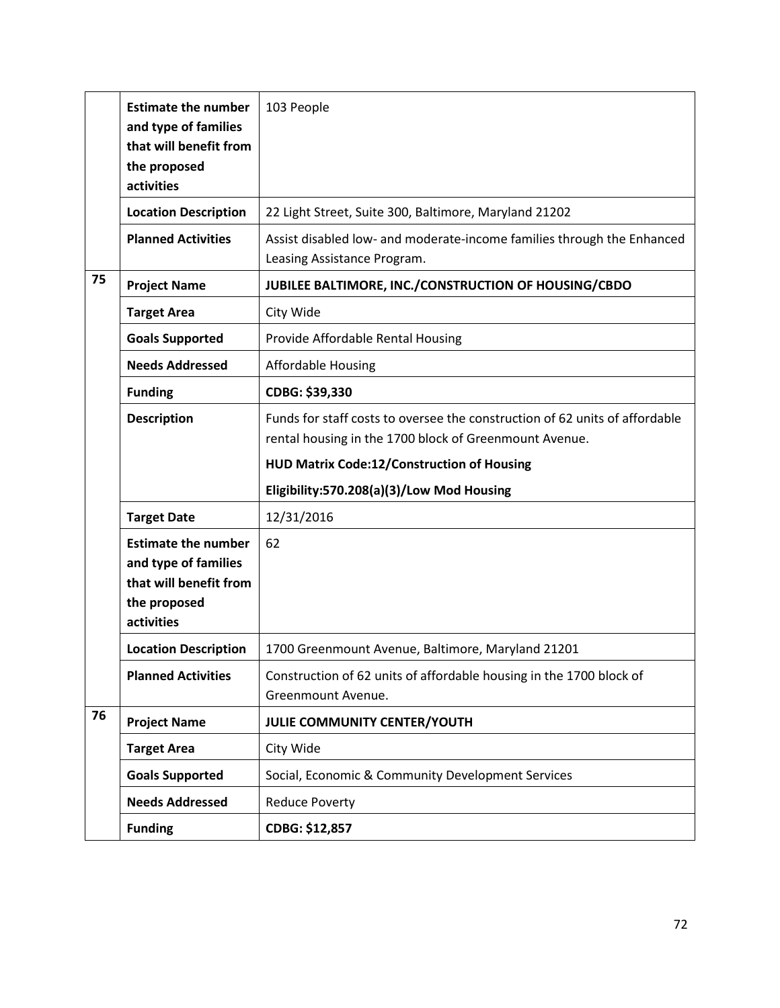|    | <b>Estimate the number</b><br>and type of families<br>that will benefit from<br>the proposed<br>activities | 103 People                                                                                                                            |
|----|------------------------------------------------------------------------------------------------------------|---------------------------------------------------------------------------------------------------------------------------------------|
|    | <b>Location Description</b>                                                                                | 22 Light Street, Suite 300, Baltimore, Maryland 21202                                                                                 |
|    | <b>Planned Activities</b>                                                                                  | Assist disabled low- and moderate-income families through the Enhanced<br>Leasing Assistance Program.                                 |
| 75 | <b>Project Name</b>                                                                                        | JUBILEE BALTIMORE, INC./CONSTRUCTION OF HOUSING/CBDO                                                                                  |
|    | <b>Target Area</b>                                                                                         | City Wide                                                                                                                             |
|    | <b>Goals Supported</b>                                                                                     | Provide Affordable Rental Housing                                                                                                     |
|    | <b>Needs Addressed</b>                                                                                     | <b>Affordable Housing</b>                                                                                                             |
|    | <b>Funding</b>                                                                                             | CDBG: \$39,330                                                                                                                        |
|    | <b>Description</b>                                                                                         | Funds for staff costs to oversee the construction of 62 units of affordable<br>rental housing in the 1700 block of Greenmount Avenue. |
|    |                                                                                                            | HUD Matrix Code:12/Construction of Housing                                                                                            |
|    |                                                                                                            | Eligibility:570.208(a)(3)/Low Mod Housing                                                                                             |
|    | <b>Target Date</b>                                                                                         | 12/31/2016                                                                                                                            |
|    | <b>Estimate the number</b><br>and type of families<br>that will benefit from<br>the proposed<br>activities | 62                                                                                                                                    |
|    | <b>Location Description</b>                                                                                | 1700 Greenmount Avenue, Baltimore, Maryland 21201                                                                                     |
|    | <b>Planned Activities</b>                                                                                  | Construction of 62 units of affordable housing in the 1700 block of<br>Greenmount Avenue.                                             |
| 76 | <b>Project Name</b>                                                                                        | JULIE COMMUNITY CENTER/YOUTH                                                                                                          |
|    | <b>Target Area</b>                                                                                         | City Wide                                                                                                                             |
|    | <b>Goals Supported</b>                                                                                     | Social, Economic & Community Development Services                                                                                     |
|    | <b>Needs Addressed</b>                                                                                     | <b>Reduce Poverty</b>                                                                                                                 |
|    | <b>Funding</b>                                                                                             | CDBG: \$12,857                                                                                                                        |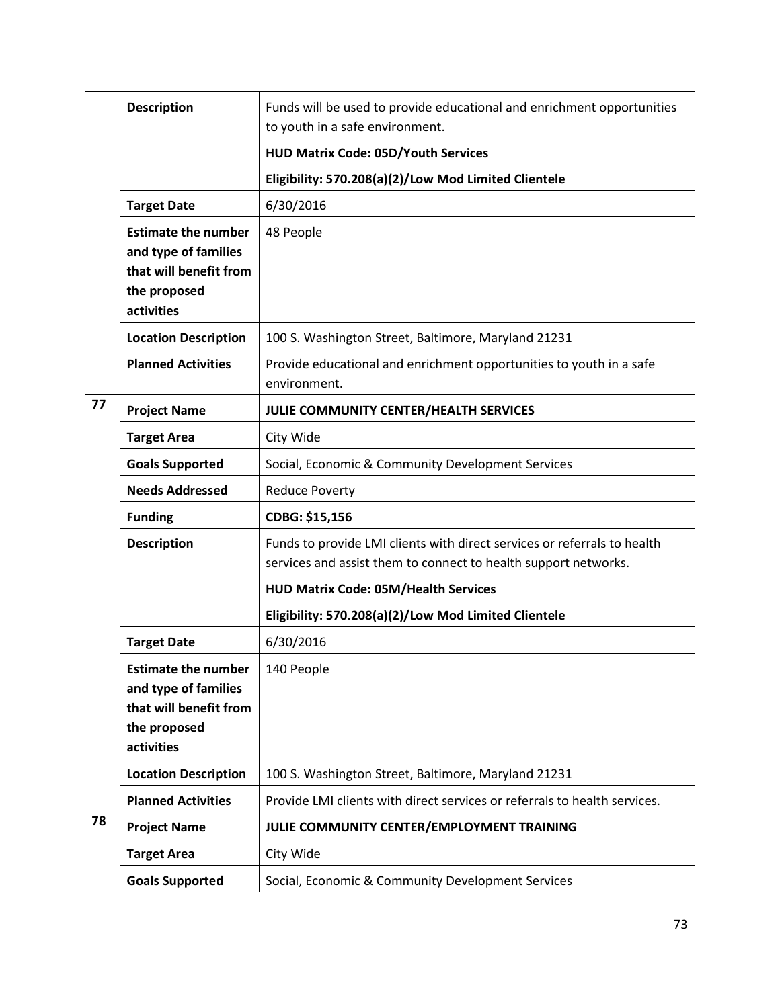|    | <b>Description</b>                                                                                         | Funds will be used to provide educational and enrichment opportunities<br>to youth in a safe environment.                                   |
|----|------------------------------------------------------------------------------------------------------------|---------------------------------------------------------------------------------------------------------------------------------------------|
|    |                                                                                                            | <b>HUD Matrix Code: 05D/Youth Services</b>                                                                                                  |
|    |                                                                                                            | Eligibility: 570.208(a)(2)/Low Mod Limited Clientele                                                                                        |
|    | <b>Target Date</b>                                                                                         | 6/30/2016                                                                                                                                   |
|    | <b>Estimate the number</b><br>and type of families<br>that will benefit from<br>the proposed<br>activities | 48 People                                                                                                                                   |
|    | <b>Location Description</b>                                                                                | 100 S. Washington Street, Baltimore, Maryland 21231                                                                                         |
|    | <b>Planned Activities</b>                                                                                  | Provide educational and enrichment opportunities to youth in a safe<br>environment.                                                         |
| 77 | <b>Project Name</b>                                                                                        | JULIE COMMUNITY CENTER/HEALTH SERVICES                                                                                                      |
|    | <b>Target Area</b>                                                                                         | City Wide                                                                                                                                   |
|    | <b>Goals Supported</b>                                                                                     | Social, Economic & Community Development Services                                                                                           |
|    | <b>Needs Addressed</b>                                                                                     | <b>Reduce Poverty</b>                                                                                                                       |
|    | <b>Funding</b>                                                                                             | CDBG: \$15,156                                                                                                                              |
|    | <b>Description</b>                                                                                         | Funds to provide LMI clients with direct services or referrals to health<br>services and assist them to connect to health support networks. |
|    |                                                                                                            | <b>HUD Matrix Code: 05M/Health Services</b>                                                                                                 |
|    |                                                                                                            | Eligibility: 570.208(a)(2)/Low Mod Limited Clientele                                                                                        |
|    | <b>Target Date</b>                                                                                         | 6/30/2016                                                                                                                                   |
|    | <b>Estimate the number</b><br>and type of families<br>that will benefit from<br>the proposed<br>activities | 140 People                                                                                                                                  |
|    | <b>Location Description</b>                                                                                | 100 S. Washington Street, Baltimore, Maryland 21231                                                                                         |
|    | <b>Planned Activities</b>                                                                                  | Provide LMI clients with direct services or referrals to health services.                                                                   |
| 78 | <b>Project Name</b>                                                                                        | JULIE COMMUNITY CENTER/EMPLOYMENT TRAINING                                                                                                  |
|    | <b>Target Area</b>                                                                                         | City Wide                                                                                                                                   |
|    | <b>Goals Supported</b>                                                                                     | Social, Economic & Community Development Services                                                                                           |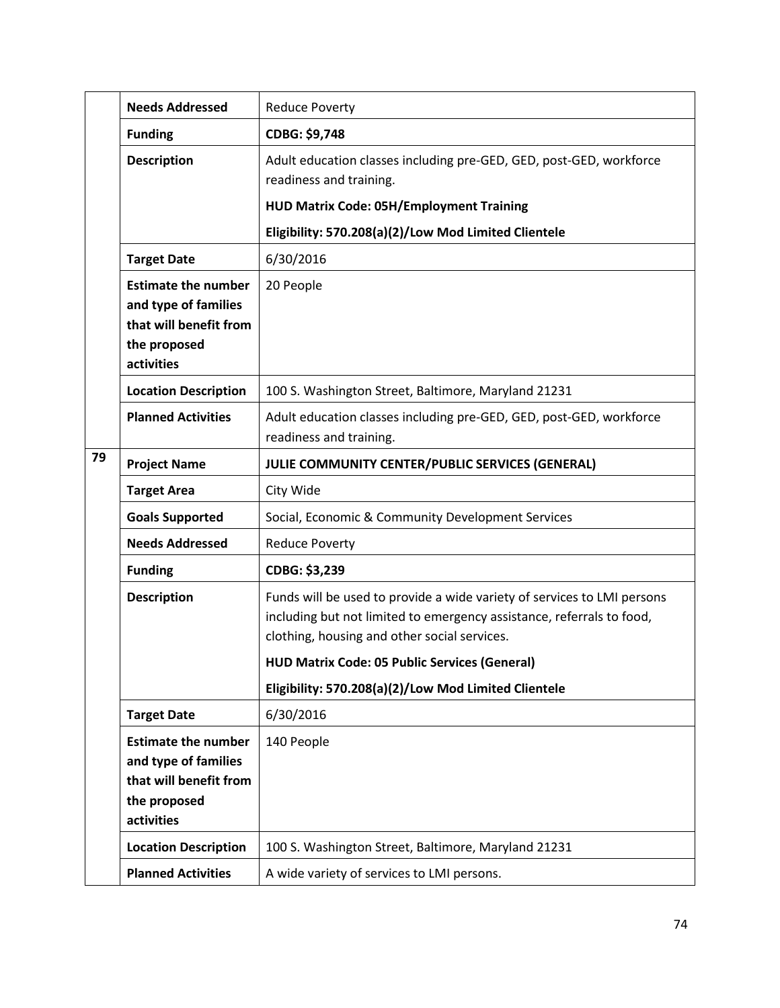|    | <b>Needs Addressed</b>                                                                                     | <b>Reduce Poverty</b>                                                                                                                                                                                                                                                                                            |
|----|------------------------------------------------------------------------------------------------------------|------------------------------------------------------------------------------------------------------------------------------------------------------------------------------------------------------------------------------------------------------------------------------------------------------------------|
|    | <b>Funding</b>                                                                                             | CDBG: \$9,748                                                                                                                                                                                                                                                                                                    |
|    | <b>Description</b>                                                                                         | Adult education classes including pre-GED, GED, post-GED, workforce<br>readiness and training.                                                                                                                                                                                                                   |
|    |                                                                                                            | <b>HUD Matrix Code: 05H/Employment Training</b>                                                                                                                                                                                                                                                                  |
|    |                                                                                                            | Eligibility: 570.208(a)(2)/Low Mod Limited Clientele                                                                                                                                                                                                                                                             |
|    | <b>Target Date</b>                                                                                         | 6/30/2016                                                                                                                                                                                                                                                                                                        |
|    | <b>Estimate the number</b><br>and type of families<br>that will benefit from<br>the proposed<br>activities | 20 People                                                                                                                                                                                                                                                                                                        |
|    | <b>Location Description</b>                                                                                | 100 S. Washington Street, Baltimore, Maryland 21231                                                                                                                                                                                                                                                              |
|    | <b>Planned Activities</b>                                                                                  | Adult education classes including pre-GED, GED, post-GED, workforce<br>readiness and training.                                                                                                                                                                                                                   |
| 79 | <b>Project Name</b>                                                                                        | JULIE COMMUNITY CENTER/PUBLIC SERVICES (GENERAL)                                                                                                                                                                                                                                                                 |
|    | <b>Target Area</b>                                                                                         | City Wide                                                                                                                                                                                                                                                                                                        |
|    | <b>Goals Supported</b>                                                                                     | Social, Economic & Community Development Services                                                                                                                                                                                                                                                                |
|    | <b>Needs Addressed</b>                                                                                     | <b>Reduce Poverty</b>                                                                                                                                                                                                                                                                                            |
|    | <b>Funding</b>                                                                                             | CDBG: \$3,239                                                                                                                                                                                                                                                                                                    |
|    | <b>Description</b>                                                                                         | Funds will be used to provide a wide variety of services to LMI persons<br>including but not limited to emergency assistance, referrals to food,<br>clothing, housing and other social services.<br><b>HUD Matrix Code: 05 Public Services (General)</b><br>Eligibility: 570.208(a)(2)/Low Mod Limited Clientele |
|    | <b>Target Date</b>                                                                                         | 6/30/2016                                                                                                                                                                                                                                                                                                        |
|    | <b>Estimate the number</b><br>and type of families<br>that will benefit from<br>the proposed<br>activities | 140 People                                                                                                                                                                                                                                                                                                       |
|    | <b>Location Description</b>                                                                                | 100 S. Washington Street, Baltimore, Maryland 21231                                                                                                                                                                                                                                                              |
|    | <b>Planned Activities</b>                                                                                  | A wide variety of services to LMI persons.                                                                                                                                                                                                                                                                       |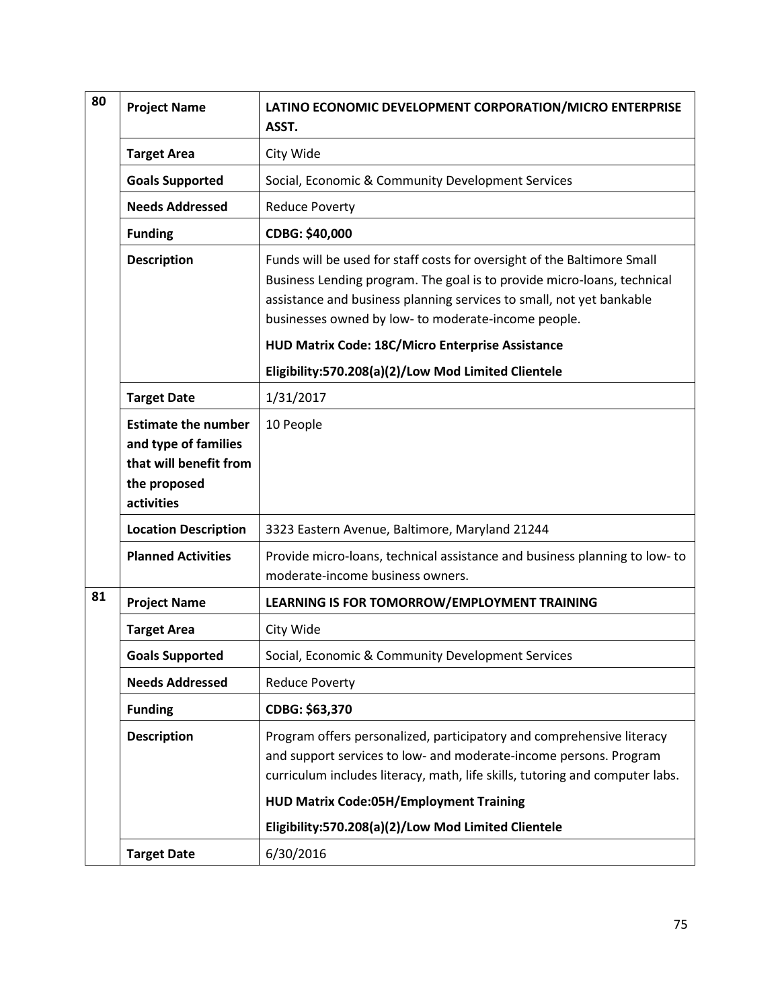| 80 | <b>Project Name</b>                                                                                        | LATINO ECONOMIC DEVELOPMENT CORPORATION/MICRO ENTERPRISE<br>ASST.                                                                                                                                                                                                                 |
|----|------------------------------------------------------------------------------------------------------------|-----------------------------------------------------------------------------------------------------------------------------------------------------------------------------------------------------------------------------------------------------------------------------------|
|    | <b>Target Area</b>                                                                                         | City Wide                                                                                                                                                                                                                                                                         |
|    | <b>Goals Supported</b>                                                                                     | Social, Economic & Community Development Services                                                                                                                                                                                                                                 |
|    | <b>Needs Addressed</b>                                                                                     | <b>Reduce Poverty</b>                                                                                                                                                                                                                                                             |
|    | <b>Funding</b>                                                                                             | CDBG: \$40,000                                                                                                                                                                                                                                                                    |
|    | <b>Description</b>                                                                                         | Funds will be used for staff costs for oversight of the Baltimore Small<br>Business Lending program. The goal is to provide micro-loans, technical<br>assistance and business planning services to small, not yet bankable<br>businesses owned by low- to moderate-income people. |
|    |                                                                                                            | HUD Matrix Code: 18C/Micro Enterprise Assistance                                                                                                                                                                                                                                  |
|    |                                                                                                            | Eligibility:570.208(a)(2)/Low Mod Limited Clientele                                                                                                                                                                                                                               |
|    | <b>Target Date</b>                                                                                         | 1/31/2017                                                                                                                                                                                                                                                                         |
|    | <b>Estimate the number</b><br>and type of families<br>that will benefit from<br>the proposed<br>activities | 10 People                                                                                                                                                                                                                                                                         |
|    | <b>Location Description</b>                                                                                | 3323 Eastern Avenue, Baltimore, Maryland 21244                                                                                                                                                                                                                                    |
|    | <b>Planned Activities</b>                                                                                  | Provide micro-loans, technical assistance and business planning to low-to<br>moderate-income business owners.                                                                                                                                                                     |
| 81 | <b>Project Name</b>                                                                                        | LEARNING IS FOR TOMORROW/EMPLOYMENT TRAINING                                                                                                                                                                                                                                      |
|    | <b>Target Area</b>                                                                                         | City Wide                                                                                                                                                                                                                                                                         |
|    | <b>Goals Supported</b>                                                                                     | Social, Economic & Community Development Services                                                                                                                                                                                                                                 |
|    | <b>Needs Addressed</b>                                                                                     | <b>Reduce Poverty</b>                                                                                                                                                                                                                                                             |
|    | <b>Funding</b>                                                                                             | CDBG: \$63,370                                                                                                                                                                                                                                                                    |
|    | <b>Description</b>                                                                                         | Program offers personalized, participatory and comprehensive literacy<br>and support services to low- and moderate-income persons. Program<br>curriculum includes literacy, math, life skills, tutoring and computer labs.                                                        |
|    |                                                                                                            | <b>HUD Matrix Code:05H/Employment Training</b>                                                                                                                                                                                                                                    |
|    |                                                                                                            | Eligibility:570.208(a)(2)/Low Mod Limited Clientele                                                                                                                                                                                                                               |
|    | <b>Target Date</b>                                                                                         | 6/30/2016                                                                                                                                                                                                                                                                         |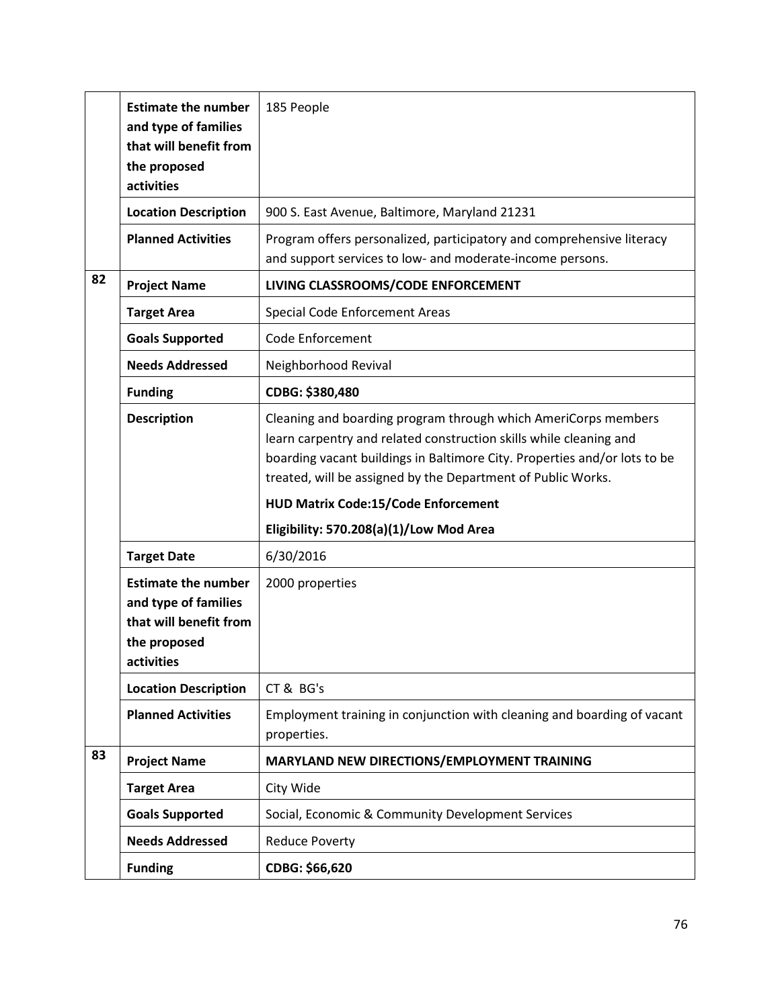|    | <b>Estimate the number</b><br>and type of families<br>that will benefit from<br>the proposed | 185 People                                                                                                                                                                                                                                                                        |
|----|----------------------------------------------------------------------------------------------|-----------------------------------------------------------------------------------------------------------------------------------------------------------------------------------------------------------------------------------------------------------------------------------|
|    | activities                                                                                   |                                                                                                                                                                                                                                                                                   |
|    | <b>Location Description</b>                                                                  | 900 S. East Avenue, Baltimore, Maryland 21231                                                                                                                                                                                                                                     |
|    | <b>Planned Activities</b>                                                                    | Program offers personalized, participatory and comprehensive literacy<br>and support services to low- and moderate-income persons.                                                                                                                                                |
| 82 | <b>Project Name</b>                                                                          | LIVING CLASSROOMS/CODE ENFORCEMENT                                                                                                                                                                                                                                                |
|    | <b>Target Area</b>                                                                           | Special Code Enforcement Areas                                                                                                                                                                                                                                                    |
|    | <b>Goals Supported</b>                                                                       | <b>Code Enforcement</b>                                                                                                                                                                                                                                                           |
|    | <b>Needs Addressed</b>                                                                       | Neighborhood Revival                                                                                                                                                                                                                                                              |
|    | <b>Funding</b>                                                                               | CDBG: \$380,480                                                                                                                                                                                                                                                                   |
|    | <b>Description</b>                                                                           | Cleaning and boarding program through which AmeriCorps members<br>learn carpentry and related construction skills while cleaning and<br>boarding vacant buildings in Baltimore City. Properties and/or lots to be<br>treated, will be assigned by the Department of Public Works. |
|    |                                                                                              | <b>HUD Matrix Code:15/Code Enforcement</b>                                                                                                                                                                                                                                        |
|    |                                                                                              | Eligibility: 570.208(a)(1)/Low Mod Area                                                                                                                                                                                                                                           |
|    |                                                                                              |                                                                                                                                                                                                                                                                                   |
|    | <b>Target Date</b>                                                                           | 6/30/2016                                                                                                                                                                                                                                                                         |
|    | <b>Estimate the number</b>                                                                   | 2000 properties                                                                                                                                                                                                                                                                   |
|    | and type of families                                                                         |                                                                                                                                                                                                                                                                                   |
|    | that will benefit from<br>the proposed                                                       |                                                                                                                                                                                                                                                                                   |
|    | activities                                                                                   |                                                                                                                                                                                                                                                                                   |
|    | <b>Location Description</b>                                                                  | CT & BG's                                                                                                                                                                                                                                                                         |
|    | <b>Planned Activities</b>                                                                    | Employment training in conjunction with cleaning and boarding of vacant<br>properties.                                                                                                                                                                                            |
| 83 | <b>Project Name</b>                                                                          | MARYLAND NEW DIRECTIONS/EMPLOYMENT TRAINING                                                                                                                                                                                                                                       |
|    | <b>Target Area</b>                                                                           | City Wide                                                                                                                                                                                                                                                                         |
|    | <b>Goals Supported</b>                                                                       | Social, Economic & Community Development Services                                                                                                                                                                                                                                 |
|    | <b>Needs Addressed</b>                                                                       | <b>Reduce Poverty</b>                                                                                                                                                                                                                                                             |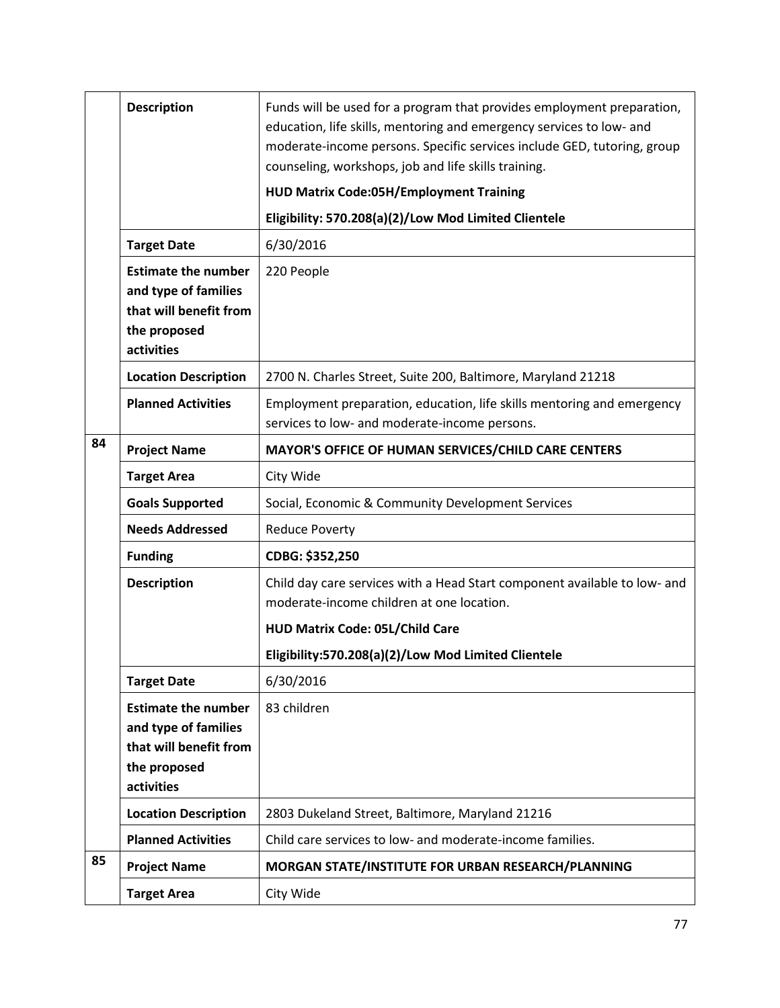|    | <b>Description</b>                                                                                         | Funds will be used for a program that provides employment preparation,<br>education, life skills, mentoring and emergency services to low- and<br>moderate-income persons. Specific services include GED, tutoring, group<br>counseling, workshops, job and life skills training. |
|----|------------------------------------------------------------------------------------------------------------|-----------------------------------------------------------------------------------------------------------------------------------------------------------------------------------------------------------------------------------------------------------------------------------|
|    |                                                                                                            | <b>HUD Matrix Code:05H/Employment Training</b>                                                                                                                                                                                                                                    |
|    |                                                                                                            | Eligibility: 570.208(a)(2)/Low Mod Limited Clientele                                                                                                                                                                                                                              |
|    | <b>Target Date</b>                                                                                         | 6/30/2016                                                                                                                                                                                                                                                                         |
|    | <b>Estimate the number</b><br>and type of families<br>that will benefit from<br>the proposed<br>activities | 220 People                                                                                                                                                                                                                                                                        |
|    | <b>Location Description</b>                                                                                | 2700 N. Charles Street, Suite 200, Baltimore, Maryland 21218                                                                                                                                                                                                                      |
|    | <b>Planned Activities</b>                                                                                  | Employment preparation, education, life skills mentoring and emergency<br>services to low- and moderate-income persons.                                                                                                                                                           |
| 84 | <b>Project Name</b>                                                                                        | MAYOR'S OFFICE OF HUMAN SERVICES/CHILD CARE CENTERS                                                                                                                                                                                                                               |
|    | <b>Target Area</b>                                                                                         | City Wide                                                                                                                                                                                                                                                                         |
|    | <b>Goals Supported</b>                                                                                     | Social, Economic & Community Development Services                                                                                                                                                                                                                                 |
|    | <b>Needs Addressed</b>                                                                                     | <b>Reduce Poverty</b>                                                                                                                                                                                                                                                             |
|    | <b>Funding</b>                                                                                             | CDBG: \$352,250                                                                                                                                                                                                                                                                   |
|    | <b>Description</b>                                                                                         | Child day care services with a Head Start component available to low- and<br>moderate-income children at one location.                                                                                                                                                            |
|    |                                                                                                            | <b>HUD Matrix Code: 05L/Child Care</b>                                                                                                                                                                                                                                            |
|    |                                                                                                            | Eligibility:570.208(a)(2)/Low Mod Limited Clientele                                                                                                                                                                                                                               |
|    | <b>Target Date</b>                                                                                         | 6/30/2016                                                                                                                                                                                                                                                                         |
|    | <b>Estimate the number</b><br>and type of families<br>that will benefit from<br>the proposed<br>activities | 83 children                                                                                                                                                                                                                                                                       |
|    | <b>Location Description</b>                                                                                | 2803 Dukeland Street, Baltimore, Maryland 21216                                                                                                                                                                                                                                   |
|    | <b>Planned Activities</b>                                                                                  | Child care services to low- and moderate-income families.                                                                                                                                                                                                                         |
| 85 | <b>Project Name</b>                                                                                        | MORGAN STATE/INSTITUTE FOR URBAN RESEARCH/PLANNING                                                                                                                                                                                                                                |
|    | <b>Target Area</b>                                                                                         | City Wide                                                                                                                                                                                                                                                                         |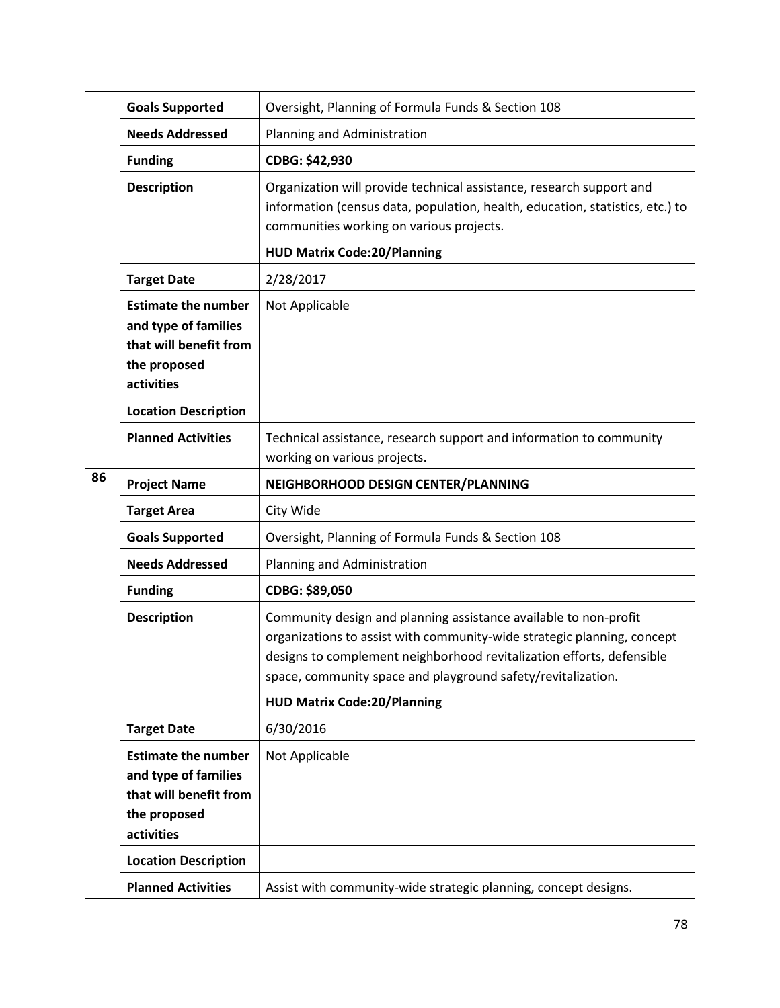|    | <b>Goals Supported</b>                                                                                     | Oversight, Planning of Formula Funds & Section 108                                                                                                                                                                                                                                                                         |
|----|------------------------------------------------------------------------------------------------------------|----------------------------------------------------------------------------------------------------------------------------------------------------------------------------------------------------------------------------------------------------------------------------------------------------------------------------|
|    | <b>Needs Addressed</b>                                                                                     | Planning and Administration                                                                                                                                                                                                                                                                                                |
|    | <b>Funding</b>                                                                                             | CDBG: \$42,930                                                                                                                                                                                                                                                                                                             |
|    | <b>Description</b>                                                                                         | Organization will provide technical assistance, research support and<br>information (census data, population, health, education, statistics, etc.) to<br>communities working on various projects.                                                                                                                          |
|    |                                                                                                            | <b>HUD Matrix Code:20/Planning</b>                                                                                                                                                                                                                                                                                         |
|    | <b>Target Date</b>                                                                                         | 2/28/2017                                                                                                                                                                                                                                                                                                                  |
|    | <b>Estimate the number</b><br>and type of families<br>that will benefit from<br>the proposed<br>activities | Not Applicable                                                                                                                                                                                                                                                                                                             |
|    | <b>Location Description</b>                                                                                |                                                                                                                                                                                                                                                                                                                            |
|    | <b>Planned Activities</b>                                                                                  | Technical assistance, research support and information to community<br>working on various projects.                                                                                                                                                                                                                        |
| 86 | <b>Project Name</b>                                                                                        | NEIGHBORHOOD DESIGN CENTER/PLANNING                                                                                                                                                                                                                                                                                        |
|    | <b>Target Area</b>                                                                                         | City Wide                                                                                                                                                                                                                                                                                                                  |
|    | <b>Goals Supported</b>                                                                                     | Oversight, Planning of Formula Funds & Section 108                                                                                                                                                                                                                                                                         |
|    | <b>Needs Addressed</b>                                                                                     | Planning and Administration                                                                                                                                                                                                                                                                                                |
|    | <b>Funding</b>                                                                                             | CDBG: \$89,050                                                                                                                                                                                                                                                                                                             |
|    | <b>Description</b>                                                                                         | Community design and planning assistance available to non-profit<br>organizations to assist with community-wide strategic planning, concept<br>designs to complement neighborhood revitalization efforts, defensible<br>space, community space and playground safety/revitalization.<br><b>HUD Matrix Code:20/Planning</b> |
|    | <b>Target Date</b>                                                                                         | 6/30/2016                                                                                                                                                                                                                                                                                                                  |
|    | <b>Estimate the number</b><br>and type of families<br>that will benefit from<br>the proposed<br>activities | Not Applicable                                                                                                                                                                                                                                                                                                             |
|    | <b>Location Description</b>                                                                                |                                                                                                                                                                                                                                                                                                                            |
|    | <b>Planned Activities</b>                                                                                  | Assist with community-wide strategic planning, concept designs.                                                                                                                                                                                                                                                            |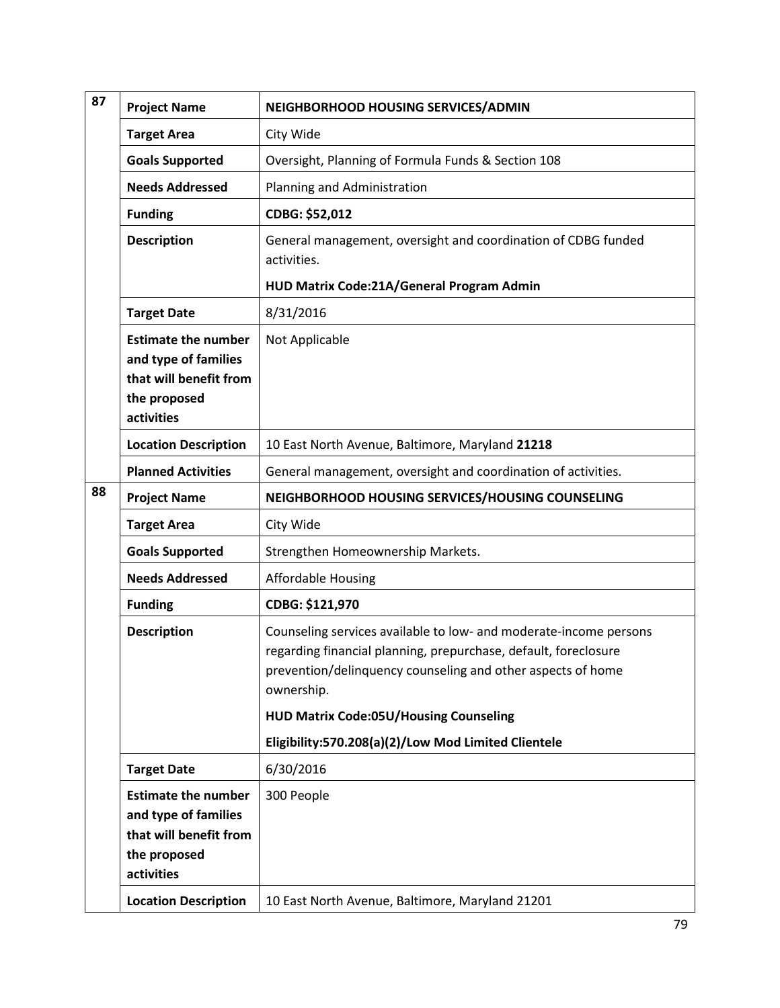| 87 | <b>Project Name</b>                                                                                        | NEIGHBORHOOD HOUSING SERVICES/ADMIN                                                                                                                                                                                                                                                                                       |
|----|------------------------------------------------------------------------------------------------------------|---------------------------------------------------------------------------------------------------------------------------------------------------------------------------------------------------------------------------------------------------------------------------------------------------------------------------|
|    | <b>Target Area</b>                                                                                         | City Wide                                                                                                                                                                                                                                                                                                                 |
|    | <b>Goals Supported</b>                                                                                     | Oversight, Planning of Formula Funds & Section 108                                                                                                                                                                                                                                                                        |
|    | <b>Needs Addressed</b>                                                                                     | Planning and Administration                                                                                                                                                                                                                                                                                               |
|    | <b>Funding</b>                                                                                             | CDBG: \$52,012                                                                                                                                                                                                                                                                                                            |
|    | <b>Description</b>                                                                                         | General management, oversight and coordination of CDBG funded<br>activities.                                                                                                                                                                                                                                              |
|    |                                                                                                            | HUD Matrix Code:21A/General Program Admin                                                                                                                                                                                                                                                                                 |
|    | <b>Target Date</b>                                                                                         | 8/31/2016                                                                                                                                                                                                                                                                                                                 |
|    | <b>Estimate the number</b><br>and type of families<br>that will benefit from<br>the proposed<br>activities | Not Applicable                                                                                                                                                                                                                                                                                                            |
|    | <b>Location Description</b>                                                                                | 10 East North Avenue, Baltimore, Maryland 21218                                                                                                                                                                                                                                                                           |
|    | <b>Planned Activities</b>                                                                                  | General management, oversight and coordination of activities.                                                                                                                                                                                                                                                             |
| 88 | <b>Project Name</b>                                                                                        | NEIGHBORHOOD HOUSING SERVICES/HOUSING COUNSELING                                                                                                                                                                                                                                                                          |
|    | <b>Target Area</b>                                                                                         | City Wide                                                                                                                                                                                                                                                                                                                 |
|    | <b>Goals Supported</b>                                                                                     | Strengthen Homeownership Markets.                                                                                                                                                                                                                                                                                         |
|    | <b>Needs Addressed</b>                                                                                     | <b>Affordable Housing</b>                                                                                                                                                                                                                                                                                                 |
|    | <b>Funding</b>                                                                                             | CDBG: \$121,970                                                                                                                                                                                                                                                                                                           |
|    | <b>Description</b>                                                                                         | Counseling services available to low- and moderate-income persons<br>regarding financial planning, prepurchase, default, foreclosure<br>prevention/delinquency counseling and other aspects of home<br>ownership.<br><b>HUD Matrix Code:05U/Housing Counseling</b><br>Eligibility:570.208(a)(2)/Low Mod Limited Clientele |
|    | <b>Target Date</b>                                                                                         | 6/30/2016                                                                                                                                                                                                                                                                                                                 |
|    | <b>Estimate the number</b><br>and type of families<br>that will benefit from<br>the proposed<br>activities | 300 People                                                                                                                                                                                                                                                                                                                |
|    | <b>Location Description</b>                                                                                | 10 East North Avenue, Baltimore, Maryland 21201                                                                                                                                                                                                                                                                           |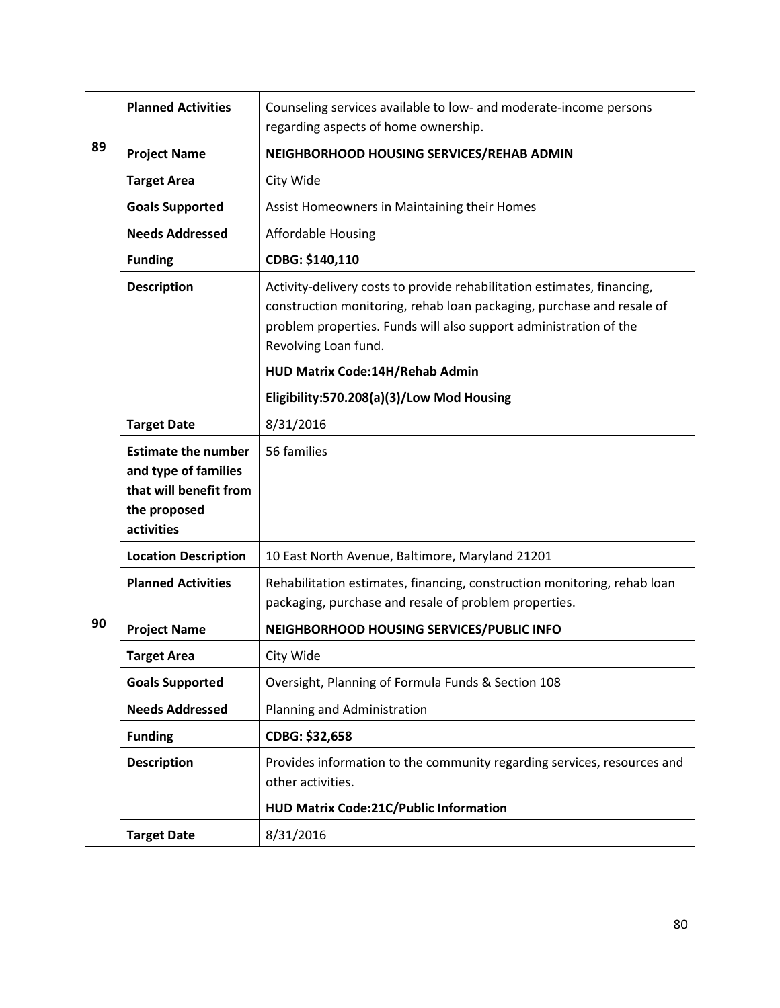|    | <b>Planned Activities</b>                                                                                  | Counseling services available to low- and moderate-income persons<br>regarding aspects of home ownership.                                                                                                                                     |
|----|------------------------------------------------------------------------------------------------------------|-----------------------------------------------------------------------------------------------------------------------------------------------------------------------------------------------------------------------------------------------|
| 89 | <b>Project Name</b>                                                                                        | NEIGHBORHOOD HOUSING SERVICES/REHAB ADMIN                                                                                                                                                                                                     |
|    | <b>Target Area</b>                                                                                         | City Wide                                                                                                                                                                                                                                     |
|    | <b>Goals Supported</b>                                                                                     | Assist Homeowners in Maintaining their Homes                                                                                                                                                                                                  |
|    | <b>Needs Addressed</b>                                                                                     | <b>Affordable Housing</b>                                                                                                                                                                                                                     |
|    | <b>Funding</b>                                                                                             | CDBG: \$140,110                                                                                                                                                                                                                               |
|    | <b>Description</b>                                                                                         | Activity-delivery costs to provide rehabilitation estimates, financing,<br>construction monitoring, rehab loan packaging, purchase and resale of<br>problem properties. Funds will also support administration of the<br>Revolving Loan fund. |
|    |                                                                                                            | HUD Matrix Code:14H/Rehab Admin                                                                                                                                                                                                               |
|    |                                                                                                            | Eligibility:570.208(a)(3)/Low Mod Housing                                                                                                                                                                                                     |
|    | <b>Target Date</b>                                                                                         | 8/31/2016                                                                                                                                                                                                                                     |
|    | <b>Estimate the number</b><br>and type of families<br>that will benefit from<br>the proposed<br>activities | 56 families                                                                                                                                                                                                                                   |
|    | <b>Location Description</b>                                                                                | 10 East North Avenue, Baltimore, Maryland 21201                                                                                                                                                                                               |
|    | <b>Planned Activities</b>                                                                                  | Rehabilitation estimates, financing, construction monitoring, rehab loan<br>packaging, purchase and resale of problem properties.                                                                                                             |
| 90 | <b>Project Name</b>                                                                                        | NEIGHBORHOOD HOUSING SERVICES/PUBLIC INFO                                                                                                                                                                                                     |
|    | <b>Target Area</b>                                                                                         | City Wide                                                                                                                                                                                                                                     |
|    | <b>Goals Supported</b>                                                                                     | Oversight, Planning of Formula Funds & Section 108                                                                                                                                                                                            |
|    | <b>Needs Addressed</b>                                                                                     | Planning and Administration                                                                                                                                                                                                                   |
|    | <b>Funding</b>                                                                                             | CDBG: \$32,658                                                                                                                                                                                                                                |
|    | <b>Description</b>                                                                                         | Provides information to the community regarding services, resources and<br>other activities.                                                                                                                                                  |
|    |                                                                                                            | <b>HUD Matrix Code:21C/Public Information</b>                                                                                                                                                                                                 |
|    | <b>Target Date</b>                                                                                         | 8/31/2016                                                                                                                                                                                                                                     |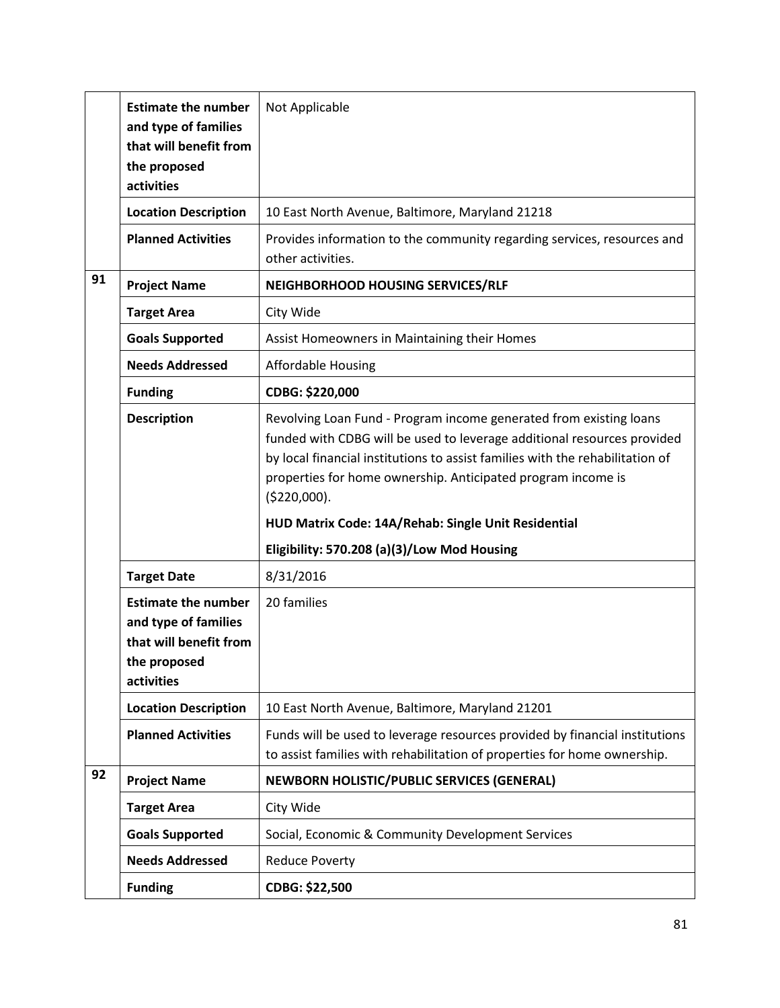|    | <b>Estimate the number</b><br>and type of families<br>that will benefit from<br>the proposed<br>activities | Not Applicable                                                                                                                                                                                                                                                                                                  |
|----|------------------------------------------------------------------------------------------------------------|-----------------------------------------------------------------------------------------------------------------------------------------------------------------------------------------------------------------------------------------------------------------------------------------------------------------|
|    | <b>Location Description</b>                                                                                | 10 East North Avenue, Baltimore, Maryland 21218                                                                                                                                                                                                                                                                 |
|    | <b>Planned Activities</b>                                                                                  | Provides information to the community regarding services, resources and<br>other activities.                                                                                                                                                                                                                    |
| 91 | <b>Project Name</b>                                                                                        | NEIGHBORHOOD HOUSING SERVICES/RLF                                                                                                                                                                                                                                                                               |
|    | <b>Target Area</b>                                                                                         | City Wide                                                                                                                                                                                                                                                                                                       |
|    | <b>Goals Supported</b>                                                                                     | Assist Homeowners in Maintaining their Homes                                                                                                                                                                                                                                                                    |
|    | <b>Needs Addressed</b>                                                                                     | <b>Affordable Housing</b>                                                                                                                                                                                                                                                                                       |
|    | <b>Funding</b>                                                                                             | CDBG: \$220,000                                                                                                                                                                                                                                                                                                 |
|    | <b>Description</b>                                                                                         | Revolving Loan Fund - Program income generated from existing loans<br>funded with CDBG will be used to leverage additional resources provided<br>by local financial institutions to assist families with the rehabilitation of<br>properties for home ownership. Anticipated program income is<br>( \$220,000). |
|    |                                                                                                            | HUD Matrix Code: 14A/Rehab: Single Unit Residential                                                                                                                                                                                                                                                             |
|    |                                                                                                            | Eligibility: 570.208 (a)(3)/Low Mod Housing                                                                                                                                                                                                                                                                     |
|    | <b>Target Date</b>                                                                                         | 8/31/2016                                                                                                                                                                                                                                                                                                       |
|    | <b>Estimate the number</b><br>and type of families<br>that will benefit from<br>the proposed<br>activities | 20 families                                                                                                                                                                                                                                                                                                     |
|    | <b>Location Description</b>                                                                                | 10 East North Avenue, Baltimore, Maryland 21201                                                                                                                                                                                                                                                                 |
|    | <b>Planned Activities</b>                                                                                  | Funds will be used to leverage resources provided by financial institutions<br>to assist families with rehabilitation of properties for home ownership.                                                                                                                                                         |
| 92 | <b>Project Name</b>                                                                                        | NEWBORN HOLISTIC/PUBLIC SERVICES (GENERAL)                                                                                                                                                                                                                                                                      |
|    | <b>Target Area</b>                                                                                         | City Wide                                                                                                                                                                                                                                                                                                       |
|    | <b>Goals Supported</b>                                                                                     | Social, Economic & Community Development Services                                                                                                                                                                                                                                                               |
|    | <b>Needs Addressed</b>                                                                                     | <b>Reduce Poverty</b>                                                                                                                                                                                                                                                                                           |
|    | <b>Funding</b>                                                                                             | CDBG: \$22,500                                                                                                                                                                                                                                                                                                  |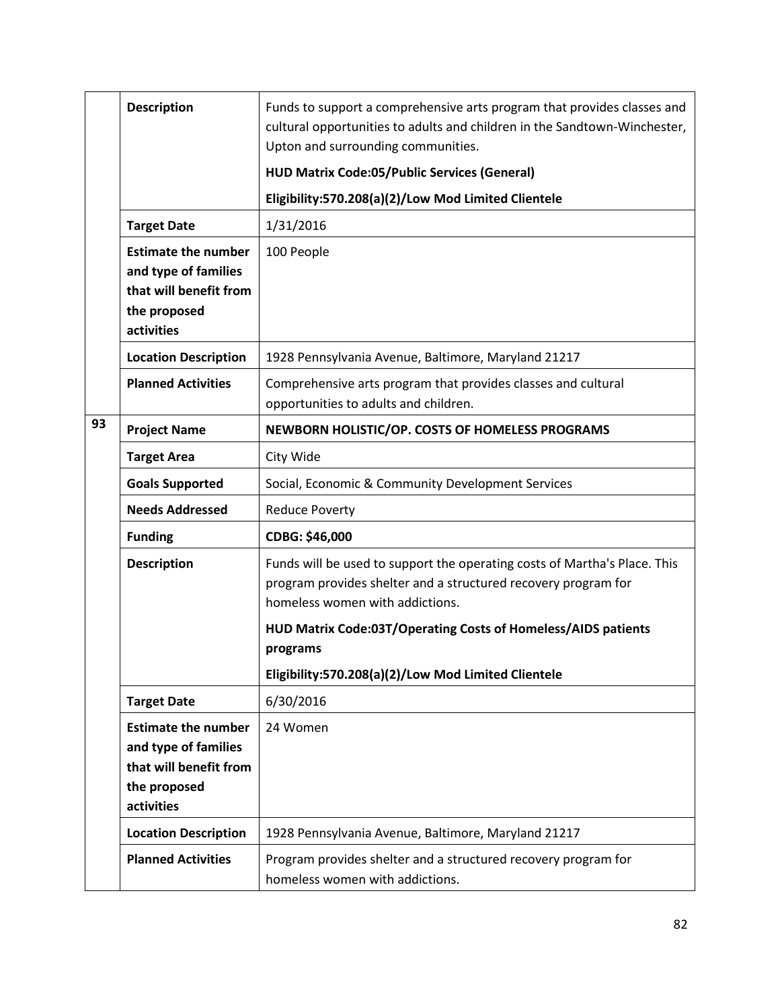|    | <b>Description</b>                                                                                         | Funds to support a comprehensive arts program that provides classes and<br>cultural opportunities to adults and children in the Sandtown-Winchester,<br>Upton and surrounding communities.                                                                                                                         |
|----|------------------------------------------------------------------------------------------------------------|--------------------------------------------------------------------------------------------------------------------------------------------------------------------------------------------------------------------------------------------------------------------------------------------------------------------|
|    |                                                                                                            | <b>HUD Matrix Code:05/Public Services (General)</b>                                                                                                                                                                                                                                                                |
|    |                                                                                                            | Eligibility:570.208(a)(2)/Low Mod Limited Clientele                                                                                                                                                                                                                                                                |
|    | <b>Target Date</b>                                                                                         | 1/31/2016                                                                                                                                                                                                                                                                                                          |
|    | <b>Estimate the number</b><br>and type of families<br>that will benefit from<br>the proposed<br>activities | 100 People                                                                                                                                                                                                                                                                                                         |
|    | <b>Location Description</b>                                                                                | 1928 Pennsylvania Avenue, Baltimore, Maryland 21217                                                                                                                                                                                                                                                                |
|    | <b>Planned Activities</b>                                                                                  | Comprehensive arts program that provides classes and cultural<br>opportunities to adults and children.                                                                                                                                                                                                             |
| 93 | <b>Project Name</b>                                                                                        | NEWBORN HOLISTIC/OP. COSTS OF HOMELESS PROGRAMS                                                                                                                                                                                                                                                                    |
|    | <b>Target Area</b>                                                                                         | City Wide                                                                                                                                                                                                                                                                                                          |
|    | <b>Goals Supported</b>                                                                                     | Social, Economic & Community Development Services                                                                                                                                                                                                                                                                  |
|    | <b>Needs Addressed</b>                                                                                     | <b>Reduce Poverty</b>                                                                                                                                                                                                                                                                                              |
|    | <b>Funding</b>                                                                                             | CDBG: \$46,000                                                                                                                                                                                                                                                                                                     |
|    | <b>Description</b>                                                                                         | Funds will be used to support the operating costs of Martha's Place. This<br>program provides shelter and a structured recovery program for<br>homeless women with addictions.<br>HUD Matrix Code:03T/Operating Costs of Homeless/AIDS patients<br>programs<br>Eligibility:570.208(a)(2)/Low Mod Limited Clientele |
|    | <b>Target Date</b>                                                                                         | 6/30/2016                                                                                                                                                                                                                                                                                                          |
|    | <b>Estimate the number</b><br>and type of families<br>that will benefit from<br>the proposed<br>activities | 24 Women                                                                                                                                                                                                                                                                                                           |
|    | <b>Location Description</b>                                                                                | 1928 Pennsylvania Avenue, Baltimore, Maryland 21217                                                                                                                                                                                                                                                                |
|    | <b>Planned Activities</b>                                                                                  | Program provides shelter and a structured recovery program for<br>homeless women with addictions.                                                                                                                                                                                                                  |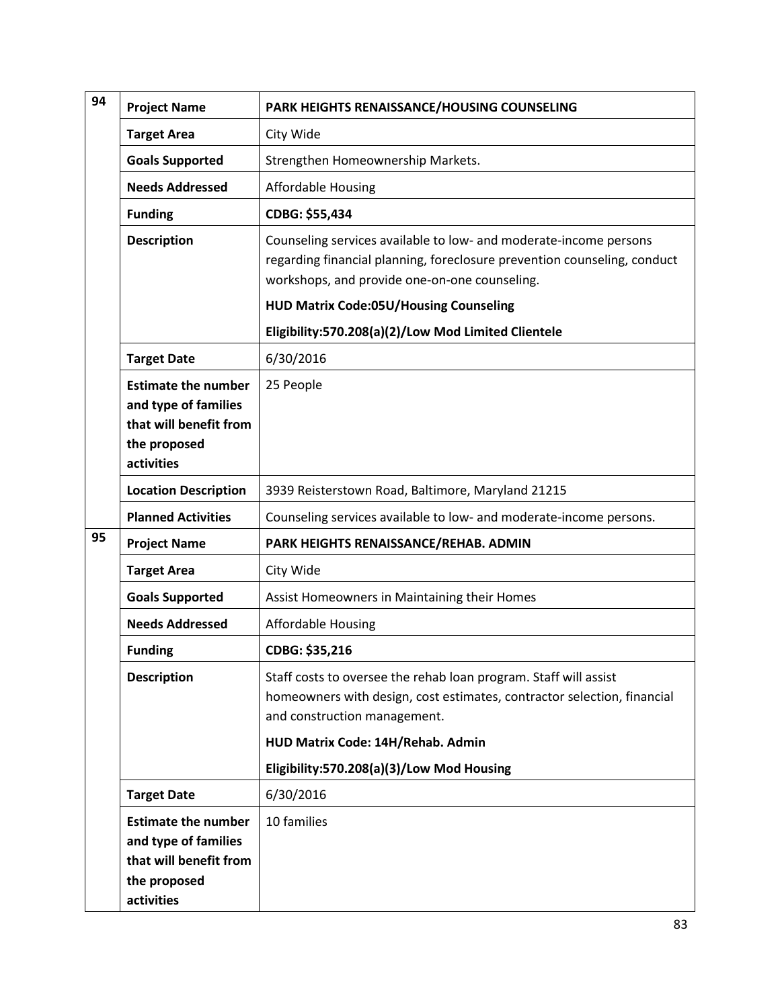| <b>Project Name</b>        | PARK HEIGHTS RENAISSANCE/HOUSING COUNSELING                                                                                                                                                                                                                                                                           |
|----------------------------|-----------------------------------------------------------------------------------------------------------------------------------------------------------------------------------------------------------------------------------------------------------------------------------------------------------------------|
| <b>Target Area</b>         | City Wide                                                                                                                                                                                                                                                                                                             |
| <b>Goals Supported</b>     | Strengthen Homeownership Markets.                                                                                                                                                                                                                                                                                     |
| <b>Needs Addressed</b>     | <b>Affordable Housing</b>                                                                                                                                                                                                                                                                                             |
| <b>Funding</b>             | CDBG: \$55,434                                                                                                                                                                                                                                                                                                        |
| <b>Description</b>         | Counseling services available to low- and moderate-income persons<br>regarding financial planning, foreclosure prevention counseling, conduct<br>workshops, and provide one-on-one counseling.<br><b>HUD Matrix Code:05U/Housing Counseling</b>                                                                       |
|                            |                                                                                                                                                                                                                                                                                                                       |
|                            | Eligibility:570.208(a)(2)/Low Mod Limited Clientele                                                                                                                                                                                                                                                                   |
|                            | 6/30/2016                                                                                                                                                                                                                                                                                                             |
| and type of families       | 25 People                                                                                                                                                                                                                                                                                                             |
| that will benefit from     |                                                                                                                                                                                                                                                                                                                       |
|                            |                                                                                                                                                                                                                                                                                                                       |
|                            | 3939 Reisterstown Road, Baltimore, Maryland 21215                                                                                                                                                                                                                                                                     |
|                            | Counseling services available to low- and moderate-income persons.                                                                                                                                                                                                                                                    |
|                            | PARK HEIGHTS RENAISSANCE/REHAB. ADMIN                                                                                                                                                                                                                                                                                 |
|                            | City Wide                                                                                                                                                                                                                                                                                                             |
|                            | Assist Homeowners in Maintaining their Homes                                                                                                                                                                                                                                                                          |
|                            | <b>Affordable Housing</b>                                                                                                                                                                                                                                                                                             |
|                            | CDBG: \$35,216                                                                                                                                                                                                                                                                                                        |
| <b>Description</b>         | Staff costs to oversee the rehab loan program. Staff will assist<br>homeowners with design, cost estimates, contractor selection, financial<br>and construction management.                                                                                                                                           |
|                            | HUD Matrix Code: 14H/Rehab. Admin                                                                                                                                                                                                                                                                                     |
|                            | Eligibility:570.208(a)(3)/Low Mod Housing                                                                                                                                                                                                                                                                             |
| <b>Target Date</b>         | 6/30/2016                                                                                                                                                                                                                                                                                                             |
| <b>Estimate the number</b> | 10 families                                                                                                                                                                                                                                                                                                           |
| and type of families       |                                                                                                                                                                                                                                                                                                                       |
|                            |                                                                                                                                                                                                                                                                                                                       |
|                            |                                                                                                                                                                                                                                                                                                                       |
|                            | <b>Target Date</b><br><b>Estimate the number</b><br>the proposed<br>activities<br><b>Location Description</b><br><b>Planned Activities</b><br><b>Project Name</b><br><b>Target Area</b><br><b>Goals Supported</b><br><b>Needs Addressed</b><br><b>Funding</b><br>that will benefit from<br>the proposed<br>activities |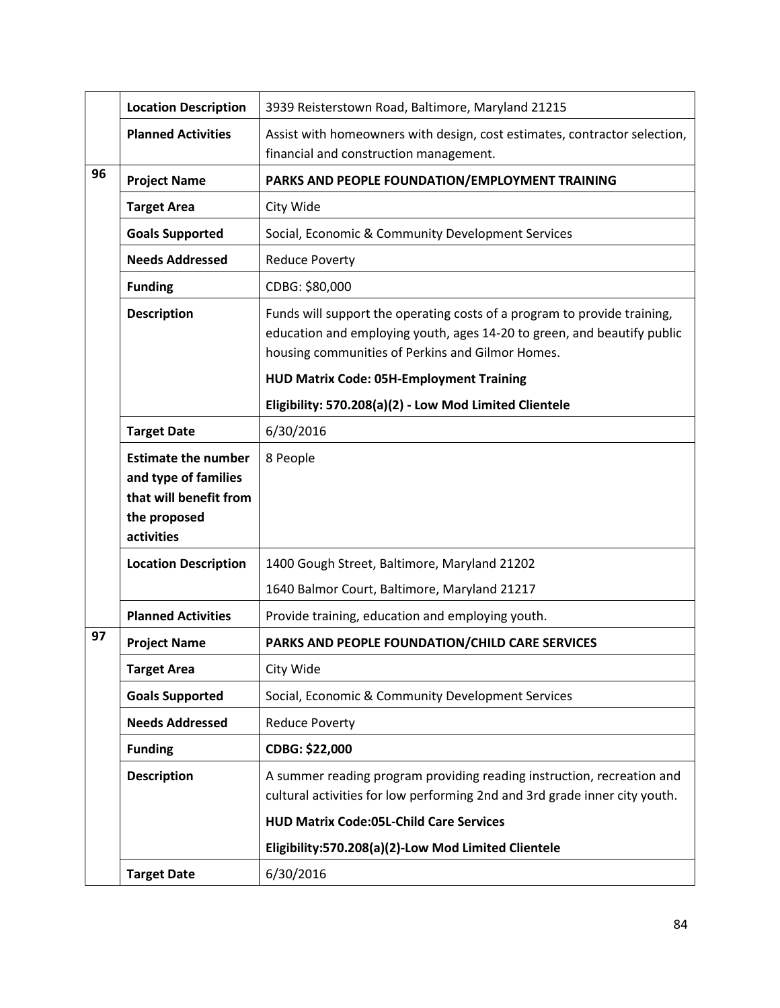|    | <b>Location Description</b>                        | 3939 Reisterstown Road, Baltimore, Maryland 21215                                                                                                                                                                                                          |
|----|----------------------------------------------------|------------------------------------------------------------------------------------------------------------------------------------------------------------------------------------------------------------------------------------------------------------|
|    | <b>Planned Activities</b>                          | Assist with homeowners with design, cost estimates, contractor selection,<br>financial and construction management.                                                                                                                                        |
| 96 | <b>Project Name</b>                                | PARKS AND PEOPLE FOUNDATION/EMPLOYMENT TRAINING                                                                                                                                                                                                            |
|    | <b>Target Area</b>                                 | City Wide                                                                                                                                                                                                                                                  |
|    | <b>Goals Supported</b>                             | Social, Economic & Community Development Services                                                                                                                                                                                                          |
|    | <b>Needs Addressed</b>                             | <b>Reduce Poverty</b>                                                                                                                                                                                                                                      |
|    | <b>Funding</b>                                     | CDBG: \$80,000                                                                                                                                                                                                                                             |
|    | <b>Description</b>                                 | Funds will support the operating costs of a program to provide training,<br>education and employing youth, ages 14-20 to green, and beautify public<br>housing communities of Perkins and Gilmor Homes.<br><b>HUD Matrix Code: 05H-Employment Training</b> |
|    |                                                    |                                                                                                                                                                                                                                                            |
|    |                                                    | Eligibility: 570.208(a)(2) - Low Mod Limited Clientele                                                                                                                                                                                                     |
|    | <b>Target Date</b>                                 | 6/30/2016                                                                                                                                                                                                                                                  |
|    | <b>Estimate the number</b><br>and type of families | 8 People                                                                                                                                                                                                                                                   |
|    | that will benefit from                             |                                                                                                                                                                                                                                                            |
|    | the proposed<br>activities                         |                                                                                                                                                                                                                                                            |
|    | <b>Location Description</b>                        | 1400 Gough Street, Baltimore, Maryland 21202                                                                                                                                                                                                               |
|    |                                                    | 1640 Balmor Court, Baltimore, Maryland 21217                                                                                                                                                                                                               |
|    | <b>Planned Activities</b>                          | Provide training, education and employing youth.                                                                                                                                                                                                           |
| 97 | <b>Project Name</b>                                | PARKS AND PEOPLE FOUNDATION/CHILD CARE SERVICES                                                                                                                                                                                                            |
|    | <b>Target Area</b>                                 | City Wide                                                                                                                                                                                                                                                  |
|    | <b>Goals Supported</b>                             | Social, Economic & Community Development Services                                                                                                                                                                                                          |
|    | <b>Needs Addressed</b>                             | <b>Reduce Poverty</b>                                                                                                                                                                                                                                      |
|    | <b>Funding</b>                                     | CDBG: \$22,000                                                                                                                                                                                                                                             |
|    | <b>Description</b>                                 | A summer reading program providing reading instruction, recreation and<br>cultural activities for low performing 2nd and 3rd grade inner city youth.                                                                                                       |
|    |                                                    | <b>HUD Matrix Code:05L-Child Care Services</b>                                                                                                                                                                                                             |
|    |                                                    | Eligibility:570.208(a)(2)-Low Mod Limited Clientele                                                                                                                                                                                                        |
|    | <b>Target Date</b>                                 | 6/30/2016                                                                                                                                                                                                                                                  |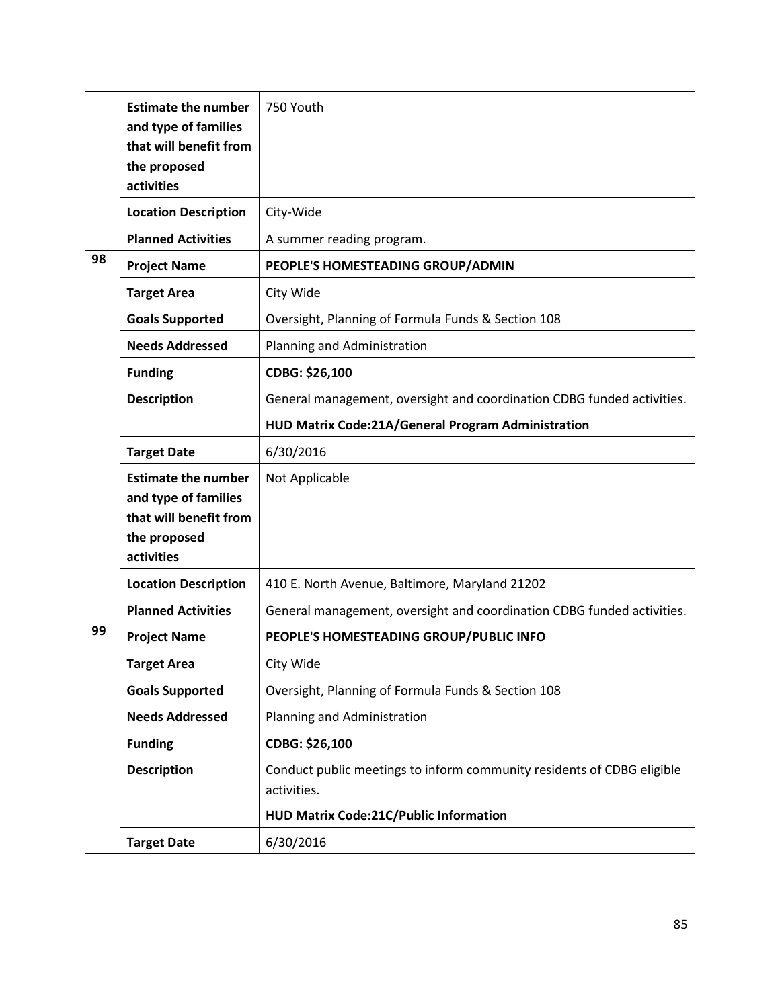|    | <b>Estimate the number</b><br>and type of families<br>that will benefit from<br>the proposed<br>activities | 750 Youth                                                                             |
|----|------------------------------------------------------------------------------------------------------------|---------------------------------------------------------------------------------------|
|    | <b>Location Description</b>                                                                                | City-Wide                                                                             |
|    | <b>Planned Activities</b>                                                                                  | A summer reading program.                                                             |
| 98 | <b>Project Name</b>                                                                                        | PEOPLE'S HOMESTEADING GROUP/ADMIN                                                     |
|    | <b>Target Area</b>                                                                                         | City Wide                                                                             |
|    | <b>Goals Supported</b>                                                                                     | Oversight, Planning of Formula Funds & Section 108                                    |
|    | <b>Needs Addressed</b>                                                                                     | Planning and Administration                                                           |
|    | <b>Funding</b>                                                                                             | CDBG: \$26,100                                                                        |
|    | <b>Description</b>                                                                                         | General management, oversight and coordination CDBG funded activities.                |
|    |                                                                                                            | HUD Matrix Code:21A/General Program Administration                                    |
|    | <b>Target Date</b>                                                                                         | 6/30/2016                                                                             |
|    | <b>Estimate the number</b><br>and type of families<br>that will benefit from<br>the proposed<br>activities | Not Applicable                                                                        |
|    | <b>Location Description</b>                                                                                | 410 E. North Avenue, Baltimore, Maryland 21202                                        |
|    | <b>Planned Activities</b>                                                                                  | General management, oversight and coordination CDBG funded activities.                |
| 99 | <b>Project Name</b>                                                                                        | PEOPLE'S HOMESTEADING GROUP/PUBLIC INFO                                               |
|    | Target Area                                                                                                | City Wide                                                                             |
|    | <b>Goals Supported</b>                                                                                     | Oversight, Planning of Formula Funds & Section 108                                    |
|    | <b>Needs Addressed</b>                                                                                     | Planning and Administration                                                           |
|    | <b>Funding</b>                                                                                             | CDBG: \$26,100                                                                        |
|    | <b>Description</b>                                                                                         | Conduct public meetings to inform community residents of CDBG eligible<br>activities. |
|    |                                                                                                            | HUD Matrix Code:21C/Public Information                                                |
|    | <b>Target Date</b>                                                                                         | 6/30/2016                                                                             |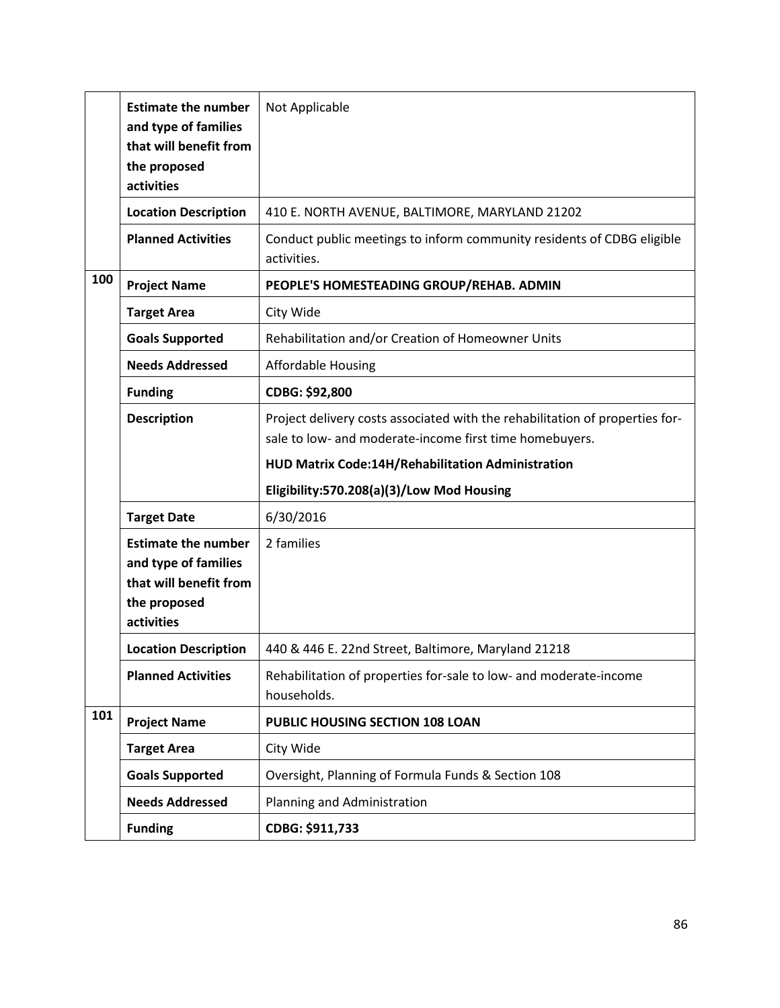|     | <b>Estimate the number</b><br>and type of families<br>that will benefit from<br>the proposed<br>activities | Not Applicable                                                                                                                          |
|-----|------------------------------------------------------------------------------------------------------------|-----------------------------------------------------------------------------------------------------------------------------------------|
|     | <b>Location Description</b>                                                                                | 410 E. NORTH AVENUE, BALTIMORE, MARYLAND 21202                                                                                          |
|     | <b>Planned Activities</b>                                                                                  | Conduct public meetings to inform community residents of CDBG eligible<br>activities.                                                   |
| 100 | <b>Project Name</b>                                                                                        | PEOPLE'S HOMESTEADING GROUP/REHAB. ADMIN                                                                                                |
|     | <b>Target Area</b>                                                                                         | City Wide                                                                                                                               |
|     | <b>Goals Supported</b>                                                                                     | Rehabilitation and/or Creation of Homeowner Units                                                                                       |
|     | <b>Needs Addressed</b>                                                                                     | <b>Affordable Housing</b>                                                                                                               |
|     | <b>Funding</b>                                                                                             | CDBG: \$92,800                                                                                                                          |
|     | <b>Description</b>                                                                                         | Project delivery costs associated with the rehabilitation of properties for-<br>sale to low- and moderate-income first time homebuyers. |
|     |                                                                                                            | HUD Matrix Code:14H/Rehabilitation Administration                                                                                       |
|     |                                                                                                            | Eligibility:570.208(a)(3)/Low Mod Housing                                                                                               |
|     | <b>Target Date</b>                                                                                         | 6/30/2016                                                                                                                               |
|     | <b>Estimate the number</b><br>and type of families<br>that will benefit from<br>the proposed<br>activities | 2 families                                                                                                                              |
|     | <b>Location Description</b>                                                                                | 440 & 446 E. 22nd Street, Baltimore, Maryland 21218                                                                                     |
|     | <b>Planned Activities</b>                                                                                  | Rehabilitation of properties for-sale to low- and moderate-income<br>households.                                                        |
| 101 | <b>Project Name</b>                                                                                        | PUBLIC HOUSING SECTION 108 LOAN                                                                                                         |
|     | <b>Target Area</b>                                                                                         | City Wide                                                                                                                               |
|     | <b>Goals Supported</b>                                                                                     | Oversight, Planning of Formula Funds & Section 108                                                                                      |
|     | <b>Needs Addressed</b>                                                                                     | Planning and Administration                                                                                                             |
|     | <b>Funding</b>                                                                                             | CDBG: \$911,733                                                                                                                         |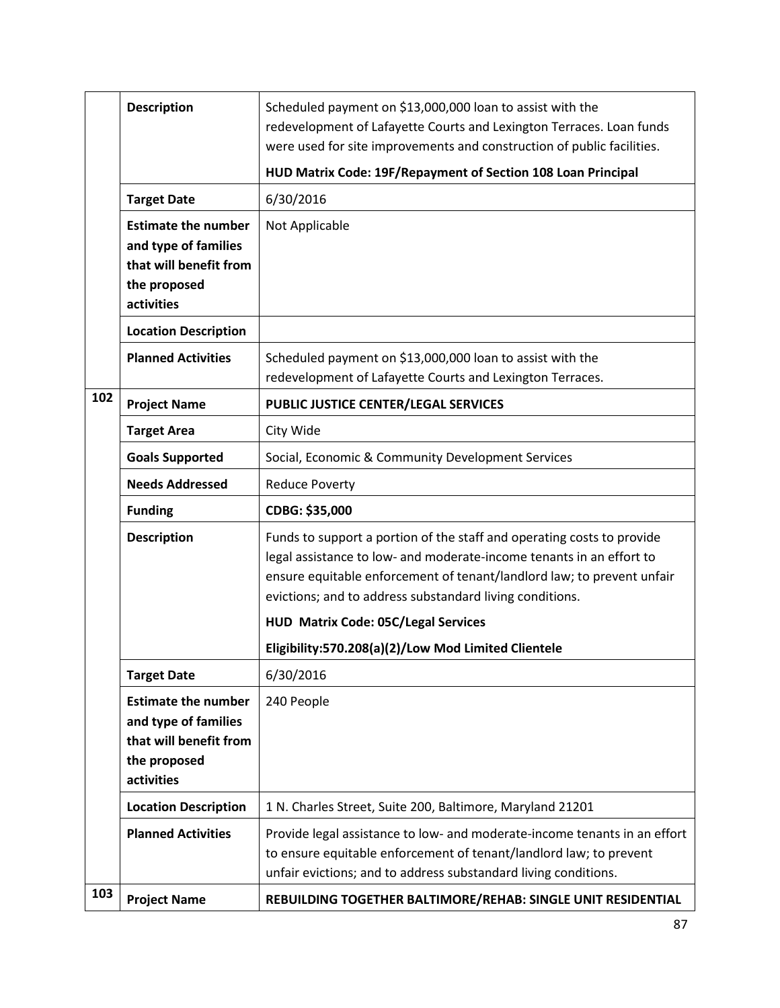|     | <b>Description</b>                                                                                                               | Scheduled payment on \$13,000,000 loan to assist with the<br>redevelopment of Lafayette Courts and Lexington Terraces. Loan funds<br>were used for site improvements and construction of public facilities.                                                                          |
|-----|----------------------------------------------------------------------------------------------------------------------------------|--------------------------------------------------------------------------------------------------------------------------------------------------------------------------------------------------------------------------------------------------------------------------------------|
|     |                                                                                                                                  | HUD Matrix Code: 19F/Repayment of Section 108 Loan Principal                                                                                                                                                                                                                         |
|     | <b>Target Date</b>                                                                                                               | 6/30/2016                                                                                                                                                                                                                                                                            |
|     | <b>Estimate the number</b><br>and type of families<br>that will benefit from<br>the proposed<br>activities                       | Not Applicable                                                                                                                                                                                                                                                                       |
|     | <b>Location Description</b>                                                                                                      |                                                                                                                                                                                                                                                                                      |
|     | <b>Planned Activities</b>                                                                                                        | Scheduled payment on \$13,000,000 loan to assist with the<br>redevelopment of Lafayette Courts and Lexington Terraces.                                                                                                                                                               |
| 102 | <b>Project Name</b>                                                                                                              | PUBLIC JUSTICE CENTER/LEGAL SERVICES                                                                                                                                                                                                                                                 |
|     | <b>Target Area</b>                                                                                                               | City Wide                                                                                                                                                                                                                                                                            |
|     | <b>Goals Supported</b>                                                                                                           | Social, Economic & Community Development Services                                                                                                                                                                                                                                    |
|     | <b>Needs Addressed</b>                                                                                                           | <b>Reduce Poverty</b>                                                                                                                                                                                                                                                                |
|     |                                                                                                                                  |                                                                                                                                                                                                                                                                                      |
|     | <b>Funding</b>                                                                                                                   | CDBG: \$35,000                                                                                                                                                                                                                                                                       |
|     | <b>Description</b>                                                                                                               | Funds to support a portion of the staff and operating costs to provide<br>legal assistance to low- and moderate-income tenants in an effort to<br>ensure equitable enforcement of tenant/landlord law; to prevent unfair<br>evictions; and to address substandard living conditions. |
|     |                                                                                                                                  | <b>HUD Matrix Code: 05C/Legal Services</b>                                                                                                                                                                                                                                           |
|     |                                                                                                                                  | Eligibility:570.208(a)(2)/Low Mod Limited Clientele                                                                                                                                                                                                                                  |
|     | <b>Target Date</b><br><b>Estimate the number</b><br>and type of families<br>that will benefit from<br>the proposed<br>activities | 6/30/2016<br>240 People                                                                                                                                                                                                                                                              |
|     | <b>Location Description</b>                                                                                                      | 1 N. Charles Street, Suite 200, Baltimore, Maryland 21201                                                                                                                                                                                                                            |
| 103 | <b>Planned Activities</b>                                                                                                        | Provide legal assistance to low- and moderate-income tenants in an effort<br>to ensure equitable enforcement of tenant/landlord law; to prevent<br>unfair evictions; and to address substandard living conditions.                                                                   |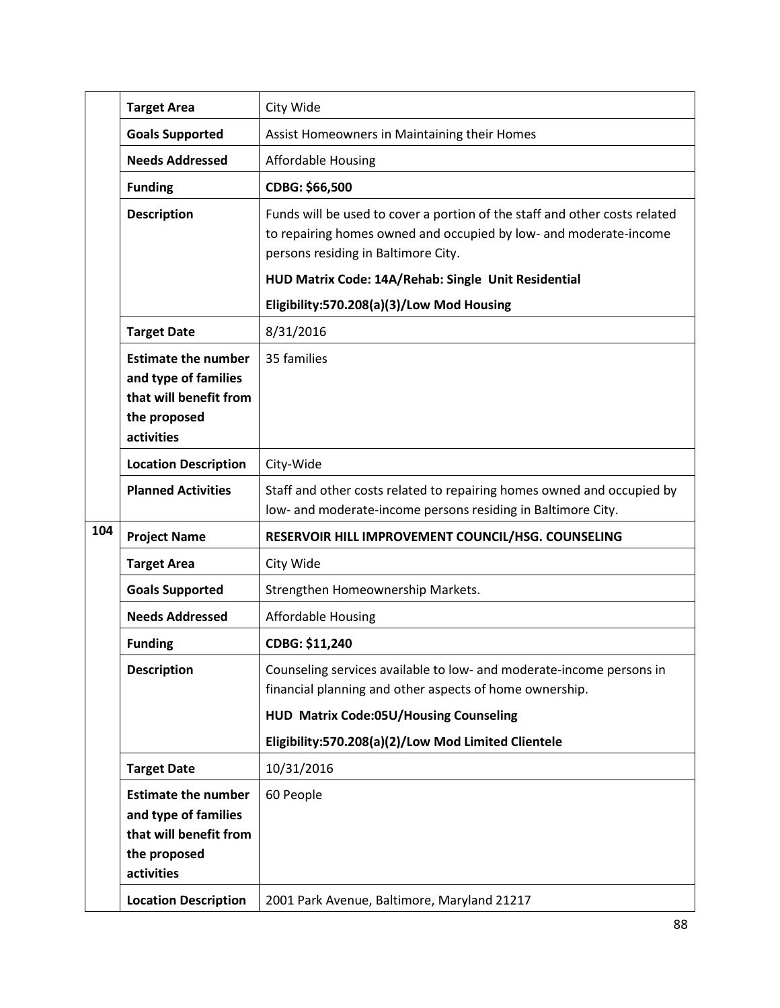|     | <b>Target Area</b>                                                                                         | City Wide                                                                                                                                                                                                                        |
|-----|------------------------------------------------------------------------------------------------------------|----------------------------------------------------------------------------------------------------------------------------------------------------------------------------------------------------------------------------------|
|     | <b>Goals Supported</b>                                                                                     | Assist Homeowners in Maintaining their Homes                                                                                                                                                                                     |
|     | <b>Needs Addressed</b>                                                                                     | <b>Affordable Housing</b>                                                                                                                                                                                                        |
|     | <b>Funding</b>                                                                                             | CDBG: \$66,500                                                                                                                                                                                                                   |
|     | <b>Description</b>                                                                                         | Funds will be used to cover a portion of the staff and other costs related<br>to repairing homes owned and occupied by low- and moderate-income<br>persons residing in Baltimore City.                                           |
|     |                                                                                                            | HUD Matrix Code: 14A/Rehab: Single Unit Residential                                                                                                                                                                              |
|     |                                                                                                            | Eligibility:570.208(a)(3)/Low Mod Housing                                                                                                                                                                                        |
|     | <b>Target Date</b>                                                                                         | 8/31/2016                                                                                                                                                                                                                        |
|     | <b>Estimate the number</b><br>and type of families<br>that will benefit from<br>the proposed<br>activities | 35 families                                                                                                                                                                                                                      |
|     | <b>Location Description</b>                                                                                | City-Wide                                                                                                                                                                                                                        |
|     | <b>Planned Activities</b>                                                                                  | Staff and other costs related to repairing homes owned and occupied by<br>low- and moderate-income persons residing in Baltimore City.                                                                                           |
| 104 | <b>Project Name</b>                                                                                        | RESERVOIR HILL IMPROVEMENT COUNCIL/HSG. COUNSELING                                                                                                                                                                               |
|     | <b>Target Area</b>                                                                                         | City Wide                                                                                                                                                                                                                        |
|     | <b>Goals Supported</b>                                                                                     | Strengthen Homeownership Markets.                                                                                                                                                                                                |
|     | <b>Needs Addressed</b>                                                                                     | <b>Affordable Housing</b>                                                                                                                                                                                                        |
|     | <b>Funding</b>                                                                                             | CDBG: \$11,240                                                                                                                                                                                                                   |
|     | <b>Description</b>                                                                                         | Counseling services available to low- and moderate-income persons in<br>financial planning and other aspects of home ownership.<br>HUD Matrix Code:05U/Housing Counseling<br>Eligibility:570.208(a)(2)/Low Mod Limited Clientele |
|     | <b>Target Date</b>                                                                                         | 10/31/2016                                                                                                                                                                                                                       |
|     | <b>Estimate the number</b><br>and type of families<br>that will benefit from<br>the proposed<br>activities | 60 People                                                                                                                                                                                                                        |
|     | <b>Location Description</b>                                                                                | 2001 Park Avenue, Baltimore, Maryland 21217                                                                                                                                                                                      |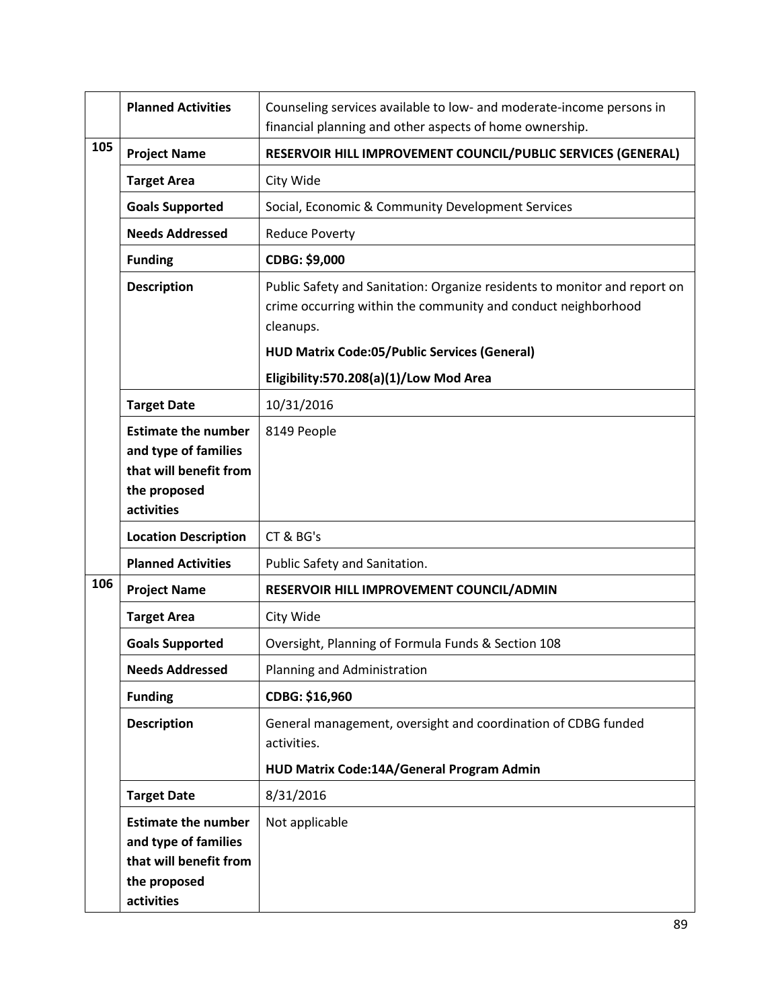|     | <b>Planned Activities</b>                                                                                  | Counseling services available to low- and moderate-income persons in<br>financial planning and other aspects of home ownership.                         |
|-----|------------------------------------------------------------------------------------------------------------|---------------------------------------------------------------------------------------------------------------------------------------------------------|
| 105 | <b>Project Name</b>                                                                                        | RESERVOIR HILL IMPROVEMENT COUNCIL/PUBLIC SERVICES (GENERAL)                                                                                            |
|     | <b>Target Area</b>                                                                                         | City Wide                                                                                                                                               |
|     | <b>Goals Supported</b>                                                                                     | Social, Economic & Community Development Services                                                                                                       |
|     | <b>Needs Addressed</b>                                                                                     | <b>Reduce Poverty</b>                                                                                                                                   |
|     | <b>Funding</b>                                                                                             | CDBG: \$9,000                                                                                                                                           |
|     | <b>Description</b>                                                                                         | Public Safety and Sanitation: Organize residents to monitor and report on<br>crime occurring within the community and conduct neighborhood<br>cleanups. |
|     |                                                                                                            | <b>HUD Matrix Code:05/Public Services (General)</b>                                                                                                     |
|     |                                                                                                            | Eligibility:570.208(a)(1)/Low Mod Area                                                                                                                  |
|     | <b>Target Date</b>                                                                                         | 10/31/2016                                                                                                                                              |
|     | <b>Estimate the number</b><br>and type of families<br>that will benefit from<br>the proposed<br>activities | 8149 People                                                                                                                                             |
|     | <b>Location Description</b>                                                                                | CT & BG's                                                                                                                                               |
|     | <b>Planned Activities</b>                                                                                  | Public Safety and Sanitation.                                                                                                                           |
| 106 | <b>Project Name</b>                                                                                        | RESERVOIR HILL IMPROVEMENT COUNCIL/ADMIN                                                                                                                |
|     | <b>Target Area</b>                                                                                         | City Wide                                                                                                                                               |
|     | <b>Goals Supported</b>                                                                                     | Oversight, Planning of Formula Funds & Section 108                                                                                                      |
|     | <b>Needs Addressed</b>                                                                                     | Planning and Administration                                                                                                                             |
|     | <b>Funding</b>                                                                                             | CDBG: \$16,960                                                                                                                                          |
|     | <b>Description</b>                                                                                         | General management, oversight and coordination of CDBG funded<br>activities.                                                                            |
|     |                                                                                                            | HUD Matrix Code:14A/General Program Admin                                                                                                               |
|     | <b>Target Date</b>                                                                                         | 8/31/2016                                                                                                                                               |
|     | <b>Estimate the number</b><br>and type of families<br>that will benefit from<br>the proposed               | Not applicable                                                                                                                                          |
|     | activities                                                                                                 |                                                                                                                                                         |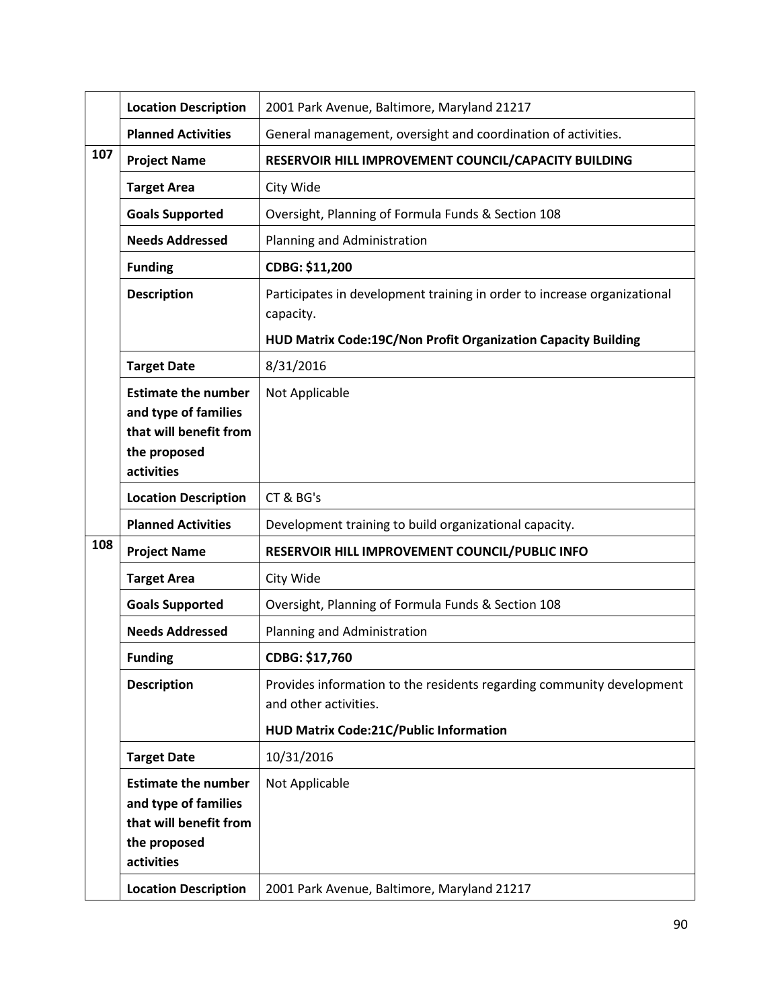|     | <b>Location Description</b>                                                                                | 2001 Park Avenue, Baltimore, Maryland 21217                                                    |
|-----|------------------------------------------------------------------------------------------------------------|------------------------------------------------------------------------------------------------|
|     | <b>Planned Activities</b>                                                                                  | General management, oversight and coordination of activities.                                  |
| 107 | <b>Project Name</b>                                                                                        | RESERVOIR HILL IMPROVEMENT COUNCIL/CAPACITY BUILDING                                           |
|     | <b>Target Area</b>                                                                                         | City Wide                                                                                      |
|     | <b>Goals Supported</b>                                                                                     | Oversight, Planning of Formula Funds & Section 108                                             |
|     | <b>Needs Addressed</b>                                                                                     | Planning and Administration                                                                    |
|     | <b>Funding</b>                                                                                             | CDBG: \$11,200                                                                                 |
|     | <b>Description</b>                                                                                         | Participates in development training in order to increase organizational<br>capacity.          |
|     |                                                                                                            | HUD Matrix Code:19C/Non Profit Organization Capacity Building                                  |
|     | <b>Target Date</b>                                                                                         | 8/31/2016                                                                                      |
|     | <b>Estimate the number</b><br>and type of families<br>that will benefit from<br>the proposed<br>activities | Not Applicable                                                                                 |
|     | <b>Location Description</b>                                                                                | CT & BG's                                                                                      |
|     | <b>Planned Activities</b>                                                                                  | Development training to build organizational capacity.                                         |
| 108 | <b>Project Name</b>                                                                                        | RESERVOIR HILL IMPROVEMENT COUNCIL/PUBLIC INFO                                                 |
|     | <b>Target Area</b>                                                                                         | City Wide                                                                                      |
|     | <b>Goals Supported</b>                                                                                     | Oversight, Planning of Formula Funds & Section 108                                             |
|     | <b>Needs Addressed</b>                                                                                     | Planning and Administration                                                                    |
|     | <b>Funding</b>                                                                                             | CDBG: \$17,760                                                                                 |
|     | <b>Description</b>                                                                                         | Provides information to the residents regarding community development<br>and other activities. |
|     |                                                                                                            | <b>HUD Matrix Code:21C/Public Information</b>                                                  |
|     | <b>Target Date</b>                                                                                         | 10/31/2016                                                                                     |
|     | <b>Estimate the number</b><br>and type of families<br>that will benefit from<br>the proposed<br>activities | Not Applicable                                                                                 |
|     | <b>Location Description</b>                                                                                | 2001 Park Avenue, Baltimore, Maryland 21217                                                    |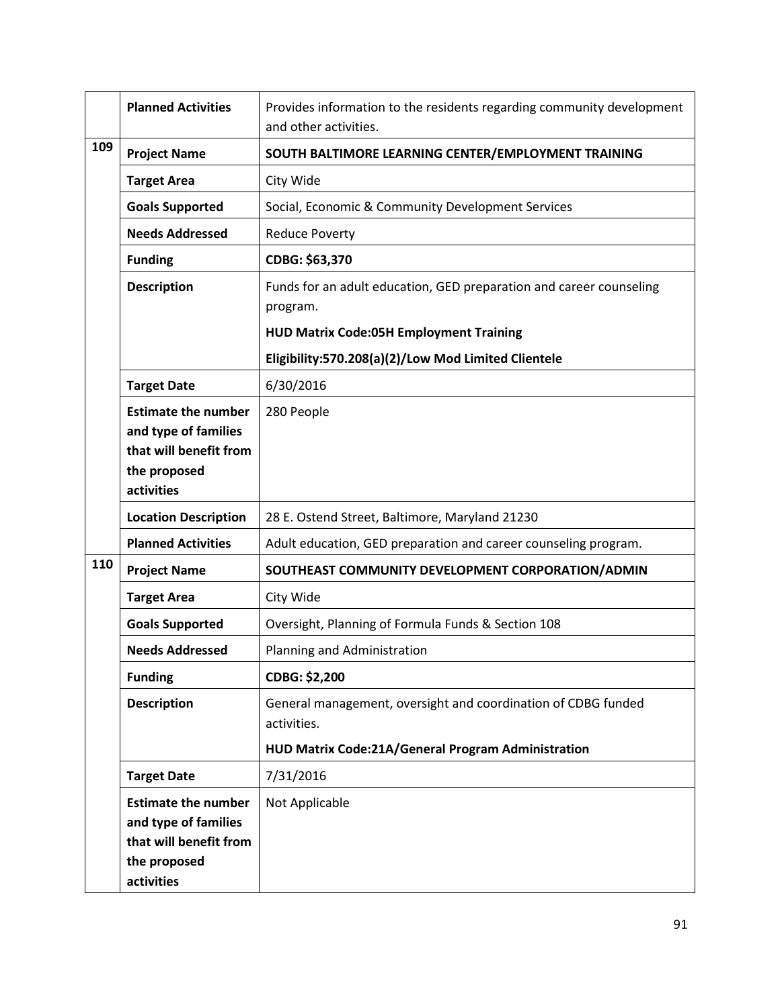|     | <b>Planned Activities</b>                                                                                  | Provides information to the residents regarding community development<br>and other activities.                                    |
|-----|------------------------------------------------------------------------------------------------------------|-----------------------------------------------------------------------------------------------------------------------------------|
| 109 | <b>Project Name</b>                                                                                        | SOUTH BALTIMORE LEARNING CENTER/EMPLOYMENT TRAINING                                                                               |
|     | <b>Target Area</b>                                                                                         | City Wide                                                                                                                         |
|     | <b>Goals Supported</b>                                                                                     | Social, Economic & Community Development Services                                                                                 |
|     | <b>Needs Addressed</b>                                                                                     | <b>Reduce Poverty</b>                                                                                                             |
|     | <b>Funding</b>                                                                                             | CDBG: \$63,370                                                                                                                    |
|     | <b>Description</b>                                                                                         | Funds for an adult education, GED preparation and career counseling<br>program.<br><b>HUD Matrix Code:05H Employment Training</b> |
|     |                                                                                                            | Eligibility:570.208(a)(2)/Low Mod Limited Clientele                                                                               |
|     | <b>Target Date</b>                                                                                         | 6/30/2016                                                                                                                         |
|     | <b>Estimate the number</b><br>and type of families<br>that will benefit from<br>the proposed<br>activities | 280 People                                                                                                                        |
|     | <b>Location Description</b>                                                                                | 28 E. Ostend Street, Baltimore, Maryland 21230                                                                                    |
|     | <b>Planned Activities</b>                                                                                  | Adult education, GED preparation and career counseling program.                                                                   |
| 110 | <b>Project Name</b>                                                                                        | SOUTHEAST COMMUNITY DEVELOPMENT CORPORATION/ADMIN                                                                                 |
|     | <b>Target Area</b>                                                                                         | City Wide                                                                                                                         |
|     | <b>Goals Supported</b>                                                                                     | Oversight, Planning of Formula Funds & Section 108                                                                                |
|     | <b>Needs Addressed</b>                                                                                     | Planning and Administration                                                                                                       |
|     | <b>Funding</b>                                                                                             | CDBG: \$2,200                                                                                                                     |
|     | <b>Description</b>                                                                                         | General management, oversight and coordination of CDBG funded<br>activities.                                                      |
|     |                                                                                                            | HUD Matrix Code:21A/General Program Administration                                                                                |
|     | <b>Target Date</b>                                                                                         | 7/31/2016                                                                                                                         |
|     | <b>Estimate the number</b><br>and type of families<br>that will benefit from<br>the proposed               | Not Applicable                                                                                                                    |
|     | activities                                                                                                 |                                                                                                                                   |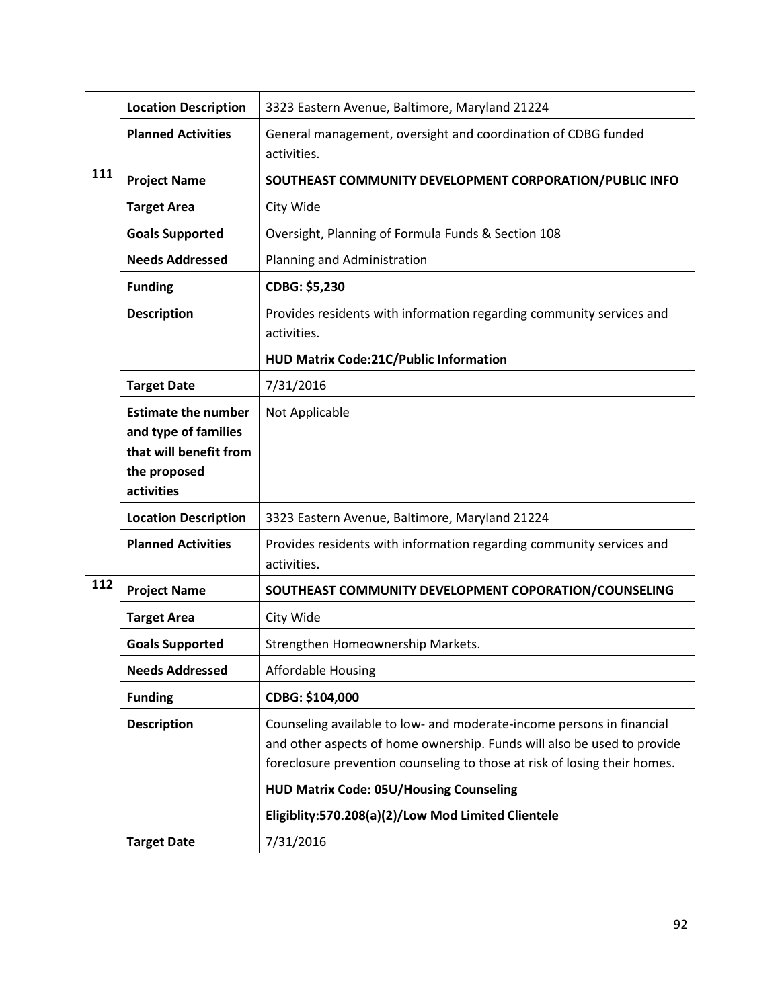|     | <b>Location Description</b>                                                                                | 3323 Eastern Avenue, Baltimore, Maryland 21224                                                                                                                                                                                |
|-----|------------------------------------------------------------------------------------------------------------|-------------------------------------------------------------------------------------------------------------------------------------------------------------------------------------------------------------------------------|
|     | <b>Planned Activities</b>                                                                                  | General management, oversight and coordination of CDBG funded<br>activities.                                                                                                                                                  |
| 111 | <b>Project Name</b>                                                                                        | SOUTHEAST COMMUNITY DEVELOPMENT CORPORATION/PUBLIC INFO                                                                                                                                                                       |
|     | <b>Target Area</b>                                                                                         | City Wide                                                                                                                                                                                                                     |
|     | <b>Goals Supported</b>                                                                                     | Oversight, Planning of Formula Funds & Section 108                                                                                                                                                                            |
|     | <b>Needs Addressed</b>                                                                                     | Planning and Administration                                                                                                                                                                                                   |
|     | <b>Funding</b>                                                                                             | CDBG: \$5,230                                                                                                                                                                                                                 |
|     | <b>Description</b>                                                                                         | Provides residents with information regarding community services and<br>activities.                                                                                                                                           |
|     |                                                                                                            | <b>HUD Matrix Code:21C/Public Information</b>                                                                                                                                                                                 |
|     | <b>Target Date</b>                                                                                         | 7/31/2016                                                                                                                                                                                                                     |
|     | <b>Estimate the number</b><br>and type of families<br>that will benefit from<br>the proposed<br>activities | Not Applicable                                                                                                                                                                                                                |
|     | <b>Location Description</b>                                                                                | 3323 Eastern Avenue, Baltimore, Maryland 21224                                                                                                                                                                                |
|     | <b>Planned Activities</b>                                                                                  | Provides residents with information regarding community services and<br>activities.                                                                                                                                           |
| 112 | <b>Project Name</b>                                                                                        | SOUTHEAST COMMUNITY DEVELOPMENT COPORATION/COUNSELING                                                                                                                                                                         |
|     | <b>Target Area</b>                                                                                         | City Wide                                                                                                                                                                                                                     |
|     | <b>Goals Supported</b>                                                                                     | Strengthen Homeownership Markets.                                                                                                                                                                                             |
|     | <b>Needs Addressed</b>                                                                                     | <b>Affordable Housing</b>                                                                                                                                                                                                     |
|     | <b>Funding</b>                                                                                             | CDBG: \$104,000                                                                                                                                                                                                               |
|     | <b>Description</b>                                                                                         | Counseling available to low- and moderate-income persons in financial<br>and other aspects of home ownership. Funds will also be used to provide<br>foreclosure prevention counseling to those at risk of losing their homes. |
|     |                                                                                                            | <b>HUD Matrix Code: 05U/Housing Counseling</b>                                                                                                                                                                                |
|     |                                                                                                            | Eligiblity:570.208(a)(2)/Low Mod Limited Clientele                                                                                                                                                                            |
|     | <b>Target Date</b>                                                                                         | 7/31/2016                                                                                                                                                                                                                     |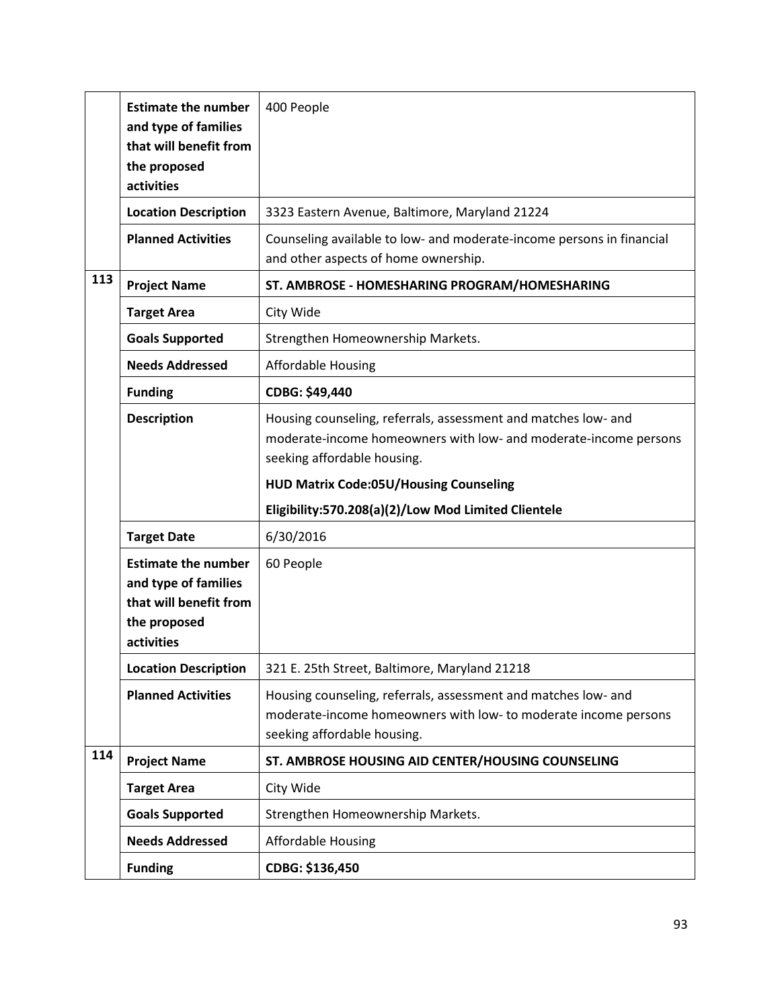|     | <b>Estimate the number</b><br>and type of families<br>that will benefit from | 400 People                                                                                                    |
|-----|------------------------------------------------------------------------------|---------------------------------------------------------------------------------------------------------------|
|     |                                                                              |                                                                                                               |
|     | the proposed                                                                 |                                                                                                               |
|     | activities                                                                   |                                                                                                               |
|     | <b>Location Description</b>                                                  | 3323 Eastern Avenue, Baltimore, Maryland 21224                                                                |
|     | <b>Planned Activities</b>                                                    | Counseling available to low- and moderate-income persons in financial<br>and other aspects of home ownership. |
| 113 | <b>Project Name</b>                                                          | ST. AMBROSE - HOMESHARING PROGRAM/HOMESHARING                                                                 |
|     | <b>Target Area</b>                                                           | City Wide                                                                                                     |
|     | <b>Goals Supported</b>                                                       | Strengthen Homeownership Markets.                                                                             |
|     | <b>Needs Addressed</b>                                                       | <b>Affordable Housing</b>                                                                                     |
|     | <b>Funding</b>                                                               | CDBG: \$49,440                                                                                                |
|     | <b>Description</b>                                                           | Housing counseling, referrals, assessment and matches low- and                                                |
|     |                                                                              | moderate-income homeowners with low- and moderate-income persons                                              |
|     |                                                                              |                                                                                                               |
|     |                                                                              | seeking affordable housing.                                                                                   |
|     |                                                                              | <b>HUD Matrix Code:05U/Housing Counseling</b>                                                                 |
|     |                                                                              | Eligibility:570.208(a)(2)/Low Mod Limited Clientele                                                           |
|     | <b>Target Date</b>                                                           | 6/30/2016                                                                                                     |
|     | <b>Estimate the number</b>                                                   | 60 People                                                                                                     |
|     | and type of families                                                         |                                                                                                               |
|     | that will benefit from                                                       |                                                                                                               |
|     | the proposed                                                                 |                                                                                                               |
|     | activities                                                                   |                                                                                                               |
|     |                                                                              |                                                                                                               |
|     | <b>Location Description</b>                                                  | 321 E. 25th Street, Baltimore, Maryland 21218                                                                 |
|     | <b>Planned Activities</b>                                                    | Housing counseling, referrals, assessment and matches low- and                                                |
|     |                                                                              | moderate-income homeowners with low- to moderate income persons                                               |
|     |                                                                              | seeking affordable housing.                                                                                   |
| 114 |                                                                              |                                                                                                               |
|     | <b>Project Name</b>                                                          | ST. AMBROSE HOUSING AID CENTER/HOUSING COUNSELING                                                             |
|     | <b>Target Area</b>                                                           | City Wide                                                                                                     |
|     | <b>Goals Supported</b>                                                       | Strengthen Homeownership Markets.                                                                             |
|     | <b>Needs Addressed</b>                                                       | <b>Affordable Housing</b>                                                                                     |
|     | <b>Funding</b>                                                               | CDBG: \$136,450                                                                                               |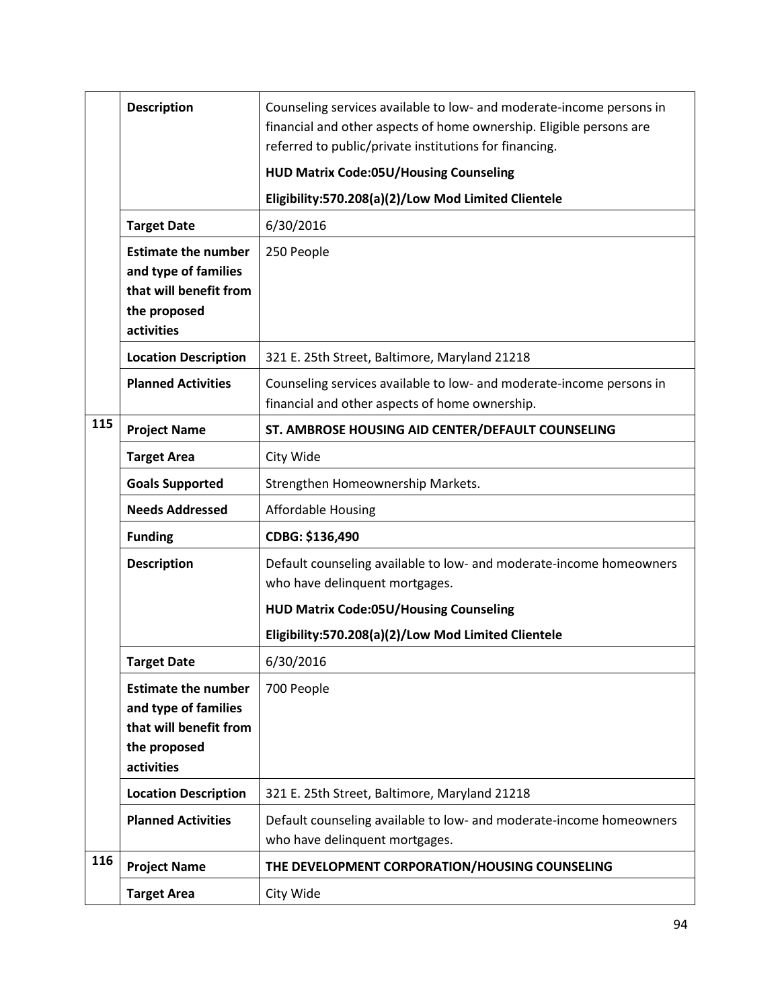|     | <b>Description</b>                                                                                         | Counseling services available to low- and moderate-income persons in<br>financial and other aspects of home ownership. Eligible persons are<br>referred to public/private institutions for financing. |
|-----|------------------------------------------------------------------------------------------------------------|-------------------------------------------------------------------------------------------------------------------------------------------------------------------------------------------------------|
|     |                                                                                                            | <b>HUD Matrix Code:05U/Housing Counseling</b>                                                                                                                                                         |
|     |                                                                                                            | Eligibility:570.208(a)(2)/Low Mod Limited Clientele                                                                                                                                                   |
|     | <b>Target Date</b>                                                                                         | 6/30/2016                                                                                                                                                                                             |
|     | <b>Estimate the number</b><br>and type of families<br>that will benefit from<br>the proposed<br>activities | 250 People                                                                                                                                                                                            |
|     | <b>Location Description</b>                                                                                | 321 E. 25th Street, Baltimore, Maryland 21218                                                                                                                                                         |
|     | <b>Planned Activities</b>                                                                                  | Counseling services available to low- and moderate-income persons in<br>financial and other aspects of home ownership.                                                                                |
| 115 | <b>Project Name</b>                                                                                        | ST. AMBROSE HOUSING AID CENTER/DEFAULT COUNSELING                                                                                                                                                     |
|     | <b>Target Area</b>                                                                                         | City Wide                                                                                                                                                                                             |
|     | <b>Goals Supported</b>                                                                                     | Strengthen Homeownership Markets.                                                                                                                                                                     |
|     | <b>Needs Addressed</b>                                                                                     | <b>Affordable Housing</b>                                                                                                                                                                             |
|     | <b>Funding</b>                                                                                             | CDBG: \$136,490                                                                                                                                                                                       |
|     | <b>Description</b>                                                                                         | Default counseling available to low- and moderate-income homeowners<br>who have delinquent mortgages.                                                                                                 |
|     |                                                                                                            | <b>HUD Matrix Code:05U/Housing Counseling</b>                                                                                                                                                         |
|     |                                                                                                            | Eligibility:570.208(a)(2)/Low Mod Limited Clientele                                                                                                                                                   |
|     | <b>Target Date</b>                                                                                         | 6/30/2016                                                                                                                                                                                             |
|     | <b>Estimate the number</b><br>and type of families<br>that will benefit from<br>the proposed<br>activities | 700 People                                                                                                                                                                                            |
|     | <b>Location Description</b>                                                                                | 321 E. 25th Street, Baltimore, Maryland 21218                                                                                                                                                         |
|     | <b>Planned Activities</b>                                                                                  | Default counseling available to low- and moderate-income homeowners<br>who have delinquent mortgages.                                                                                                 |
| 116 | <b>Project Name</b>                                                                                        | THE DEVELOPMENT CORPORATION/HOUSING COUNSELING                                                                                                                                                        |
|     | <b>Target Area</b>                                                                                         | City Wide                                                                                                                                                                                             |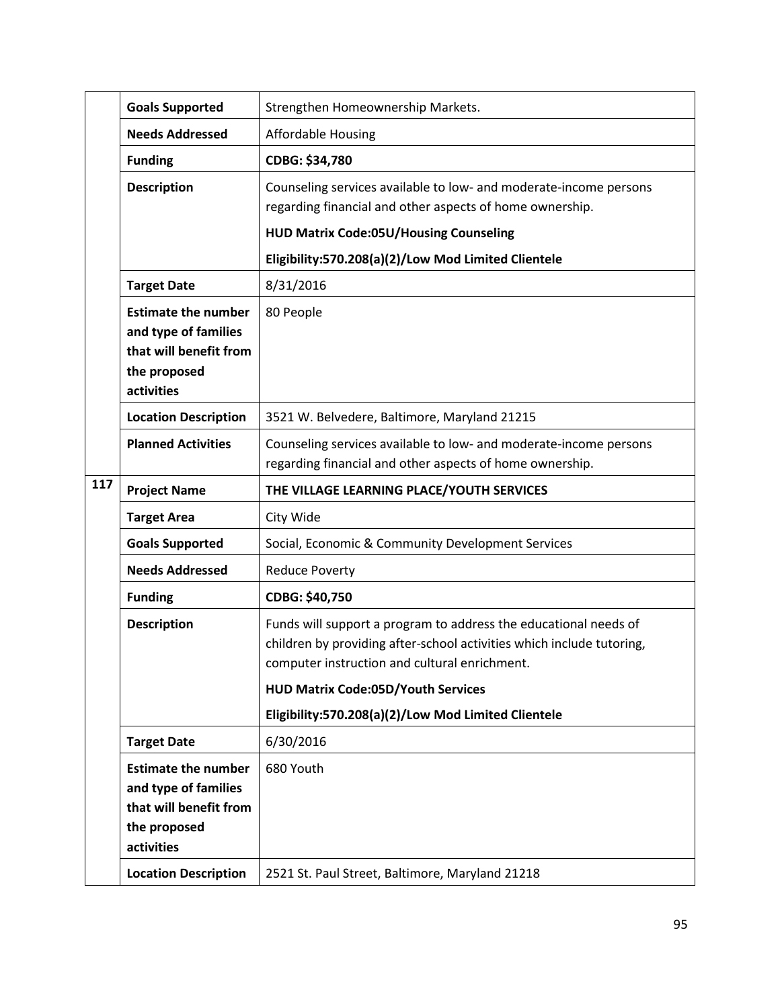|     | <b>Goals Supported</b>                                                                                     | Strengthen Homeownership Markets.                                                                                                                                                          |
|-----|------------------------------------------------------------------------------------------------------------|--------------------------------------------------------------------------------------------------------------------------------------------------------------------------------------------|
|     | <b>Needs Addressed</b>                                                                                     | <b>Affordable Housing</b>                                                                                                                                                                  |
|     | <b>Funding</b>                                                                                             | CDBG: \$34,780                                                                                                                                                                             |
|     | <b>Description</b>                                                                                         | Counseling services available to low- and moderate-income persons<br>regarding financial and other aspects of home ownership.<br><b>HUD Matrix Code:05U/Housing Counseling</b>             |
|     |                                                                                                            | Eligibility:570.208(a)(2)/Low Mod Limited Clientele                                                                                                                                        |
|     | <b>Target Date</b>                                                                                         | 8/31/2016                                                                                                                                                                                  |
|     | <b>Estimate the number</b><br>and type of families<br>that will benefit from<br>the proposed<br>activities | 80 People                                                                                                                                                                                  |
|     | <b>Location Description</b>                                                                                | 3521 W. Belvedere, Baltimore, Maryland 21215                                                                                                                                               |
|     | <b>Planned Activities</b>                                                                                  | Counseling services available to low- and moderate-income persons<br>regarding financial and other aspects of home ownership.                                                              |
| 117 | <b>Project Name</b>                                                                                        | THE VILLAGE LEARNING PLACE/YOUTH SERVICES                                                                                                                                                  |
|     | <b>Target Area</b>                                                                                         | City Wide                                                                                                                                                                                  |
|     | <b>Goals Supported</b>                                                                                     | Social, Economic & Community Development Services                                                                                                                                          |
|     | <b>Needs Addressed</b>                                                                                     | <b>Reduce Poverty</b>                                                                                                                                                                      |
|     | <b>Funding</b>                                                                                             | CDBG: \$40,750                                                                                                                                                                             |
|     | <b>Description</b>                                                                                         | Funds will support a program to address the educational needs of<br>children by providing after-school activities which include tutoring,<br>computer instruction and cultural enrichment. |
|     |                                                                                                            | <b>HUD Matrix Code:05D/Youth Services</b>                                                                                                                                                  |
|     |                                                                                                            | Eligibility:570.208(a)(2)/Low Mod Limited Clientele                                                                                                                                        |
|     | <b>Target Date</b>                                                                                         | 6/30/2016                                                                                                                                                                                  |
|     | <b>Estimate the number</b><br>and type of families<br>that will benefit from<br>the proposed<br>activities | 680 Youth                                                                                                                                                                                  |
|     | <b>Location Description</b>                                                                                | 2521 St. Paul Street, Baltimore, Maryland 21218                                                                                                                                            |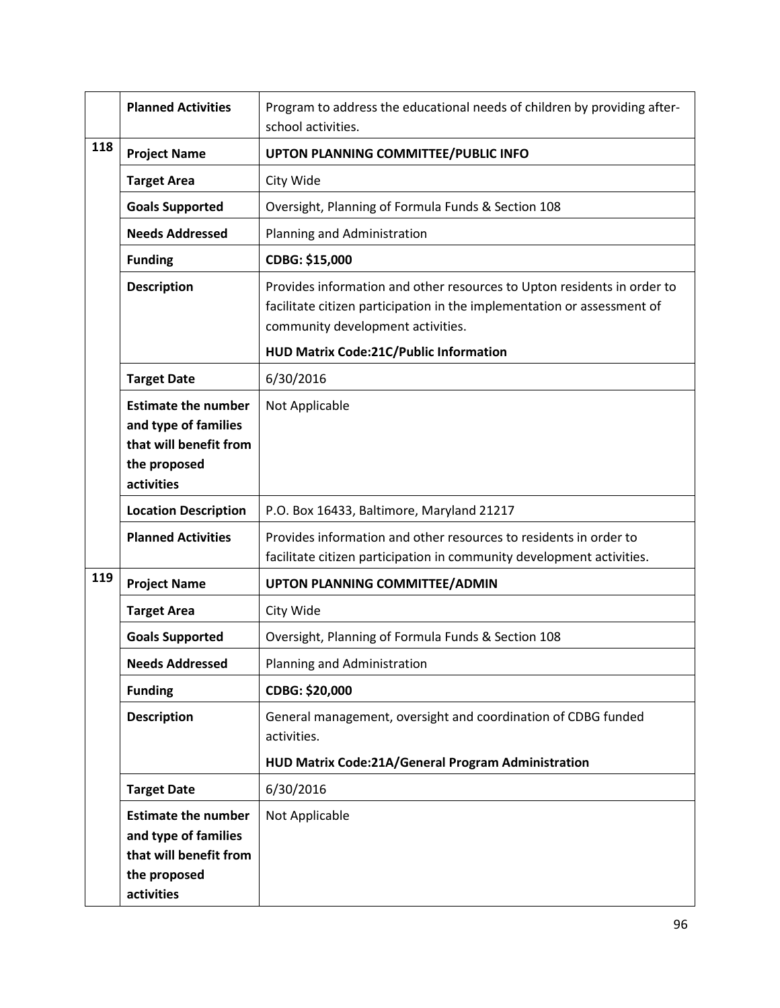|     | <b>Planned Activities</b>                                                                                  | Program to address the educational needs of children by providing after-<br>school activities.                                                                                          |
|-----|------------------------------------------------------------------------------------------------------------|-----------------------------------------------------------------------------------------------------------------------------------------------------------------------------------------|
| 118 | <b>Project Name</b>                                                                                        | UPTON PLANNING COMMITTEE/PUBLIC INFO                                                                                                                                                    |
|     | <b>Target Area</b>                                                                                         | City Wide                                                                                                                                                                               |
|     | <b>Goals Supported</b>                                                                                     | Oversight, Planning of Formula Funds & Section 108                                                                                                                                      |
|     | <b>Needs Addressed</b>                                                                                     | Planning and Administration                                                                                                                                                             |
|     | <b>Funding</b>                                                                                             | CDBG: \$15,000                                                                                                                                                                          |
|     | <b>Description</b>                                                                                         | Provides information and other resources to Upton residents in order to<br>facilitate citizen participation in the implementation or assessment of<br>community development activities. |
|     |                                                                                                            | HUD Matrix Code:21C/Public Information                                                                                                                                                  |
|     | <b>Target Date</b>                                                                                         | 6/30/2016                                                                                                                                                                               |
|     | <b>Estimate the number</b><br>and type of families<br>that will benefit from<br>the proposed<br>activities | Not Applicable                                                                                                                                                                          |
|     | <b>Location Description</b>                                                                                | P.O. Box 16433, Baltimore, Maryland 21217                                                                                                                                               |
|     | <b>Planned Activities</b>                                                                                  | Provides information and other resources to residents in order to<br>facilitate citizen participation in community development activities.                                              |
| 119 | <b>Project Name</b>                                                                                        | <b>UPTON PLANNING COMMITTEE/ADMIN</b>                                                                                                                                                   |
|     | <b>Target Area</b>                                                                                         | City Wide                                                                                                                                                                               |
|     | <b>Goals Supported</b>                                                                                     | Oversight, Planning of Formula Funds & Section 108                                                                                                                                      |
|     | <b>Needs Addressed</b>                                                                                     | Planning and Administration                                                                                                                                                             |
|     | <b>Funding</b>                                                                                             | CDBG: \$20,000                                                                                                                                                                          |
|     | <b>Description</b>                                                                                         | General management, oversight and coordination of CDBG funded<br>activities.<br>HUD Matrix Code:21A/General Program Administration                                                      |
|     | <b>Target Date</b>                                                                                         | 6/30/2016                                                                                                                                                                               |
|     | <b>Estimate the number</b><br>and type of families<br>that will benefit from<br>the proposed<br>activities | Not Applicable                                                                                                                                                                          |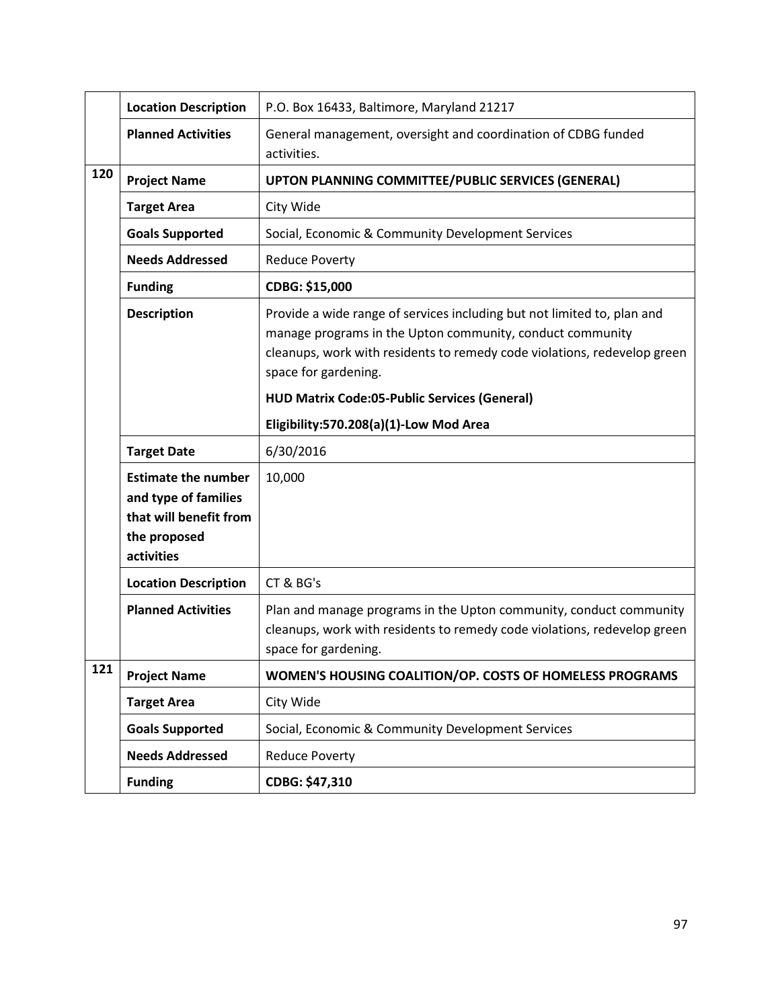|     | <b>Location Description</b>                                                                                | P.O. Box 16433, Baltimore, Maryland 21217                                                                                                                                                                                                |
|-----|------------------------------------------------------------------------------------------------------------|------------------------------------------------------------------------------------------------------------------------------------------------------------------------------------------------------------------------------------------|
|     | <b>Planned Activities</b>                                                                                  | General management, oversight and coordination of CDBG funded<br>activities.                                                                                                                                                             |
| 120 | <b>Project Name</b>                                                                                        | UPTON PLANNING COMMITTEE/PUBLIC SERVICES (GENERAL)                                                                                                                                                                                       |
|     | <b>Target Area</b>                                                                                         | City Wide                                                                                                                                                                                                                                |
|     | <b>Goals Supported</b>                                                                                     | Social, Economic & Community Development Services                                                                                                                                                                                        |
|     | <b>Needs Addressed</b>                                                                                     | <b>Reduce Poverty</b>                                                                                                                                                                                                                    |
|     | <b>Funding</b>                                                                                             | CDBG: \$15,000                                                                                                                                                                                                                           |
|     | <b>Description</b>                                                                                         | Provide a wide range of services including but not limited to, plan and<br>manage programs in the Upton community, conduct community<br>cleanups, work with residents to remedy code violations, redevelop green<br>space for gardening. |
|     |                                                                                                            | <b>HUD Matrix Code:05-Public Services (General)</b>                                                                                                                                                                                      |
|     |                                                                                                            | Eligibility:570.208(a)(1)-Low Mod Area                                                                                                                                                                                                   |
|     | <b>Target Date</b>                                                                                         | 6/30/2016                                                                                                                                                                                                                                |
|     | <b>Estimate the number</b><br>and type of families<br>that will benefit from<br>the proposed<br>activities | 10,000                                                                                                                                                                                                                                   |
|     | <b>Location Description</b>                                                                                | CT & BG's                                                                                                                                                                                                                                |
|     | <b>Planned Activities</b>                                                                                  | Plan and manage programs in the Upton community, conduct community<br>cleanups, work with residents to remedy code violations, redevelop green<br>space for gardening.                                                                   |
| 121 | <b>Project Name</b>                                                                                        | WOMEN'S HOUSING COALITION/OP. COSTS OF HOMELESS PROGRAMS                                                                                                                                                                                 |
|     | <b>Target Area</b>                                                                                         | City Wide                                                                                                                                                                                                                                |
|     | <b>Goals Supported</b>                                                                                     | Social, Economic & Community Development Services                                                                                                                                                                                        |
|     | <b>Needs Addressed</b>                                                                                     | <b>Reduce Poverty</b>                                                                                                                                                                                                                    |
|     | <b>Funding</b>                                                                                             | CDBG: \$47,310                                                                                                                                                                                                                           |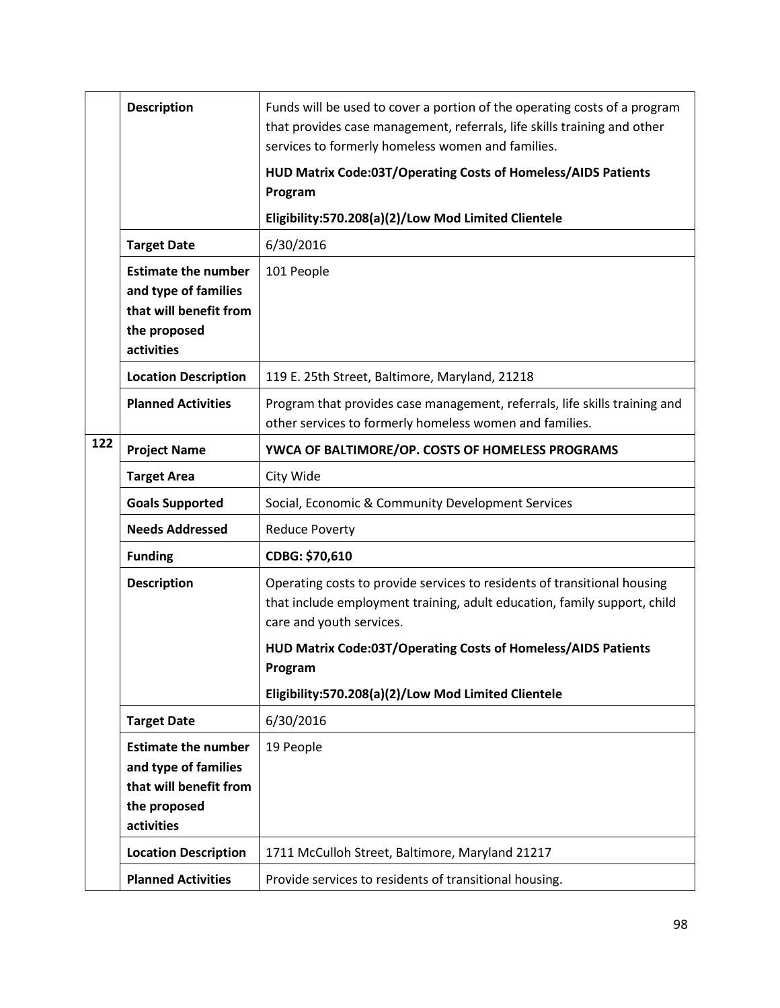|     | <b>Description</b>                                                                                         | Funds will be used to cover a portion of the operating costs of a program<br>that provides case management, referrals, life skills training and other<br>services to formerly homeless women and families. |
|-----|------------------------------------------------------------------------------------------------------------|------------------------------------------------------------------------------------------------------------------------------------------------------------------------------------------------------------|
|     |                                                                                                            | HUD Matrix Code:03T/Operating Costs of Homeless/AIDS Patients                                                                                                                                              |
|     |                                                                                                            | Program                                                                                                                                                                                                    |
|     |                                                                                                            | Eligibility:570.208(a)(2)/Low Mod Limited Clientele                                                                                                                                                        |
|     | <b>Target Date</b>                                                                                         | 6/30/2016                                                                                                                                                                                                  |
|     | <b>Estimate the number</b><br>and type of families<br>that will benefit from<br>the proposed<br>activities | 101 People                                                                                                                                                                                                 |
|     | <b>Location Description</b>                                                                                | 119 E. 25th Street, Baltimore, Maryland, 21218                                                                                                                                                             |
|     | <b>Planned Activities</b>                                                                                  | Program that provides case management, referrals, life skills training and<br>other services to formerly homeless women and families.                                                                      |
| 122 | <b>Project Name</b>                                                                                        | YWCA OF BALTIMORE/OP. COSTS OF HOMELESS PROGRAMS                                                                                                                                                           |
|     | <b>Target Area</b>                                                                                         | City Wide                                                                                                                                                                                                  |
|     | <b>Goals Supported</b>                                                                                     | Social, Economic & Community Development Services                                                                                                                                                          |
|     | <b>Needs Addressed</b>                                                                                     | <b>Reduce Poverty</b>                                                                                                                                                                                      |
|     | <b>Funding</b>                                                                                             | CDBG: \$70,610                                                                                                                                                                                             |
|     | <b>Description</b>                                                                                         | Operating costs to provide services to residents of transitional housing<br>that include employment training, adult education, family support, child<br>care and youth services.                           |
|     |                                                                                                            | HUD Matrix Code:03T/Operating Costs of Homeless/AIDS Patients                                                                                                                                              |
|     |                                                                                                            | Program                                                                                                                                                                                                    |
|     |                                                                                                            | Eligibility:570.208(a)(2)/Low Mod Limited Clientele                                                                                                                                                        |
|     | <b>Target Date</b>                                                                                         | 6/30/2016                                                                                                                                                                                                  |
|     | <b>Estimate the number</b><br>and type of families                                                         | 19 People                                                                                                                                                                                                  |
|     | that will benefit from                                                                                     |                                                                                                                                                                                                            |
|     | the proposed                                                                                               |                                                                                                                                                                                                            |
|     | activities                                                                                                 |                                                                                                                                                                                                            |
|     | <b>Location Description</b>                                                                                | 1711 McCulloh Street, Baltimore, Maryland 21217                                                                                                                                                            |
|     | <b>Planned Activities</b>                                                                                  | Provide services to residents of transitional housing.                                                                                                                                                     |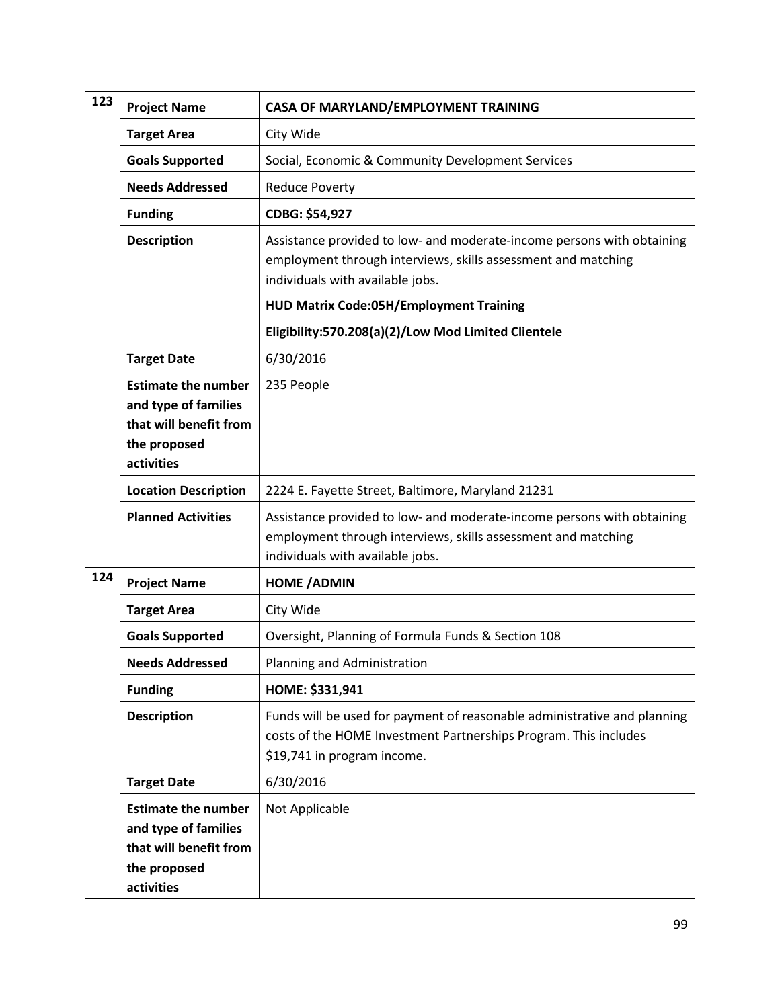| 123 | <b>Project Name</b>                                                                                        | CASA OF MARYLAND/EMPLOYMENT TRAINING                                                                                                                                        |
|-----|------------------------------------------------------------------------------------------------------------|-----------------------------------------------------------------------------------------------------------------------------------------------------------------------------|
|     | <b>Target Area</b>                                                                                         | City Wide                                                                                                                                                                   |
|     | <b>Goals Supported</b>                                                                                     | Social, Economic & Community Development Services                                                                                                                           |
|     | <b>Needs Addressed</b>                                                                                     | <b>Reduce Poverty</b>                                                                                                                                                       |
|     | <b>Funding</b>                                                                                             | CDBG: \$54,927                                                                                                                                                              |
|     | <b>Description</b>                                                                                         | Assistance provided to low- and moderate-income persons with obtaining<br>employment through interviews, skills assessment and matching<br>individuals with available jobs. |
|     |                                                                                                            | <b>HUD Matrix Code:05H/Employment Training</b>                                                                                                                              |
|     |                                                                                                            | Eligibility:570.208(a)(2)/Low Mod Limited Clientele                                                                                                                         |
|     | <b>Target Date</b>                                                                                         | 6/30/2016                                                                                                                                                                   |
|     | <b>Estimate the number</b><br>and type of families<br>that will benefit from<br>the proposed<br>activities | 235 People                                                                                                                                                                  |
|     | <b>Location Description</b>                                                                                | 2224 E. Fayette Street, Baltimore, Maryland 21231                                                                                                                           |
|     | <b>Planned Activities</b>                                                                                  | Assistance provided to low- and moderate-income persons with obtaining<br>employment through interviews, skills assessment and matching<br>individuals with available jobs. |
| 124 | <b>Project Name</b>                                                                                        | <b>HOME / ADMIN</b>                                                                                                                                                         |
|     | <b>Target Area</b>                                                                                         | City Wide                                                                                                                                                                   |
|     | <b>Goals Supported</b>                                                                                     | Oversight, Planning of Formula Funds & Section 108                                                                                                                          |
|     | <b>Needs Addressed</b>                                                                                     | Planning and Administration                                                                                                                                                 |
|     | <b>Funding</b>                                                                                             | HOME: \$331,941                                                                                                                                                             |
|     | <b>Description</b>                                                                                         | Funds will be used for payment of reasonable administrative and planning<br>costs of the HOME Investment Partnerships Program. This includes<br>\$19,741 in program income. |
|     | <b>Target Date</b>                                                                                         | 6/30/2016                                                                                                                                                                   |
|     | <b>Estimate the number</b><br>and type of families<br>that will benefit from<br>the proposed<br>activities | Not Applicable                                                                                                                                                              |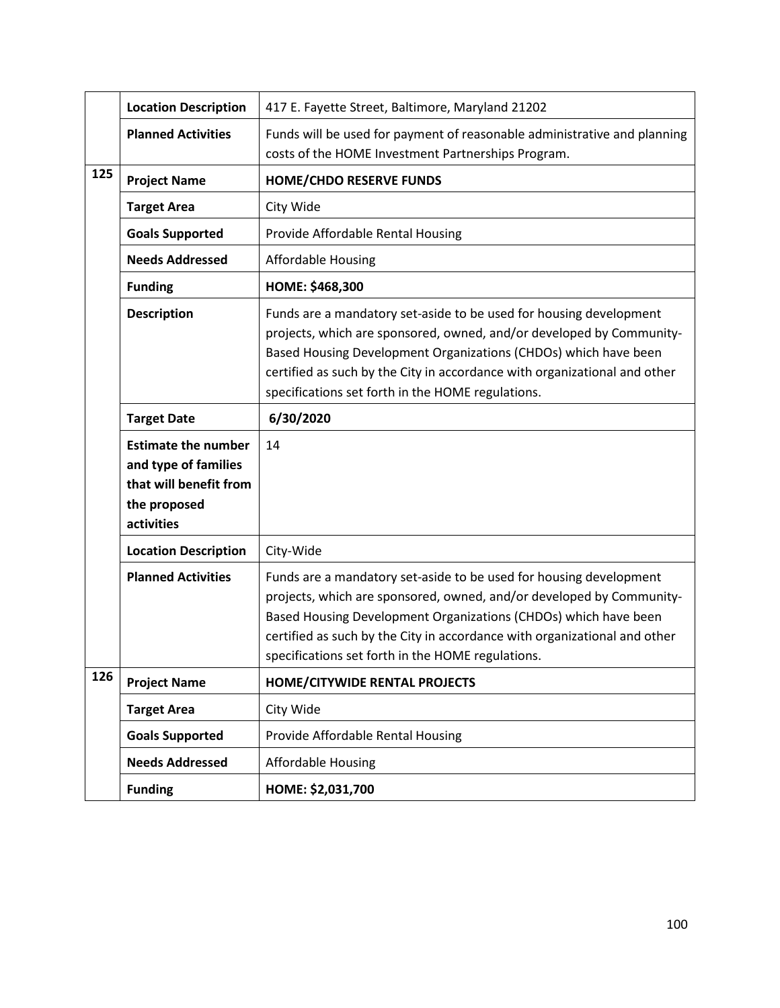|     | <b>Location Description</b>                                                                                | 417 E. Fayette Street, Baltimore, Maryland 21202                                                                                                                                                                                                                                                                                                |
|-----|------------------------------------------------------------------------------------------------------------|-------------------------------------------------------------------------------------------------------------------------------------------------------------------------------------------------------------------------------------------------------------------------------------------------------------------------------------------------|
|     | <b>Planned Activities</b>                                                                                  | Funds will be used for payment of reasonable administrative and planning<br>costs of the HOME Investment Partnerships Program.                                                                                                                                                                                                                  |
| 125 | <b>Project Name</b>                                                                                        | <b>HOME/CHDO RESERVE FUNDS</b>                                                                                                                                                                                                                                                                                                                  |
|     | <b>Target Area</b>                                                                                         | City Wide                                                                                                                                                                                                                                                                                                                                       |
|     | <b>Goals Supported</b>                                                                                     | Provide Affordable Rental Housing                                                                                                                                                                                                                                                                                                               |
|     | <b>Needs Addressed</b>                                                                                     | <b>Affordable Housing</b>                                                                                                                                                                                                                                                                                                                       |
|     | <b>Funding</b>                                                                                             | HOME: \$468,300                                                                                                                                                                                                                                                                                                                                 |
|     | <b>Description</b>                                                                                         | Funds are a mandatory set-aside to be used for housing development<br>projects, which are sponsored, owned, and/or developed by Community-<br>Based Housing Development Organizations (CHDOs) which have been<br>certified as such by the City in accordance with organizational and other<br>specifications set forth in the HOME regulations. |
|     | <b>Target Date</b>                                                                                         | 6/30/2020                                                                                                                                                                                                                                                                                                                                       |
|     | <b>Estimate the number</b><br>and type of families<br>that will benefit from<br>the proposed<br>activities | 14                                                                                                                                                                                                                                                                                                                                              |
|     | <b>Location Description</b>                                                                                | City-Wide                                                                                                                                                                                                                                                                                                                                       |
|     | <b>Planned Activities</b>                                                                                  | Funds are a mandatory set-aside to be used for housing development<br>projects, which are sponsored, owned, and/or developed by Community-<br>Based Housing Development Organizations (CHDOs) which have been<br>certified as such by the City in accordance with organizational and other<br>specifications set forth in the HOME regulations. |
| 126 | <b>Project Name</b>                                                                                        | <b>HOME/CITYWIDE RENTAL PROJECTS</b>                                                                                                                                                                                                                                                                                                            |
|     | <b>Target Area</b>                                                                                         | City Wide                                                                                                                                                                                                                                                                                                                                       |
|     | <b>Goals Supported</b>                                                                                     | Provide Affordable Rental Housing                                                                                                                                                                                                                                                                                                               |
|     | <b>Needs Addressed</b>                                                                                     | <b>Affordable Housing</b>                                                                                                                                                                                                                                                                                                                       |
|     | <b>Funding</b>                                                                                             | HOME: \$2,031,700                                                                                                                                                                                                                                                                                                                               |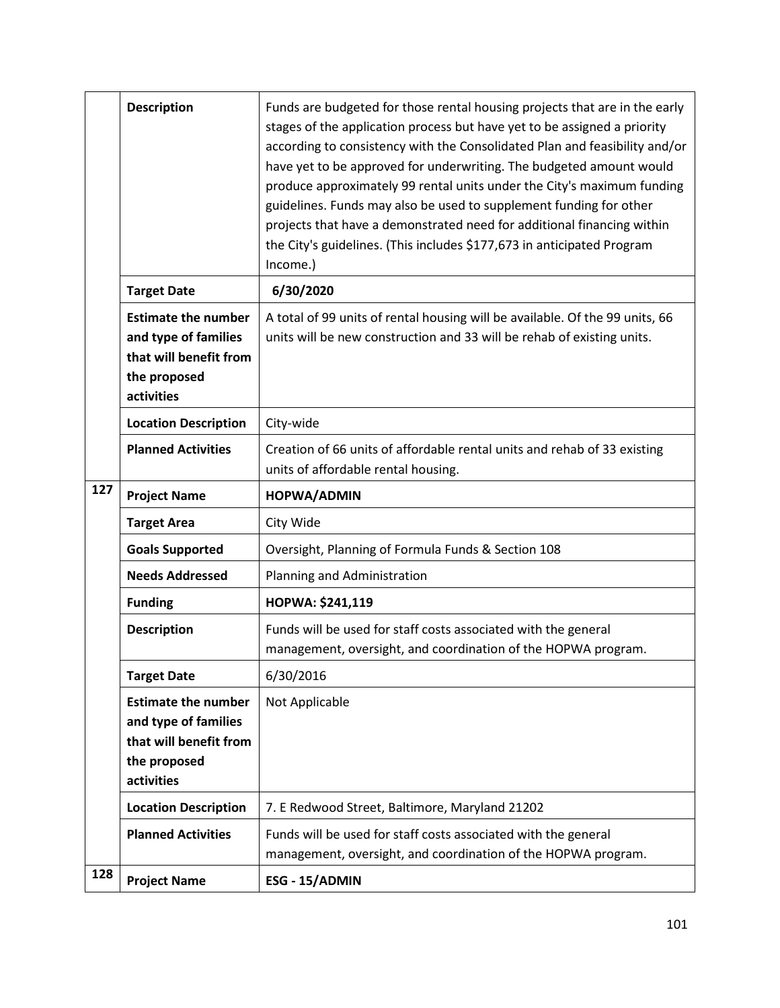|     | <b>Description</b>                                                                                         | Funds are budgeted for those rental housing projects that are in the early<br>stages of the application process but have yet to be assigned a priority<br>according to consistency with the Consolidated Plan and feasibility and/or<br>have yet to be approved for underwriting. The budgeted amount would<br>produce approximately 99 rental units under the City's maximum funding<br>guidelines. Funds may also be used to supplement funding for other<br>projects that have a demonstrated need for additional financing within<br>the City's guidelines. (This includes \$177,673 in anticipated Program<br>Income.) |
|-----|------------------------------------------------------------------------------------------------------------|-----------------------------------------------------------------------------------------------------------------------------------------------------------------------------------------------------------------------------------------------------------------------------------------------------------------------------------------------------------------------------------------------------------------------------------------------------------------------------------------------------------------------------------------------------------------------------------------------------------------------------|
|     | <b>Target Date</b>                                                                                         | 6/30/2020                                                                                                                                                                                                                                                                                                                                                                                                                                                                                                                                                                                                                   |
|     | <b>Estimate the number</b><br>and type of families<br>that will benefit from<br>the proposed<br>activities | A total of 99 units of rental housing will be available. Of the 99 units, 66<br>units will be new construction and 33 will be rehab of existing units.                                                                                                                                                                                                                                                                                                                                                                                                                                                                      |
|     | <b>Location Description</b>                                                                                | City-wide                                                                                                                                                                                                                                                                                                                                                                                                                                                                                                                                                                                                                   |
|     | <b>Planned Activities</b>                                                                                  | Creation of 66 units of affordable rental units and rehab of 33 existing<br>units of affordable rental housing.                                                                                                                                                                                                                                                                                                                                                                                                                                                                                                             |
| 127 | <b>Project Name</b>                                                                                        | HOPWA/ADMIN                                                                                                                                                                                                                                                                                                                                                                                                                                                                                                                                                                                                                 |
|     | <b>Target Area</b>                                                                                         | City Wide                                                                                                                                                                                                                                                                                                                                                                                                                                                                                                                                                                                                                   |
|     | <b>Goals Supported</b>                                                                                     | Oversight, Planning of Formula Funds & Section 108                                                                                                                                                                                                                                                                                                                                                                                                                                                                                                                                                                          |
|     | <b>Needs Addressed</b>                                                                                     | Planning and Administration                                                                                                                                                                                                                                                                                                                                                                                                                                                                                                                                                                                                 |
|     | <b>Funding</b>                                                                                             | HOPWA: \$241,119                                                                                                                                                                                                                                                                                                                                                                                                                                                                                                                                                                                                            |
|     | <b>Description</b>                                                                                         | Funds will be used for staff costs associated with the general<br>management, oversight, and coordination of the HOPWA program.                                                                                                                                                                                                                                                                                                                                                                                                                                                                                             |
|     | <b>Target Date</b>                                                                                         | 6/30/2016                                                                                                                                                                                                                                                                                                                                                                                                                                                                                                                                                                                                                   |
|     | <b>Estimate the number</b><br>and type of families<br>that will benefit from<br>the proposed<br>activities | Not Applicable                                                                                                                                                                                                                                                                                                                                                                                                                                                                                                                                                                                                              |
|     | <b>Location Description</b>                                                                                | 7. E Redwood Street, Baltimore, Maryland 21202                                                                                                                                                                                                                                                                                                                                                                                                                                                                                                                                                                              |
|     | <b>Planned Activities</b>                                                                                  | Funds will be used for staff costs associated with the general                                                                                                                                                                                                                                                                                                                                                                                                                                                                                                                                                              |
| 128 |                                                                                                            | management, oversight, and coordination of the HOPWA program.                                                                                                                                                                                                                                                                                                                                                                                                                                                                                                                                                               |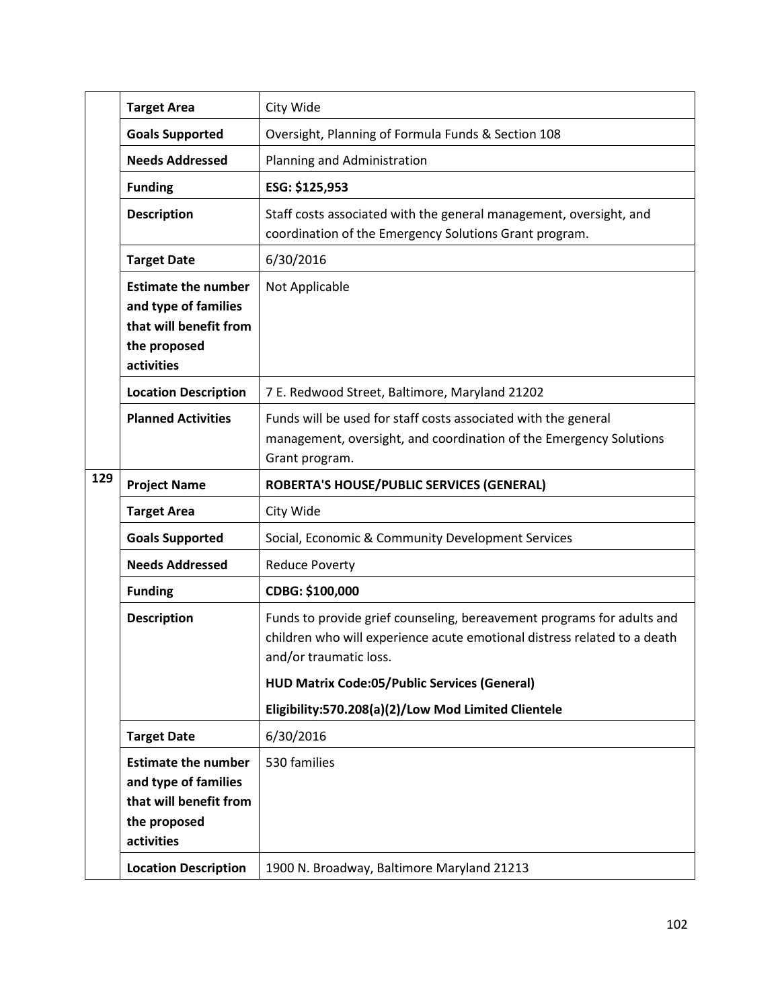|     | <b>Target Area</b>                                                                                         | City Wide                                                                                                                                                                    |
|-----|------------------------------------------------------------------------------------------------------------|------------------------------------------------------------------------------------------------------------------------------------------------------------------------------|
|     | <b>Goals Supported</b>                                                                                     | Oversight, Planning of Formula Funds & Section 108                                                                                                                           |
|     | <b>Needs Addressed</b>                                                                                     | Planning and Administration                                                                                                                                                  |
|     | <b>Funding</b>                                                                                             | ESG: \$125,953                                                                                                                                                               |
|     | <b>Description</b>                                                                                         | Staff costs associated with the general management, oversight, and<br>coordination of the Emergency Solutions Grant program.                                                 |
|     | <b>Target Date</b>                                                                                         | 6/30/2016                                                                                                                                                                    |
|     | <b>Estimate the number</b><br>and type of families<br>that will benefit from<br>the proposed<br>activities | Not Applicable                                                                                                                                                               |
|     | <b>Location Description</b>                                                                                | 7 E. Redwood Street, Baltimore, Maryland 21202                                                                                                                               |
|     | <b>Planned Activities</b>                                                                                  | Funds will be used for staff costs associated with the general<br>management, oversight, and coordination of the Emergency Solutions<br>Grant program.                       |
| 129 | <b>Project Name</b>                                                                                        | ROBERTA'S HOUSE/PUBLIC SERVICES (GENERAL)                                                                                                                                    |
|     | <b>Target Area</b>                                                                                         | City Wide                                                                                                                                                                    |
|     | <b>Goals Supported</b>                                                                                     | Social, Economic & Community Development Services                                                                                                                            |
|     | <b>Needs Addressed</b>                                                                                     | <b>Reduce Poverty</b>                                                                                                                                                        |
|     | <b>Funding</b>                                                                                             | CDBG: \$100,000                                                                                                                                                              |
|     | <b>Description</b>                                                                                         | Funds to provide grief counseling, bereavement programs for adults and<br>children who will experience acute emotional distress related to a death<br>and/or traumatic loss. |
|     |                                                                                                            | <b>HUD Matrix Code:05/Public Services (General)</b>                                                                                                                          |
|     |                                                                                                            | Eligibility:570.208(a)(2)/Low Mod Limited Clientele                                                                                                                          |
|     | <b>Target Date</b>                                                                                         | 6/30/2016                                                                                                                                                                    |
|     | <b>Estimate the number</b><br>and type of families<br>that will benefit from<br>the proposed<br>activities | 530 families                                                                                                                                                                 |
|     | <b>Location Description</b>                                                                                | 1900 N. Broadway, Baltimore Maryland 21213                                                                                                                                   |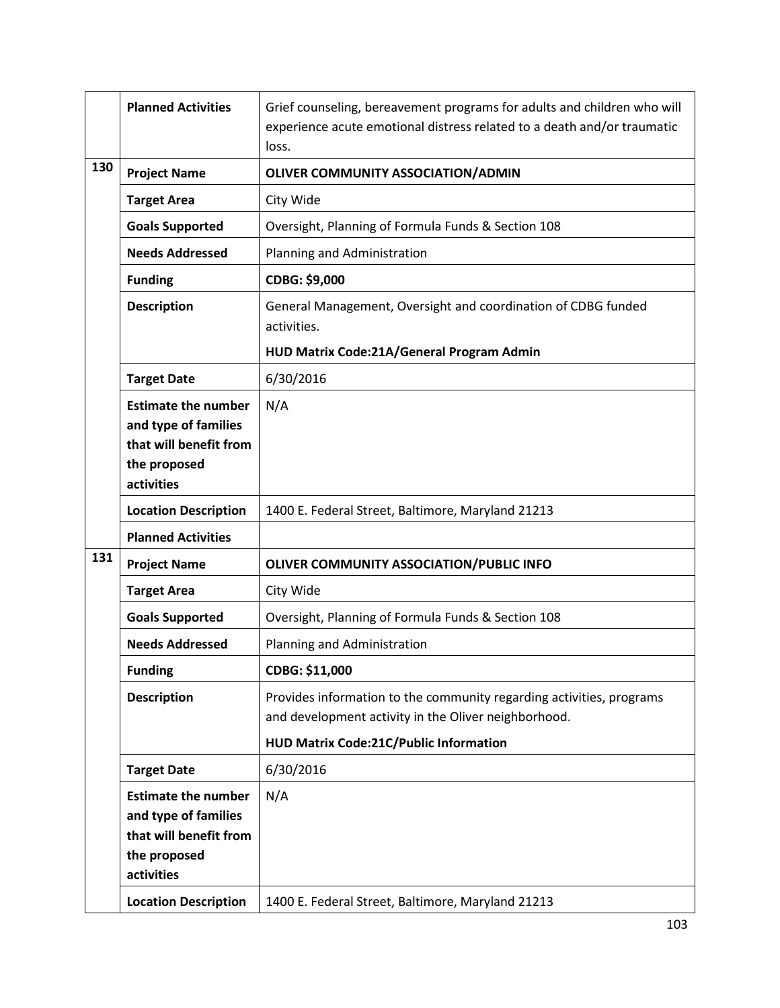|     | <b>Planned Activities</b>                                                                                  | Grief counseling, bereavement programs for adults and children who will<br>experience acute emotional distress related to a death and/or traumatic<br>loss. |
|-----|------------------------------------------------------------------------------------------------------------|-------------------------------------------------------------------------------------------------------------------------------------------------------------|
| 130 | <b>Project Name</b>                                                                                        | OLIVER COMMUNITY ASSOCIATION/ADMIN                                                                                                                          |
|     | <b>Target Area</b>                                                                                         | City Wide                                                                                                                                                   |
|     | <b>Goals Supported</b>                                                                                     | Oversight, Planning of Formula Funds & Section 108                                                                                                          |
|     | <b>Needs Addressed</b>                                                                                     | Planning and Administration                                                                                                                                 |
|     | <b>Funding</b>                                                                                             | CDBG: \$9,000                                                                                                                                               |
|     | <b>Description</b>                                                                                         | General Management, Oversight and coordination of CDBG funded<br>activities.                                                                                |
|     |                                                                                                            | HUD Matrix Code:21A/General Program Admin                                                                                                                   |
|     | <b>Target Date</b>                                                                                         | 6/30/2016                                                                                                                                                   |
|     | <b>Estimate the number</b><br>and type of families<br>that will benefit from<br>the proposed<br>activities | N/A                                                                                                                                                         |
|     | <b>Location Description</b>                                                                                | 1400 E. Federal Street, Baltimore, Maryland 21213                                                                                                           |
|     | <b>Planned Activities</b>                                                                                  |                                                                                                                                                             |
| 131 | <b>Project Name</b>                                                                                        | OLIVER COMMUNITY ASSOCIATION/PUBLIC INFO                                                                                                                    |
|     | <b>Target Area</b>                                                                                         | City Wide                                                                                                                                                   |
|     | <b>Goals Supported</b>                                                                                     | Oversight, Planning of Formula Funds & Section 108                                                                                                          |
|     | <b>Needs Addressed</b>                                                                                     | Planning and Administration                                                                                                                                 |
|     | <b>Funding</b>                                                                                             | CDBG: \$11,000                                                                                                                                              |
|     | <b>Description</b>                                                                                         | Provides information to the community regarding activities, programs<br>and development activity in the Oliver neighborhood.                                |
|     |                                                                                                            | HUD Matrix Code:21C/Public Information                                                                                                                      |
|     | <b>Target Date</b>                                                                                         | 6/30/2016                                                                                                                                                   |
|     | <b>Estimate the number</b><br>and type of families                                                         | N/A                                                                                                                                                         |
|     | that will benefit from                                                                                     |                                                                                                                                                             |
|     | the proposed<br>activities                                                                                 |                                                                                                                                                             |
|     | <b>Location Description</b>                                                                                | 1400 E. Federal Street, Baltimore, Maryland 21213                                                                                                           |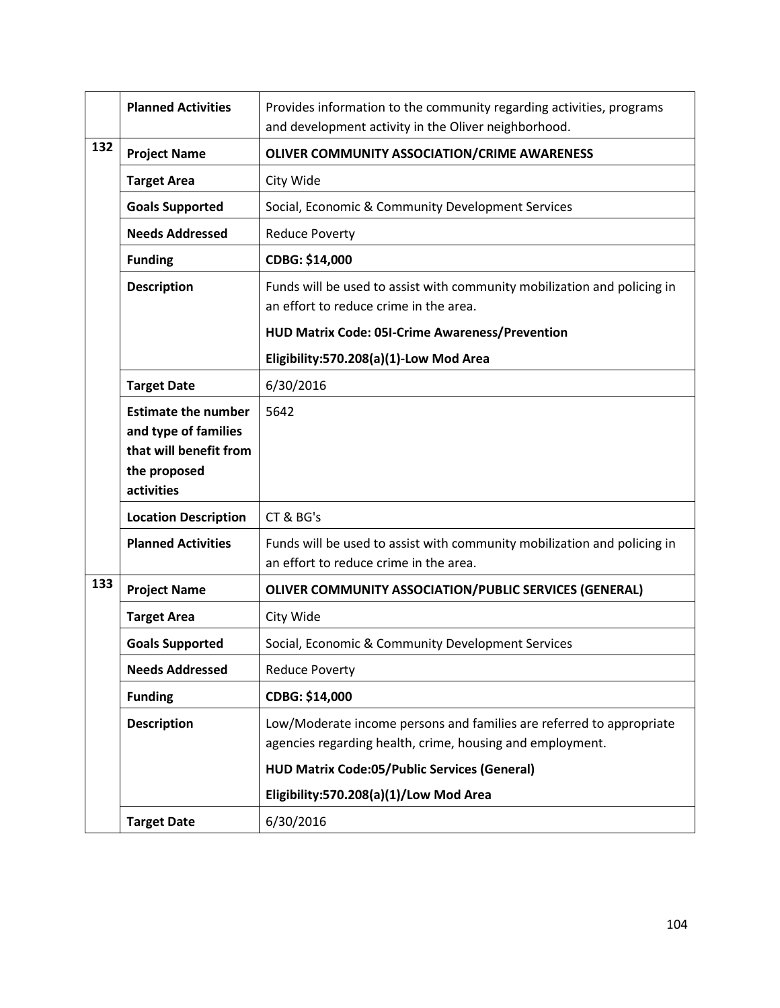|     | <b>Planned Activities</b>                                                                                  | Provides information to the community regarding activities, programs<br>and development activity in the Oliver neighborhood.      |
|-----|------------------------------------------------------------------------------------------------------------|-----------------------------------------------------------------------------------------------------------------------------------|
| 132 | <b>Project Name</b>                                                                                        | OLIVER COMMUNITY ASSOCIATION/CRIME AWARENESS                                                                                      |
|     | <b>Target Area</b>                                                                                         | City Wide                                                                                                                         |
|     | <b>Goals Supported</b>                                                                                     | Social, Economic & Community Development Services                                                                                 |
|     | <b>Needs Addressed</b>                                                                                     | <b>Reduce Poverty</b>                                                                                                             |
|     | <b>Funding</b>                                                                                             | CDBG: \$14,000                                                                                                                    |
|     | <b>Description</b>                                                                                         | Funds will be used to assist with community mobilization and policing in<br>an effort to reduce crime in the area.                |
|     |                                                                                                            | HUD Matrix Code: 05I-Crime Awareness/Prevention                                                                                   |
|     |                                                                                                            | Eligibility:570.208(a)(1)-Low Mod Area                                                                                            |
|     | <b>Target Date</b>                                                                                         | 6/30/2016                                                                                                                         |
|     | <b>Estimate the number</b><br>and type of families<br>that will benefit from<br>the proposed<br>activities | 5642                                                                                                                              |
|     | <b>Location Description</b>                                                                                | CT & BG's                                                                                                                         |
|     | <b>Planned Activities</b>                                                                                  | Funds will be used to assist with community mobilization and policing in<br>an effort to reduce crime in the area.                |
| 133 | <b>Project Name</b>                                                                                        | <b>OLIVER COMMUNITY ASSOCIATION/PUBLIC SERVICES (GENERAL)</b>                                                                     |
|     | <b>Target Area</b>                                                                                         | City Wide                                                                                                                         |
|     | <b>Goals Supported</b>                                                                                     | Social, Economic & Community Development Services                                                                                 |
|     | <b>Needs Addressed</b>                                                                                     | <b>Reduce Poverty</b>                                                                                                             |
|     | <b>Funding</b>                                                                                             | CDBG: \$14,000                                                                                                                    |
|     | <b>Description</b>                                                                                         | Low/Moderate income persons and families are referred to appropriate<br>agencies regarding health, crime, housing and employment. |
|     |                                                                                                            | <b>HUD Matrix Code:05/Public Services (General)</b>                                                                               |
|     |                                                                                                            | Eligibility:570.208(a)(1)/Low Mod Area                                                                                            |
|     | <b>Target Date</b>                                                                                         | 6/30/2016                                                                                                                         |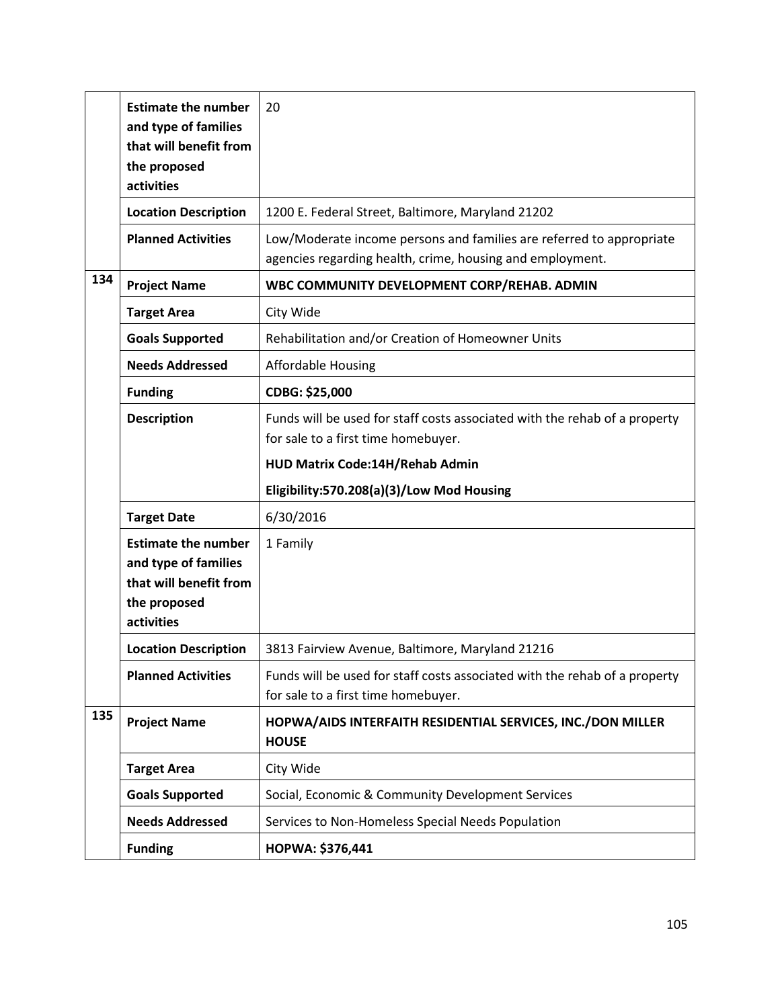|     | <b>Estimate the number</b><br>and type of families | 20                                                                                                                                |
|-----|----------------------------------------------------|-----------------------------------------------------------------------------------------------------------------------------------|
|     | that will benefit from                             |                                                                                                                                   |
|     | the proposed<br>activities                         |                                                                                                                                   |
|     | <b>Location Description</b>                        | 1200 E. Federal Street, Baltimore, Maryland 21202                                                                                 |
|     | <b>Planned Activities</b>                          | Low/Moderate income persons and families are referred to appropriate<br>agencies regarding health, crime, housing and employment. |
| 134 | <b>Project Name</b>                                | WBC COMMUNITY DEVELOPMENT CORP/REHAB. ADMIN                                                                                       |
|     | <b>Target Area</b>                                 | City Wide                                                                                                                         |
|     | <b>Goals Supported</b>                             | Rehabilitation and/or Creation of Homeowner Units                                                                                 |
|     | <b>Needs Addressed</b>                             | <b>Affordable Housing</b>                                                                                                         |
|     | <b>Funding</b>                                     | CDBG: \$25,000                                                                                                                    |
|     | <b>Description</b>                                 | Funds will be used for staff costs associated with the rehab of a property<br>for sale to a first time homebuyer.                 |
|     |                                                    | HUD Matrix Code:14H/Rehab Admin                                                                                                   |
|     |                                                    |                                                                                                                                   |
|     |                                                    | Eligibility:570.208(a)(3)/Low Mod Housing                                                                                         |
|     | <b>Target Date</b>                                 | 6/30/2016                                                                                                                         |
|     | <b>Estimate the number</b>                         | 1 Family                                                                                                                          |
|     | and type of families                               |                                                                                                                                   |
|     | that will benefit from<br>the proposed             |                                                                                                                                   |
|     | activities                                         |                                                                                                                                   |
|     | <b>Location Description</b>                        | 3813 Fairview Avenue, Baltimore, Maryland 21216                                                                                   |
|     | <b>Planned Activities</b>                          | Funds will be used for staff costs associated with the rehab of a property<br>for sale to a first time homebuyer.                 |
| 135 | <b>Project Name</b>                                | HOPWA/AIDS INTERFAITH RESIDENTIAL SERVICES, INC./DON MILLER<br><b>HOUSE</b>                                                       |
|     | <b>Target Area</b>                                 | City Wide                                                                                                                         |
|     | <b>Goals Supported</b>                             | Social, Economic & Community Development Services                                                                                 |
|     | <b>Needs Addressed</b>                             | Services to Non-Homeless Special Needs Population                                                                                 |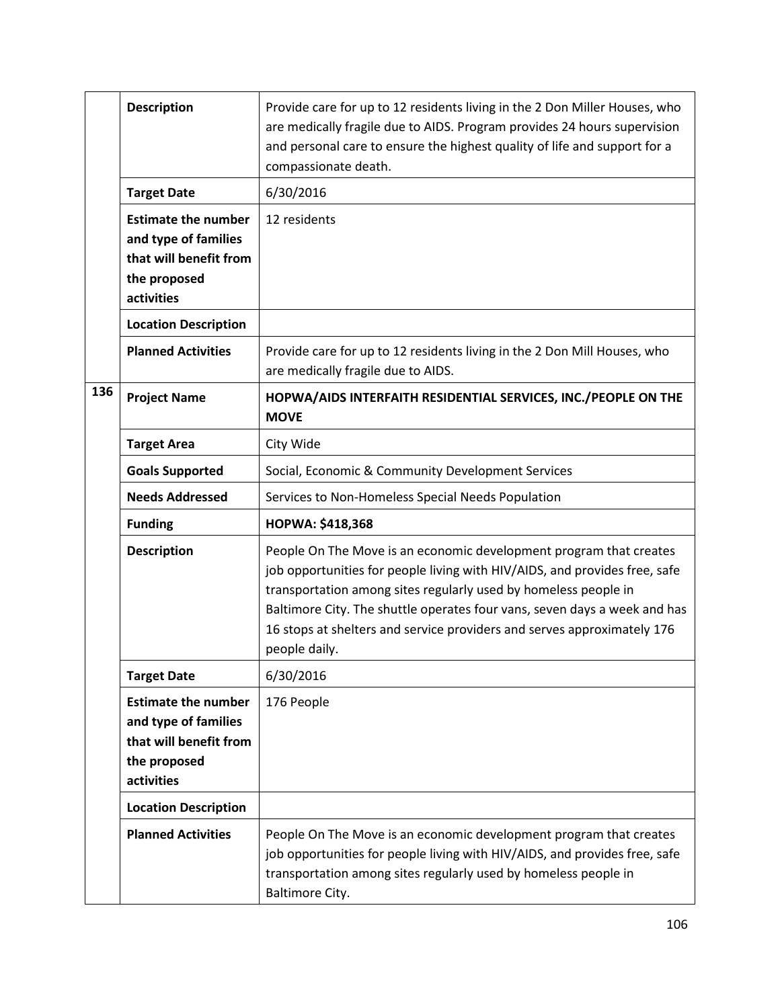|     | <b>Description</b>                                                                                         | Provide care for up to 12 residents living in the 2 Don Miller Houses, who<br>are medically fragile due to AIDS. Program provides 24 hours supervision<br>and personal care to ensure the highest quality of life and support for a<br>compassionate death.                                                                                                                                  |
|-----|------------------------------------------------------------------------------------------------------------|----------------------------------------------------------------------------------------------------------------------------------------------------------------------------------------------------------------------------------------------------------------------------------------------------------------------------------------------------------------------------------------------|
|     | <b>Target Date</b>                                                                                         | 6/30/2016                                                                                                                                                                                                                                                                                                                                                                                    |
|     | <b>Estimate the number</b><br>and type of families<br>that will benefit from<br>the proposed<br>activities | 12 residents                                                                                                                                                                                                                                                                                                                                                                                 |
|     | <b>Location Description</b>                                                                                |                                                                                                                                                                                                                                                                                                                                                                                              |
|     | <b>Planned Activities</b>                                                                                  | Provide care for up to 12 residents living in the 2 Don Mill Houses, who<br>are medically fragile due to AIDS.                                                                                                                                                                                                                                                                               |
| 136 | <b>Project Name</b>                                                                                        | HOPWA/AIDS INTERFAITH RESIDENTIAL SERVICES, INC./PEOPLE ON THE<br><b>MOVE</b>                                                                                                                                                                                                                                                                                                                |
|     | <b>Target Area</b>                                                                                         | City Wide                                                                                                                                                                                                                                                                                                                                                                                    |
|     | <b>Goals Supported</b>                                                                                     | Social, Economic & Community Development Services                                                                                                                                                                                                                                                                                                                                            |
|     | <b>Needs Addressed</b>                                                                                     | Services to Non-Homeless Special Needs Population                                                                                                                                                                                                                                                                                                                                            |
|     | <b>Funding</b>                                                                                             | HOPWA: \$418,368                                                                                                                                                                                                                                                                                                                                                                             |
|     | <b>Description</b>                                                                                         | People On The Move is an economic development program that creates<br>job opportunities for people living with HIV/AIDS, and provides free, safe<br>transportation among sites regularly used by homeless people in<br>Baltimore City. The shuttle operates four vans, seven days a week and has<br>16 stops at shelters and service providers and serves approximately 176<br>people daily. |
|     | <b>Target Date</b>                                                                                         | 6/30/2016                                                                                                                                                                                                                                                                                                                                                                                    |
|     | <b>Estimate the number</b><br>and type of families<br>that will benefit from<br>the proposed<br>activities | 176 People                                                                                                                                                                                                                                                                                                                                                                                   |
|     | <b>Location Description</b>                                                                                |                                                                                                                                                                                                                                                                                                                                                                                              |
|     | <b>Planned Activities</b>                                                                                  | People On The Move is an economic development program that creates<br>job opportunities for people living with HIV/AIDS, and provides free, safe<br>transportation among sites regularly used by homeless people in<br>Baltimore City.                                                                                                                                                       |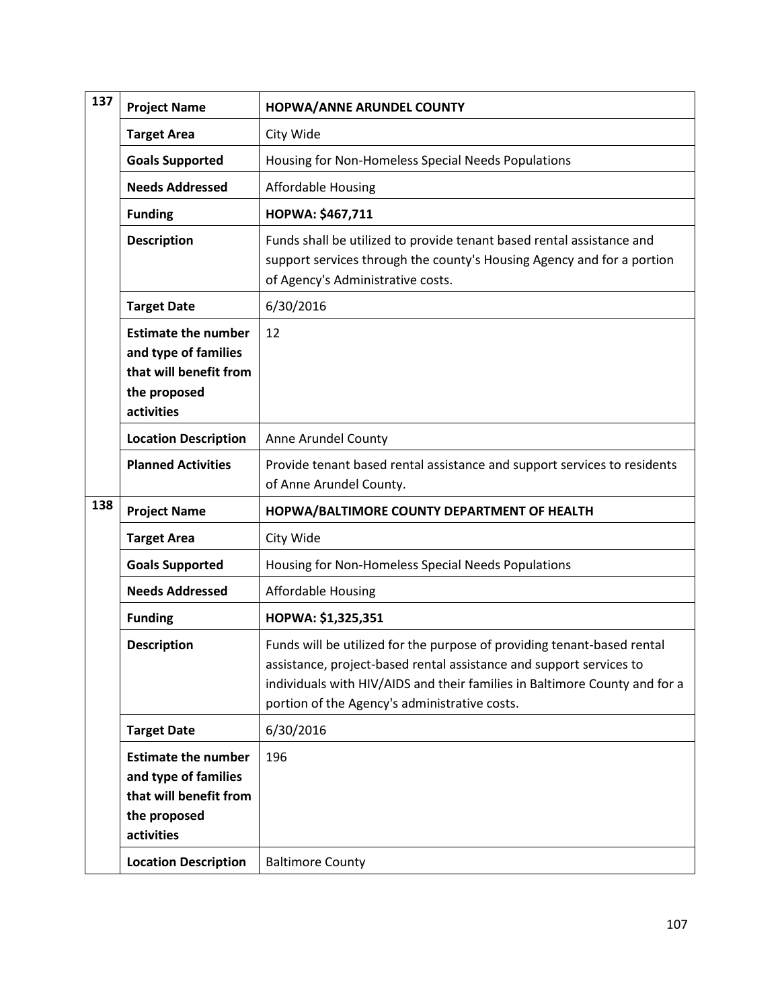| 137 | <b>Project Name</b>                                                                                        | HOPWA/ANNE ARUNDEL COUNTY                                                                                                                                                                                                                                                     |
|-----|------------------------------------------------------------------------------------------------------------|-------------------------------------------------------------------------------------------------------------------------------------------------------------------------------------------------------------------------------------------------------------------------------|
|     | <b>Target Area</b>                                                                                         | City Wide                                                                                                                                                                                                                                                                     |
|     | <b>Goals Supported</b>                                                                                     | Housing for Non-Homeless Special Needs Populations                                                                                                                                                                                                                            |
|     | <b>Needs Addressed</b>                                                                                     | <b>Affordable Housing</b>                                                                                                                                                                                                                                                     |
|     | <b>Funding</b>                                                                                             | HOPWA: \$467,711                                                                                                                                                                                                                                                              |
|     | <b>Description</b>                                                                                         | Funds shall be utilized to provide tenant based rental assistance and<br>support services through the county's Housing Agency and for a portion<br>of Agency's Administrative costs.                                                                                          |
|     | <b>Target Date</b>                                                                                         | 6/30/2016                                                                                                                                                                                                                                                                     |
|     | <b>Estimate the number</b><br>and type of families<br>that will benefit from<br>the proposed<br>activities | 12                                                                                                                                                                                                                                                                            |
|     | <b>Location Description</b>                                                                                | Anne Arundel County                                                                                                                                                                                                                                                           |
|     | <b>Planned Activities</b>                                                                                  | Provide tenant based rental assistance and support services to residents<br>of Anne Arundel County.                                                                                                                                                                           |
| 138 | <b>Project Name</b>                                                                                        | HOPWA/BALTIMORE COUNTY DEPARTMENT OF HEALTH                                                                                                                                                                                                                                   |
|     | <b>Target Area</b>                                                                                         | City Wide                                                                                                                                                                                                                                                                     |
|     | <b>Goals Supported</b>                                                                                     | Housing for Non-Homeless Special Needs Populations                                                                                                                                                                                                                            |
|     | <b>Needs Addressed</b>                                                                                     | <b>Affordable Housing</b>                                                                                                                                                                                                                                                     |
|     | <b>Funding</b>                                                                                             | HOPWA: \$1,325,351                                                                                                                                                                                                                                                            |
|     | <b>Description</b>                                                                                         | Funds will be utilized for the purpose of providing tenant-based rental<br>assistance, project-based rental assistance and support services to<br>individuals with HIV/AIDS and their families in Baltimore County and for a<br>portion of the Agency's administrative costs. |
|     | <b>Target Date</b>                                                                                         | 6/30/2016                                                                                                                                                                                                                                                                     |
|     | <b>Estimate the number</b><br>and type of families<br>that will benefit from<br>the proposed<br>activities | 196                                                                                                                                                                                                                                                                           |
|     | <b>Location Description</b>                                                                                | <b>Baltimore County</b>                                                                                                                                                                                                                                                       |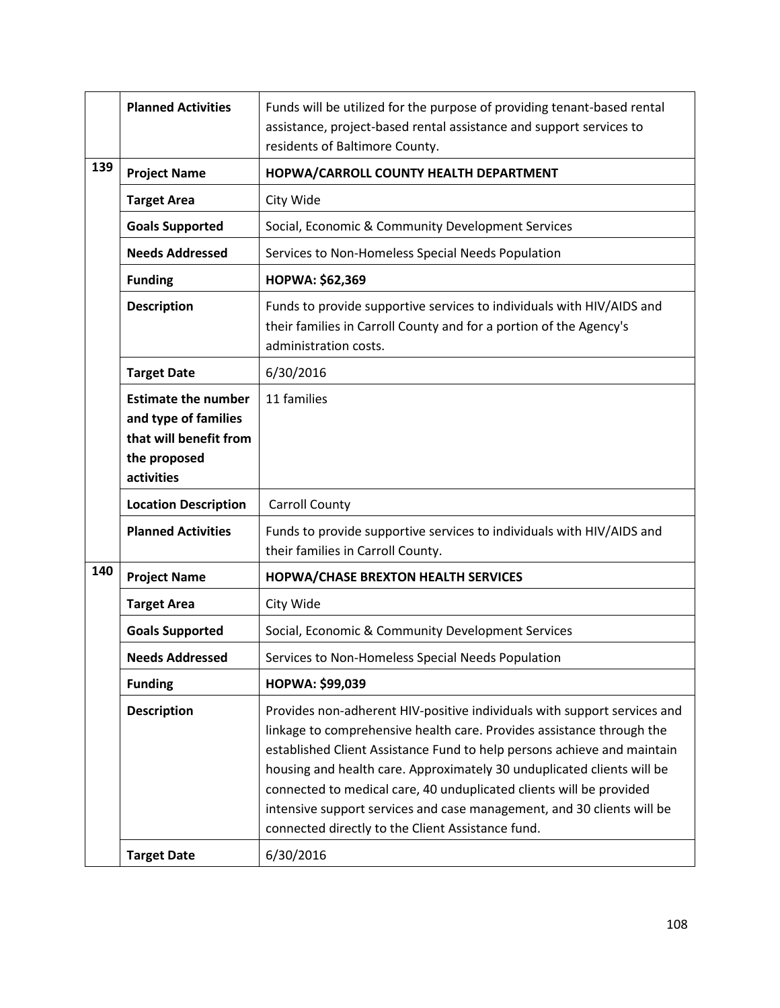|     | <b>Planned Activities</b>                                                                                  | Funds will be utilized for the purpose of providing tenant-based rental<br>assistance, project-based rental assistance and support services to<br>residents of Baltimore County.                                                                                                                                                                                                                                                                                                                             |
|-----|------------------------------------------------------------------------------------------------------------|--------------------------------------------------------------------------------------------------------------------------------------------------------------------------------------------------------------------------------------------------------------------------------------------------------------------------------------------------------------------------------------------------------------------------------------------------------------------------------------------------------------|
| 139 | <b>Project Name</b>                                                                                        | HOPWA/CARROLL COUNTY HEALTH DEPARTMENT                                                                                                                                                                                                                                                                                                                                                                                                                                                                       |
|     | <b>Target Area</b>                                                                                         | City Wide                                                                                                                                                                                                                                                                                                                                                                                                                                                                                                    |
|     | <b>Goals Supported</b>                                                                                     | Social, Economic & Community Development Services                                                                                                                                                                                                                                                                                                                                                                                                                                                            |
|     | <b>Needs Addressed</b>                                                                                     | Services to Non-Homeless Special Needs Population                                                                                                                                                                                                                                                                                                                                                                                                                                                            |
|     | <b>Funding</b>                                                                                             | HOPWA: \$62,369                                                                                                                                                                                                                                                                                                                                                                                                                                                                                              |
|     | <b>Description</b>                                                                                         | Funds to provide supportive services to individuals with HIV/AIDS and<br>their families in Carroll County and for a portion of the Agency's<br>administration costs.                                                                                                                                                                                                                                                                                                                                         |
|     | <b>Target Date</b>                                                                                         | 6/30/2016                                                                                                                                                                                                                                                                                                                                                                                                                                                                                                    |
|     | <b>Estimate the number</b><br>and type of families<br>that will benefit from<br>the proposed<br>activities | 11 families                                                                                                                                                                                                                                                                                                                                                                                                                                                                                                  |
|     | <b>Location Description</b>                                                                                | <b>Carroll County</b>                                                                                                                                                                                                                                                                                                                                                                                                                                                                                        |
|     | <b>Planned Activities</b>                                                                                  | Funds to provide supportive services to individuals with HIV/AIDS and<br>their families in Carroll County.                                                                                                                                                                                                                                                                                                                                                                                                   |
| 140 | <b>Project Name</b>                                                                                        | <b>HOPWA/CHASE BREXTON HEALTH SERVICES</b>                                                                                                                                                                                                                                                                                                                                                                                                                                                                   |
|     | <b>Target Area</b>                                                                                         | City Wide                                                                                                                                                                                                                                                                                                                                                                                                                                                                                                    |
|     | <b>Goals Supported</b>                                                                                     | Social, Economic & Community Development Services                                                                                                                                                                                                                                                                                                                                                                                                                                                            |
|     | <b>Needs Addressed</b>                                                                                     | Services to Non-Homeless Special Needs Population                                                                                                                                                                                                                                                                                                                                                                                                                                                            |
|     | <b>Funding</b>                                                                                             | HOPWA: \$99,039                                                                                                                                                                                                                                                                                                                                                                                                                                                                                              |
|     | <b>Description</b>                                                                                         | Provides non-adherent HIV-positive individuals with support services and<br>linkage to comprehensive health care. Provides assistance through the<br>established Client Assistance Fund to help persons achieve and maintain<br>housing and health care. Approximately 30 unduplicated clients will be<br>connected to medical care, 40 unduplicated clients will be provided<br>intensive support services and case management, and 30 clients will be<br>connected directly to the Client Assistance fund. |
|     | <b>Target Date</b>                                                                                         | 6/30/2016                                                                                                                                                                                                                                                                                                                                                                                                                                                                                                    |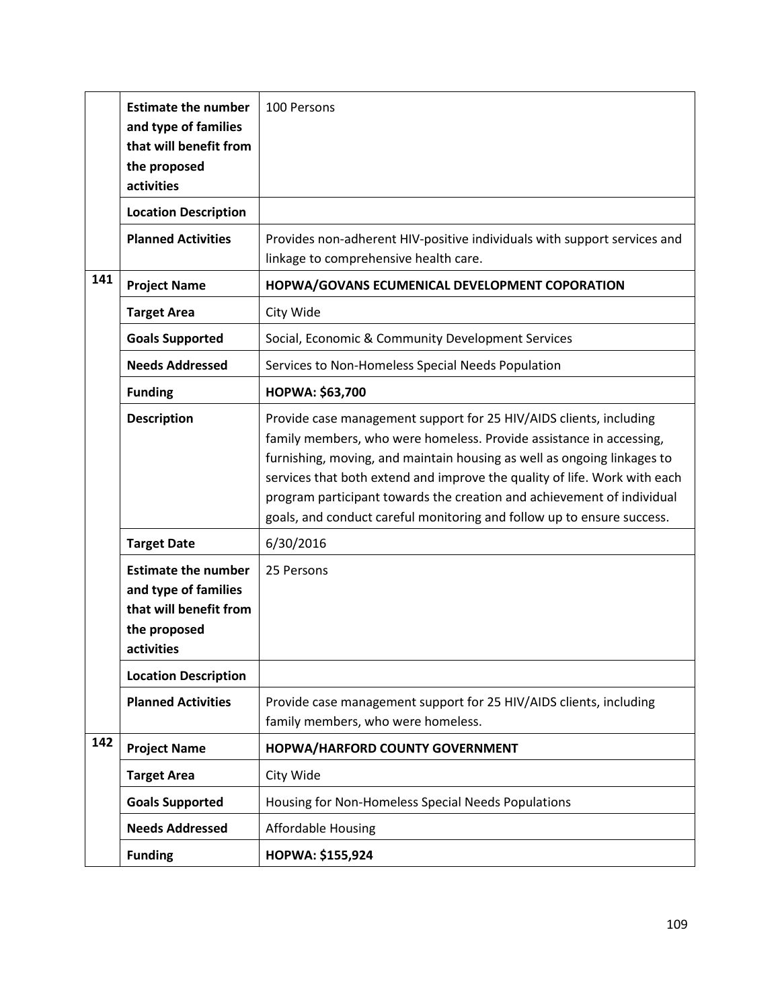|     | <b>Estimate the number</b><br>and type of families<br>that will benefit from<br>the proposed<br>activities | 100 Persons                                                                                                                                                                                                                                                                                                                                                                                                                                           |
|-----|------------------------------------------------------------------------------------------------------------|-------------------------------------------------------------------------------------------------------------------------------------------------------------------------------------------------------------------------------------------------------------------------------------------------------------------------------------------------------------------------------------------------------------------------------------------------------|
|     | <b>Location Description</b>                                                                                |                                                                                                                                                                                                                                                                                                                                                                                                                                                       |
|     | <b>Planned Activities</b>                                                                                  | Provides non-adherent HIV-positive individuals with support services and<br>linkage to comprehensive health care.                                                                                                                                                                                                                                                                                                                                     |
| 141 | <b>Project Name</b>                                                                                        | HOPWA/GOVANS ECUMENICAL DEVELOPMENT COPORATION                                                                                                                                                                                                                                                                                                                                                                                                        |
|     | <b>Target Area</b>                                                                                         | City Wide                                                                                                                                                                                                                                                                                                                                                                                                                                             |
|     | <b>Goals Supported</b>                                                                                     | Social, Economic & Community Development Services                                                                                                                                                                                                                                                                                                                                                                                                     |
|     | <b>Needs Addressed</b>                                                                                     | Services to Non-Homeless Special Needs Population                                                                                                                                                                                                                                                                                                                                                                                                     |
|     | <b>Funding</b>                                                                                             | HOPWA: \$63,700                                                                                                                                                                                                                                                                                                                                                                                                                                       |
|     | <b>Description</b>                                                                                         | Provide case management support for 25 HIV/AIDS clients, including<br>family members, who were homeless. Provide assistance in accessing,<br>furnishing, moving, and maintain housing as well as ongoing linkages to<br>services that both extend and improve the quality of life. Work with each<br>program participant towards the creation and achievement of individual<br>goals, and conduct careful monitoring and follow up to ensure success. |
|     | <b>Target Date</b>                                                                                         | 6/30/2016                                                                                                                                                                                                                                                                                                                                                                                                                                             |
|     | <b>Estimate the number</b><br>and type of families<br>that will benefit from<br>the proposed<br>activities | 25 Persons                                                                                                                                                                                                                                                                                                                                                                                                                                            |
|     | <b>Location Description</b>                                                                                |                                                                                                                                                                                                                                                                                                                                                                                                                                                       |
|     | <b>Planned Activities</b>                                                                                  | Provide case management support for 25 HIV/AIDS clients, including<br>family members, who were homeless.                                                                                                                                                                                                                                                                                                                                              |
| 142 | <b>Project Name</b>                                                                                        | HOPWA/HARFORD COUNTY GOVERNMENT                                                                                                                                                                                                                                                                                                                                                                                                                       |
|     | <b>Target Area</b>                                                                                         | City Wide                                                                                                                                                                                                                                                                                                                                                                                                                                             |
|     | <b>Goals Supported</b>                                                                                     | Housing for Non-Homeless Special Needs Populations                                                                                                                                                                                                                                                                                                                                                                                                    |
|     | <b>Needs Addressed</b>                                                                                     | <b>Affordable Housing</b>                                                                                                                                                                                                                                                                                                                                                                                                                             |
|     | <b>Funding</b>                                                                                             | HOPWA: \$155,924                                                                                                                                                                                                                                                                                                                                                                                                                                      |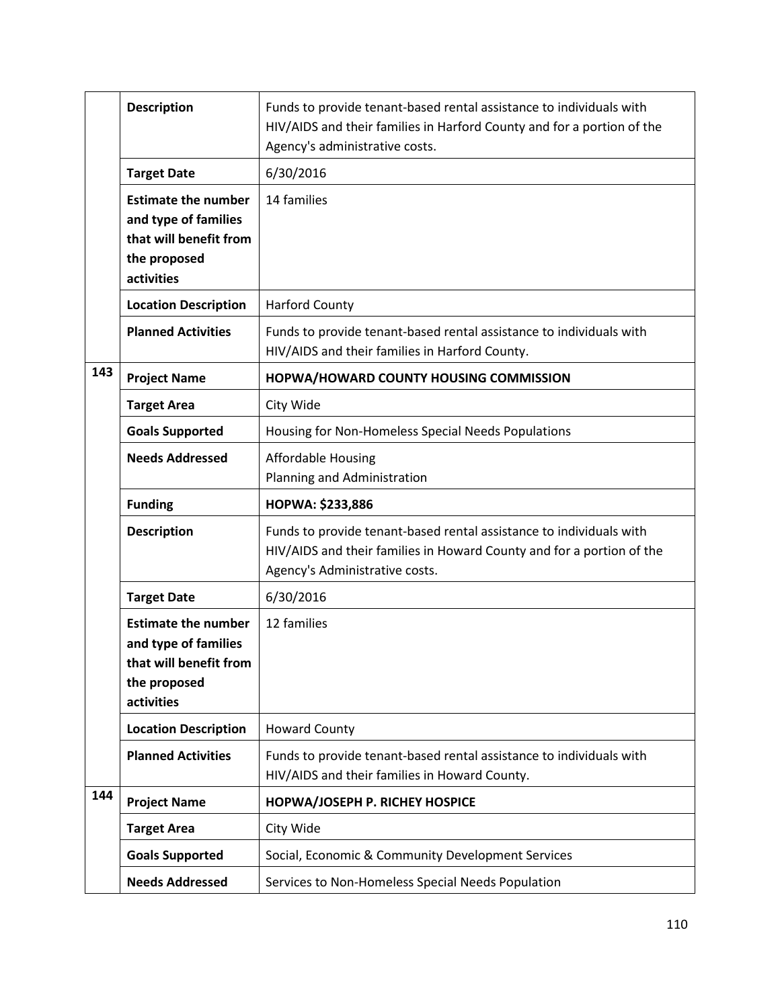|     | <b>Description</b>                                                                                         | Funds to provide tenant-based rental assistance to individuals with<br>HIV/AIDS and their families in Harford County and for a portion of the<br>Agency's administrative costs. |
|-----|------------------------------------------------------------------------------------------------------------|---------------------------------------------------------------------------------------------------------------------------------------------------------------------------------|
|     | <b>Target Date</b>                                                                                         | 6/30/2016                                                                                                                                                                       |
|     | <b>Estimate the number</b><br>and type of families<br>that will benefit from<br>the proposed<br>activities | 14 families                                                                                                                                                                     |
|     | <b>Location Description</b>                                                                                | <b>Harford County</b>                                                                                                                                                           |
|     | <b>Planned Activities</b>                                                                                  | Funds to provide tenant-based rental assistance to individuals with<br>HIV/AIDS and their families in Harford County.                                                           |
| 143 | <b>Project Name</b>                                                                                        | HOPWA/HOWARD COUNTY HOUSING COMMISSION                                                                                                                                          |
|     | <b>Target Area</b>                                                                                         | City Wide                                                                                                                                                                       |
|     | <b>Goals Supported</b>                                                                                     | Housing for Non-Homeless Special Needs Populations                                                                                                                              |
|     | <b>Needs Addressed</b>                                                                                     | <b>Affordable Housing</b><br>Planning and Administration                                                                                                                        |
|     |                                                                                                            |                                                                                                                                                                                 |
|     | <b>Funding</b>                                                                                             | HOPWA: \$233,886                                                                                                                                                                |
|     | <b>Description</b>                                                                                         | Funds to provide tenant-based rental assistance to individuals with<br>HIV/AIDS and their families in Howard County and for a portion of the<br>Agency's Administrative costs.  |
|     | <b>Target Date</b>                                                                                         | 6/30/2016                                                                                                                                                                       |
|     | <b>Estimate the number</b><br>and type of families<br>that will benefit from<br>the proposed<br>activities | 12 families                                                                                                                                                                     |
|     | <b>Location Description</b>                                                                                | <b>Howard County</b>                                                                                                                                                            |
|     | <b>Planned Activities</b>                                                                                  | Funds to provide tenant-based rental assistance to individuals with<br>HIV/AIDS and their families in Howard County.                                                            |
| 144 | <b>Project Name</b>                                                                                        | HOPWA/JOSEPH P. RICHEY HOSPICE                                                                                                                                                  |
|     | <b>Target Area</b>                                                                                         | City Wide                                                                                                                                                                       |
|     | <b>Goals Supported</b>                                                                                     | Social, Economic & Community Development Services                                                                                                                               |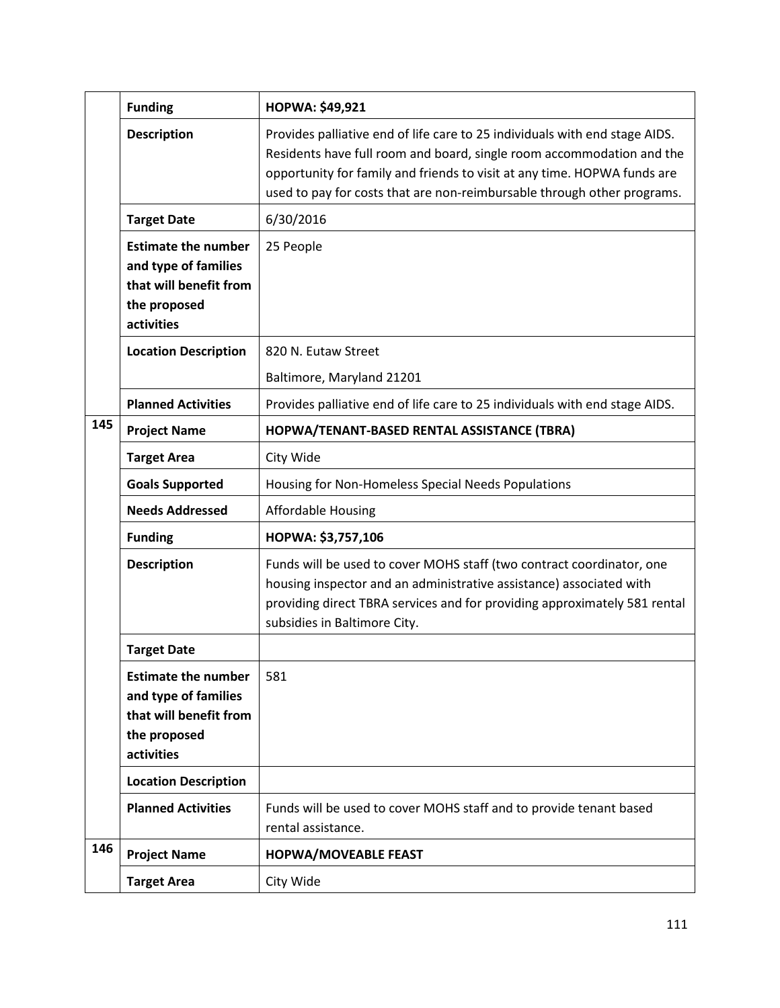|     | <b>Funding</b>                                                                                             | <b>HOPWA: \$49,921</b>                                                                                                                                                                                                                                                                                      |
|-----|------------------------------------------------------------------------------------------------------------|-------------------------------------------------------------------------------------------------------------------------------------------------------------------------------------------------------------------------------------------------------------------------------------------------------------|
|     | <b>Description</b>                                                                                         | Provides palliative end of life care to 25 individuals with end stage AIDS.<br>Residents have full room and board, single room accommodation and the<br>opportunity for family and friends to visit at any time. HOPWA funds are<br>used to pay for costs that are non-reimbursable through other programs. |
|     | <b>Target Date</b>                                                                                         | 6/30/2016                                                                                                                                                                                                                                                                                                   |
|     | <b>Estimate the number</b><br>and type of families<br>that will benefit from<br>the proposed<br>activities | 25 People                                                                                                                                                                                                                                                                                                   |
|     | <b>Location Description</b>                                                                                | 820 N. Eutaw Street                                                                                                                                                                                                                                                                                         |
|     |                                                                                                            | Baltimore, Maryland 21201                                                                                                                                                                                                                                                                                   |
|     | <b>Planned Activities</b>                                                                                  | Provides palliative end of life care to 25 individuals with end stage AIDS.                                                                                                                                                                                                                                 |
| 145 | <b>Project Name</b>                                                                                        | HOPWA/TENANT-BASED RENTAL ASSISTANCE (TBRA)                                                                                                                                                                                                                                                                 |
|     | <b>Target Area</b>                                                                                         | City Wide                                                                                                                                                                                                                                                                                                   |
|     | <b>Goals Supported</b>                                                                                     | Housing for Non-Homeless Special Needs Populations                                                                                                                                                                                                                                                          |
|     | <b>Needs Addressed</b>                                                                                     | <b>Affordable Housing</b>                                                                                                                                                                                                                                                                                   |
|     | <b>Funding</b>                                                                                             | HOPWA: \$3,757,106                                                                                                                                                                                                                                                                                          |
|     | <b>Description</b>                                                                                         | Funds will be used to cover MOHS staff (two contract coordinator, one<br>housing inspector and an administrative assistance) associated with<br>providing direct TBRA services and for providing approximately 581 rental<br>subsidies in Baltimore City.                                                   |
|     | <b>Target Date</b>                                                                                         |                                                                                                                                                                                                                                                                                                             |
|     | <b>Estimate the number</b><br>and type of families<br>that will benefit from<br>the proposed<br>activities | 581                                                                                                                                                                                                                                                                                                         |
|     | <b>Location Description</b>                                                                                |                                                                                                                                                                                                                                                                                                             |
|     | <b>Planned Activities</b>                                                                                  | Funds will be used to cover MOHS staff and to provide tenant based<br>rental assistance.                                                                                                                                                                                                                    |
| 146 | <b>Project Name</b>                                                                                        | <b>HOPWA/MOVEABLE FEAST</b>                                                                                                                                                                                                                                                                                 |
|     | <b>Target Area</b>                                                                                         | City Wide                                                                                                                                                                                                                                                                                                   |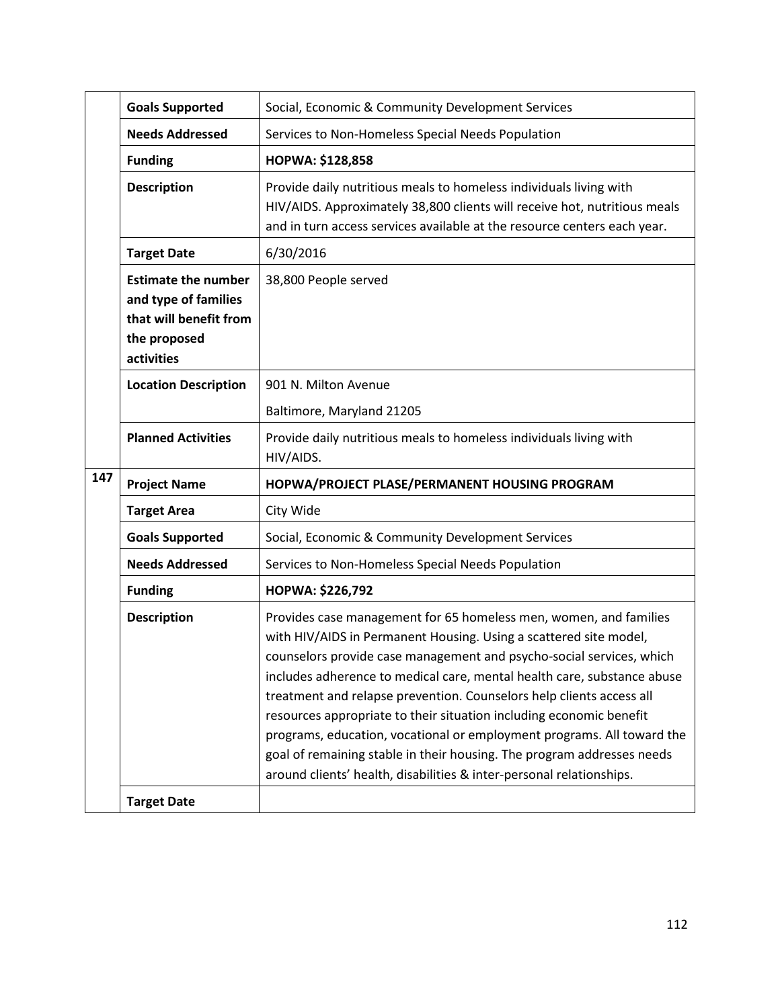|     | <b>Goals Supported</b>                                                                                     | Social, Economic & Community Development Services                                                                                                                                                                                                                                                                                                                                                                                                                                                                                                                                                                                                                    |
|-----|------------------------------------------------------------------------------------------------------------|----------------------------------------------------------------------------------------------------------------------------------------------------------------------------------------------------------------------------------------------------------------------------------------------------------------------------------------------------------------------------------------------------------------------------------------------------------------------------------------------------------------------------------------------------------------------------------------------------------------------------------------------------------------------|
|     | <b>Needs Addressed</b>                                                                                     | Services to Non-Homeless Special Needs Population                                                                                                                                                                                                                                                                                                                                                                                                                                                                                                                                                                                                                    |
|     | <b>Funding</b>                                                                                             | <b>HOPWA: \$128,858</b>                                                                                                                                                                                                                                                                                                                                                                                                                                                                                                                                                                                                                                              |
|     | <b>Description</b>                                                                                         | Provide daily nutritious meals to homeless individuals living with<br>HIV/AIDS. Approximately 38,800 clients will receive hot, nutritious meals<br>and in turn access services available at the resource centers each year.                                                                                                                                                                                                                                                                                                                                                                                                                                          |
|     | <b>Target Date</b>                                                                                         | 6/30/2016                                                                                                                                                                                                                                                                                                                                                                                                                                                                                                                                                                                                                                                            |
|     | <b>Estimate the number</b><br>and type of families<br>that will benefit from<br>the proposed<br>activities | 38,800 People served                                                                                                                                                                                                                                                                                                                                                                                                                                                                                                                                                                                                                                                 |
|     | <b>Location Description</b>                                                                                | 901 N. Milton Avenue                                                                                                                                                                                                                                                                                                                                                                                                                                                                                                                                                                                                                                                 |
|     |                                                                                                            | Baltimore, Maryland 21205                                                                                                                                                                                                                                                                                                                                                                                                                                                                                                                                                                                                                                            |
|     | <b>Planned Activities</b>                                                                                  | Provide daily nutritious meals to homeless individuals living with<br>HIV/AIDS.                                                                                                                                                                                                                                                                                                                                                                                                                                                                                                                                                                                      |
| 147 | <b>Project Name</b>                                                                                        | HOPWA/PROJECT PLASE/PERMANENT HOUSING PROGRAM                                                                                                                                                                                                                                                                                                                                                                                                                                                                                                                                                                                                                        |
|     | <b>Target Area</b>                                                                                         | City Wide                                                                                                                                                                                                                                                                                                                                                                                                                                                                                                                                                                                                                                                            |
|     | <b>Goals Supported</b>                                                                                     | Social, Economic & Community Development Services                                                                                                                                                                                                                                                                                                                                                                                                                                                                                                                                                                                                                    |
|     | <b>Needs Addressed</b>                                                                                     | Services to Non-Homeless Special Needs Population                                                                                                                                                                                                                                                                                                                                                                                                                                                                                                                                                                                                                    |
|     | <b>Funding</b>                                                                                             | HOPWA: \$226,792                                                                                                                                                                                                                                                                                                                                                                                                                                                                                                                                                                                                                                                     |
|     | <b>Description</b>                                                                                         | Provides case management for 65 homeless men, women, and families<br>with HIV/AIDS in Permanent Housing. Using a scattered site model,<br>counselors provide case management and psycho-social services, which<br>includes adherence to medical care, mental health care, substance abuse<br>treatment and relapse prevention. Counselors help clients access all<br>resources appropriate to their situation including economic benefit<br>programs, education, vocational or employment programs. All toward the<br>goal of remaining stable in their housing. The program addresses needs<br>around clients' health, disabilities & inter-personal relationships. |
|     | <b>Target Date</b>                                                                                         |                                                                                                                                                                                                                                                                                                                                                                                                                                                                                                                                                                                                                                                                      |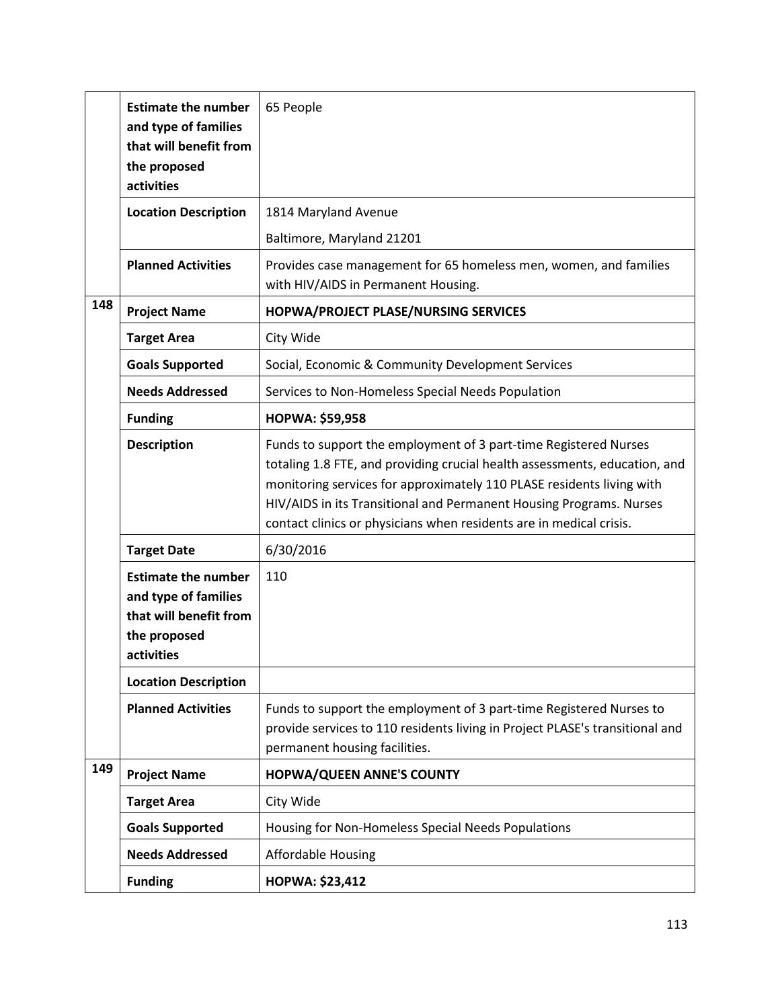|     | <b>Estimate the number</b><br>and type of families<br>that will benefit from<br>the proposed<br>activities | 65 People                                                                                                                                                                                                                                                                                                                                                             |
|-----|------------------------------------------------------------------------------------------------------------|-----------------------------------------------------------------------------------------------------------------------------------------------------------------------------------------------------------------------------------------------------------------------------------------------------------------------------------------------------------------------|
|     | <b>Location Description</b>                                                                                | 1814 Maryland Avenue                                                                                                                                                                                                                                                                                                                                                  |
|     |                                                                                                            | Baltimore, Maryland 21201                                                                                                                                                                                                                                                                                                                                             |
|     | <b>Planned Activities</b>                                                                                  | Provides case management for 65 homeless men, women, and families<br>with HIV/AIDS in Permanent Housing.                                                                                                                                                                                                                                                              |
| 148 | <b>Project Name</b>                                                                                        | HOPWA/PROJECT PLASE/NURSING SERVICES                                                                                                                                                                                                                                                                                                                                  |
|     | <b>Target Area</b>                                                                                         | City Wide                                                                                                                                                                                                                                                                                                                                                             |
|     | <b>Goals Supported</b>                                                                                     | Social, Economic & Community Development Services                                                                                                                                                                                                                                                                                                                     |
|     | <b>Needs Addressed</b>                                                                                     | Services to Non-Homeless Special Needs Population                                                                                                                                                                                                                                                                                                                     |
|     | <b>Funding</b>                                                                                             | <b>HOPWA: \$59,958</b>                                                                                                                                                                                                                                                                                                                                                |
|     | <b>Description</b>                                                                                         | Funds to support the employment of 3 part-time Registered Nurses<br>totaling 1.8 FTE, and providing crucial health assessments, education, and<br>monitoring services for approximately 110 PLASE residents living with<br>HIV/AIDS in its Transitional and Permanent Housing Programs. Nurses<br>contact clinics or physicians when residents are in medical crisis. |
|     | <b>Target Date</b>                                                                                         | 6/30/2016                                                                                                                                                                                                                                                                                                                                                             |
|     | <b>Estimate the number</b><br>and type of families<br>that will benefit from<br>the proposed<br>activities | 110                                                                                                                                                                                                                                                                                                                                                                   |
|     | <b>Location Description</b>                                                                                |                                                                                                                                                                                                                                                                                                                                                                       |
|     | <b>Planned Activities</b>                                                                                  | Funds to support the employment of 3 part-time Registered Nurses to<br>provide services to 110 residents living in Project PLASE's transitional and<br>permanent housing facilities.                                                                                                                                                                                  |
| 149 | <b>Project Name</b>                                                                                        | HOPWA/QUEEN ANNE'S COUNTY                                                                                                                                                                                                                                                                                                                                             |
|     | <b>Target Area</b>                                                                                         | City Wide                                                                                                                                                                                                                                                                                                                                                             |
|     | <b>Goals Supported</b>                                                                                     | Housing for Non-Homeless Special Needs Populations                                                                                                                                                                                                                                                                                                                    |
|     | <b>Needs Addressed</b>                                                                                     | <b>Affordable Housing</b>                                                                                                                                                                                                                                                                                                                                             |
|     | <b>Funding</b>                                                                                             | <b>HOPWA: \$23,412</b>                                                                                                                                                                                                                                                                                                                                                |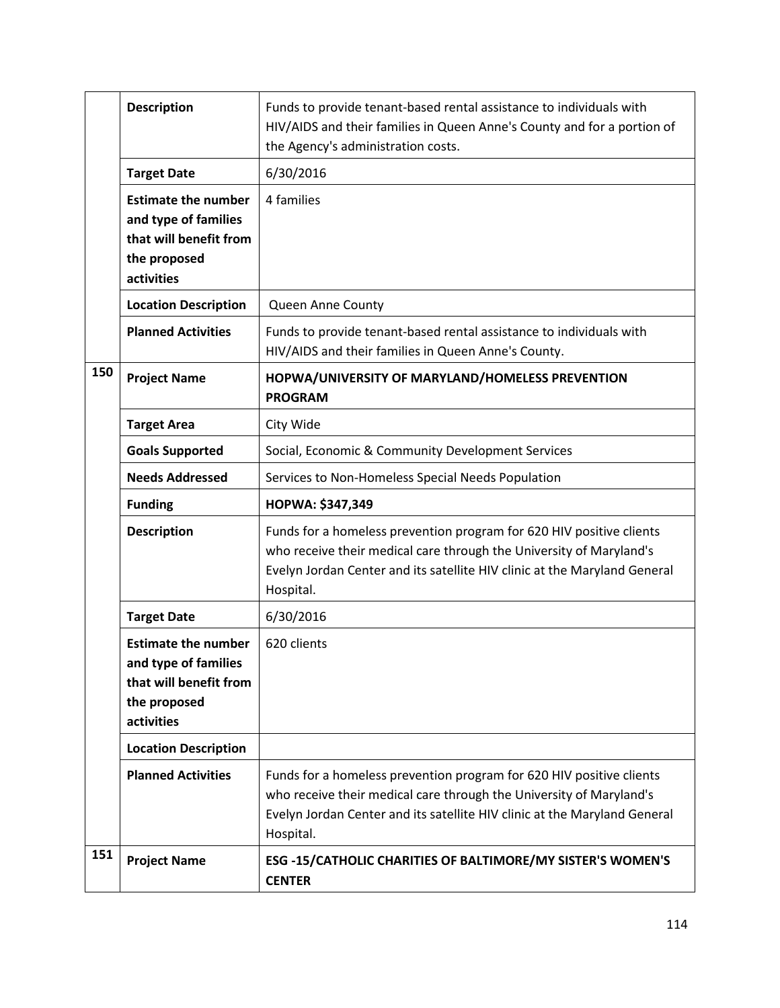|     | <b>Description</b>                                                                                         | Funds to provide tenant-based rental assistance to individuals with<br>HIV/AIDS and their families in Queen Anne's County and for a portion of<br>the Agency's administration costs.                                                  |
|-----|------------------------------------------------------------------------------------------------------------|---------------------------------------------------------------------------------------------------------------------------------------------------------------------------------------------------------------------------------------|
|     | <b>Target Date</b>                                                                                         | 6/30/2016                                                                                                                                                                                                                             |
|     | <b>Estimate the number</b><br>and type of families<br>that will benefit from<br>the proposed<br>activities | 4 families                                                                                                                                                                                                                            |
|     | <b>Location Description</b>                                                                                | Queen Anne County                                                                                                                                                                                                                     |
|     | <b>Planned Activities</b>                                                                                  | Funds to provide tenant-based rental assistance to individuals with<br>HIV/AIDS and their families in Queen Anne's County.                                                                                                            |
| 150 | <b>Project Name</b>                                                                                        | HOPWA/UNIVERSITY OF MARYLAND/HOMELESS PREVENTION<br><b>PROGRAM</b>                                                                                                                                                                    |
|     | <b>Target Area</b>                                                                                         | City Wide                                                                                                                                                                                                                             |
|     | <b>Goals Supported</b>                                                                                     | Social, Economic & Community Development Services                                                                                                                                                                                     |
|     | <b>Needs Addressed</b>                                                                                     | Services to Non-Homeless Special Needs Population                                                                                                                                                                                     |
|     |                                                                                                            |                                                                                                                                                                                                                                       |
|     | <b>Funding</b>                                                                                             | HOPWA: \$347,349                                                                                                                                                                                                                      |
|     | <b>Description</b>                                                                                         | Funds for a homeless prevention program for 620 HIV positive clients<br>who receive their medical care through the University of Maryland's<br>Evelyn Jordan Center and its satellite HIV clinic at the Maryland General<br>Hospital. |
|     | <b>Target Date</b>                                                                                         | 6/30/2016                                                                                                                                                                                                                             |
|     | <b>Estimate the number</b><br>and type of families<br>that will benefit from<br>the proposed<br>activities | 620 clients                                                                                                                                                                                                                           |
|     | <b>Location Description</b>                                                                                |                                                                                                                                                                                                                                       |
|     | <b>Planned Activities</b>                                                                                  | Funds for a homeless prevention program for 620 HIV positive clients<br>who receive their medical care through the University of Maryland's<br>Evelyn Jordan Center and its satellite HIV clinic at the Maryland General<br>Hospital. |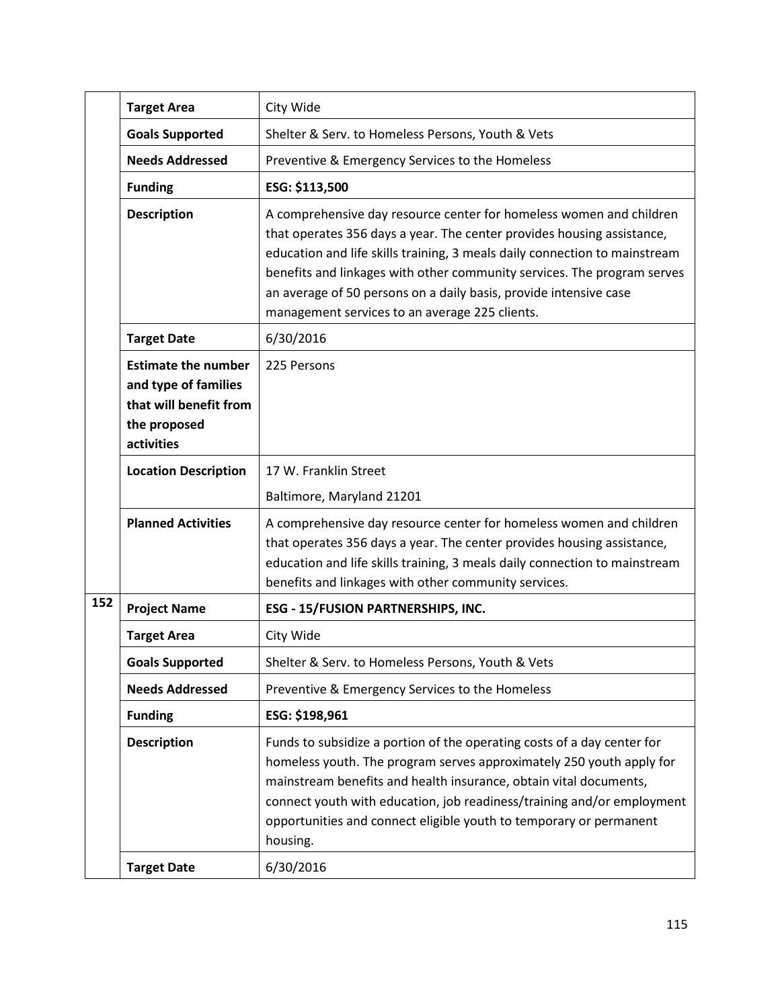|     | <b>Target Area</b>                                                                                         | City Wide                                                                                                                                                                                                                                                                                                                                                                                                                     |
|-----|------------------------------------------------------------------------------------------------------------|-------------------------------------------------------------------------------------------------------------------------------------------------------------------------------------------------------------------------------------------------------------------------------------------------------------------------------------------------------------------------------------------------------------------------------|
|     | <b>Goals Supported</b>                                                                                     | Shelter & Serv. to Homeless Persons, Youth & Vets                                                                                                                                                                                                                                                                                                                                                                             |
|     | <b>Needs Addressed</b>                                                                                     | Preventive & Emergency Services to the Homeless                                                                                                                                                                                                                                                                                                                                                                               |
|     | <b>Funding</b>                                                                                             | ESG: \$113,500                                                                                                                                                                                                                                                                                                                                                                                                                |
|     | <b>Description</b>                                                                                         | A comprehensive day resource center for homeless women and children<br>that operates 356 days a year. The center provides housing assistance,<br>education and life skills training, 3 meals daily connection to mainstream<br>benefits and linkages with other community services. The program serves<br>an average of 50 persons on a daily basis, provide intensive case<br>management services to an average 225 clients. |
|     | <b>Target Date</b>                                                                                         | 6/30/2016                                                                                                                                                                                                                                                                                                                                                                                                                     |
|     | <b>Estimate the number</b><br>and type of families<br>that will benefit from<br>the proposed<br>activities | 225 Persons                                                                                                                                                                                                                                                                                                                                                                                                                   |
|     | <b>Location Description</b>                                                                                | 17 W. Franklin Street                                                                                                                                                                                                                                                                                                                                                                                                         |
|     |                                                                                                            | Baltimore, Maryland 21201                                                                                                                                                                                                                                                                                                                                                                                                     |
|     | <b>Planned Activities</b>                                                                                  | A comprehensive day resource center for homeless women and children<br>that operates 356 days a year. The center provides housing assistance,<br>education and life skills training, 3 meals daily connection to mainstream<br>benefits and linkages with other community services.                                                                                                                                           |
| 152 | <b>Project Name</b>                                                                                        | ESG - 15/FUSION PARTNERSHIPS, INC.                                                                                                                                                                                                                                                                                                                                                                                            |
|     | <b>Target Area</b>                                                                                         | City Wide                                                                                                                                                                                                                                                                                                                                                                                                                     |
|     | <b>Goals Supported</b>                                                                                     | Shelter & Serv. to Homeless Persons, Youth & Vets                                                                                                                                                                                                                                                                                                                                                                             |
|     | <b>Needs Addressed</b>                                                                                     | Preventive & Emergency Services to the Homeless                                                                                                                                                                                                                                                                                                                                                                               |
|     | <b>Funding</b>                                                                                             | ESG: \$198,961                                                                                                                                                                                                                                                                                                                                                                                                                |
|     | <b>Description</b>                                                                                         | Funds to subsidize a portion of the operating costs of a day center for<br>homeless youth. The program serves approximately 250 youth apply for<br>mainstream benefits and health insurance, obtain vital documents,<br>connect youth with education, job readiness/training and/or employment<br>opportunities and connect eligible youth to temporary or permanent<br>housing.                                              |
|     | <b>Target Date</b>                                                                                         | 6/30/2016                                                                                                                                                                                                                                                                                                                                                                                                                     |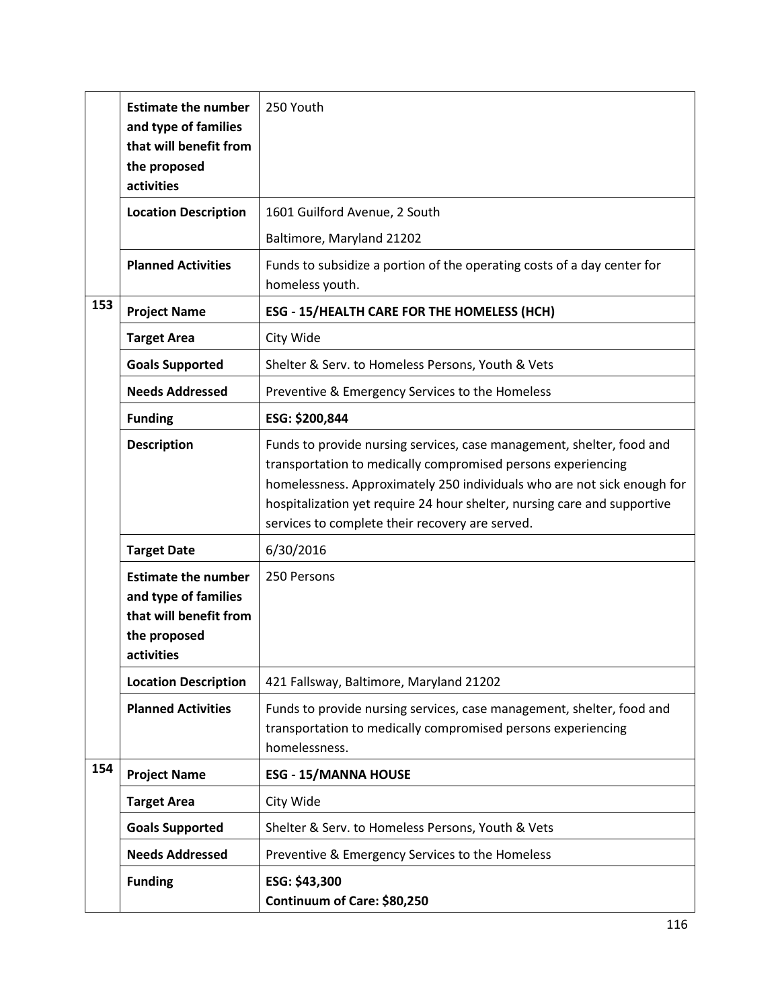|     | <b>Estimate the number</b><br>and type of families<br>that will benefit from<br>the proposed<br>activities | 250 Youth                                                                                                                                                                                                                                                                                                                                       |
|-----|------------------------------------------------------------------------------------------------------------|-------------------------------------------------------------------------------------------------------------------------------------------------------------------------------------------------------------------------------------------------------------------------------------------------------------------------------------------------|
|     | <b>Location Description</b>                                                                                | 1601 Guilford Avenue, 2 South                                                                                                                                                                                                                                                                                                                   |
|     |                                                                                                            | Baltimore, Maryland 21202                                                                                                                                                                                                                                                                                                                       |
|     | <b>Planned Activities</b>                                                                                  | Funds to subsidize a portion of the operating costs of a day center for<br>homeless youth.                                                                                                                                                                                                                                                      |
| 153 | <b>Project Name</b>                                                                                        | <b>ESG - 15/HEALTH CARE FOR THE HOMELESS (HCH)</b>                                                                                                                                                                                                                                                                                              |
|     | <b>Target Area</b>                                                                                         | City Wide                                                                                                                                                                                                                                                                                                                                       |
|     | <b>Goals Supported</b>                                                                                     | Shelter & Serv. to Homeless Persons, Youth & Vets                                                                                                                                                                                                                                                                                               |
|     | <b>Needs Addressed</b>                                                                                     | Preventive & Emergency Services to the Homeless                                                                                                                                                                                                                                                                                                 |
|     | <b>Funding</b>                                                                                             | ESG: \$200,844                                                                                                                                                                                                                                                                                                                                  |
|     | <b>Description</b>                                                                                         | Funds to provide nursing services, case management, shelter, food and<br>transportation to medically compromised persons experiencing<br>homelessness. Approximately 250 individuals who are not sick enough for<br>hospitalization yet require 24 hour shelter, nursing care and supportive<br>services to complete their recovery are served. |
|     | <b>Target Date</b>                                                                                         | 6/30/2016                                                                                                                                                                                                                                                                                                                                       |
|     | <b>Estimate the number</b><br>and type of families<br>that will benefit from<br>the proposed<br>activities | 250 Persons                                                                                                                                                                                                                                                                                                                                     |
|     | <b>Location Description</b>                                                                                | 421 Fallsway, Baltimore, Maryland 21202                                                                                                                                                                                                                                                                                                         |
|     | <b>Planned Activities</b>                                                                                  | Funds to provide nursing services, case management, shelter, food and<br>transportation to medically compromised persons experiencing<br>homelessness.                                                                                                                                                                                          |
| 154 | <b>Project Name</b>                                                                                        | <b>ESG - 15/MANNA HOUSE</b>                                                                                                                                                                                                                                                                                                                     |
|     | <b>Target Area</b>                                                                                         | City Wide                                                                                                                                                                                                                                                                                                                                       |
|     | <b>Goals Supported</b>                                                                                     | Shelter & Serv. to Homeless Persons, Youth & Vets                                                                                                                                                                                                                                                                                               |
|     | <b>Needs Addressed</b>                                                                                     | Preventive & Emergency Services to the Homeless                                                                                                                                                                                                                                                                                                 |
|     | <b>Funding</b>                                                                                             | ESG: \$43,300<br>Continuum of Care: \$80,250                                                                                                                                                                                                                                                                                                    |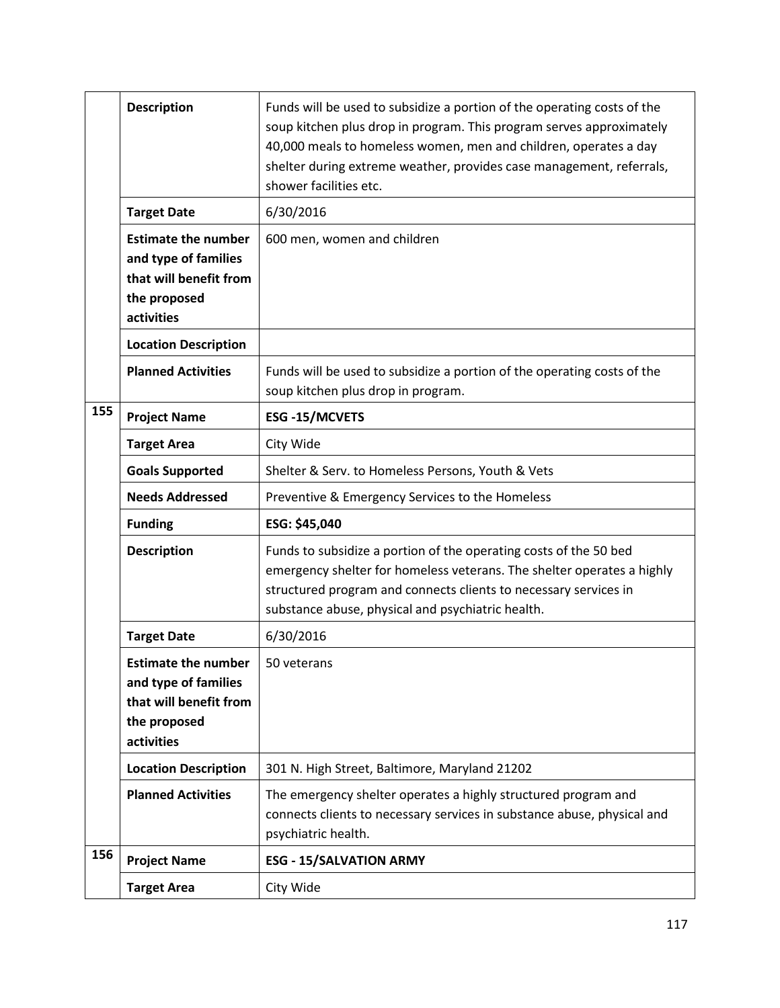|     | <b>Description</b>                                                                                         | Funds will be used to subsidize a portion of the operating costs of the<br>soup kitchen plus drop in program. This program serves approximately<br>40,000 meals to homeless women, men and children, operates a day<br>shelter during extreme weather, provides case management, referrals,<br>shower facilities etc. |
|-----|------------------------------------------------------------------------------------------------------------|-----------------------------------------------------------------------------------------------------------------------------------------------------------------------------------------------------------------------------------------------------------------------------------------------------------------------|
|     | <b>Target Date</b>                                                                                         | 6/30/2016                                                                                                                                                                                                                                                                                                             |
|     | <b>Estimate the number</b><br>and type of families<br>that will benefit from<br>the proposed<br>activities | 600 men, women and children                                                                                                                                                                                                                                                                                           |
|     | <b>Location Description</b>                                                                                |                                                                                                                                                                                                                                                                                                                       |
|     | <b>Planned Activities</b>                                                                                  | Funds will be used to subsidize a portion of the operating costs of the<br>soup kitchen plus drop in program.                                                                                                                                                                                                         |
| 155 | <b>Project Name</b>                                                                                        | <b>ESG-15/MCVETS</b>                                                                                                                                                                                                                                                                                                  |
|     | <b>Target Area</b>                                                                                         | City Wide                                                                                                                                                                                                                                                                                                             |
|     | <b>Goals Supported</b>                                                                                     | Shelter & Serv. to Homeless Persons, Youth & Vets                                                                                                                                                                                                                                                                     |
|     | <b>Needs Addressed</b>                                                                                     | Preventive & Emergency Services to the Homeless                                                                                                                                                                                                                                                                       |
|     | <b>Funding</b>                                                                                             | ESG: \$45,040                                                                                                                                                                                                                                                                                                         |
|     | <b>Description</b>                                                                                         | Funds to subsidize a portion of the operating costs of the 50 bed<br>emergency shelter for homeless veterans. The shelter operates a highly<br>structured program and connects clients to necessary services in<br>substance abuse, physical and psychiatric health.                                                  |
|     | <b>Target Date</b>                                                                                         | 6/30/2016                                                                                                                                                                                                                                                                                                             |
|     | <b>Estimate the number</b><br>and type of families<br>that will benefit from<br>the proposed<br>activities | 50 veterans                                                                                                                                                                                                                                                                                                           |
|     | <b>Location Description</b>                                                                                | 301 N. High Street, Baltimore, Maryland 21202                                                                                                                                                                                                                                                                         |
|     | <b>Planned Activities</b>                                                                                  | The emergency shelter operates a highly structured program and<br>connects clients to necessary services in substance abuse, physical and<br>psychiatric health.                                                                                                                                                      |
| 156 | <b>Project Name</b>                                                                                        | <b>ESG - 15/SALVATION ARMY</b>                                                                                                                                                                                                                                                                                        |
|     | <b>Target Area</b>                                                                                         | City Wide                                                                                                                                                                                                                                                                                                             |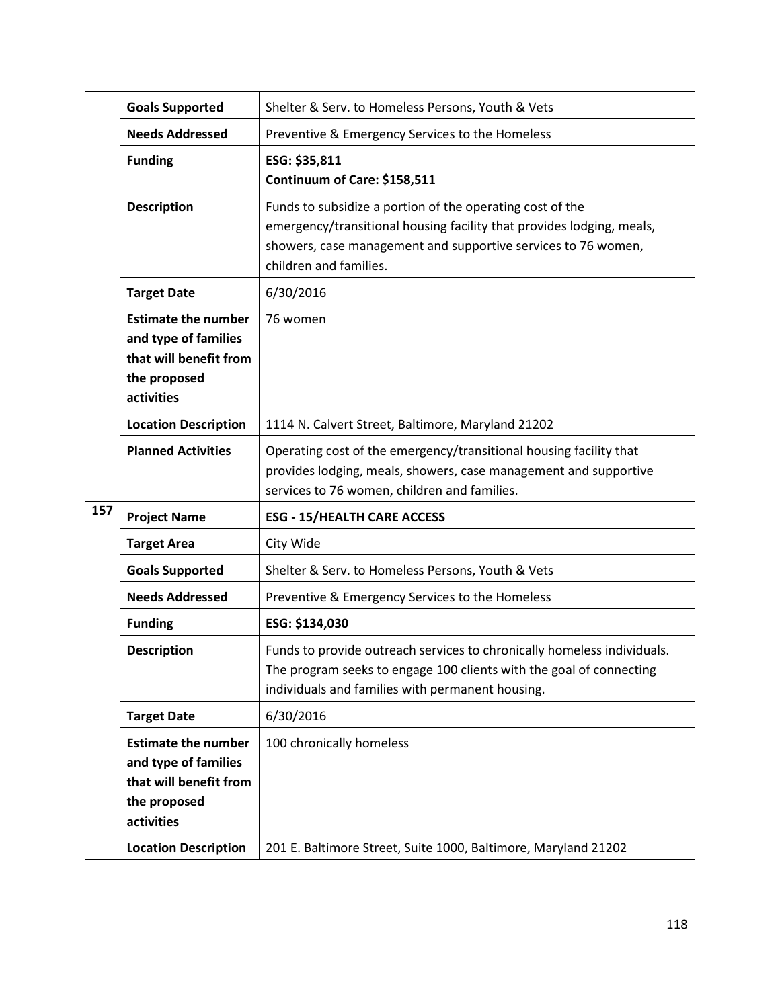|     | <b>Goals Supported</b>                                                                                     | Shelter & Serv. to Homeless Persons, Youth & Vets                                                                                                                                                                             |
|-----|------------------------------------------------------------------------------------------------------------|-------------------------------------------------------------------------------------------------------------------------------------------------------------------------------------------------------------------------------|
|     | <b>Needs Addressed</b>                                                                                     | Preventive & Emergency Services to the Homeless                                                                                                                                                                               |
|     | <b>Funding</b>                                                                                             | ESG: \$35,811<br>Continuum of Care: \$158,511                                                                                                                                                                                 |
|     | <b>Description</b>                                                                                         | Funds to subsidize a portion of the operating cost of the<br>emergency/transitional housing facility that provides lodging, meals,<br>showers, case management and supportive services to 76 women,<br>children and families. |
|     | <b>Target Date</b>                                                                                         | 6/30/2016                                                                                                                                                                                                                     |
|     | <b>Estimate the number</b><br>and type of families<br>that will benefit from<br>the proposed<br>activities | 76 women                                                                                                                                                                                                                      |
|     | <b>Location Description</b>                                                                                | 1114 N. Calvert Street, Baltimore, Maryland 21202                                                                                                                                                                             |
|     | <b>Planned Activities</b>                                                                                  | Operating cost of the emergency/transitional housing facility that<br>provides lodging, meals, showers, case management and supportive<br>services to 76 women, children and families.                                        |
| 157 | <b>Project Name</b>                                                                                        | <b>ESG - 15/HEALTH CARE ACCESS</b>                                                                                                                                                                                            |
|     | <b>Target Area</b>                                                                                         | City Wide                                                                                                                                                                                                                     |
|     | <b>Goals Supported</b>                                                                                     | Shelter & Serv. to Homeless Persons, Youth & Vets                                                                                                                                                                             |
|     | <b>Needs Addressed</b>                                                                                     | Preventive & Emergency Services to the Homeless                                                                                                                                                                               |
|     | <b>Funding</b>                                                                                             | ESG: \$134,030                                                                                                                                                                                                                |
|     | <b>Description</b>                                                                                         | Funds to provide outreach services to chronically homeless individuals.<br>The program seeks to engage 100 clients with the goal of connecting<br>individuals and families with permanent housing.                            |
|     | <b>Target Date</b>                                                                                         | 6/30/2016                                                                                                                                                                                                                     |
|     | <b>Estimate the number</b><br>and type of families<br>that will benefit from<br>the proposed<br>activities | 100 chronically homeless                                                                                                                                                                                                      |
|     | <b>Location Description</b>                                                                                | 201 E. Baltimore Street, Suite 1000, Baltimore, Maryland 21202                                                                                                                                                                |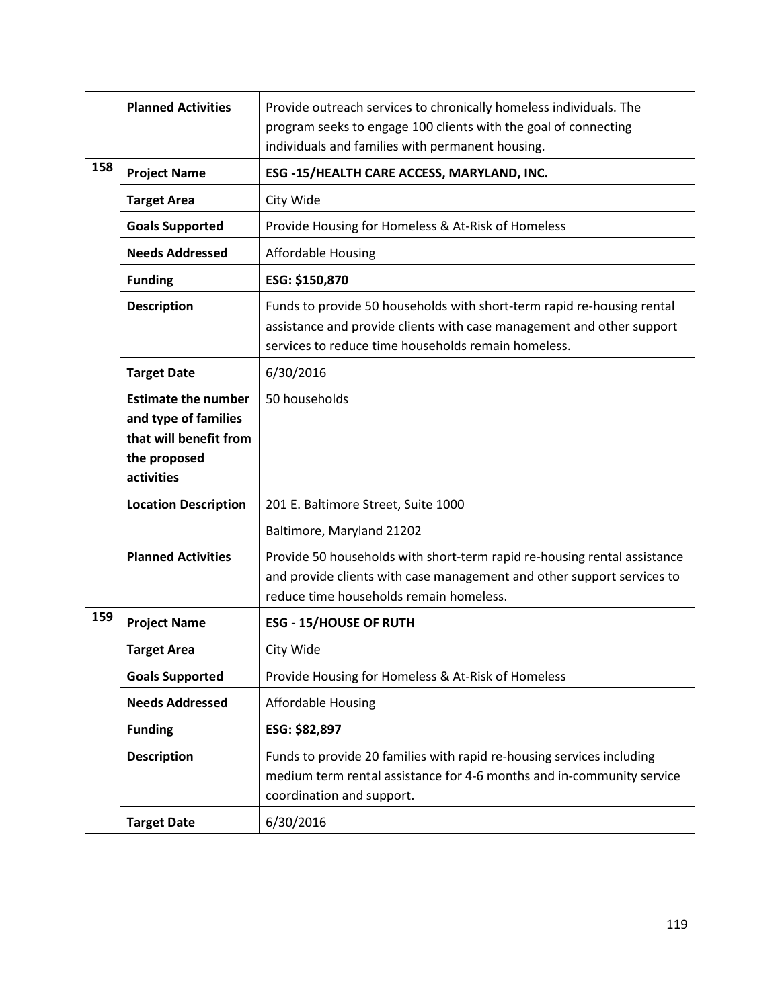|     | <b>Planned Activities</b>                                                                                  | Provide outreach services to chronically homeless individuals. The<br>program seeks to engage 100 clients with the goal of connecting<br>individuals and families with permanent housing.              |
|-----|------------------------------------------------------------------------------------------------------------|--------------------------------------------------------------------------------------------------------------------------------------------------------------------------------------------------------|
| 158 | <b>Project Name</b>                                                                                        | ESG -15/HEALTH CARE ACCESS, MARYLAND, INC.                                                                                                                                                             |
|     | <b>Target Area</b>                                                                                         | City Wide                                                                                                                                                                                              |
|     | <b>Goals Supported</b>                                                                                     | Provide Housing for Homeless & At-Risk of Homeless                                                                                                                                                     |
|     | <b>Needs Addressed</b>                                                                                     | <b>Affordable Housing</b>                                                                                                                                                                              |
|     | <b>Funding</b>                                                                                             | ESG: \$150,870                                                                                                                                                                                         |
|     | <b>Description</b>                                                                                         | Funds to provide 50 households with short-term rapid re-housing rental<br>assistance and provide clients with case management and other support<br>services to reduce time households remain homeless. |
|     | <b>Target Date</b>                                                                                         | 6/30/2016                                                                                                                                                                                              |
|     | <b>Estimate the number</b><br>and type of families<br>that will benefit from<br>the proposed<br>activities | 50 households                                                                                                                                                                                          |
|     | <b>Location Description</b>                                                                                | 201 E. Baltimore Street, Suite 1000<br>Baltimore, Maryland 21202                                                                                                                                       |
|     | <b>Planned Activities</b>                                                                                  | Provide 50 households with short-term rapid re-housing rental assistance<br>and provide clients with case management and other support services to<br>reduce time households remain homeless.          |
| 159 | <b>Project Name</b>                                                                                        | <b>ESG - 15/HOUSE OF RUTH</b>                                                                                                                                                                          |
|     | <b>Target Area</b>                                                                                         | City Wide                                                                                                                                                                                              |
|     | <b>Goals Supported</b>                                                                                     | Provide Housing for Homeless & At-Risk of Homeless                                                                                                                                                     |
|     | <b>Needs Addressed</b>                                                                                     | <b>Affordable Housing</b>                                                                                                                                                                              |
|     | <b>Funding</b>                                                                                             | ESG: \$82,897                                                                                                                                                                                          |
|     | <b>Description</b>                                                                                         | Funds to provide 20 families with rapid re-housing services including<br>medium term rental assistance for 4-6 months and in-community service<br>coordination and support.                            |
|     | <b>Target Date</b>                                                                                         | 6/30/2016                                                                                                                                                                                              |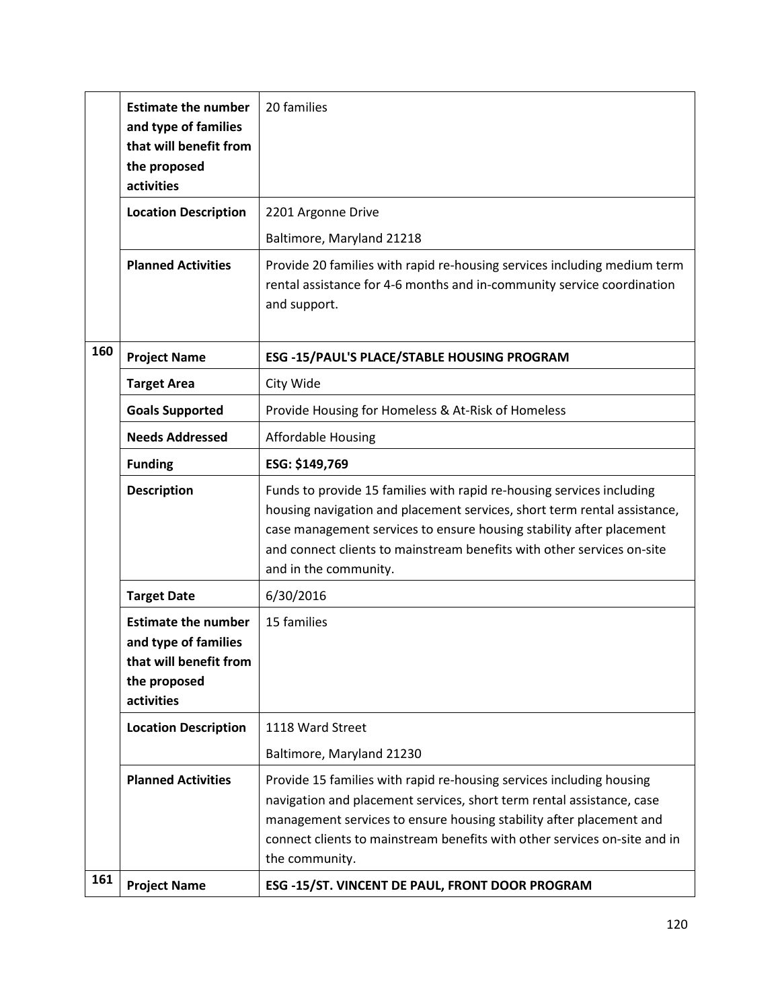|     | <b>Estimate the number</b><br>and type of families<br>that will benefit from<br>the proposed<br>activities | 20 families                                                                                                                                                                                                                                                                                                                  |
|-----|------------------------------------------------------------------------------------------------------------|------------------------------------------------------------------------------------------------------------------------------------------------------------------------------------------------------------------------------------------------------------------------------------------------------------------------------|
|     | <b>Location Description</b>                                                                                | 2201 Argonne Drive                                                                                                                                                                                                                                                                                                           |
|     |                                                                                                            | Baltimore, Maryland 21218                                                                                                                                                                                                                                                                                                    |
|     | <b>Planned Activities</b>                                                                                  | Provide 20 families with rapid re-housing services including medium term<br>rental assistance for 4-6 months and in-community service coordination<br>and support.                                                                                                                                                           |
| 160 | <b>Project Name</b>                                                                                        | <b>ESG -15/PAUL'S PLACE/STABLE HOUSING PROGRAM</b>                                                                                                                                                                                                                                                                           |
|     | <b>Target Area</b>                                                                                         | City Wide                                                                                                                                                                                                                                                                                                                    |
|     | <b>Goals Supported</b>                                                                                     | Provide Housing for Homeless & At-Risk of Homeless                                                                                                                                                                                                                                                                           |
|     | <b>Needs Addressed</b>                                                                                     | Affordable Housing                                                                                                                                                                                                                                                                                                           |
|     | <b>Funding</b>                                                                                             | ESG: \$149,769                                                                                                                                                                                                                                                                                                               |
|     | <b>Description</b>                                                                                         | Funds to provide 15 families with rapid re-housing services including<br>housing navigation and placement services, short term rental assistance,<br>case management services to ensure housing stability after placement<br>and connect clients to mainstream benefits with other services on-site<br>and in the community. |
|     | <b>Target Date</b>                                                                                         | 6/30/2016                                                                                                                                                                                                                                                                                                                    |
|     | <b>Estimate the number</b><br>and type of families<br>that will benefit from<br>the proposed<br>activities | 15 families                                                                                                                                                                                                                                                                                                                  |
|     | <b>Location Description</b>                                                                                | 1118 Ward Street                                                                                                                                                                                                                                                                                                             |
|     |                                                                                                            | Baltimore, Maryland 21230                                                                                                                                                                                                                                                                                                    |
|     | <b>Planned Activities</b>                                                                                  | Provide 15 families with rapid re-housing services including housing<br>navigation and placement services, short term rental assistance, case<br>management services to ensure housing stability after placement and<br>connect clients to mainstream benefits with other services on-site and in<br>the community.          |
| 161 | <b>Project Name</b>                                                                                        | ESG -15/ST. VINCENT DE PAUL, FRONT DOOR PROGRAM                                                                                                                                                                                                                                                                              |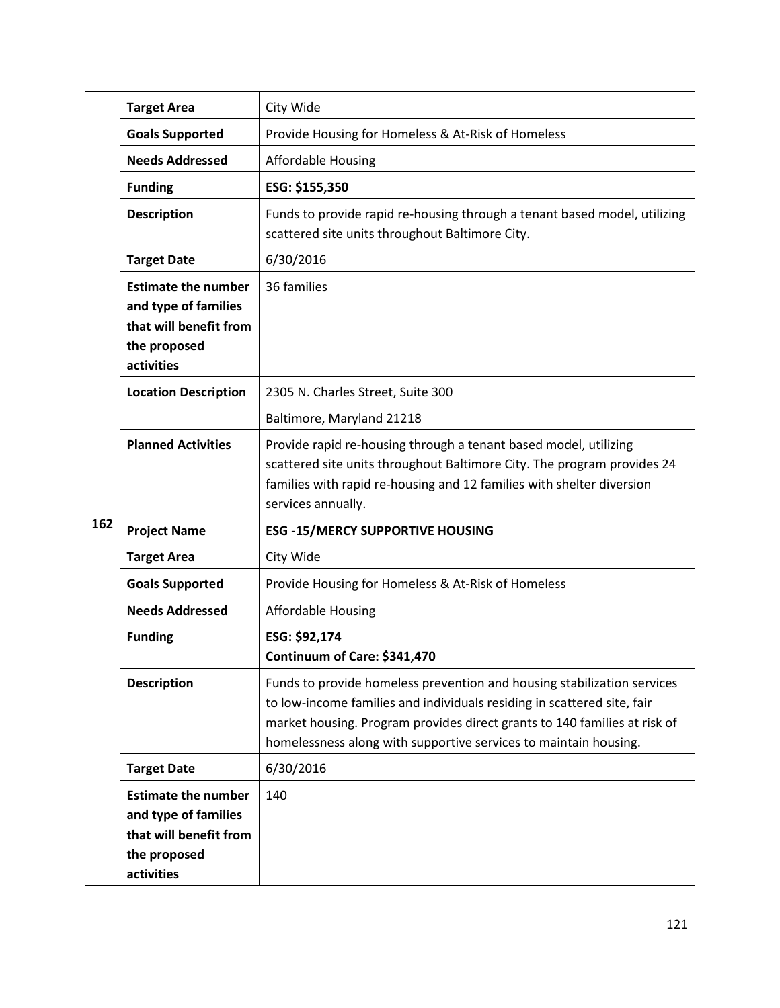|     | <b>Target Area</b>                                                                                         | City Wide                                                                                                                                                                                                                                                                                           |
|-----|------------------------------------------------------------------------------------------------------------|-----------------------------------------------------------------------------------------------------------------------------------------------------------------------------------------------------------------------------------------------------------------------------------------------------|
|     | <b>Goals Supported</b>                                                                                     | Provide Housing for Homeless & At-Risk of Homeless                                                                                                                                                                                                                                                  |
|     | <b>Needs Addressed</b>                                                                                     | <b>Affordable Housing</b>                                                                                                                                                                                                                                                                           |
|     | <b>Funding</b>                                                                                             | ESG: \$155,350                                                                                                                                                                                                                                                                                      |
|     | <b>Description</b>                                                                                         | Funds to provide rapid re-housing through a tenant based model, utilizing<br>scattered site units throughout Baltimore City.                                                                                                                                                                        |
|     | <b>Target Date</b>                                                                                         | 6/30/2016                                                                                                                                                                                                                                                                                           |
|     | <b>Estimate the number</b><br>and type of families<br>that will benefit from<br>the proposed<br>activities | 36 families                                                                                                                                                                                                                                                                                         |
|     | <b>Location Description</b>                                                                                | 2305 N. Charles Street, Suite 300                                                                                                                                                                                                                                                                   |
|     |                                                                                                            | Baltimore, Maryland 21218                                                                                                                                                                                                                                                                           |
|     | <b>Planned Activities</b>                                                                                  | Provide rapid re-housing through a tenant based model, utilizing<br>scattered site units throughout Baltimore City. The program provides 24<br>families with rapid re-housing and 12 families with shelter diversion<br>services annually.                                                          |
| 162 | <b>ESG -15/MERCY SUPPORTIVE HOUSING</b>                                                                    |                                                                                                                                                                                                                                                                                                     |
|     | <b>Target Area</b>                                                                                         | City Wide                                                                                                                                                                                                                                                                                           |
|     | <b>Goals Supported</b>                                                                                     | Provide Housing for Homeless & At-Risk of Homeless                                                                                                                                                                                                                                                  |
|     | <b>Needs Addressed</b>                                                                                     | <b>Affordable Housing</b>                                                                                                                                                                                                                                                                           |
|     | <b>Funding</b>                                                                                             | ESG: \$92,174<br>Continuum of Care: \$341,470                                                                                                                                                                                                                                                       |
|     | <b>Description</b>                                                                                         | Funds to provide homeless prevention and housing stabilization services<br>to low-income families and individuals residing in scattered site, fair<br>market housing. Program provides direct grants to 140 families at risk of<br>homelessness along with supportive services to maintain housing. |
|     | <b>Target Date</b>                                                                                         | 6/30/2016                                                                                                                                                                                                                                                                                           |
|     | <b>Estimate the number</b><br>and type of families<br>that will benefit from<br>the proposed<br>activities | 140                                                                                                                                                                                                                                                                                                 |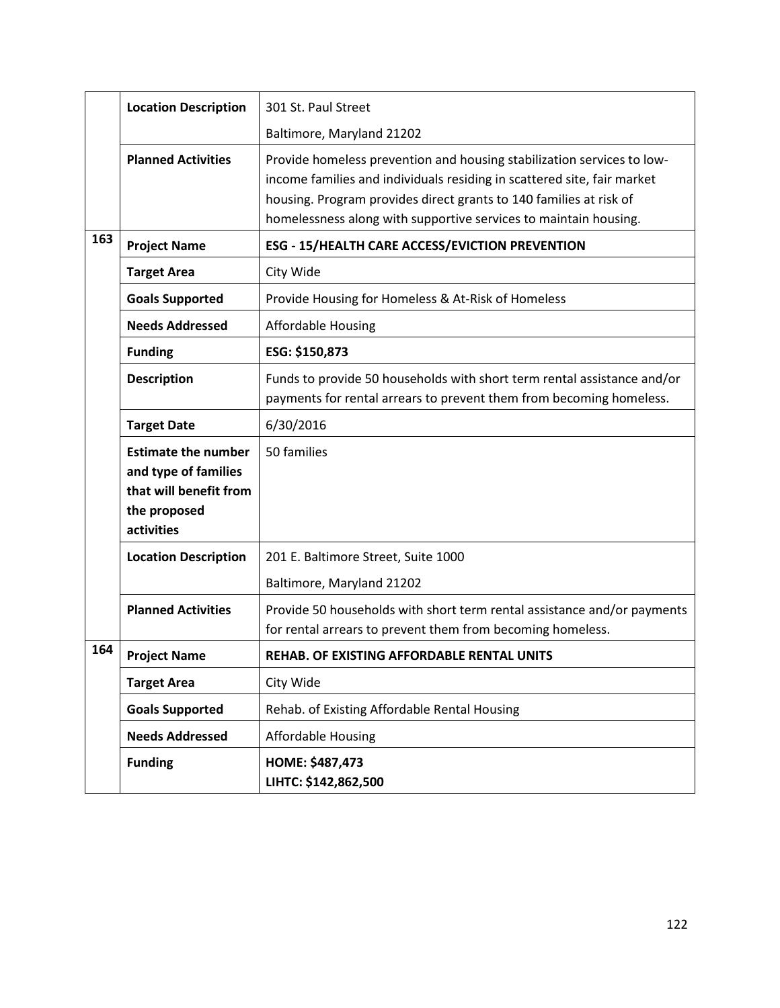|     | <b>Location Description</b>                                                                                | 301 St. Paul Street                                                                                                                                                                                                                                                                         |
|-----|------------------------------------------------------------------------------------------------------------|---------------------------------------------------------------------------------------------------------------------------------------------------------------------------------------------------------------------------------------------------------------------------------------------|
|     |                                                                                                            | Baltimore, Maryland 21202                                                                                                                                                                                                                                                                   |
|     | <b>Planned Activities</b>                                                                                  | Provide homeless prevention and housing stabilization services to low-<br>income families and individuals residing in scattered site, fair market<br>housing. Program provides direct grants to 140 families at risk of<br>homelessness along with supportive services to maintain housing. |
| 163 | <b>Project Name</b>                                                                                        | <b>ESG - 15/HEALTH CARE ACCESS/EVICTION PREVENTION</b>                                                                                                                                                                                                                                      |
|     | <b>Target Area</b>                                                                                         | City Wide                                                                                                                                                                                                                                                                                   |
|     | <b>Goals Supported</b>                                                                                     | Provide Housing for Homeless & At-Risk of Homeless                                                                                                                                                                                                                                          |
|     | <b>Needs Addressed</b>                                                                                     | <b>Affordable Housing</b>                                                                                                                                                                                                                                                                   |
|     | <b>Funding</b>                                                                                             | ESG: \$150,873                                                                                                                                                                                                                                                                              |
|     | <b>Description</b>                                                                                         | Funds to provide 50 households with short term rental assistance and/or<br>payments for rental arrears to prevent them from becoming homeless.                                                                                                                                              |
|     | <b>Target Date</b>                                                                                         | 6/30/2016                                                                                                                                                                                                                                                                                   |
|     | <b>Estimate the number</b><br>and type of families<br>that will benefit from<br>the proposed<br>activities | 50 families                                                                                                                                                                                                                                                                                 |
|     | <b>Location Description</b>                                                                                | 201 E. Baltimore Street, Suite 1000                                                                                                                                                                                                                                                         |
|     |                                                                                                            | Baltimore, Maryland 21202                                                                                                                                                                                                                                                                   |
|     | <b>Planned Activities</b>                                                                                  | Provide 50 households with short term rental assistance and/or payments<br>for rental arrears to prevent them from becoming homeless.                                                                                                                                                       |
| 164 | <b>Project Name</b>                                                                                        | REHAB. OF EXISTING AFFORDABLE RENTAL UNITS                                                                                                                                                                                                                                                  |
|     | <b>Target Area</b>                                                                                         | City Wide                                                                                                                                                                                                                                                                                   |
|     | <b>Goals Supported</b>                                                                                     | Rehab. of Existing Affordable Rental Housing                                                                                                                                                                                                                                                |
|     | <b>Needs Addressed</b>                                                                                     | <b>Affordable Housing</b>                                                                                                                                                                                                                                                                   |
|     | <b>Funding</b>                                                                                             | HOME: \$487,473<br>LIHTC: \$142,862,500                                                                                                                                                                                                                                                     |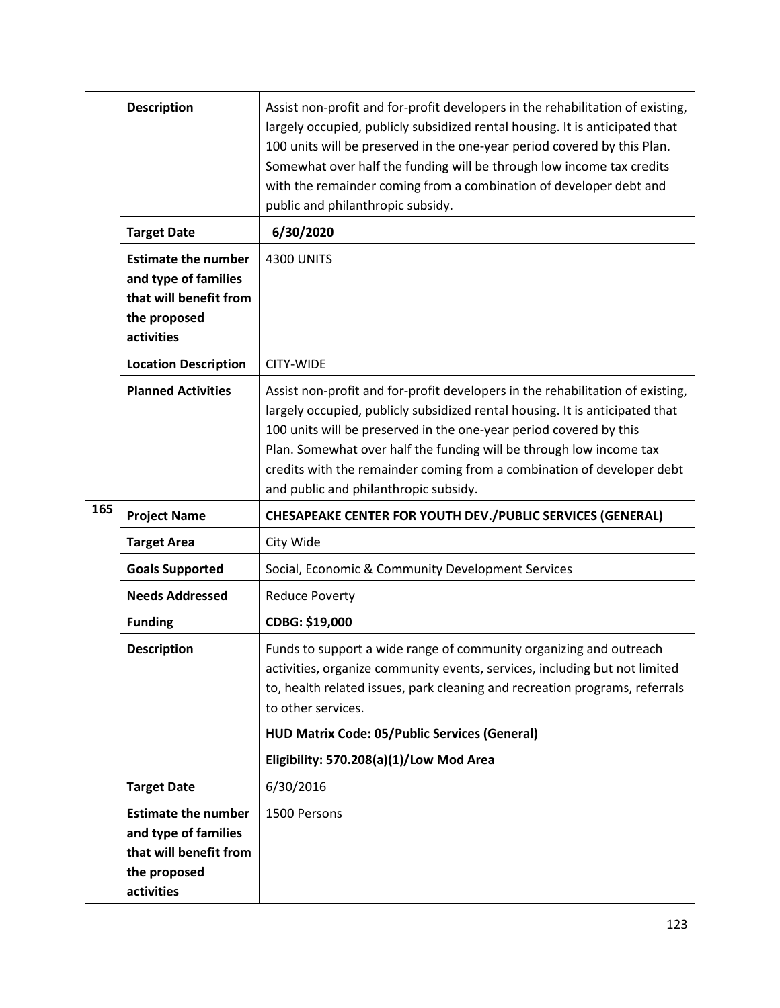|     | <b>Description</b>                                                                                         | Assist non-profit and for-profit developers in the rehabilitation of existing,<br>largely occupied, publicly subsidized rental housing. It is anticipated that<br>100 units will be preserved in the one-year period covered by this Plan.<br>Somewhat over half the funding will be through low income tax credits<br>with the remainder coming from a combination of developer debt and<br>public and philanthropic subsidy. |
|-----|------------------------------------------------------------------------------------------------------------|--------------------------------------------------------------------------------------------------------------------------------------------------------------------------------------------------------------------------------------------------------------------------------------------------------------------------------------------------------------------------------------------------------------------------------|
|     | <b>Target Date</b>                                                                                         | 6/30/2020                                                                                                                                                                                                                                                                                                                                                                                                                      |
|     | <b>Estimate the number</b><br>and type of families<br>that will benefit from<br>the proposed<br>activities | <b>4300 UNITS</b>                                                                                                                                                                                                                                                                                                                                                                                                              |
|     | <b>Location Description</b>                                                                                | CITY-WIDE                                                                                                                                                                                                                                                                                                                                                                                                                      |
|     | <b>Planned Activities</b>                                                                                  | Assist non-profit and for-profit developers in the rehabilitation of existing,<br>largely occupied, publicly subsidized rental housing. It is anticipated that<br>100 units will be preserved in the one-year period covered by this<br>Plan. Somewhat over half the funding will be through low income tax<br>credits with the remainder coming from a combination of developer debt<br>and public and philanthropic subsidy. |
| 165 | <b>Project Name</b>                                                                                        | <b>CHESAPEAKE CENTER FOR YOUTH DEV./PUBLIC SERVICES (GENERAL)</b>                                                                                                                                                                                                                                                                                                                                                              |
|     | <b>Target Area</b>                                                                                         | City Wide                                                                                                                                                                                                                                                                                                                                                                                                                      |
|     | <b>Goals Supported</b>                                                                                     | Social, Economic & Community Development Services                                                                                                                                                                                                                                                                                                                                                                              |
|     | <b>Needs Addressed</b>                                                                                     | <b>Reduce Poverty</b>                                                                                                                                                                                                                                                                                                                                                                                                          |
|     | <b>Funding</b>                                                                                             | CDBG: \$19,000                                                                                                                                                                                                                                                                                                                                                                                                                 |
|     | <b>Description</b>                                                                                         | Funds to support a wide range of community organizing and outreach<br>activities, organize community events, services, including but not limited<br>to, health related issues, park cleaning and recreation programs, referrals<br>to other services.                                                                                                                                                                          |
|     |                                                                                                            | <b>HUD Matrix Code: 05/Public Services (General)</b>                                                                                                                                                                                                                                                                                                                                                                           |
|     |                                                                                                            | Eligibility: 570.208(a)(1)/Low Mod Area                                                                                                                                                                                                                                                                                                                                                                                        |
|     | <b>Target Date</b>                                                                                         | 6/30/2016                                                                                                                                                                                                                                                                                                                                                                                                                      |
|     | <b>Estimate the number</b><br>and type of families<br>that will benefit from<br>the proposed<br>activities | 1500 Persons                                                                                                                                                                                                                                                                                                                                                                                                                   |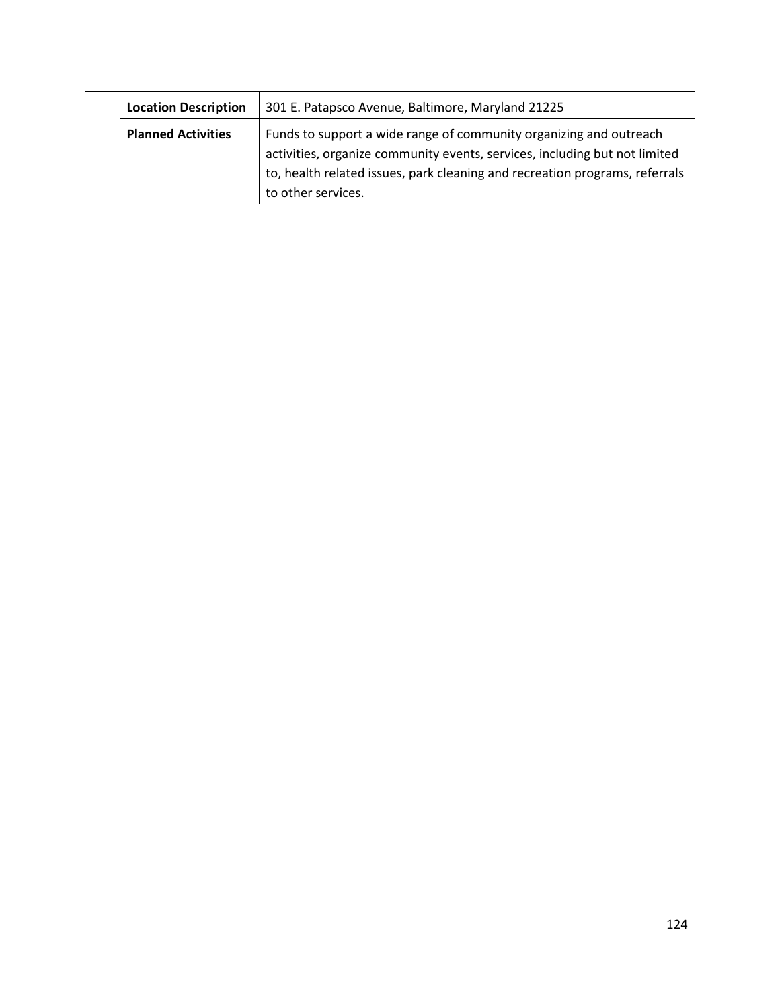| 301 E. Patapsco Avenue, Baltimore, Maryland 21225<br><b>Location Description</b> |                           |                                                                                                                                                                                                                                                       |
|----------------------------------------------------------------------------------|---------------------------|-------------------------------------------------------------------------------------------------------------------------------------------------------------------------------------------------------------------------------------------------------|
|                                                                                  | <b>Planned Activities</b> | Funds to support a wide range of community organizing and outreach<br>activities, organize community events, services, including but not limited<br>to, health related issues, park cleaning and recreation programs, referrals<br>to other services. |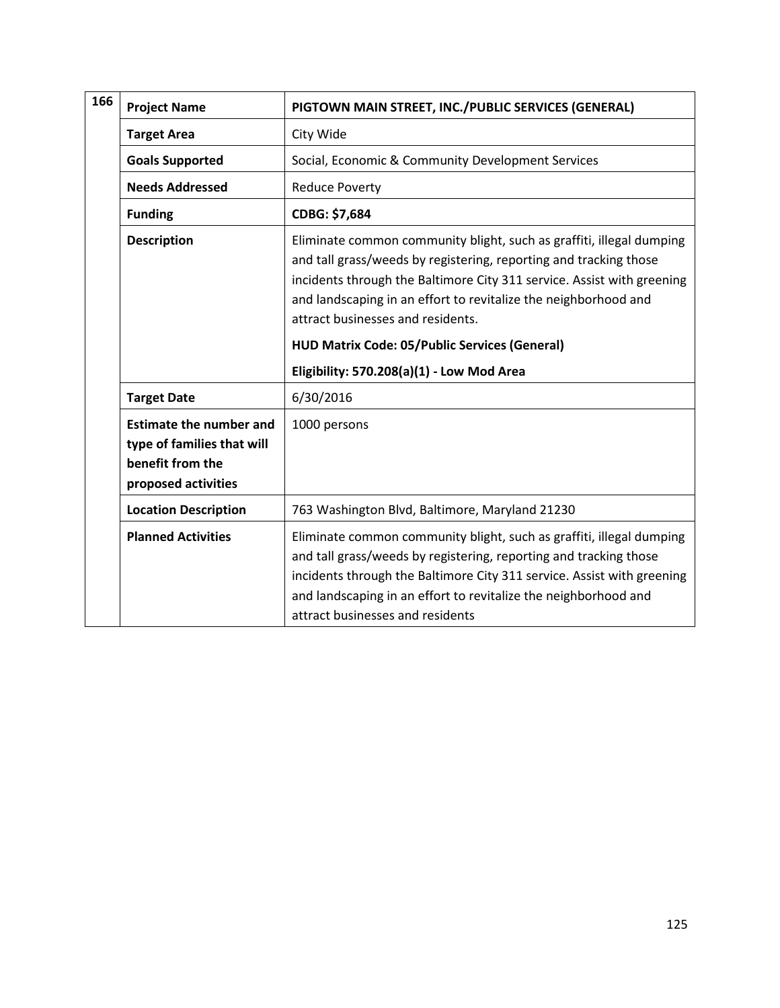| 166 | <b>Project Name</b>                                                                                     | PIGTOWN MAIN STREET, INC./PUBLIC SERVICES (GENERAL)                                                                                                                                                                                                                                                                                                                                                                              |  |
|-----|---------------------------------------------------------------------------------------------------------|----------------------------------------------------------------------------------------------------------------------------------------------------------------------------------------------------------------------------------------------------------------------------------------------------------------------------------------------------------------------------------------------------------------------------------|--|
|     | <b>Target Area</b>                                                                                      | City Wide                                                                                                                                                                                                                                                                                                                                                                                                                        |  |
|     | <b>Goals Supported</b>                                                                                  | Social, Economic & Community Development Services                                                                                                                                                                                                                                                                                                                                                                                |  |
|     | <b>Needs Addressed</b>                                                                                  | <b>Reduce Poverty</b>                                                                                                                                                                                                                                                                                                                                                                                                            |  |
|     | <b>Funding</b>                                                                                          | CDBG: \$7,684                                                                                                                                                                                                                                                                                                                                                                                                                    |  |
|     | <b>Description</b>                                                                                      | Eliminate common community blight, such as graffiti, illegal dumping<br>and tall grass/weeds by registering, reporting and tracking those<br>incidents through the Baltimore City 311 service. Assist with greening<br>and landscaping in an effort to revitalize the neighborhood and<br>attract businesses and residents.<br><b>HUD Matrix Code: 05/Public Services (General)</b><br>Eligibility: 570.208(a)(1) - Low Mod Area |  |
|     | 6/30/2016<br><b>Target Date</b>                                                                         |                                                                                                                                                                                                                                                                                                                                                                                                                                  |  |
|     | <b>Estimate the number and</b><br>type of families that will<br>benefit from the<br>proposed activities | 1000 persons                                                                                                                                                                                                                                                                                                                                                                                                                     |  |
|     | <b>Location Description</b>                                                                             | 763 Washington Blvd, Baltimore, Maryland 21230                                                                                                                                                                                                                                                                                                                                                                                   |  |
|     | <b>Planned Activities</b>                                                                               | Eliminate common community blight, such as graffiti, illegal dumping<br>and tall grass/weeds by registering, reporting and tracking those<br>incidents through the Baltimore City 311 service. Assist with greening<br>and landscaping in an effort to revitalize the neighborhood and<br>attract businesses and residents                                                                                                       |  |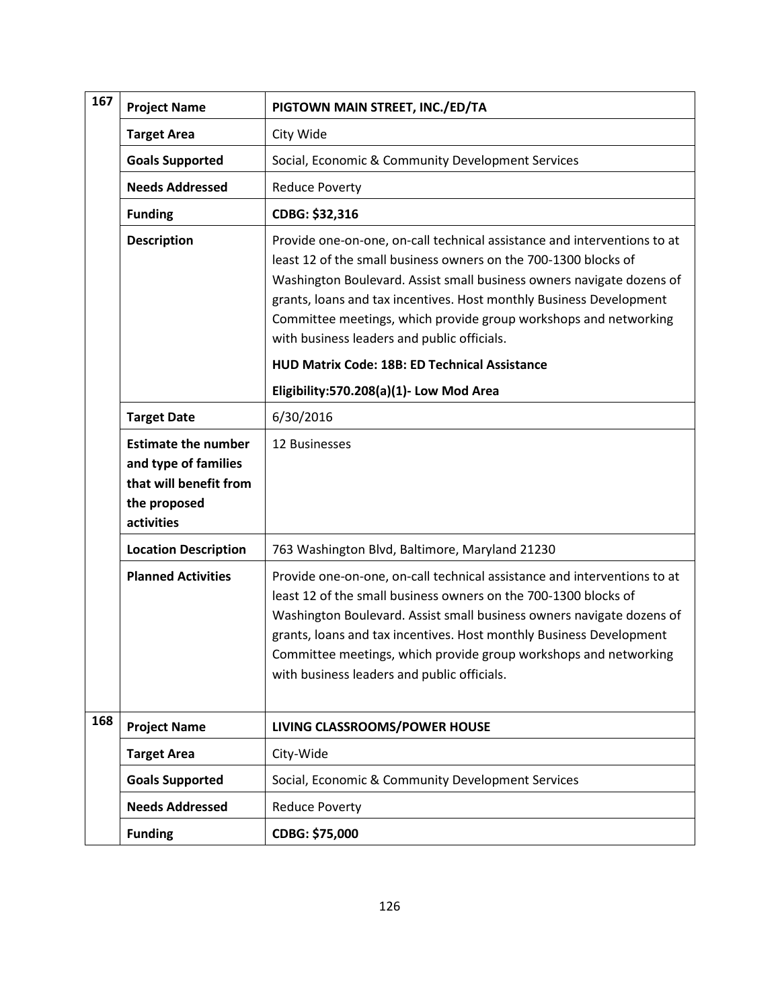| 167 | <b>Project Name</b>                                                                                        | PIGTOWN MAIN STREET, INC./ED/TA                                                                                                                                                                                                                                                                                                                                                                                |
|-----|------------------------------------------------------------------------------------------------------------|----------------------------------------------------------------------------------------------------------------------------------------------------------------------------------------------------------------------------------------------------------------------------------------------------------------------------------------------------------------------------------------------------------------|
|     | <b>Target Area</b>                                                                                         | City Wide                                                                                                                                                                                                                                                                                                                                                                                                      |
|     | <b>Goals Supported</b>                                                                                     | Social, Economic & Community Development Services                                                                                                                                                                                                                                                                                                                                                              |
|     | <b>Needs Addressed</b>                                                                                     | <b>Reduce Poverty</b>                                                                                                                                                                                                                                                                                                                                                                                          |
|     | <b>Funding</b>                                                                                             | CDBG: \$32,316                                                                                                                                                                                                                                                                                                                                                                                                 |
|     | <b>Description</b>                                                                                         | Provide one-on-one, on-call technical assistance and interventions to at<br>least 12 of the small business owners on the 700-1300 blocks of<br>Washington Boulevard. Assist small business owners navigate dozens of<br>grants, loans and tax incentives. Host monthly Business Development<br>Committee meetings, which provide group workshops and networking<br>with business leaders and public officials. |
|     |                                                                                                            | <b>HUD Matrix Code: 18B: ED Technical Assistance</b>                                                                                                                                                                                                                                                                                                                                                           |
|     |                                                                                                            | Eligibility:570.208(a)(1)- Low Mod Area                                                                                                                                                                                                                                                                                                                                                                        |
|     | <b>Target Date</b>                                                                                         | 6/30/2016                                                                                                                                                                                                                                                                                                                                                                                                      |
|     | <b>Estimate the number</b><br>and type of families<br>that will benefit from<br>the proposed<br>activities | 12 Businesses                                                                                                                                                                                                                                                                                                                                                                                                  |
|     | <b>Location Description</b>                                                                                | 763 Washington Blvd, Baltimore, Maryland 21230                                                                                                                                                                                                                                                                                                                                                                 |
|     | <b>Planned Activities</b>                                                                                  | Provide one-on-one, on-call technical assistance and interventions to at<br>least 12 of the small business owners on the 700-1300 blocks of<br>Washington Boulevard. Assist small business owners navigate dozens of<br>grants, loans and tax incentives. Host monthly Business Development<br>Committee meetings, which provide group workshops and networking<br>with business leaders and public officials. |
| 168 | <b>Project Name</b>                                                                                        | LIVING CLASSROOMS/POWER HOUSE                                                                                                                                                                                                                                                                                                                                                                                  |
|     | <b>Target Area</b>                                                                                         | City-Wide                                                                                                                                                                                                                                                                                                                                                                                                      |
|     | <b>Goals Supported</b>                                                                                     | Social, Economic & Community Development Services                                                                                                                                                                                                                                                                                                                                                              |
|     | <b>Needs Addressed</b>                                                                                     | <b>Reduce Poverty</b>                                                                                                                                                                                                                                                                                                                                                                                          |
|     | <b>Funding</b>                                                                                             | CDBG: \$75,000                                                                                                                                                                                                                                                                                                                                                                                                 |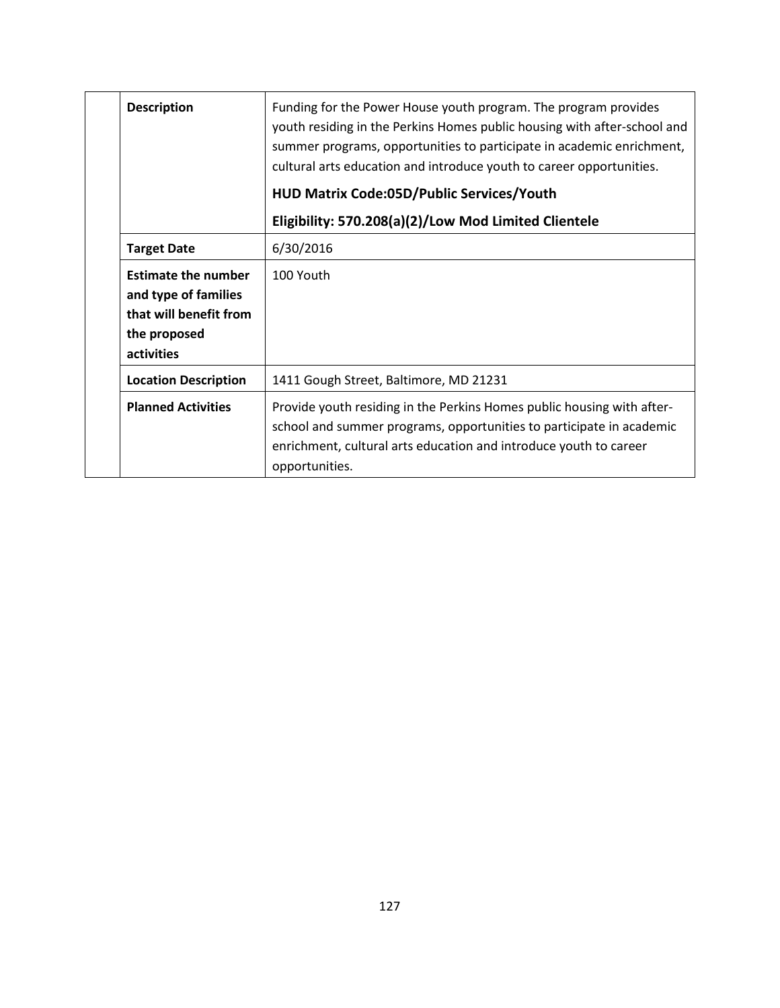| <b>Description</b>                                                                                         | Funding for the Power House youth program. The program provides<br>youth residing in the Perkins Homes public housing with after-school and<br>summer programs, opportunities to participate in academic enrichment,<br>cultural arts education and introduce youth to career opportunities. |
|------------------------------------------------------------------------------------------------------------|----------------------------------------------------------------------------------------------------------------------------------------------------------------------------------------------------------------------------------------------------------------------------------------------|
|                                                                                                            | HUD Matrix Code:05D/Public Services/Youth                                                                                                                                                                                                                                                    |
|                                                                                                            | Eligibility: 570.208(a)(2)/Low Mod Limited Clientele                                                                                                                                                                                                                                         |
| <b>Target Date</b>                                                                                         | 6/30/2016                                                                                                                                                                                                                                                                                    |
| <b>Estimate the number</b><br>and type of families<br>that will benefit from<br>the proposed<br>activities | 100 Youth                                                                                                                                                                                                                                                                                    |
| <b>Location Description</b>                                                                                | 1411 Gough Street, Baltimore, MD 21231                                                                                                                                                                                                                                                       |
| <b>Planned Activities</b>                                                                                  | Provide youth residing in the Perkins Homes public housing with after-<br>school and summer programs, opportunities to participate in academic<br>enrichment, cultural arts education and introduce youth to career<br>opportunities.                                                        |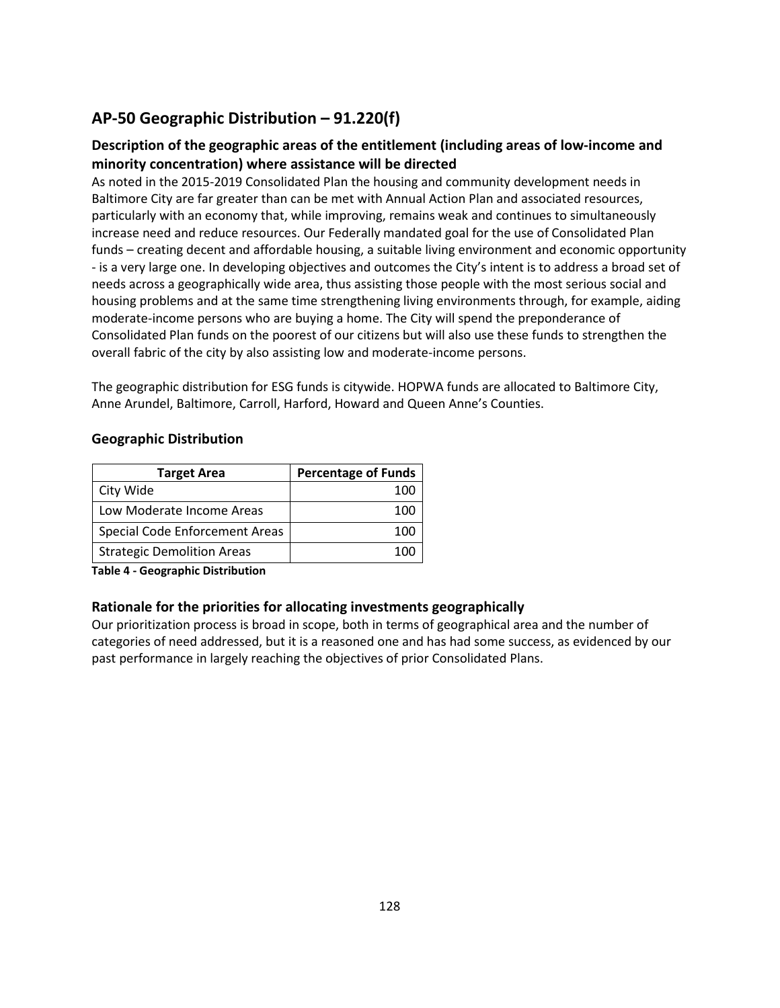# **AP-50 Geographic Distribution – 91.220(f)**

# **Description of the geographic areas of the entitlement (including areas of low-income and minority concentration) where assistance will be directed**

As noted in the 2015-2019 Consolidated Plan the housing and community development needs in Baltimore City are far greater than can be met with Annual Action Plan and associated resources, particularly with an economy that, while improving, remains weak and continues to simultaneously increase need and reduce resources. Our Federally mandated goal for the use of Consolidated Plan funds – creating decent and affordable housing, a suitable living environment and economic opportunity - is a very large one. In developing objectives and outcomes the City's intent is to address a broad set of needs across a geographically wide area, thus assisting those people with the most serious social and housing problems and at the same time strengthening living environments through, for example, aiding moderate-income persons who are buying a home. The City will spend the preponderance of Consolidated Plan funds on the poorest of our citizens but will also use these funds to strengthen the overall fabric of the city by also assisting low and moderate-income persons.

The geographic distribution for ESG funds is citywide. HOPWA funds are allocated to Baltimore City, Anne Arundel, Baltimore, Carroll, Harford, Howard and Queen Anne's Counties.

#### **Geographic Distribution**

| <b>Target Area</b>                    | <b>Percentage of Funds</b> |
|---------------------------------------|----------------------------|
| City Wide                             | 100                        |
| Low Moderate Income Areas             | 100                        |
| <b>Special Code Enforcement Areas</b> | 100                        |
| <b>Strategic Demolition Areas</b>     |                            |

**Table 4 - Geographic Distribution** 

### **Rationale for the priorities for allocating investments geographically**

Our prioritization process is broad in scope, both in terms of geographical area and the number of categories of need addressed, but it is a reasoned one and has had some success, as evidenced by our past performance in largely reaching the objectives of prior Consolidated Plans.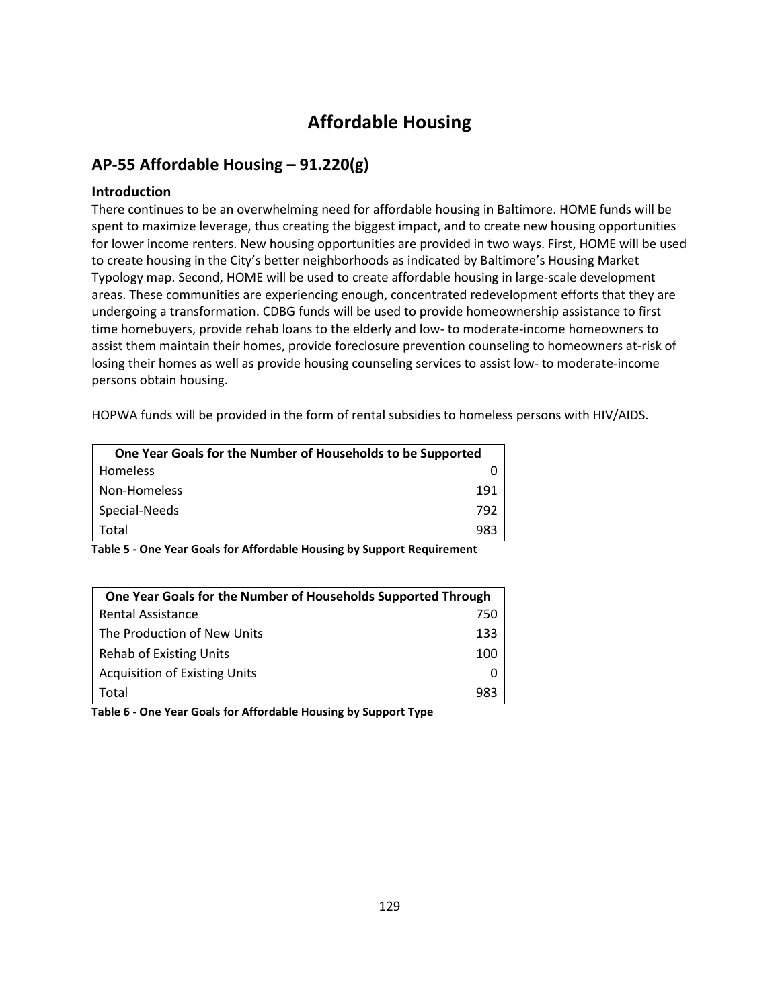# **Affordable Housing**

## **AP-55 Affordable Housing – 91.220(g)**

#### **Introduction**

There continues to be an overwhelming need for affordable housing in Baltimore. HOME funds will be spent to maximize leverage, thus creating the biggest impact, and to create new housing opportunities for lower income renters. New housing opportunities are provided in two ways. First, HOME will be used to create housing in the City's better neighborhoods as indicated by Baltimore's Housing Market Typology map. Second, HOME will be used to create affordable housing in large-scale development areas. These communities are experiencing enough, concentrated redevelopment efforts that they are undergoing a transformation. CDBG funds will be used to provide homeownership assistance to first time homebuyers, provide rehab loans to the elderly and low- to moderate-income homeowners to assist them maintain their homes, provide foreclosure prevention counseling to homeowners at-risk of losing their homes as well as provide housing counseling services to assist low- to moderate-income persons obtain housing.

HOPWA funds will be provided in the form of rental subsidies to homeless persons with HIV/AIDS.

| One Year Goals for the Number of Households to be Supported |     |
|-------------------------------------------------------------|-----|
| <b>Homeless</b>                                             |     |
| Non-Homeless                                                | 191 |
| Special-Needs                                               | 792 |
| Total                                                       | 983 |

**Table 5 - One Year Goals for Affordable Housing by Support Requirement**

| One Year Goals for the Number of Households Supported Through   |     |  |
|-----------------------------------------------------------------|-----|--|
| <b>Rental Assistance</b>                                        | 750 |  |
| The Production of New Units                                     | 133 |  |
| <b>Rehab of Existing Units</b>                                  | 100 |  |
| <b>Acquisition of Existing Units</b>                            |     |  |
| Total                                                           | 983 |  |
| Table 6 - One Vear Goals for Affordable Housing by Sunnort Tyne |     |  |

**Table 6 - One Year Goals for Affordable Housing by Support Type**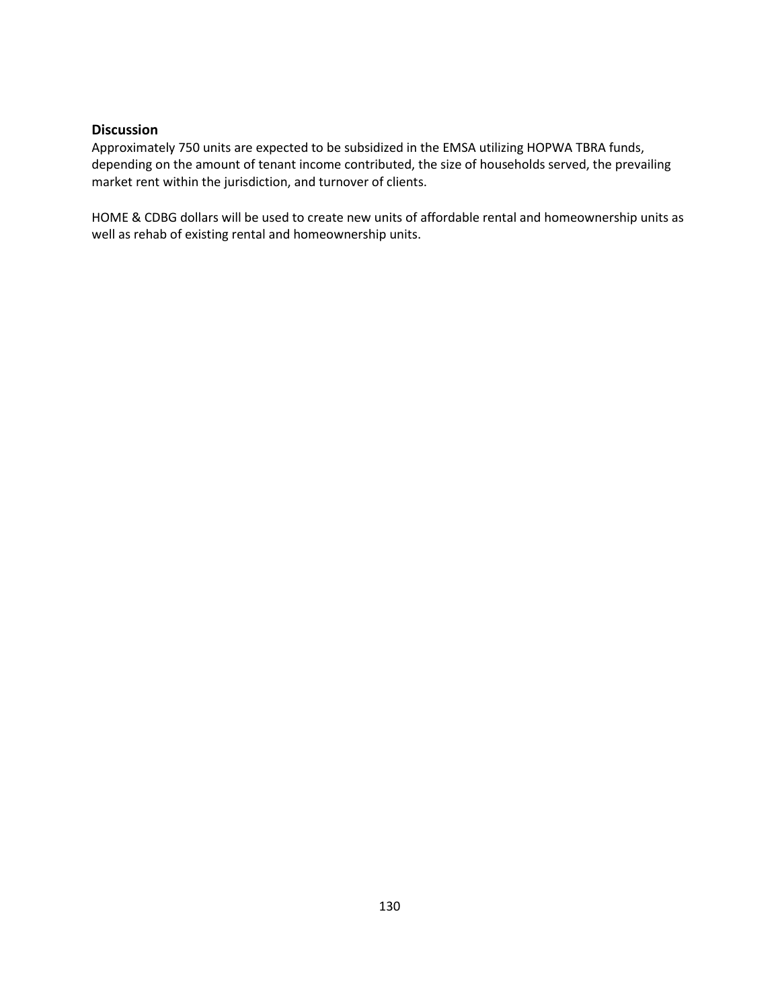#### **Discussion**

Approximately 750 units are expected to be subsidized in the EMSA utilizing HOPWA TBRA funds, depending on the amount of tenant income contributed, the size of households served, the prevailing market rent within the jurisdiction, and turnover of clients.

HOME & CDBG dollars will be used to create new units of affordable rental and homeownership units as well as rehab of existing rental and homeownership units.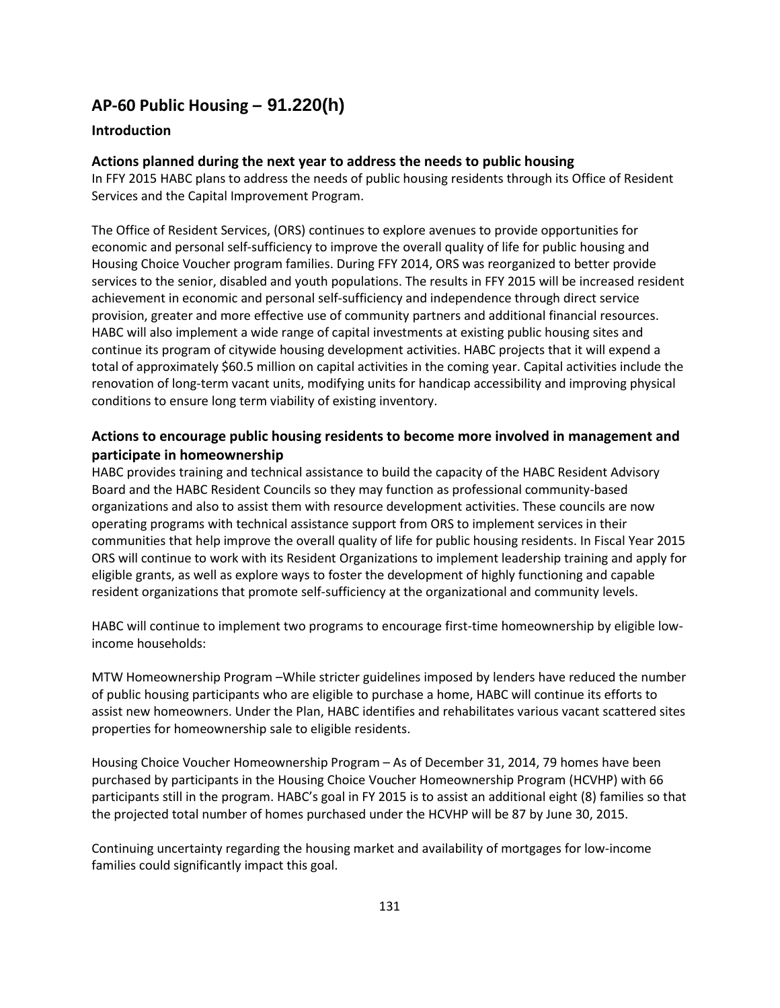# **AP-60 Public Housing** *–* **91.220(h)**

#### **Introduction**

#### **Actions planned during the next year to address the needs to public housing**

In FFY 2015 HABC plans to address the needs of public housing residents through its Office of Resident Services and the Capital Improvement Program.

The Office of Resident Services, (ORS) continues to explore avenues to provide opportunities for economic and personal self-sufficiency to improve the overall quality of life for public housing and Housing Choice Voucher program families. During FFY 2014, ORS was reorganized to better provide services to the senior, disabled and youth populations. The results in FFY 2015 will be increased resident achievement in economic and personal self-sufficiency and independence through direct service provision, greater and more effective use of community partners and additional financial resources. HABC will also implement a wide range of capital investments at existing public housing sites and continue its program of citywide housing development activities. HABC projects that it will expend a total of approximately \$60.5 million on capital activities in the coming year. Capital activities include the renovation of long-term vacant units, modifying units for handicap accessibility and improving physical conditions to ensure long term viability of existing inventory.

### **Actions to encourage public housing residents to become more involved in management and participate in homeownership**

HABC provides training and technical assistance to build the capacity of the HABC Resident Advisory Board and the HABC Resident Councils so they may function as professional community-based organizations and also to assist them with resource development activities. These councils are now operating programs with technical assistance support from ORS to implement services in their communities that help improve the overall quality of life for public housing residents. In Fiscal Year 2015 ORS will continue to work with its Resident Organizations to implement leadership training and apply for eligible grants, as well as explore ways to foster the development of highly functioning and capable resident organizations that promote self-sufficiency at the organizational and community levels.

HABC will continue to implement two programs to encourage first-time homeownership by eligible lowincome households:

MTW Homeownership Program –While stricter guidelines imposed by lenders have reduced the number of public housing participants who are eligible to purchase a home, HABC will continue its efforts to assist new homeowners. Under the Plan, HABC identifies and rehabilitates various vacant scattered sites properties for homeownership sale to eligible residents.

Housing Choice Voucher Homeownership Program – As of December 31, 2014, 79 homes have been purchased by participants in the Housing Choice Voucher Homeownership Program (HCVHP) with 66 participants still in the program. HABC's goal in FY 2015 is to assist an additional eight (8) families so that the projected total number of homes purchased under the HCVHP will be 87 by June 30, 2015.

Continuing uncertainty regarding the housing market and availability of mortgages for low-income families could significantly impact this goal.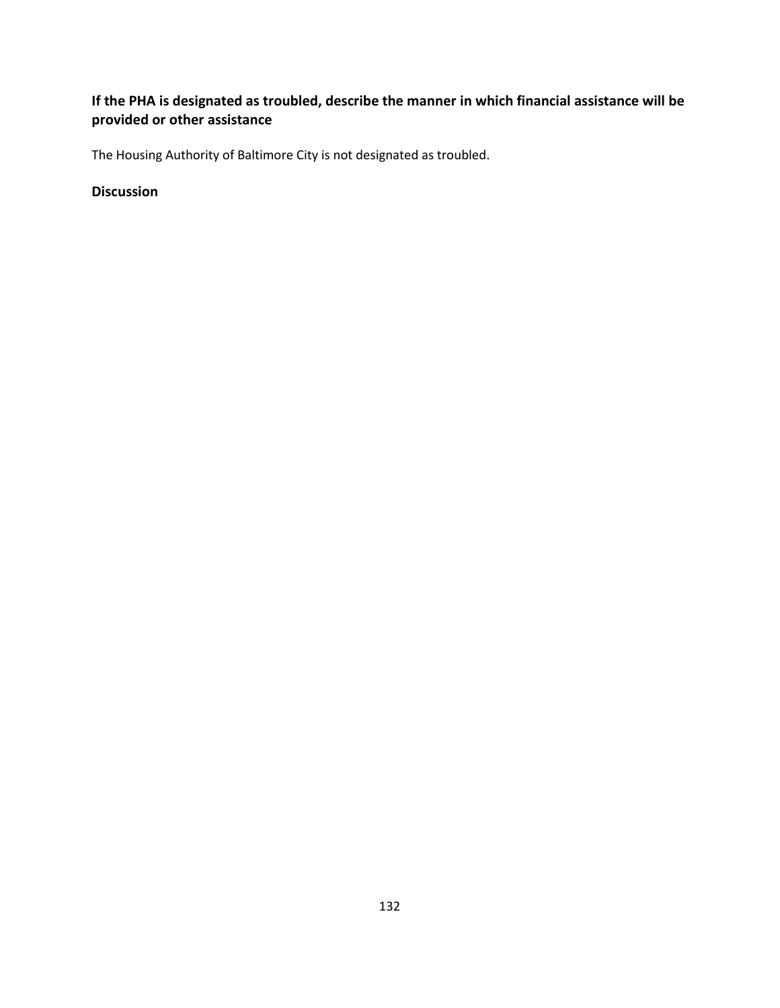# **If the PHA is designated as troubled, describe the manner in which financial assistance will be provided or other assistance**

The Housing Authority of Baltimore City is not designated as troubled.

### **Discussion**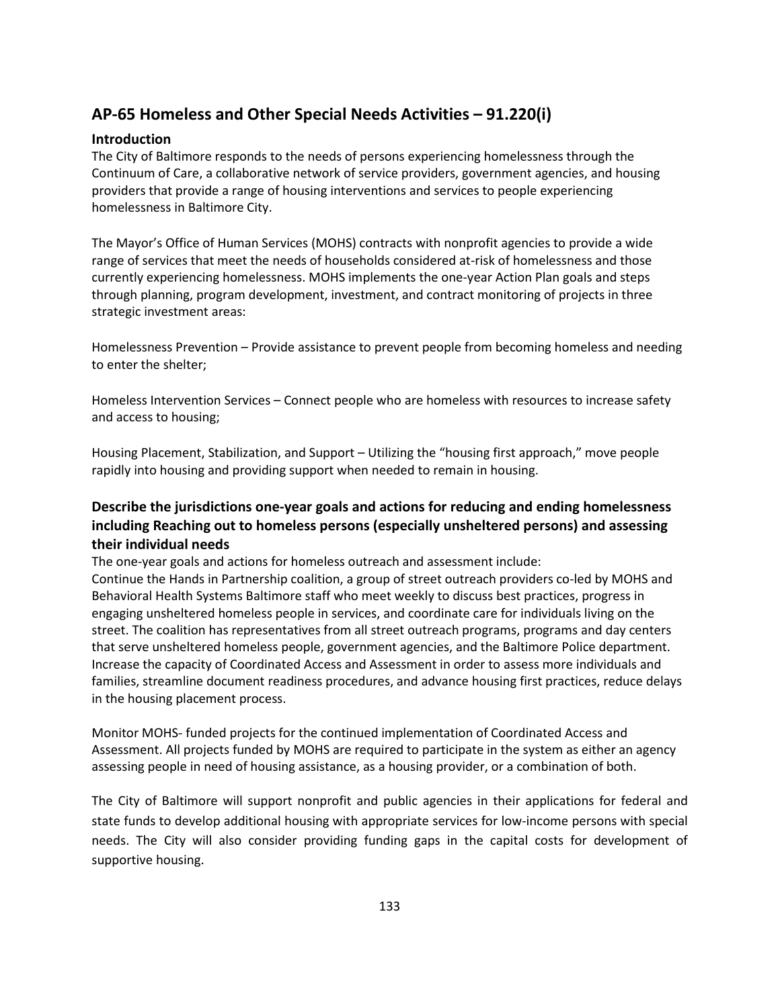# **AP-65 Homeless and Other Special Needs Activities – 91.220(i)**

#### **Introduction**

The City of Baltimore responds to the needs of persons experiencing homelessness through the Continuum of Care, a collaborative network of service providers, government agencies, and housing providers that provide a range of housing interventions and services to people experiencing homelessness in Baltimore City.

The Mayor's Office of Human Services (MOHS) contracts with nonprofit agencies to provide a wide range of services that meet the needs of households considered at-risk of homelessness and those currently experiencing homelessness. MOHS implements the one-year Action Plan goals and steps through planning, program development, investment, and contract monitoring of projects in three strategic investment areas:

Homelessness Prevention – Provide assistance to prevent people from becoming homeless and needing to enter the shelter;

Homeless Intervention Services – Connect people who are homeless with resources to increase safety and access to housing;

Housing Placement, Stabilization, and Support – Utilizing the "housing first approach," move people rapidly into housing and providing support when needed to remain in housing.

### **Describe the jurisdictions one-year goals and actions for reducing and ending homelessness including Reaching out to homeless persons (especially unsheltered persons) and assessing their individual needs**

The one-year goals and actions for homeless outreach and assessment include: Continue the Hands in Partnership coalition, a group of street outreach providers co-led by MOHS and Behavioral Health Systems Baltimore staff who meet weekly to discuss best practices, progress in engaging unsheltered homeless people in services, and coordinate care for individuals living on the street. The coalition has representatives from all street outreach programs, programs and day centers that serve unsheltered homeless people, government agencies, and the Baltimore Police department. Increase the capacity of Coordinated Access and Assessment in order to assess more individuals and families, streamline document readiness procedures, and advance housing first practices, reduce delays in the housing placement process.

Monitor MOHS- funded projects for the continued implementation of Coordinated Access and Assessment. All projects funded by MOHS are required to participate in the system as either an agency assessing people in need of housing assistance, as a housing provider, or a combination of both.

The City of Baltimore will support nonprofit and public agencies in their applications for federal and state funds to develop additional housing with appropriate services for low-income persons with special needs. The City will also consider providing funding gaps in the capital costs for development of supportive housing.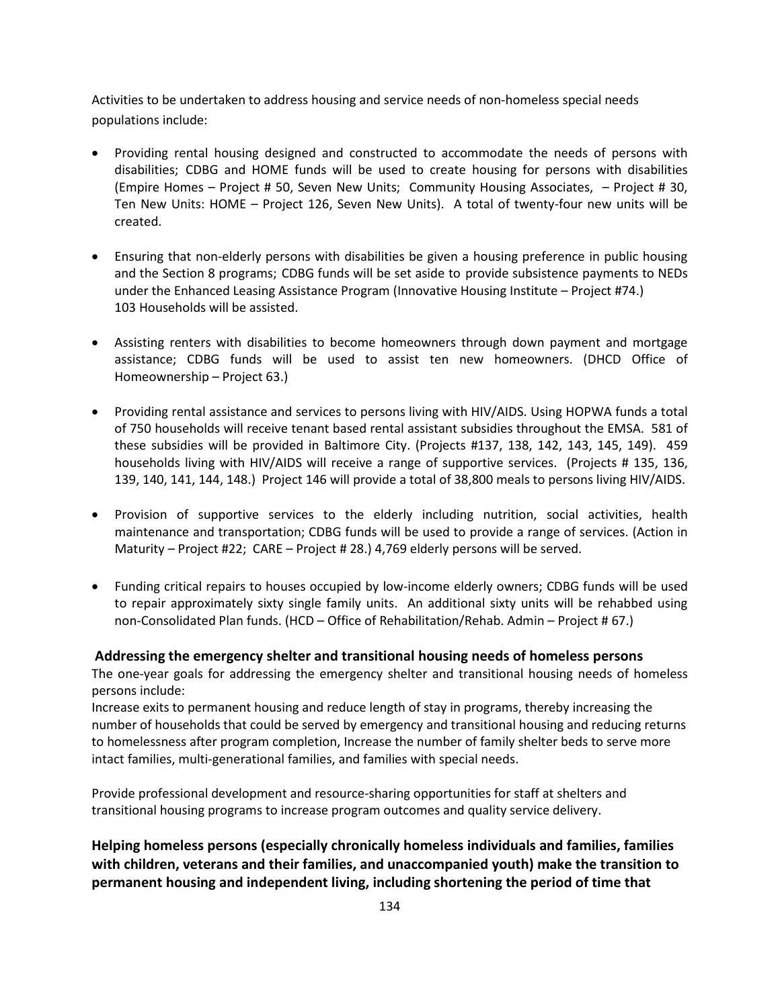Activities to be undertaken to address housing and service needs of non-homeless special needs populations include:

- Providing rental housing designed and constructed to accommodate the needs of persons with disabilities; CDBG and HOME funds will be used to create housing for persons with disabilities (Empire Homes – Project # 50, Seven New Units; Community Housing Associates, – Project # 30, Ten New Units: HOME – Project 126, Seven New Units). A total of twenty-four new units will be created.
- Ensuring that non-elderly persons with disabilities be given a housing preference in public housing and the Section 8 programs; CDBG funds will be set aside to provide subsistence payments to NEDs under the Enhanced Leasing Assistance Program (Innovative Housing Institute – Project #74.) 103 Households will be assisted.
- Assisting renters with disabilities to become homeowners through down payment and mortgage assistance; CDBG funds will be used to assist ten new homeowners. (DHCD Office of Homeownership – Project 63.)
- Providing rental assistance and services to persons living with HIV/AIDS. Using HOPWA funds a total of 750 households will receive tenant based rental assistant subsidies throughout the EMSA. 581 of these subsidies will be provided in Baltimore City. (Projects #137, 138, 142, 143, 145, 149). 459 households living with HIV/AIDS will receive a range of supportive services. (Projects # 135, 136, 139, 140, 141, 144, 148.) Project 146 will provide a total of 38,800 meals to persons living HIV/AIDS.
- Provision of supportive services to the elderly including nutrition, social activities, health maintenance and transportation; CDBG funds will be used to provide a range of services. (Action in Maturity – Project #22; CARE – Project # 28.) 4,769 elderly persons will be served.
- Funding critical repairs to houses occupied by low-income elderly owners; CDBG funds will be used to repair approximately sixty single family units. An additional sixty units will be rehabbed using non-Consolidated Plan funds. (HCD – Office of Rehabilitation/Rehab. Admin – Project # 67.)

#### **Addressing the emergency shelter and transitional housing needs of homeless persons**

The one-year goals for addressing the emergency shelter and transitional housing needs of homeless persons include:

Increase exits to permanent housing and reduce length of stay in programs, thereby increasing the number of households that could be served by emergency and transitional housing and reducing returns to homelessness after program completion, Increase the number of family shelter beds to serve more intact families, multi-generational families, and families with special needs.

Provide professional development and resource-sharing opportunities for staff at shelters and transitional housing programs to increase program outcomes and quality service delivery.

**Helping homeless persons (especially chronically homeless individuals and families, families with children, veterans and their families, and unaccompanied youth) make the transition to permanent housing and independent living, including shortening the period of time that**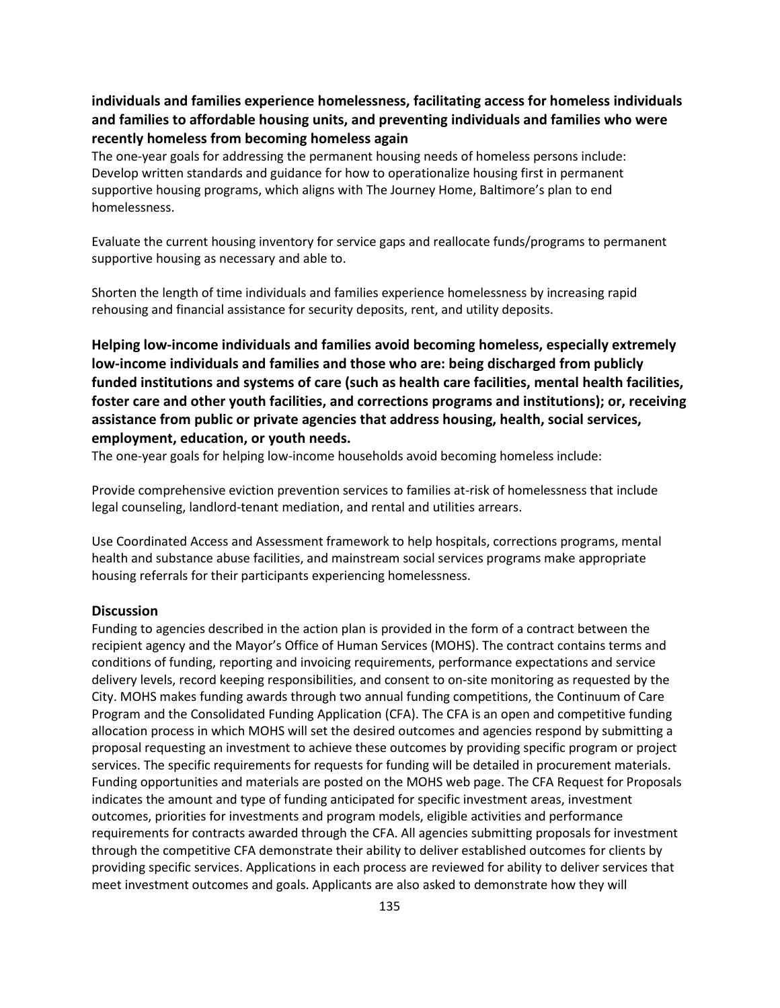### **individuals and families experience homelessness, facilitating access for homeless individuals and families to affordable housing units, and preventing individuals and families who were recently homeless from becoming homeless again**

The one-year goals for addressing the permanent housing needs of homeless persons include: Develop written standards and guidance for how to operationalize housing first in permanent supportive housing programs, which aligns with The Journey Home, Baltimore's plan to end homelessness.

Evaluate the current housing inventory for service gaps and reallocate funds/programs to permanent supportive housing as necessary and able to.

Shorten the length of time individuals and families experience homelessness by increasing rapid rehousing and financial assistance for security deposits, rent, and utility deposits.

**Helping low-income individuals and families avoid becoming homeless, especially extremely low-income individuals and families and those who are: being discharged from publicly funded institutions and systems of care (such as health care facilities, mental health facilities, foster care and other youth facilities, and corrections programs and institutions); or, receiving assistance from public or private agencies that address housing, health, social services, employment, education, or youth needs.**

The one-year goals for helping low-income households avoid becoming homeless include:

Provide comprehensive eviction prevention services to families at-risk of homelessness that include legal counseling, landlord-tenant mediation, and rental and utilities arrears.

Use Coordinated Access and Assessment framework to help hospitals, corrections programs, mental health and substance abuse facilities, and mainstream social services programs make appropriate housing referrals for their participants experiencing homelessness.

#### **Discussion**

Funding to agencies described in the action plan is provided in the form of a contract between the recipient agency and the Mayor's Office of Human Services (MOHS). The contract contains terms and conditions of funding, reporting and invoicing requirements, performance expectations and service delivery levels, record keeping responsibilities, and consent to on-site monitoring as requested by the City. MOHS makes funding awards through two annual funding competitions, the Continuum of Care Program and the Consolidated Funding Application (CFA). The CFA is an open and competitive funding allocation process in which MOHS will set the desired outcomes and agencies respond by submitting a proposal requesting an investment to achieve these outcomes by providing specific program or project services. The specific requirements for requests for funding will be detailed in procurement materials. Funding opportunities and materials are posted on the MOHS web page. The CFA Request for Proposals indicates the amount and type of funding anticipated for specific investment areas, investment outcomes, priorities for investments and program models, eligible activities and performance requirements for contracts awarded through the CFA. All agencies submitting proposals for investment through the competitive CFA demonstrate their ability to deliver established outcomes for clients by providing specific services. Applications in each process are reviewed for ability to deliver services that meet investment outcomes and goals. Applicants are also asked to demonstrate how they will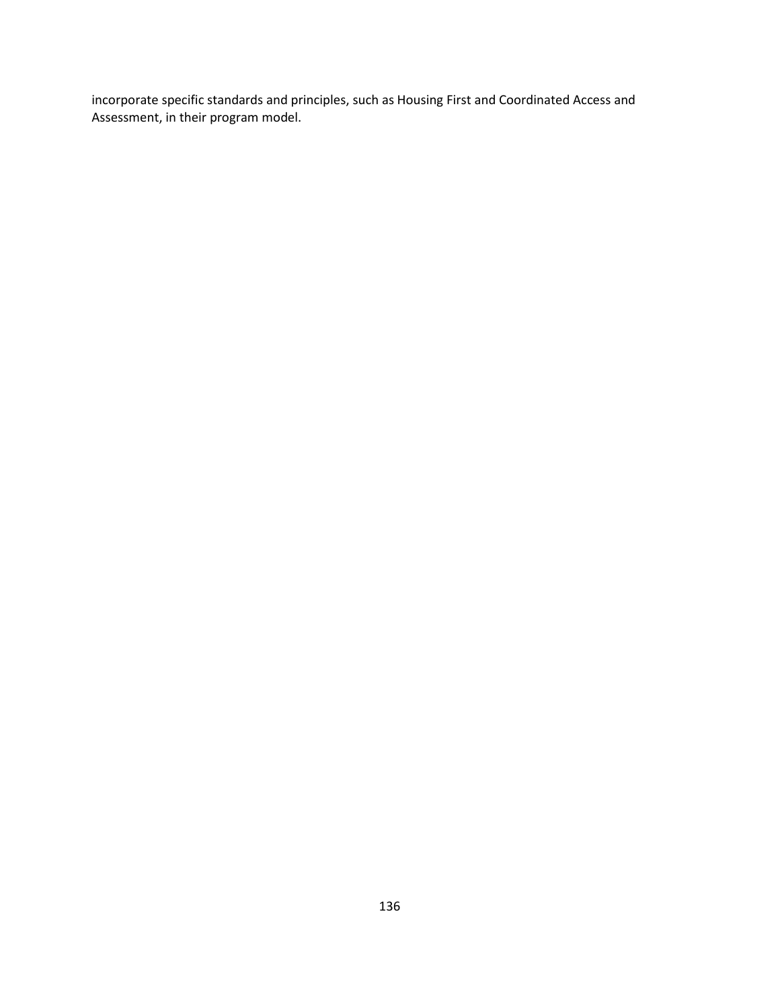incorporate specific standards and principles, such as Housing First and Coordinated Access and Assessment, in their program model.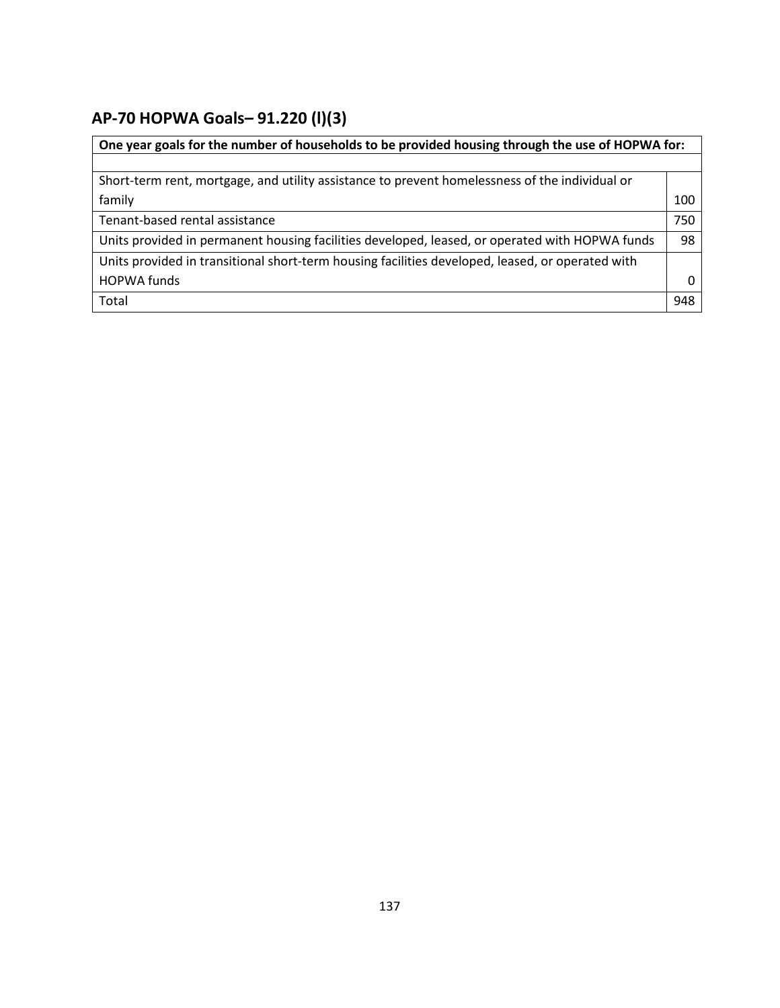# **AP-70 HOPWA Goals***–* **91.220 (l)(3)**

| One year goals for the number of households to be provided housing through the use of HOPWA for: |     |
|--------------------------------------------------------------------------------------------------|-----|
|                                                                                                  |     |
| Short-term rent, mortgage, and utility assistance to prevent homelessness of the individual or   |     |
| family                                                                                           | 100 |
| Tenant-based rental assistance                                                                   | 750 |
| Units provided in permanent housing facilities developed, leased, or operated with HOPWA funds   | 98  |
| Units provided in transitional short-term housing facilities developed, leased, or operated with |     |
| <b>HOPWA funds</b>                                                                               | 0   |
| Total                                                                                            | 948 |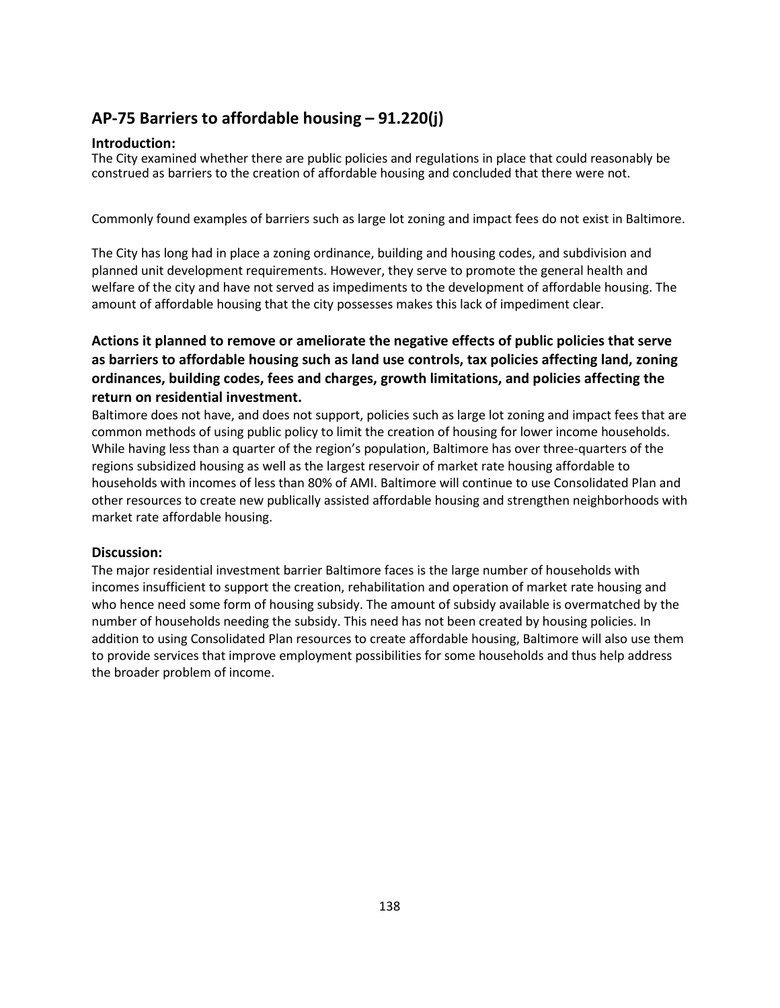# **AP-75 Barriers to affordable housing – 91.220(j)**

#### **Introduction:**

The City examined whether there are public policies and regulations in place that could reasonably be construed as barriers to the creation of affordable housing and concluded that there were not.

Commonly found examples of barriers such as large lot zoning and impact fees do not exist in Baltimore.

The City has long had in place a zoning ordinance, building and housing codes, and subdivision and planned unit development requirements. However, they serve to promote the general health and welfare of the city and have not served as impediments to the development of affordable housing. The amount of affordable housing that the city possesses makes this lack of impediment clear.

### **Actions it planned to remove or ameliorate the negative effects of public policies that serve as barriers to affordable housing such as land use controls, tax policies affecting land, zoning ordinances, building codes, fees and charges, growth limitations, and policies affecting the return on residential investment.**

Baltimore does not have, and does not support, policies such as large lot zoning and impact fees that are common methods of using public policy to limit the creation of housing for lower income households. While having less than a quarter of the region's population, Baltimore has over three-quarters of the regions subsidized housing as well as the largest reservoir of market rate housing affordable to households with incomes of less than 80% of AMI. Baltimore will continue to use Consolidated Plan and other resources to create new publically assisted affordable housing and strengthen neighborhoods with market rate affordable housing.

#### **Discussion:**

The major residential investment barrier Baltimore faces is the large number of households with incomes insufficient to support the creation, rehabilitation and operation of market rate housing and who hence need some form of housing subsidy. The amount of subsidy available is overmatched by the number of households needing the subsidy. This need has not been created by housing policies. In addition to using Consolidated Plan resources to create affordable housing, Baltimore will also use them to provide services that improve employment possibilities for some households and thus help address the broader problem of income.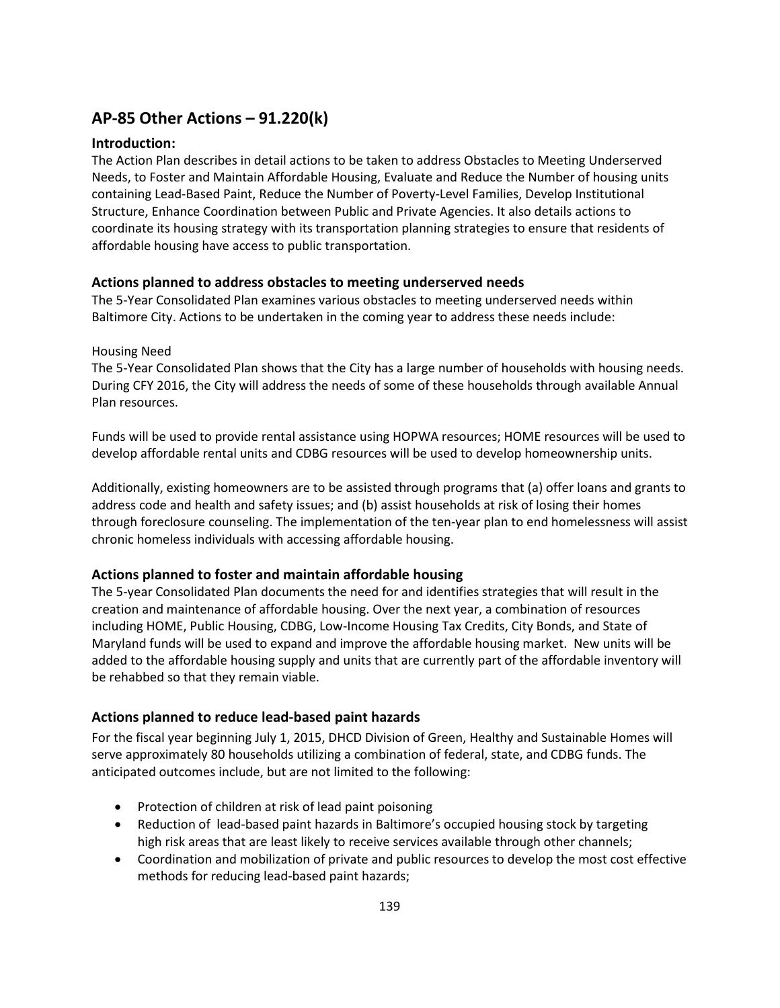# **AP-85 Other Actions – 91.220(k)**

#### **Introduction:**

The Action Plan describes in detail actions to be taken to address Obstacles to Meeting Underserved Needs, to Foster and Maintain Affordable Housing, Evaluate and Reduce the Number of housing units containing Lead-Based Paint, Reduce the Number of Poverty-Level Families, Develop Institutional Structure, Enhance Coordination between Public and Private Agencies. It also details actions to coordinate its housing strategy with its transportation planning strategies to ensure that residents of affordable housing have access to public transportation.

#### **Actions planned to address obstacles to meeting underserved needs**

The 5-Year Consolidated Plan examines various obstacles to meeting underserved needs within Baltimore City. Actions to be undertaken in the coming year to address these needs include:

#### Housing Need

The 5-Year Consolidated Plan shows that the City has a large number of households with housing needs. During CFY 2016, the City will address the needs of some of these households through available Annual Plan resources.

Funds will be used to provide rental assistance using HOPWA resources; HOME resources will be used to develop affordable rental units and CDBG resources will be used to develop homeownership units.

Additionally, existing homeowners are to be assisted through programs that (a) offer loans and grants to address code and health and safety issues; and (b) assist households at risk of losing their homes through foreclosure counseling. The implementation of the ten-year plan to end homelessness will assist chronic homeless individuals with accessing affordable housing.

#### **Actions planned to foster and maintain affordable housing**

The 5-year Consolidated Plan documents the need for and identifies strategies that will result in the creation and maintenance of affordable housing. Over the next year, a combination of resources including HOME, Public Housing, CDBG, Low-Income Housing Tax Credits, City Bonds, and State of Maryland funds will be used to expand and improve the affordable housing market. New units will be added to the affordable housing supply and units that are currently part of the affordable inventory will be rehabbed so that they remain viable.

#### **Actions planned to reduce lead-based paint hazards**

For the fiscal year beginning July 1, 2015, DHCD Division of Green, Healthy and Sustainable Homes will serve approximately 80 households utilizing a combination of federal, state, and CDBG funds. The anticipated outcomes include, but are not limited to the following:

- Protection of children at risk of lead paint poisoning
- Reduction of lead-based paint hazards in Baltimore's occupied housing stock by targeting high risk areas that are least likely to receive services available through other channels;
- Coordination and mobilization of private and public resources to develop the most cost effective methods for reducing lead-based paint hazards;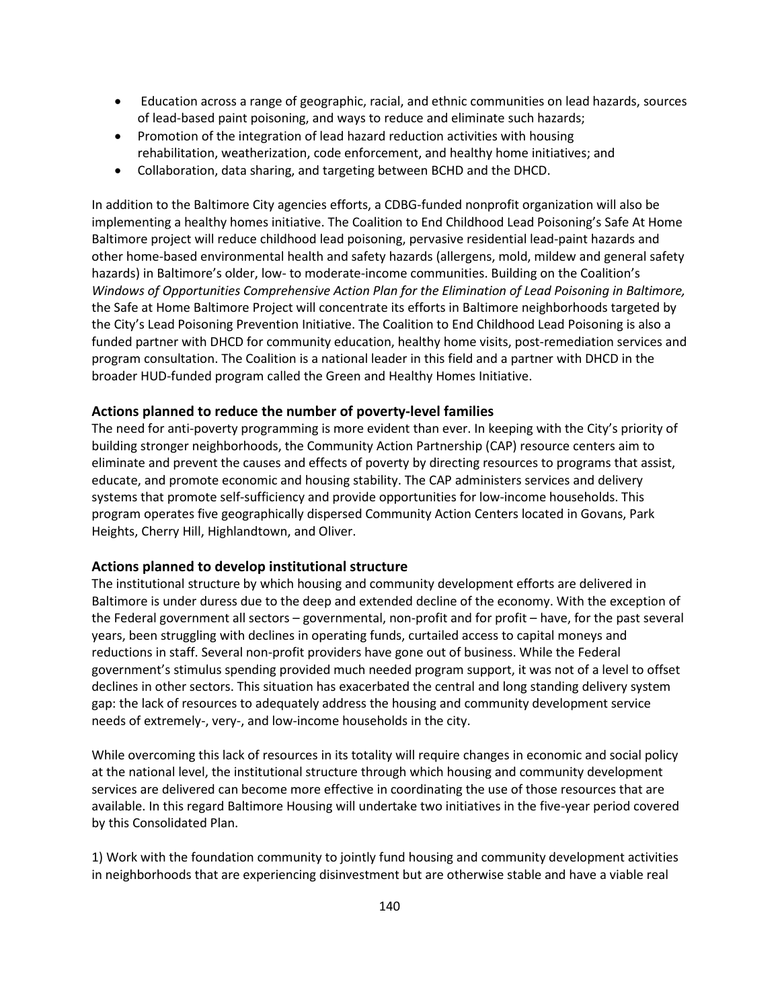- Education across a range of geographic, racial, and ethnic communities on lead hazards, sources of lead-based paint poisoning, and ways to reduce and eliminate such hazards;
- Promotion of the integration of lead hazard reduction activities with housing rehabilitation, weatherization, code enforcement, and healthy home initiatives; and
- Collaboration, data sharing, and targeting between BCHD and the DHCD.

In addition to the Baltimore City agencies efforts, a CDBG-funded nonprofit organization will also be implementing a healthy homes initiative. The Coalition to End Childhood Lead Poisoning's Safe At Home Baltimore project will reduce childhood lead poisoning, pervasive residential lead-paint hazards and other home-based environmental health and safety hazards (allergens, mold, mildew and general safety hazards) in Baltimore's older, low- to moderate-income communities. Building on the Coalition's *Windows of Opportunities Comprehensive Action Plan for the Elimination of Lead Poisoning in Baltimore,* the Safe at Home Baltimore Project will concentrate its efforts in Baltimore neighborhoods targeted by the City's Lead Poisoning Prevention Initiative. The Coalition to End Childhood Lead Poisoning is also a funded partner with DHCD for community education, healthy home visits, post-remediation services and program consultation. The Coalition is a national leader in this field and a partner with DHCD in the broader HUD-funded program called the Green and Healthy Homes Initiative.

#### **Actions planned to reduce the number of poverty-level families**

The need for anti-poverty programming is more evident than ever. In keeping with the City's priority of building stronger neighborhoods, the Community Action Partnership (CAP) resource centers aim to eliminate and prevent the causes and effects of poverty by directing resources to programs that assist, educate, and promote economic and housing stability. The CAP administers services and delivery systems that promote self-sufficiency and provide opportunities for low-income households. This program operates five geographically dispersed Community Action Centers located in Govans, Park Heights, Cherry Hill, Highlandtown, and Oliver.

#### **Actions planned to develop institutional structure**

The institutional structure by which housing and community development efforts are delivered in Baltimore is under duress due to the deep and extended decline of the economy. With the exception of the Federal government all sectors – governmental, non-profit and for profit – have, for the past several years, been struggling with declines in operating funds, curtailed access to capital moneys and reductions in staff. Several non-profit providers have gone out of business. While the Federal government's stimulus spending provided much needed program support, it was not of a level to offset declines in other sectors. This situation has exacerbated the central and long standing delivery system gap: the lack of resources to adequately address the housing and community development service needs of extremely-, very-, and low-income households in the city.

While overcoming this lack of resources in its totality will require changes in economic and social policy at the national level, the institutional structure through which housing and community development services are delivered can become more effective in coordinating the use of those resources that are available. In this regard Baltimore Housing will undertake two initiatives in the five-year period covered by this Consolidated Plan.

1) Work with the foundation community to jointly fund housing and community development activities in neighborhoods that are experiencing disinvestment but are otherwise stable and have a viable real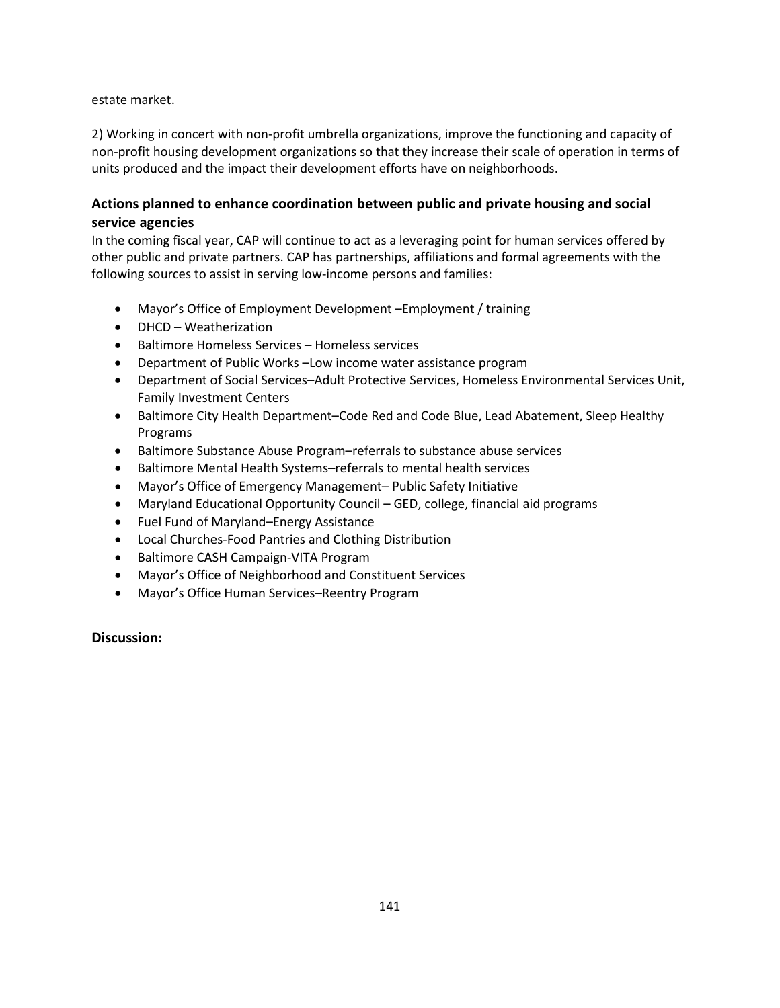#### estate market.

2) Working in concert with non-profit umbrella organizations, improve the functioning and capacity of non-profit housing development organizations so that they increase their scale of operation in terms of units produced and the impact their development efforts have on neighborhoods.

### **Actions planned to enhance coordination between public and private housing and social service agencies**

In the coming fiscal year, CAP will continue to act as a leveraging point for human services offered by other public and private partners. CAP has partnerships, affiliations and formal agreements with the following sources to assist in serving low-income persons and families:

- Mayor's Office of Employment Development –Employment / training
- DHCD Weatherization
- Baltimore Homeless Services Homeless services
- Department of Public Works –Low income water assistance program
- Department of Social Services–Adult Protective Services, Homeless Environmental Services Unit, Family Investment Centers
- Baltimore City Health Department–Code Red and Code Blue, Lead Abatement, Sleep Healthy Programs
- Baltimore Substance Abuse Program–referrals to substance abuse services
- Baltimore Mental Health Systems–referrals to mental health services
- Mayor's Office of Emergency Management– Public Safety Initiative
- Maryland Educational Opportunity Council GED, college, financial aid programs
- Fuel Fund of Maryland–Energy Assistance
- Local Churches-Food Pantries and Clothing Distribution
- Baltimore CASH Campaign-VITA Program
- Mayor's Office of Neighborhood and Constituent Services
- Mayor's Office Human Services–Reentry Program

#### **Discussion:**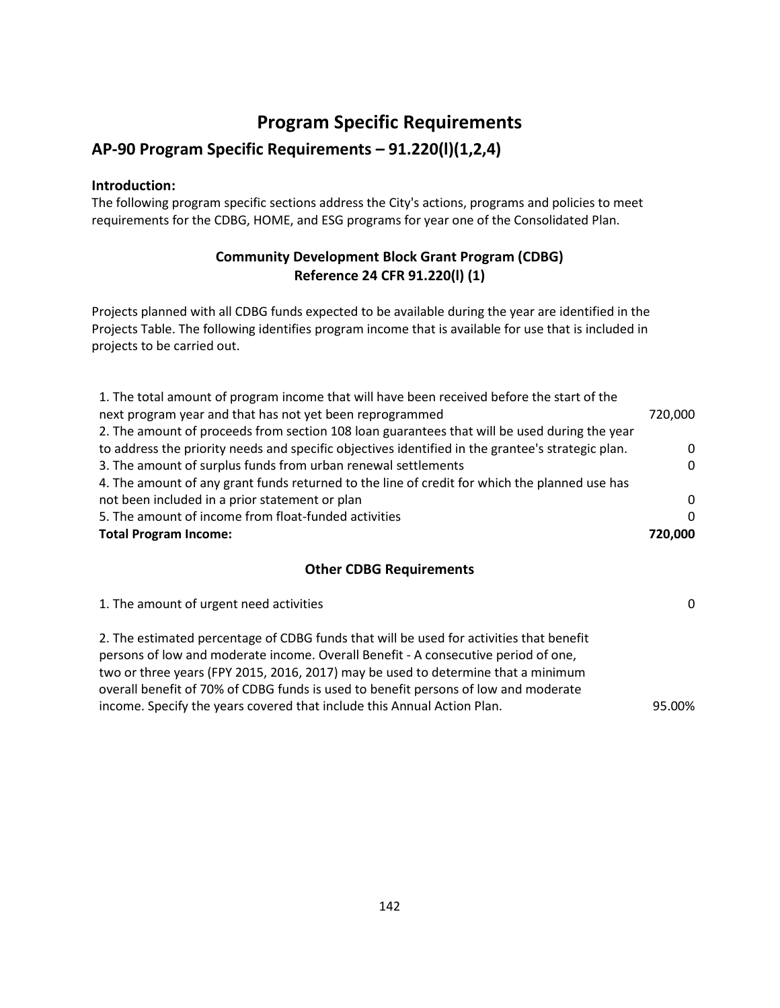# **Program Specific Requirements**

# **AP-90 Program Specific Requirements – 91.220(l)(1,2,4)**

### **Introduction:**

The following program specific sections address the City's actions, programs and policies to meet requirements for the CDBG, HOME, and ESG programs for year one of the Consolidated Plan.

# **Community Development Block Grant Program (CDBG) Reference 24 CFR 91.220(l) (1)**

Projects planned with all CDBG funds expected to be available during the year are identified in the Projects Table. The following identifies program income that is available for use that is included in projects to be carried out.

| 1. The total amount of program income that will have been received before the start of the        |          |
|---------------------------------------------------------------------------------------------------|----------|
| next program year and that has not yet been reprogrammed                                          | 720,000  |
| 2. The amount of proceeds from section 108 loan guarantees that will be used during the year      |          |
| to address the priority needs and specific objectives identified in the grantee's strategic plan. | $\Omega$ |
| 3. The amount of surplus funds from urban renewal settlements                                     | $\Omega$ |
| 4. The amount of any grant funds returned to the line of credit for which the planned use has     |          |
| not been included in a prior statement or plan                                                    | $\Omega$ |
| 5. The amount of income from float-funded activities                                              | $\Omega$ |
| <b>Total Program Income:</b>                                                                      | 720.000  |

### **Other CDBG Requirements**

| 1. The amount of urgent need activities                                                                                                                                                                                                                                                                                                                                                                                              | $\Omega$ |
|--------------------------------------------------------------------------------------------------------------------------------------------------------------------------------------------------------------------------------------------------------------------------------------------------------------------------------------------------------------------------------------------------------------------------------------|----------|
| 2. The estimated percentage of CDBG funds that will be used for activities that benefit<br>persons of low and moderate income. Overall Benefit - A consecutive period of one,<br>two or three years (FPY 2015, 2016, 2017) may be used to determine that a minimum<br>overall benefit of 70% of CDBG funds is used to benefit persons of low and moderate<br>income. Specify the years covered that include this Annual Action Plan. | 95.00%   |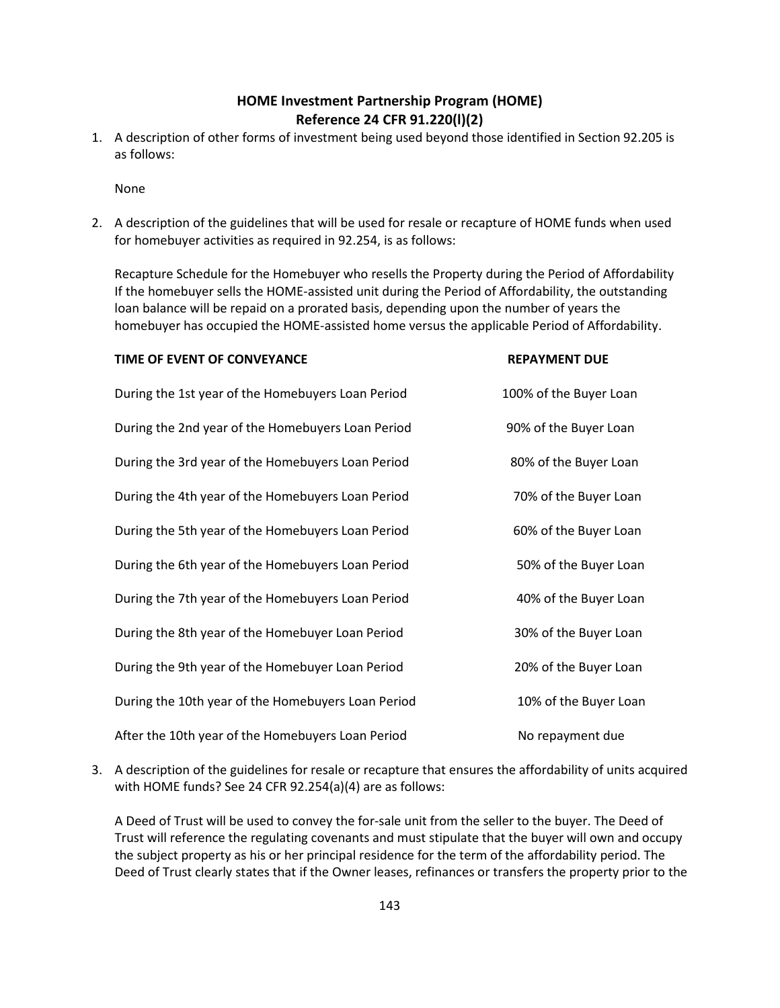### **HOME Investment Partnership Program (HOME) Reference 24 CFR 91.220(l)(2)**

1. A description of other forms of investment being used beyond those identified in Section 92.205 is as follows:

None

2. A description of the guidelines that will be used for resale or recapture of HOME funds when used for homebuyer activities as required in 92.254, is as follows:

Recapture Schedule for the Homebuyer who resells the Property during the Period of Affordability If the homebuyer sells the HOME-assisted unit during the Period of Affordability, the outstanding loan balance will be repaid on a prorated basis, depending upon the number of years the homebuyer has occupied the HOME-assisted home versus the applicable Period of Affordability.

| TIME OF EVENT OF CONVEYANCE                        | <b>REPAYMENT DUE</b>   |
|----------------------------------------------------|------------------------|
| During the 1st year of the Homebuyers Loan Period  | 100% of the Buyer Loan |
| During the 2nd year of the Homebuyers Loan Period  | 90% of the Buyer Loan  |
| During the 3rd year of the Homebuyers Loan Period  | 80% of the Buyer Loan  |
| During the 4th year of the Homebuyers Loan Period  | 70% of the Buyer Loan  |
| During the 5th year of the Homebuyers Loan Period  | 60% of the Buyer Loan  |
| During the 6th year of the Homebuyers Loan Period  | 50% of the Buyer Loan  |
| During the 7th year of the Homebuyers Loan Period  | 40% of the Buyer Loan  |
| During the 8th year of the Homebuyer Loan Period   | 30% of the Buyer Loan  |
| During the 9th year of the Homebuyer Loan Period   | 20% of the Buyer Loan  |
| During the 10th year of the Homebuyers Loan Period | 10% of the Buyer Loan  |
| After the 10th year of the Homebuyers Loan Period  | No repayment due       |

3. A description of the guidelines for resale or recapture that ensures the affordability of units acquired with HOME funds? See 24 CFR 92.254(a)(4) are as follows:

A Deed of Trust will be used to convey the for-sale unit from the seller to the buyer. The Deed of Trust will reference the regulating covenants and must stipulate that the buyer will own and occupy the subject property as his or her principal residence for the term of the affordability period. The Deed of Trust clearly states that if the Owner leases, refinances or transfers the property prior to the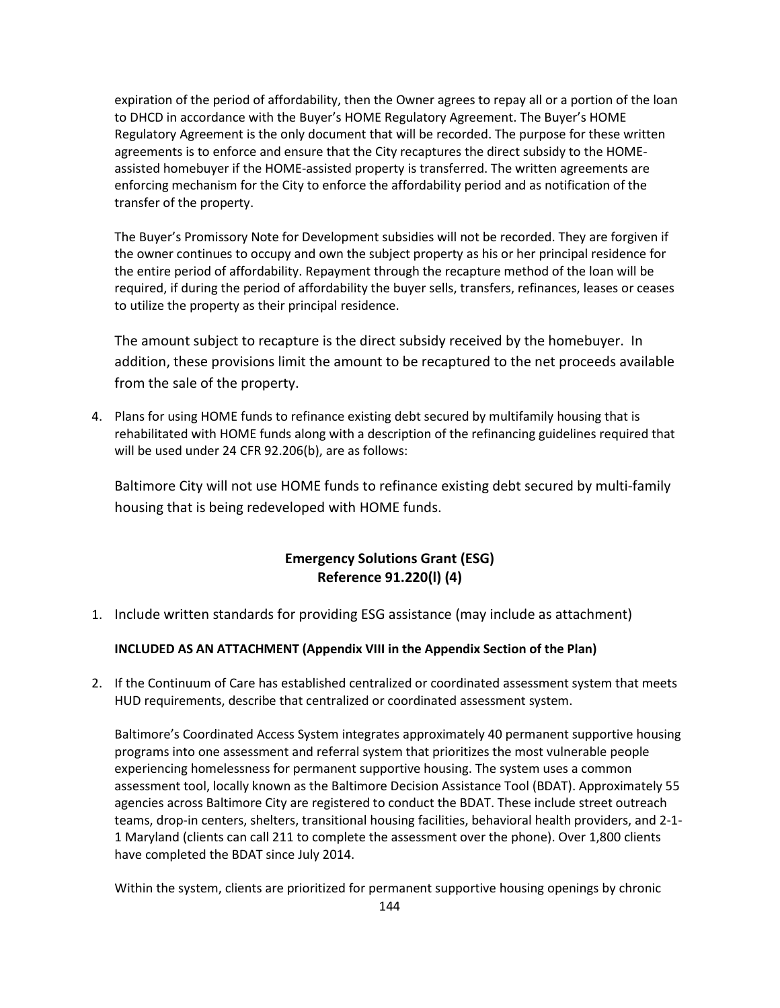expiration of the period of affordability, then the Owner agrees to repay all or a portion of the loan to DHCD in accordance with the Buyer's HOME Regulatory Agreement. The Buyer's HOME Regulatory Agreement is the only document that will be recorded. The purpose for these written agreements is to enforce and ensure that the City recaptures the direct subsidy to the HOMEassisted homebuyer if the HOME-assisted property is transferred. The written agreements are enforcing mechanism for the City to enforce the affordability period and as notification of the transfer of the property.

The Buyer's Promissory Note for Development subsidies will not be recorded. They are forgiven if the owner continues to occupy and own the subject property as his or her principal residence for the entire period of affordability. Repayment through the recapture method of the loan will be required, if during the period of affordability the buyer sells, transfers, refinances, leases or ceases to utilize the property as their principal residence.

The amount subject to recapture is the direct subsidy received by the homebuyer. In addition, these provisions limit the amount to be recaptured to the net proceeds available from the sale of the property.

4. Plans for using HOME funds to refinance existing debt secured by multifamily housing that is rehabilitated with HOME funds along with a description of the refinancing guidelines required that will be used under 24 CFR 92.206(b), are as follows:

Baltimore City will not use HOME funds to refinance existing debt secured by multi-family housing that is being redeveloped with HOME funds.

## **Emergency Solutions Grant (ESG) Reference 91.220(l) (4)**

1. Include written standards for providing ESG assistance (may include as attachment)

#### **INCLUDED AS AN ATTACHMENT (Appendix VIII in the Appendix Section of the Plan)**

2. If the Continuum of Care has established centralized or coordinated assessment system that meets HUD requirements, describe that centralized or coordinated assessment system.

Baltimore's Coordinated Access System integrates approximately 40 permanent supportive housing programs into one assessment and referral system that prioritizes the most vulnerable people experiencing homelessness for permanent supportive housing. The system uses a common assessment tool, locally known as the Baltimore Decision Assistance Tool (BDAT). Approximately 55 agencies across Baltimore City are registered to conduct the BDAT. These include street outreach teams, drop-in centers, shelters, transitional housing facilities, behavioral health providers, and 2-1- 1 Maryland (clients can call 211 to complete the assessment over the phone). Over 1,800 clients have completed the BDAT since July 2014.

Within the system, clients are prioritized for permanent supportive housing openings by chronic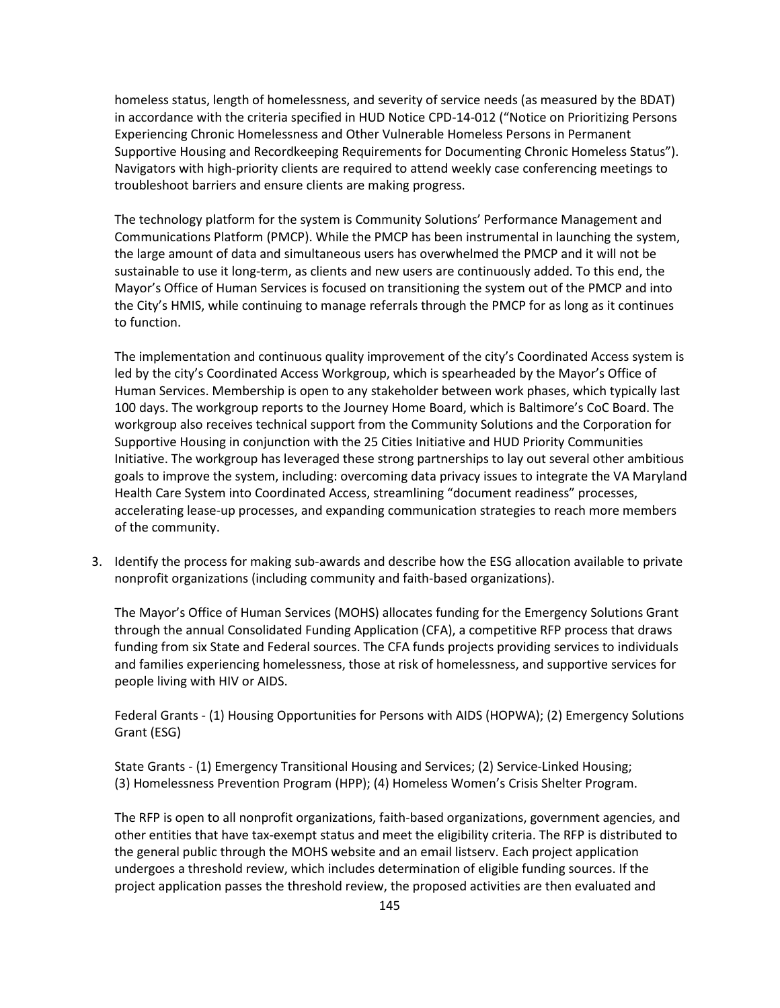homeless status, length of homelessness, and severity of service needs (as measured by the BDAT) in accordance with the criteria specified in HUD Notice CPD-14-012 ("Notice on Prioritizing Persons Experiencing Chronic Homelessness and Other Vulnerable Homeless Persons in Permanent Supportive Housing and Recordkeeping Requirements for Documenting Chronic Homeless Status"). Navigators with high-priority clients are required to attend weekly case conferencing meetings to troubleshoot barriers and ensure clients are making progress.

The technology platform for the system is Community Solutions' Performance Management and Communications Platform (PMCP). While the PMCP has been instrumental in launching the system, the large amount of data and simultaneous users has overwhelmed the PMCP and it will not be sustainable to use it long-term, as clients and new users are continuously added. To this end, the Mayor's Office of Human Services is focused on transitioning the system out of the PMCP and into the City's HMIS, while continuing to manage referrals through the PMCP for as long as it continues to function.

The implementation and continuous quality improvement of the city's Coordinated Access system is led by the city's Coordinated Access Workgroup, which is spearheaded by the Mayor's Office of Human Services. Membership is open to any stakeholder between work phases, which typically last 100 days. The workgroup reports to the Journey Home Board, which is Baltimore's CoC Board. The workgroup also receives technical support from the Community Solutions and the Corporation for Supportive Housing in conjunction with the 25 Cities Initiative and HUD Priority Communities Initiative. The workgroup has leveraged these strong partnerships to lay out several other ambitious goals to improve the system, including: overcoming data privacy issues to integrate the VA Maryland Health Care System into Coordinated Access, streamlining "document readiness" processes, accelerating lease-up processes, and expanding communication strategies to reach more members of the community.

3. Identify the process for making sub-awards and describe how the ESG allocation available to private nonprofit organizations (including community and faith-based organizations).

The Mayor's Office of Human Services (MOHS) allocates funding for the Emergency Solutions Grant through the annual Consolidated Funding Application (CFA), a competitive RFP process that draws funding from six State and Federal sources. The CFA funds projects providing services to individuals and families experiencing homelessness, those at risk of homelessness, and supportive services for people living with HIV or AIDS.

Federal Grants - (1) Housing Opportunities for Persons with AIDS (HOPWA); (2) Emergency Solutions Grant (ESG)

State Grants - (1) Emergency Transitional Housing and Services; (2) Service-Linked Housing; (3) Homelessness Prevention Program (HPP); (4) Homeless Women's Crisis Shelter Program.

The RFP is open to all nonprofit organizations, faith-based organizations, government agencies, and other entities that have tax-exempt status and meet the eligibility criteria. The RFP is distributed to the general public through the MOHS website and an email listserv. Each project application undergoes a threshold review, which includes determination of eligible funding sources. If the project application passes the threshold review, the proposed activities are then evaluated and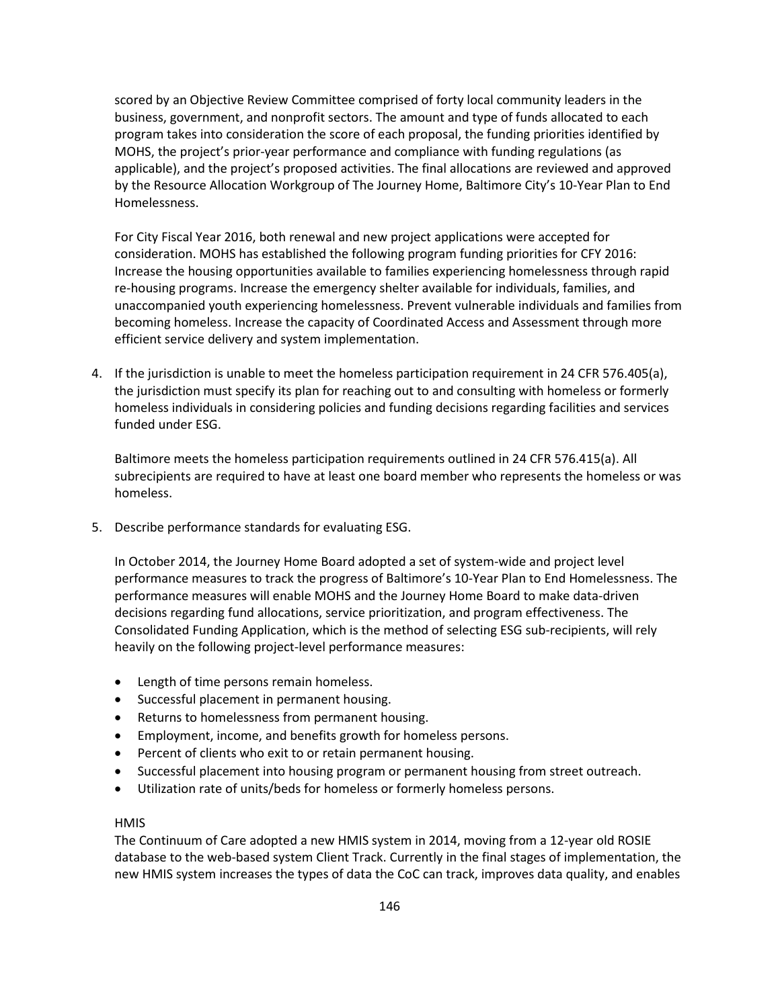scored by an Objective Review Committee comprised of forty local community leaders in the business, government, and nonprofit sectors. The amount and type of funds allocated to each program takes into consideration the score of each proposal, the funding priorities identified by MOHS, the project's prior-year performance and compliance with funding regulations (as applicable), and the project's proposed activities. The final allocations are reviewed and approved by the Resource Allocation Workgroup of The Journey Home, Baltimore City's 10-Year Plan to End Homelessness.

For City Fiscal Year 2016, both renewal and new project applications were accepted for consideration. MOHS has established the following program funding priorities for CFY 2016: Increase the housing opportunities available to families experiencing homelessness through rapid re-housing programs. Increase the emergency shelter available for individuals, families, and unaccompanied youth experiencing homelessness. Prevent vulnerable individuals and families from becoming homeless. Increase the capacity of Coordinated Access and Assessment through more efficient service delivery and system implementation.

4. If the jurisdiction is unable to meet the homeless participation requirement in 24 CFR 576.405(a), the jurisdiction must specify its plan for reaching out to and consulting with homeless or formerly homeless individuals in considering policies and funding decisions regarding facilities and services funded under ESG.

Baltimore meets the homeless participation requirements outlined in 24 CFR 576.415(a). All subrecipients are required to have at least one board member who represents the homeless or was homeless.

5. Describe performance standards for evaluating ESG.

In October 2014, the Journey Home Board adopted a set of system-wide and project level performance measures to track the progress of Baltimore's 10-Year Plan to End Homelessness. The performance measures will enable MOHS and the Journey Home Board to make data-driven decisions regarding fund allocations, service prioritization, and program effectiveness. The Consolidated Funding Application, which is the method of selecting ESG sub-recipients, will rely heavily on the following project-level performance measures:

- Length of time persons remain homeless.
- Successful placement in permanent housing.
- Returns to homelessness from permanent housing.
- Employment, income, and benefits growth for homeless persons.
- Percent of clients who exit to or retain permanent housing.
- Successful placement into housing program or permanent housing from street outreach.
- Utilization rate of units/beds for homeless or formerly homeless persons.

## **HMIS**

The Continuum of Care adopted a new HMIS system in 2014, moving from a 12-year old ROSIE database to the web-based system Client Track. Currently in the final stages of implementation, the new HMIS system increases the types of data the CoC can track, improves data quality, and enables